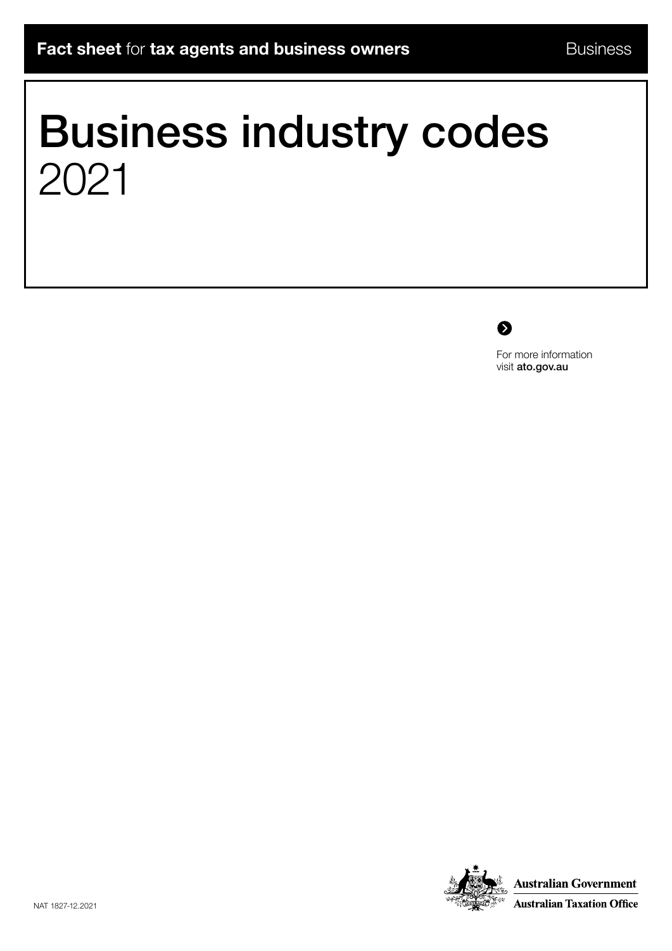# Business industry codes 2021



For more information visit [ato.gov.au](http://ato.gov.au)

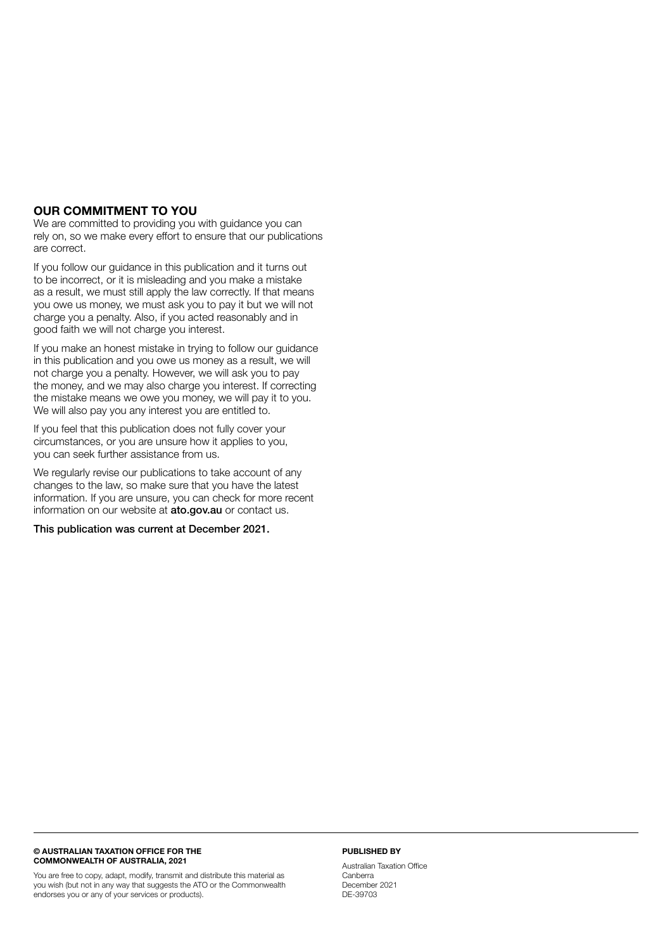#### OUR COMMITMENT TO YOU

We are committed to providing you with guidance you can rely on, so we make every effort to ensure that our publications are correct.

If you follow our guidance in this publication and it turns out to be incorrect, or it is misleading and you make a mistake as a result, we must still apply the law correctly. If that means you owe us money, we must ask you to pay it but we will not charge you a penalty. Also, if you acted reasonably and in good faith we will not charge you interest.

If you make an honest mistake in trying to follow our guidance in this publication and you owe us money as a result, we will not charge you a penalty. However, we will ask you to pay the money, and we may also charge you interest. If correcting the mistake means we owe you money, we will pay it to you. We will also pay you any interest you are entitled to.

If you feel that this publication does not fully cover your circumstances, or you are unsure how it applies to you, you can seek further assistance from us.

We regularly revise our publications to take account of any changes to the law, so make sure that you have the latest information. If you are unsure, you can check for more recent information on our website at **[ato.gov.au](http://ato.gov.au)** or contact us.

This publication was current at December 2021.

#### © AUSTRALIAN TAXATION OFFICE FOR THE COMMONWEALTH OF AUSTRALIA, 2021

You are free to copy, adapt, modify, transmit and distribute this material as you wish (but not in any way that suggests the ATO or the Commonwealth endorses you or any of your services or products).

#### PUBLISHED BY

Australian Taxation Office Canberra December 2021 DE-39703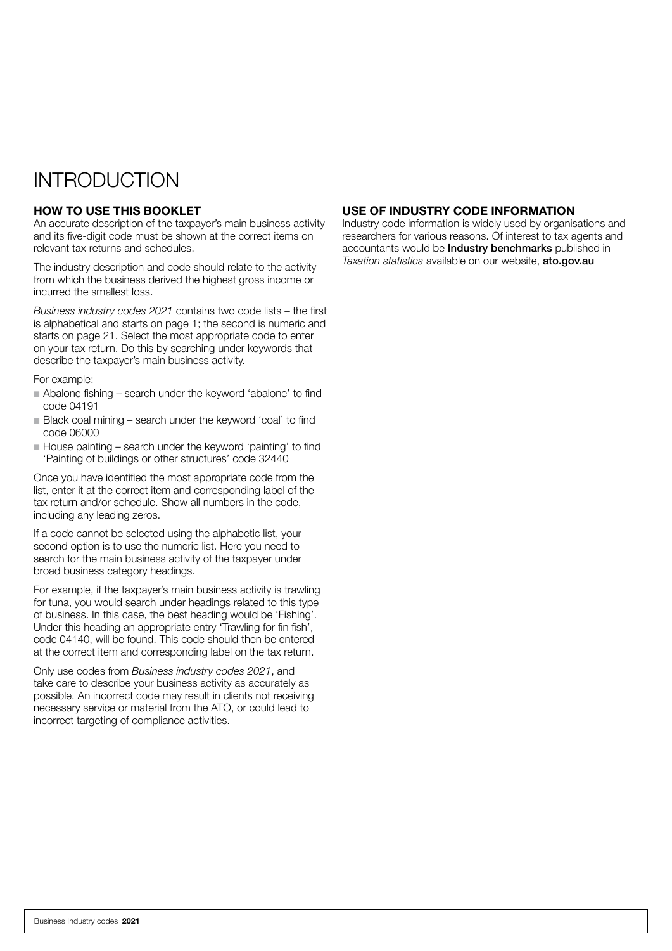### INTRODUCTION

#### HOW TO USE THIS BOOKLET

An accurate description of the taxpayer's main business activity and its five-digit code must be shown at the correct items on relevant tax returns and schedules.

The industry description and code should relate to the activity from which the business derived the highest gross income or incurred the smallest loss.

*Business industry codes 2021* contains two code lists – the first is alphabetical and starts on page 1; the second is numeric and starts on page 21. Select the most appropriate code to enter on your tax return. Do this by searching under keywords that describe the taxpayer's main business activity.

For example:

- n Abalone fishing search under the keyword 'abalone' to find code 04191
- Black coal mining search under the keyword 'coal' to find code 06000
- $\blacksquare$  House painting search under the keyword 'painting' to find 'Painting of buildings or other structures' code 32440

Once you have identified the most appropriate code from the list, enter it at the correct item and corresponding label of the tax return and/or schedule. Show all numbers in the code, including any leading zeros.

If a code cannot be selected using the alphabetic list, your second option is to use the numeric list. Here you need to search for the main business activity of the taxpayer under broad business category headings.

For example, if the taxpayer's main business activity is trawling for tuna, you would search under headings related to this type of business. In this case, the best heading would be 'Fishing'. Under this heading an appropriate entry 'Trawling for fin fish', code 04140, will be found. This code should then be entered at the correct item and corresponding label on the tax return.

Only use codes from *Business industry codes 2021*, and take care to describe your business activity as accurately as possible. An incorrect code may result in clients not receiving necessary service or material from the ATO, or could lead to incorrect targeting of compliance activities.

#### USE OF INDUSTRY CODE INFORMATION

Industry code information is widely used by organisations and researchers for various reasons. Of interest to tax agents and accountants would be Industry benchmarks published in *Taxation statistics* available on our website, [ato.gov.au](http://ato.gov.au)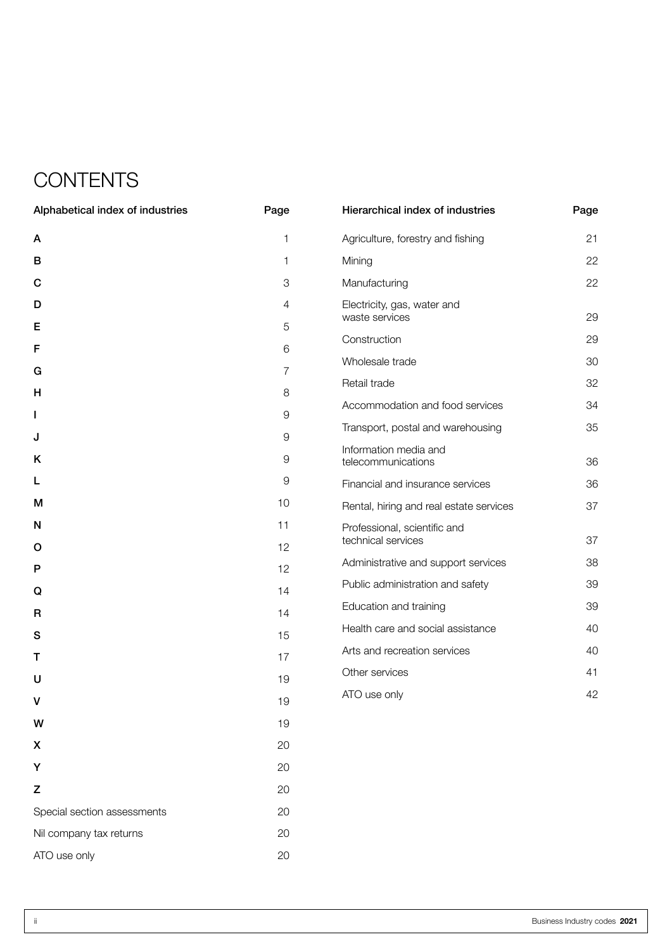## **CONTENTS**

| Alphabetical index of industries | Page           | Hierarchical index of industries            | Page |
|----------------------------------|----------------|---------------------------------------------|------|
| A                                | 1              | Agriculture, forestry and fishing           | 21   |
| в                                | 1              | Mining                                      | 22   |
| C                                | $\mathfrak S$  | Manufacturing                               | 22   |
| D                                | 4              | Electricity, gas, water and                 |      |
| Е                                | 5              | waste services                              | 29   |
| F                                | 6              | Construction                                | 29   |
| G                                | $\overline{7}$ | Wholesale trade                             | 30   |
| н                                | 8              | Retail trade                                | 32   |
| L                                | $\hbox{9}$     | Accommodation and food services             | 34   |
| J                                | $\hbox{9}$     | Transport, postal and warehousing           | 35   |
| Κ                                | $\hbox{9}$     | Information media and<br>telecommunications | 36   |
| L                                | $\hbox{9}$     | Financial and insurance services            | 36   |
| M                                | 10             | Rental, hiring and real estate services     | 37   |
| N                                | 11             | Professional, scientific and                |      |
| O                                | 12             | technical services                          | 37   |
| P                                | 12             | Administrative and support services         | 38   |
| Q                                | 14             | Public administration and safety            | 39   |
| R                                | 14             | Education and training                      | 39   |
| S                                | 15             | Health care and social assistance           | 40   |
| Т                                | 17             | Arts and recreation services                | 40   |
| U                                | 19             | Other services                              | 41   |
| v                                | 19             | ATO use only                                | 42   |
| W                                | 19             |                                             |      |
| X                                | 20             |                                             |      |
| Υ                                | 20             |                                             |      |
| Z                                | 20             |                                             |      |
| Special section assessments      | 20             |                                             |      |
| Nil company tax returns          | 20             |                                             |      |
| ATO use only                     | 20             |                                             |      |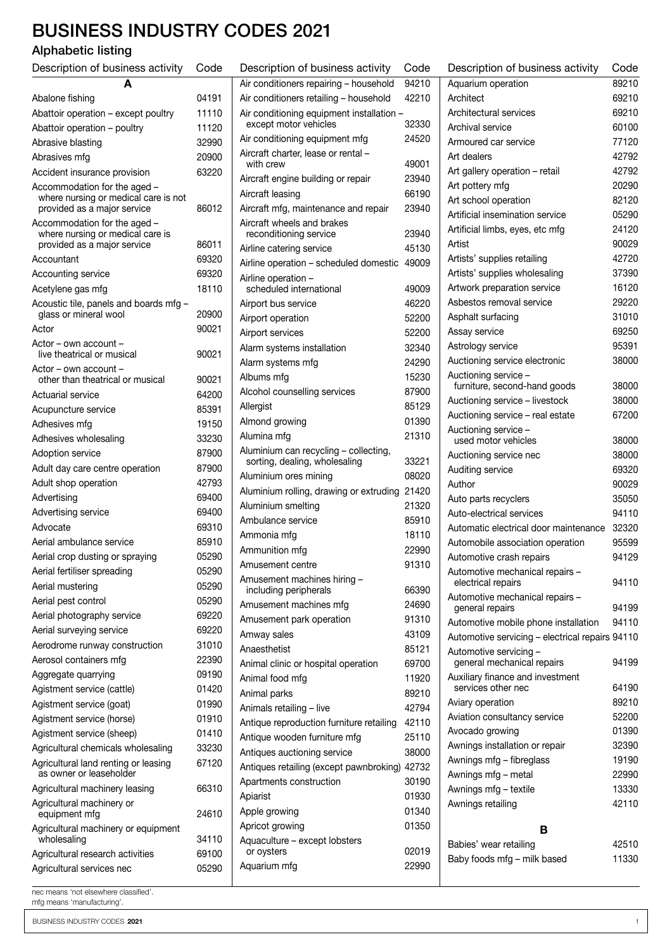### BUSINESS INDUSTRY CODES 2021

### Alphabetic listing

| Description of business activity                                                                    | Code  |  |
|-----------------------------------------------------------------------------------------------------|-------|--|
| A                                                                                                   |       |  |
| Abalone fishing                                                                                     | 04191 |  |
| Abattoir operation - except poultry                                                                 | 11110 |  |
| Abattoir operation - poultry                                                                        | 11120 |  |
| Abrasive blasting                                                                                   | 32990 |  |
| Abrasives mfg                                                                                       | 20900 |  |
| Accident insurance provision                                                                        | 63220 |  |
| Accommodation for the aged -<br>where nursing or medical care is not<br>provided as a major service | 86012 |  |
| Accommodation for the aged -<br>where nursing or medical care is<br>provided as a major service     | 86011 |  |
| Accountant                                                                                          | 69320 |  |
| Accounting service                                                                                  | 69320 |  |
| Acetylene gas mfg                                                                                   | 18110 |  |
| Acoustic tile, panels and boards mfg -                                                              |       |  |
| glass or mineral wool                                                                               | 20900 |  |
| Actor                                                                                               | 90021 |  |
| Actor – own account –<br>live theatrical or musical                                                 | 90021 |  |
| $Action - own account -$<br>other than theatrical or musical                                        | 90021 |  |
| Actuarial service                                                                                   | 64200 |  |
| Acupuncture service                                                                                 | 85391 |  |
| Adhesives mfg                                                                                       | 19150 |  |
| Adhesives wholesaling                                                                               | 33230 |  |
| Adoption service                                                                                    | 87900 |  |
| Adult day care centre operation                                                                     | 87900 |  |
| Adult shop operation                                                                                | 42793 |  |
| Advertising                                                                                         | 69400 |  |
| Advertising service                                                                                 | 69400 |  |
| Advocate                                                                                            | 69310 |  |
| Aerial ambulance service                                                                            | 85910 |  |
| Aerial crop dusting or spraying                                                                     | 05290 |  |
| Aerial fertiliser spreading                                                                         | 05290 |  |
| Aerial mustering                                                                                    | 05290 |  |
| Aerial pest control                                                                                 | 05290 |  |
| Aerial photography service                                                                          | 69220 |  |
| Aerial surveying service                                                                            | 69220 |  |
| Aerodrome runway construction                                                                       | 31010 |  |
| Aerosol containers mfg                                                                              | 22390 |  |
| Aggregate quarrying                                                                                 | 09190 |  |
| Agistment service (cattle)                                                                          | 01420 |  |
| Agistment service (goat)                                                                            | 01990 |  |
| Agistment service (horse)                                                                           | 01910 |  |
| Agistment service (sheep)                                                                           | 01410 |  |
| Agricultural chemicals wholesaling                                                                  | 33230 |  |
| Agricultural land renting or leasing                                                                | 67120 |  |
| as owner or leaseholder<br>Agricultural machinery leasing                                           | 66310 |  |
| Agricultural machinery or                                                                           |       |  |
| equipment mfg<br>Agricultural machinery or equipment                                                | 24610 |  |
| wholesaling                                                                                         | 34110 |  |
| Agricultural research activities                                                                    | 69100 |  |
| Agricultural services nec                                                                           | 05290 |  |

| Description of business activity                                 | Code  |
|------------------------------------------------------------------|-------|
| Air conditioners repairing - household                           | 94210 |
| Air conditioners retailing - household                           | 42210 |
| Air conditioning equipment installation<br>except motor vehicles | 32330 |
| Air conditioning equipment mfg                                   | 24520 |
| Aircraft charter, lease or rental -<br>with crew                 | 49001 |
| Aircraft engine building or repair                               | 23940 |
| Aircraft leasing                                                 | 66190 |
| Aircraft mfg, maintenance and repair                             | 23940 |
| Aircraft wheels and brakes<br>reconditioning service             | 23940 |
| Airline catering service                                         | 45130 |
| Airline operation - scheduled domestic                           | 49009 |
| Airline operation -<br>scheduled international                   | 49009 |
| Airport bus service                                              | 46220 |
| Airport operation                                                | 52200 |
| Airport services                                                 | 52200 |
| Alarm systems installation                                       | 32340 |
| Alarm systems mfg                                                | 24290 |
| Albums mfg                                                       | 15230 |
| Alcohol counselling services                                     | 87900 |
| Allergist                                                        | 85129 |
| Almond growing                                                   | 01390 |
| Alumina mfg                                                      | 21310 |
| Aluminium can recycling - collecting,                            |       |
| sorting, dealing, wholesaling                                    | 33221 |
| Aluminium ores mining                                            | 08020 |
| Aluminium rolling, drawing or extruding                          | 21420 |
| Aluminium smelting                                               | 21320 |
| Ambulance service                                                | 85910 |
| Ammonia mfa                                                      | 18110 |
| Ammunition mfg                                                   | 22990 |
| Amusement centre                                                 | 91310 |
| Amusement machines hiring -<br>including peripherals             | 66390 |
| Amusement machines mfg                                           | 24690 |
| Amusement park operation                                         | 91310 |
| Amway sales                                                      | 43109 |
| Anaesthetist                                                     | 85121 |
| Animal clinic or hospital operation                              | 69700 |
| Animal food mfg                                                  | 11920 |
| Animal parks                                                     | 89210 |
| Animals retailing - live                                         | 42794 |
| Antique reproduction furniture retailing                         | 42110 |
| Antique wooden furniture mfg                                     | 25110 |
| Antiques auctioning service                                      | 38000 |
| Antiques retailing (except pawnbroking) 42732                    |       |
| Apartments construction                                          | 30190 |
| Apiarist                                                         | 01930 |
| Apple growing                                                    | 01340 |
| Apricot growing                                                  | 01350 |
| Aquaculture - except lobsters<br>or oysters                      | 02019 |
| Aquarium mfg                                                     | 22990 |

| Description of business activity                       | Code  |
|--------------------------------------------------------|-------|
| Aquarium operation                                     | 89210 |
| Architect                                              | 69210 |
| Architectural services                                 | 69210 |
| Archival service                                       | 60100 |
| Armoured car service                                   | 77120 |
| Art dealers                                            | 42792 |
| Art gallery operation - retail                         | 42792 |
| Art pottery mfg                                        | 20290 |
| Art school operation                                   | 82120 |
| Artificial insemination service                        | 05290 |
| Artificial limbs, eyes, etc mfg                        | 24120 |
| Artist                                                 | 90029 |
| Artists' supplies retailing                            | 42720 |
| Artists' supplies wholesaling                          | 37390 |
| Artwork preparation service                            | 16120 |
| Asbestos removal service                               | 29220 |
| Asphalt surfacing                                      | 31010 |
| Assay service                                          | 69250 |
| Astrology service                                      | 95391 |
| Auctioning service electronic                          | 38000 |
| Auctioning service -                                   |       |
| furniture, second-hand goods                           | 38000 |
| Auctioning service - livestock                         | 38000 |
| Auctioning service - real estate                       | 67200 |
| Auctioning service -<br>used motor vehicles            | 38000 |
| Auctioning service nec                                 | 38000 |
| Auditing service                                       | 69320 |
| Author                                                 | 90029 |
| Auto parts recyclers                                   | 35050 |
| Auto-electrical services                               | 94110 |
| Automatic electrical door maintenance                  | 32320 |
| Automobile association operation                       | 95599 |
| Automotive crash repairs                               | 94129 |
| Automotive mechanical repairs -                        |       |
| electrical repairs                                     | 94110 |
| Automotive mechanical repairs -<br>general repairs     | 94199 |
| Automotive mobile phone installation                   | 94110 |
| Automotive servicing - electrical repairs 94110        |       |
| Automotive servicing -                                 |       |
| general mechanical repairs                             | 94199 |
| Auxiliary finance and investment<br>services other nec | 64190 |
| Aviary operation                                       | 89210 |
| Aviation consultancy service                           | 52200 |
| Avocado growing                                        | 01390 |
| Awnings installation or repair                         | 32390 |
| Awnings mfg - fibreglass                               | 19190 |
| Awnings mfg - metal                                    | 22990 |
| Awnings mfg - textile                                  | 13330 |
| Awnings retailing                                      | 42110 |
|                                                        |       |
| в                                                      |       |
| Babies' wear retailing                                 | 42510 |
| Baby foods mfg - milk based                            | 11330 |
|                                                        |       |

nec means 'not elsewhere classified'.

mfg means 'manufacturing'.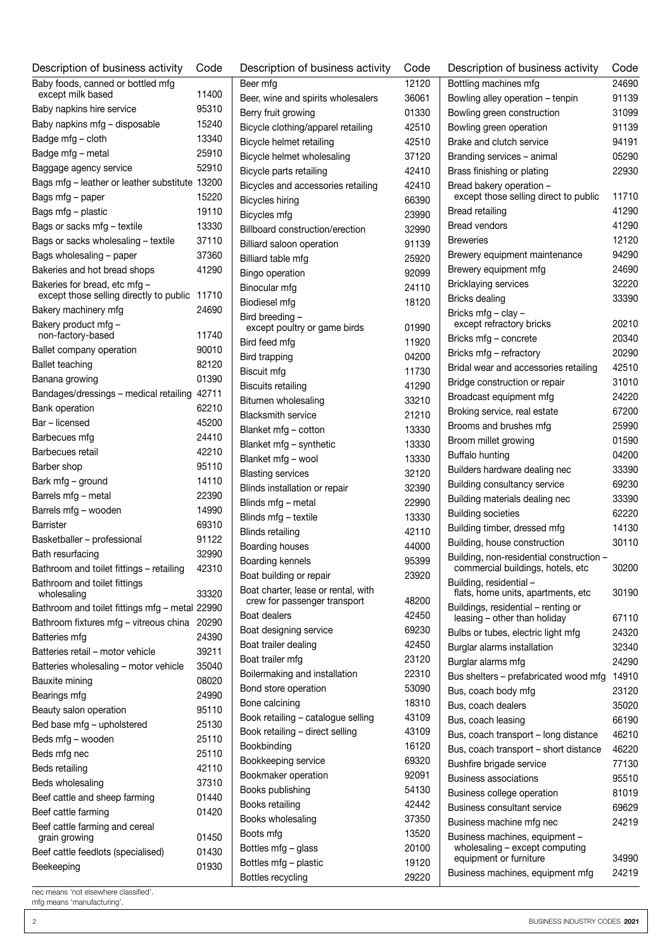| Description of business activity               | Code  |  |
|------------------------------------------------|-------|--|
| Baby foods, canned or bottled mfg              |       |  |
| except milk based                              | 11400 |  |
| Baby napkins hire service                      | 95310 |  |
| Baby napkins mfg - disposable                  | 15240 |  |
| Badge mfg - cloth                              | 13340 |  |
| Badge mfg - metal                              | 25910 |  |
| Baggage agency service                         | 52910 |  |
| Bags mfg - leather or leather substitute 13200 |       |  |
| Bags mfg – paper                               | 15220 |  |
| Bags mfg - plastic                             | 19110 |  |
| Bags or sacks mfg - textile                    | 13330 |  |
| Bags or sacks wholesaling - textile            | 37110 |  |
| Bags wholesaling - paper                       | 37360 |  |
| Bakeries and hot bread shops                   | 41290 |  |
| Bakeries for bread, etc mfg -                  |       |  |
| except those selling directly to public 11710  |       |  |
| Bakery machinery mfg                           | 24690 |  |
| Bakery product mfg -<br>non-factory-based      | 11740 |  |
|                                                |       |  |
| Ballet company operation                       | 90010 |  |
| Ballet teaching                                | 82120 |  |
| Banana growing                                 | 01390 |  |
| Bandages/dressings - medical retailing         | 42711 |  |
| Bank operation                                 | 62210 |  |
| Bar – licensed                                 | 45200 |  |
| Barbecues mfg                                  | 24410 |  |
| Barbecues retail                               | 42210 |  |
| Barber shop                                    | 95110 |  |
| Bark mfg – ground                              | 14110 |  |
| Barrels mfg - metal                            | 22390 |  |
| Barrels mfg - wooden                           | 14990 |  |
| <b>Barrister</b>                               | 69310 |  |
| Basketballer - professional                    | 91122 |  |
| Bath resurfacing                               | 32990 |  |
| Bathroom and toilet fittings - retailing       | 42310 |  |
| Bathroom and toilet fittings                   |       |  |
| wholesaling                                    | 33320 |  |
| Bathroom and toilet fittings mfg - metal 22990 |       |  |
| Bathroom fixtures mfg - vitreous china         | 20290 |  |
| Batteries mfg                                  | 24390 |  |
| Batteries retail - motor vehicle               | 39211 |  |
| Batteries wholesaling - motor vehicle          | 35040 |  |
| Bauxite mining                                 | 08020 |  |
| Bearings mfg                                   | 24990 |  |
| Beauty salon operation                         | 95110 |  |
| Bed base mfg - upholstered                     | 25130 |  |
| Beds mfg – wooden                              | 25110 |  |
| Beds mfg nec                                   | 25110 |  |
| Beds retailing                                 | 42110 |  |
| Beds wholesaling                               | 37310 |  |
| Beef cattle and sheep farming                  | 01440 |  |
| Beef cattle farming                            | 01420 |  |
| Beef cattle farming and cereal                 |       |  |
| grain growing                                  | 01450 |  |
| Beef cattle feedlots (specialised)             | 01430 |  |
| Beekeeping                                     | 01930 |  |
|                                                |       |  |

| Description of business activity                | Code  |
|-------------------------------------------------|-------|
| Beer mfg                                        | 12120 |
| Beer, wine and spirits wholesalers              | 36061 |
| Berry fruit growing                             | 01330 |
| Bicycle clothing/apparel retailing              | 42510 |
| Bicycle helmet retailing                        | 42510 |
| Bicycle helmet wholesaling                      | 37120 |
| Bicycle parts retailing                         | 42410 |
| Bicycles and accessories retailing              | 42410 |
| Bicycles hiring                                 | 66390 |
| Bicycles mfg                                    | 23990 |
| Billboard construction/erection                 | 32990 |
| Billiard saloon operation                       | 91139 |
| Billiard table mfg                              | 25920 |
| Bingo operation                                 | 92099 |
| Binocular mfg                                   | 24110 |
| Biodiesel mfg                                   | 18120 |
| Bird breeding -<br>except poultry or game birds | 01990 |
| Bird feed mfg                                   | 11920 |
| Bird trapping                                   | 04200 |
| <b>Biscuit mfg</b>                              | 11730 |
| <b>Biscuits retailing</b>                       | 41290 |
| Bitumen wholesaling                             | 33210 |
| <b>Blacksmith service</b>                       | 21210 |
| Blanket mfg - cotton                            | 13330 |
| Blanket mfg - synthetic                         | 13330 |
| Blanket mfg - wool                              | 13330 |
| <b>Blasting services</b>                        | 32120 |
| Blinds installation or repair                   | 32390 |
| Blinds mfg - metal                              | 22990 |
| Blinds mfg - textile                            | 13330 |
| <b>Blinds retailing</b>                         | 42110 |
| Boarding houses                                 | 44000 |
| Boarding kennels                                | 95399 |
| Boat building or repair                         | 23920 |
| Boat charter, lease or rental, with             |       |
| crew for passenger transport                    | 48200 |
| Boat dealers                                    | 42450 |
| Boat designing service                          | 69230 |
| Boat trailer dealing                            | 42450 |
| Boat trailer mfg                                | 23120 |
| Boilermaking and installation                   | 22310 |
| Bond store operation                            | 53090 |
| Bone calcining                                  | 18310 |
| Book retailing - catalogue selling              | 43109 |
| Book retailing - direct selling                 | 43109 |
| Bookbinding                                     | 16120 |
| Bookkeeping service                             | 69320 |
| Bookmaker operation                             | 92091 |
| Books publishing                                | 54130 |
| Books retailing                                 | 42442 |
| Books wholesaling                               | 37350 |
| Boots mfg                                       | 13520 |
| Bottles mfg - glass                             | 20100 |
| Bottles mfg - plastic                           | 19120 |
| Bottles recycling                               | 29220 |

| Description of business activity                                              | Code  |
|-------------------------------------------------------------------------------|-------|
| Bottling machines mfg                                                         | 24690 |
| Bowling alley operation - tenpin                                              | 91139 |
| Bowling green construction                                                    | 31099 |
| Bowling green operation                                                       | 91139 |
| Brake and clutch service                                                      | 94191 |
| Branding services - animal                                                    | 05290 |
| Brass finishing or plating                                                    | 22930 |
| Bread bakery operation -<br>except those selling direct to public             | 11710 |
| Bread retailing                                                               | 41290 |
| <b>Bread vendors</b>                                                          | 41290 |
| <b>Breweries</b>                                                              | 12120 |
| Brewery equipment maintenance                                                 | 94290 |
| Brewery equipment mfg                                                         | 24690 |
| <b>Bricklaying services</b>                                                   | 32220 |
| Bricks dealing                                                                | 33390 |
| Bricks mfg - clay -<br>except refractory bricks                               | 20210 |
| Bricks mfg - concrete                                                         | 20340 |
| Bricks mfg - refractory                                                       | 20290 |
| Bridal wear and accessories retailing                                         | 42510 |
| Bridge construction or repair                                                 | 31010 |
| Broadcast equipment mfg                                                       | 24220 |
| Broking service, real estate                                                  | 67200 |
| Brooms and brushes mfg                                                        | 25990 |
| Broom millet growing                                                          | 01590 |
| Buffalo hunting                                                               | 04200 |
| Builders hardware dealing nec                                                 | 33390 |
| Building consultancy service                                                  | 69230 |
| Building materials dealing nec                                                | 33390 |
| <b>Building societies</b>                                                     | 62220 |
| Building timber, dressed mfg                                                  | 14130 |
| Building, house construction                                                  | 30110 |
| Building, non-residential construction -<br>commercial buildings, hotels, etc | 30200 |
| Building, residential-<br>flats, home units, apartments, etc                  | 30190 |
| Buildings, residential - renting or                                           |       |
| leasing - other than holiday                                                  | 67110 |
| Bulbs or tubes, electric light mfg                                            | 24320 |
| Burglar alarms installation                                                   | 32340 |
| Burglar alarms mfg                                                            | 24290 |
| Bus shelters - prefabricated wood mfg                                         | 14910 |
| Bus, coach body mfg                                                           | 23120 |
| Bus, coach dealers                                                            | 35020 |
| Bus, coach leasing                                                            | 66190 |
| Bus, coach transport - long distance                                          | 46210 |
| Bus, coach transport - short distance                                         | 46220 |
| Bushfire brigade service                                                      | 77130 |
| Business associations                                                         | 95510 |
| Business college operation                                                    | 81019 |
| <b>Business consultant service</b>                                            | 69629 |
| Business machine mfg nec                                                      | 24219 |
| Business machines, equipment -<br>wholesaling - except computing              |       |
| equipment or furniture                                                        | 34990 |
| Business machines, equipment mfg                                              | 24219 |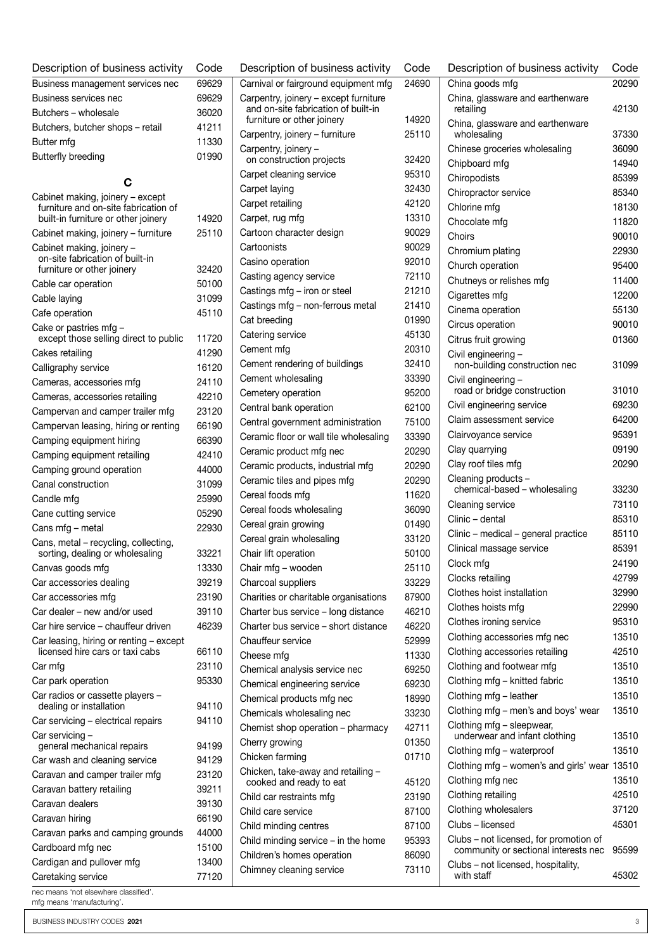| Description of business activity                             | Code  | Description of business activity                 | Code  | Description of business activity             | Code  |
|--------------------------------------------------------------|-------|--------------------------------------------------|-------|----------------------------------------------|-------|
| Business management services nec                             | 69629 | Carnival or fairground equipment mfg             | 24690 | China goods mfg                              | 20290 |
| Business services nec                                        | 69629 | Carpentry, joinery - except furniture            |       | China, glassware and earthenware             |       |
| Butchers - wholesale                                         | 36020 | and on-site fabrication of built-in              |       | retailing                                    | 42130 |
| Butchers, butcher shops - retail                             | 41211 | furniture or other joinery                       | 14920 | China, glassware and earthenware             |       |
| Butter mfg                                                   | 11330 | Carpentry, joinery - furniture                   | 25110 | wholesaling                                  | 37330 |
| <b>Butterfly breeding</b>                                    | 01990 | Carpentry, joinery -<br>on construction projects | 32420 | Chinese groceries wholesaling                | 36090 |
|                                                              |       | Carpet cleaning service                          | 95310 | Chipboard mfg                                | 14940 |
| С                                                            |       | Carpet laying                                    | 32430 | Chiropodists                                 | 85399 |
| Cabinet making, joinery - except                             |       | Carpet retailing                                 | 42120 | Chiropractor service                         | 85340 |
| furniture and on-site fabrication of                         |       |                                                  | 13310 | Chlorine mfg                                 | 18130 |
| built-in furniture or other joinery                          | 14920 | Carpet, rug mfg                                  |       | Chocolate mfg                                | 11820 |
| Cabinet making, joinery - furniture                          | 25110 | Cartoon character design                         | 90029 | Choirs                                       | 90010 |
| Cabinet making, joinery -<br>on-site fabrication of built-in |       | Cartoonists                                      | 90029 | Chromium plating                             | 22930 |
| furniture or other joinery                                   | 32420 | Casino operation                                 | 92010 | Church operation                             | 95400 |
| Cable car operation                                          | 50100 | Casting agency service                           | 72110 | Chutneys or relishes mfg                     | 11400 |
| Cable laying                                                 | 31099 | Castings mfg - iron or steel                     | 21210 | Cigarettes mfg                               | 12200 |
| Cafe operation                                               | 45110 | Castings mfg - non-ferrous metal                 | 21410 | Cinema operation                             | 55130 |
| Cake or pastries mfg -                                       |       | Cat breeding                                     | 01990 | Circus operation                             | 90010 |
| except those selling direct to public                        | 11720 | Catering service                                 | 45130 | Citrus fruit growing                         | 01360 |
| Cakes retailing                                              | 41290 | Cement mfg                                       | 20310 | Civil engineering -                          |       |
| Calligraphy service                                          | 16120 | Cement rendering of buildings                    | 32410 | non-building construction nec                | 31099 |
| Cameras, accessories mfg                                     | 24110 | Cement wholesaling                               | 33390 | Civil engineering -                          |       |
| Cameras, accessories retailing                               | 42210 | Cemetery operation                               | 95200 | road or bridge construction                  | 31010 |
| Campervan and camper trailer mfg                             | 23120 | Central bank operation                           | 62100 | Civil engineering service                    | 69230 |
| Campervan leasing, hiring or renting                         | 66190 | Central government administration                | 75100 | Claim assessment service                     | 64200 |
| Camping equipment hiring                                     | 66390 | Ceramic floor or wall tile wholesaling           | 33390 | Clairvoyance service                         | 95391 |
| Camping equipment retailing                                  | 42410 | Ceramic product mfg nec                          | 20290 | Clay quarrying                               | 09190 |
| Camping ground operation                                     | 44000 | Ceramic products, industrial mfg                 | 20290 | Clay roof tiles mfg                          | 20290 |
| Canal construction                                           | 31099 | Ceramic tiles and pipes mfg                      | 20290 | Cleaning products -                          |       |
| Candle mfg                                                   | 25990 | Cereal foods mfg                                 | 11620 | chemical-based - wholesaling                 | 33230 |
| Cane cutting service                                         | 05290 | Cereal foods wholesaling                         | 36090 | Cleaning service                             | 73110 |
| Cans mfg - metal                                             | 22930 | Cereal grain growing                             | 01490 | Clinic - dental                              | 85310 |
| Cans, metal - recycling, collecting,                         |       | Cereal grain wholesaling                         | 33120 | Clinic - medical - general practice          | 85110 |
| sorting, dealing or wholesaling                              | 33221 | Chair lift operation                             | 50100 | Clinical massage service                     | 85391 |
| Canvas goods mfg                                             | 13330 | Chair mfg – wooden                               | 25110 | Clock mfg                                    | 24190 |
| Car accessories dealing                                      | 39219 | Charcoal suppliers                               | 33229 | Clocks retailing                             | 42799 |
| Car accessories mfg                                          | 23190 | Charities or charitable organisations            | 87900 | Clothes hoist installation                   | 32990 |
| Car dealer - new and/or used                                 | 39110 | Charter bus service - long distance              | 46210 | Clothes hoists mfg                           | 22990 |
| Car hire service - chauffeur driven                          | 46239 | Charter bus service – short distance             | 46220 | Clothes ironing service                      | 95310 |
| Car leasing, hiring or renting - except                      |       | Chauffeur service                                | 52999 | Clothing accessories mfg nec                 | 13510 |
| licensed hire cars or taxi cabs                              | 66110 | Cheese mfg                                       | 11330 | Clothing accessories retailing               | 42510 |
| Car mfg                                                      | 23110 | Chemical analysis service nec                    | 69250 | Clothing and footwear mfg                    | 13510 |
| Car park operation                                           | 95330 | Chemical engineering service                     | 69230 | Clothing mfg - knitted fabric                | 13510 |
| Car radios or cassette players -                             |       | Chemical products mfg nec                        | 18990 | Clothing mfg - leather                       | 13510 |
| dealing or installation                                      | 94110 | Chemicals wholesaling nec                        | 33230 | Clothing mfg – men's and boys' wear          | 13510 |
| Car servicing - electrical repairs                           | 94110 | Chemist shop operation - pharmacy                | 42711 | Clothing mfg - sleepwear,                    |       |
| Car servicing -                                              |       | Cherry growing                                   | 01350 | underwear and infant clothing                | 13510 |
| general mechanical repairs                                   | 94199 | Chicken farming                                  | 01710 | Clothing mfg - waterproof                    | 13510 |
| Car wash and cleaning service                                | 94129 | Chicken, take-away and retailing -               |       | Clothing mfg - women's and girls' wear 13510 |       |
| Caravan and camper trailer mfg                               | 23120 | cooked and ready to eat                          | 45120 | Clothing mfg nec                             | 13510 |
| Caravan battery retailing                                    | 39211 | Child car restraints mfg                         | 23190 | Clothing retailing                           | 42510 |
| Caravan dealers                                              | 39130 | Child care service                               | 87100 | Clothing wholesalers                         | 37120 |
| Caravan hiring                                               | 66190 | Child minding centres                            | 87100 | Clubs - licensed                             | 45301 |
| Caravan parks and camping grounds                            | 44000 | Child minding service $-$ in the home            | 95393 | Clubs – not licensed, for promotion of       |       |
| Cardboard mfg nec                                            | 15100 | Children's homes operation                       | 86090 | community or sectional interests nec         | 95599 |
| Cardigan and pullover mfg                                    | 13400 | Chimney cleaning service                         | 73110 | Clubs - not licensed, hospitality,           |       |
| Caretaking service                                           | 77120 |                                                  |       | with staff                                   | 45302 |
| noo moone 'not oleowhere eleccified'                         |       |                                                  |       |                                              |       |

BUSINESS INDUSTRY CODES 2021 3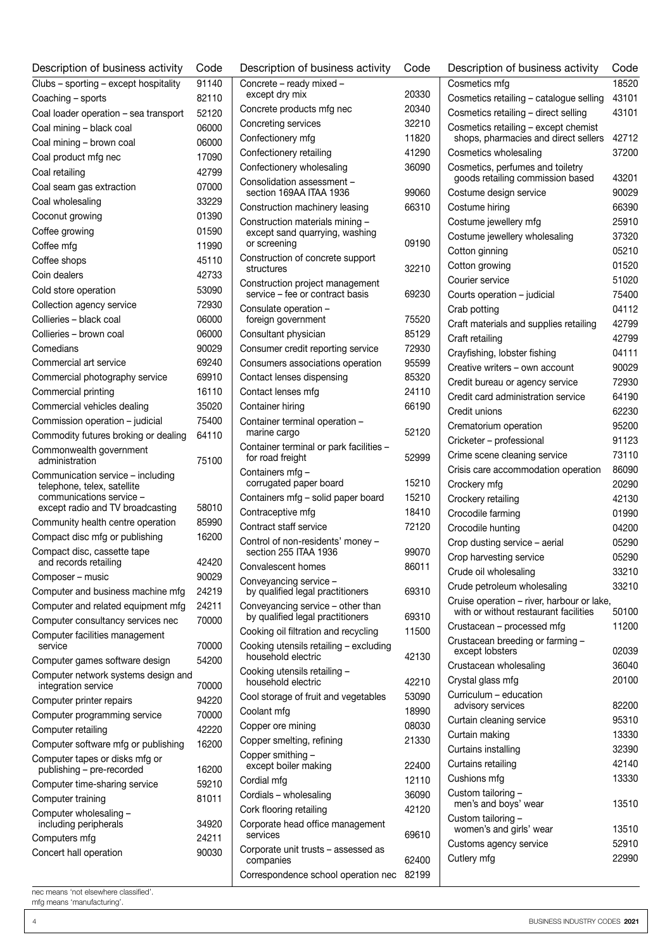| Description of business activity                        | Code  | Description of business activity                                   | Code           |
|---------------------------------------------------------|-------|--------------------------------------------------------------------|----------------|
| Clubs - sporting - except hospitality                   | 91140 | Concrete - ready mixed -                                           |                |
| Coaching - sports                                       | 82110 | except dry mix                                                     | 20330          |
| Coal loader operation - sea transport                   | 52120 | Concrete products mfg nec                                          | 20340          |
| Coal mining - black coal                                | 06000 | Concreting services                                                | 32210          |
| Coal mining - brown coal                                | 06000 | Confectionery mfg                                                  | 11820          |
| Coal product mfg nec                                    | 17090 | Confectionery retailing                                            | 41290          |
| Coal retailing                                          | 42799 | Confectionery wholesaling                                          | 36090          |
| Coal seam gas extraction                                | 07000 | Consolidation assessment -<br>section 169AA ITAA 1936              | 99060          |
| Coal wholesaling                                        | 33229 |                                                                    | 66310          |
| Coconut growing                                         | 01390 | Construction machinery leasing                                     |                |
| Coffee growing                                          | 01590 | Construction materials mining -<br>except sand quarrying, washing  |                |
| Coffee mfg                                              | 11990 | or screening                                                       | 09190          |
| Coffee shops                                            | 45110 | Construction of concrete support                                   |                |
| Coin dealers                                            | 42733 | structures                                                         | 32210          |
| Cold store operation                                    | 53090 | Construction project management<br>service - fee or contract basis | 69230          |
| Collection agency service                               | 72930 | Consulate operation -                                              |                |
| Collieries - black coal                                 | 06000 | foreign government                                                 | 75520          |
| Collieries - brown coal                                 | 06000 | Consultant physician                                               | 85129          |
| Comedians                                               | 90029 | Consumer credit reporting service                                  | 72930          |
| Commercial art service                                  | 69240 | Consumers associations operation                                   | 95599          |
| Commercial photography service                          | 69910 | Contact lenses dispensing                                          | 85320          |
| Commercial printing                                     | 16110 | Contact lenses mfg                                                 | 24110          |
| Commercial vehicles dealing                             | 35020 | Container hiring                                                   | 66190          |
| Commission operation - judicial                         | 75400 | Container terminal operation -                                     |                |
| Commodity futures broking or dealing                    | 64110 | marine cargo                                                       | 52120          |
| Commonwealth government<br>administration               | 75100 | Container terminal or park facilities -<br>for road freight        | 52999          |
| Communication service - including                       |       | Containers mfg -<br>corrugated paper board                         | 15210          |
| telephone, telex, satellite<br>communications service - |       | Containers mfg - solid paper board                                 | 15210          |
| except radio and TV broadcasting                        | 58010 | Contraceptive mfg                                                  | 18410          |
| Community health centre operation                       | 85990 | Contract staff service                                             | 72120          |
| Compact disc mfg or publishing                          | 16200 | Control of non-residents' money -                                  |                |
| Compact disc, cassette tape                             |       | section 255 ITAA 1936                                              | 99070          |
| and records retailing                                   | 42420 | Convalescent homes                                                 | 86011          |
| Composer – music                                        | 90029 | Conveyancing service -                                             |                |
| Computer and business machine mfg                       | 24219 | by qualified legal practitioners                                   | 69310          |
| Computer and related equipment mfg                      | 24211 | Conveyancing service - other than                                  |                |
| Computer consultancy services nec                       | 70000 | by qualified legal practitioners                                   | 69310<br>11500 |
| Computer facilities management<br>service               | 70000 | Cooking oil filtration and recycling                               |                |
| Computer games software design                          | 54200 | Cooking utensils retailing - excluding<br>household electric       | 42130          |
| Computer network systems design and                     |       | Cooking utensils retailing -                                       |                |
| integration service                                     | 70000 | household electric                                                 | 42210          |
| Computer printer repairs                                | 94220 | Cool storage of fruit and vegetables                               | 53090          |
| Computer programming service                            | 70000 | Coolant mfg                                                        | 18990          |
| Computer retailing                                      | 42220 | Copper ore mining                                                  | 08030          |
| Computer software mfg or publishing                     | 16200 | Copper smelting, refining                                          | 21330          |
| Computer tapes or disks mfg or                          |       | Copper smithing -                                                  |                |
| publishing - pre-recorded                               | 16200 | except boiler making                                               | 22400          |
| Computer time-sharing service                           | 59210 | Cordial mfg                                                        | 12110          |
| Computer training                                       | 81011 | Cordials - wholesaling                                             | 36090          |
| Computer wholesaling -                                  |       | Cork flooring retailing                                            | 42120          |
| including peripherals                                   | 34920 | Corporate head office management<br>services                       | 69610          |
| Computers mfg                                           | 24211 | Corporate unit trusts - assessed as                                |                |
| Concert hall operation                                  | 90030 | companies                                                          | 62400          |
|                                                         |       | Correspondence school operation nec                                | 82199          |

| Description of business activity                                             | Code  |
|------------------------------------------------------------------------------|-------|
| Cosmetics mfq                                                                | 18520 |
| Cosmetics retailing - catalogue selling                                      | 43101 |
| Cosmetics retailing - direct selling                                         | 43101 |
| Cosmetics retailing - except chemist<br>shops, pharmacies and direct sellers | 42712 |
| Cosmetics wholesaling                                                        | 37200 |
| Cosmetics, perfumes and toiletry<br>goods retailing commission based         | 43201 |
| Costume design service                                                       | 90029 |
| Costume hiring                                                               | 66390 |
| Costume jewellery mfg                                                        | 25910 |
| Costume jewellery wholesaling                                                | 37320 |
| Cotton ginning                                                               | 05210 |
| Cotton growing                                                               | 01520 |
| Courier service                                                              | 51020 |
| Courts operation - judicial                                                  | 75400 |
| Crab potting                                                                 | 04112 |
| Craft materials and supplies retailing                                       | 42799 |
| Craft retailing                                                              | 42799 |
| Crayfishing, lobster fishing                                                 | 04111 |
| Creative writers - own account                                               | 90029 |
| Credit bureau or agency service                                              | 72930 |
| Credit card administration service                                           | 64190 |
| Credit unions                                                                | 62230 |
| Crematorium operation                                                        | 95200 |
| Cricketer - professional                                                     | 91123 |
| Crime scene cleaning service                                                 | 73110 |
| Crisis care accommodation operation                                          | 86090 |
| Crockery mfg                                                                 | 20290 |
| Crockery retailing                                                           | 42130 |
| Crocodile farming                                                            | 01990 |
| Crocodile hunting                                                            | 04200 |
| Crop dusting service - aerial                                                | 05290 |
| Crop harvesting service                                                      | 05290 |
| Crude oil wholesaling                                                        | 33210 |
| Crude petroleum wholesaling                                                  | 33210 |
| Cruise operation – river, harbour or lake,                                   |       |
| with or without restaurant facilities                                        | 50100 |
| Crustacean – processed mfg                                                   | 11200 |
| Crustacean breeding or farming -<br>except lobsters                          | 02039 |
| Crustacean wholesaling                                                       | 36040 |
| Crystal glass mfg                                                            | 20100 |
| Curriculum - education<br>advisory services                                  | 82200 |
| Curtain cleaning service                                                     | 95310 |
| Curtain making                                                               | 13330 |
| Curtains installing                                                          | 32390 |
| Curtains retailing                                                           | 42140 |
| Cushions mfg                                                                 | 13330 |
| Custom tailoring -                                                           |       |
| men's and boys' wear                                                         | 13510 |
| Custom tailoring -<br>women's and girls' wear                                | 13510 |
| Customs agency service                                                       | 52910 |
| Cutlery mfg                                                                  | 22990 |
|                                                                              |       |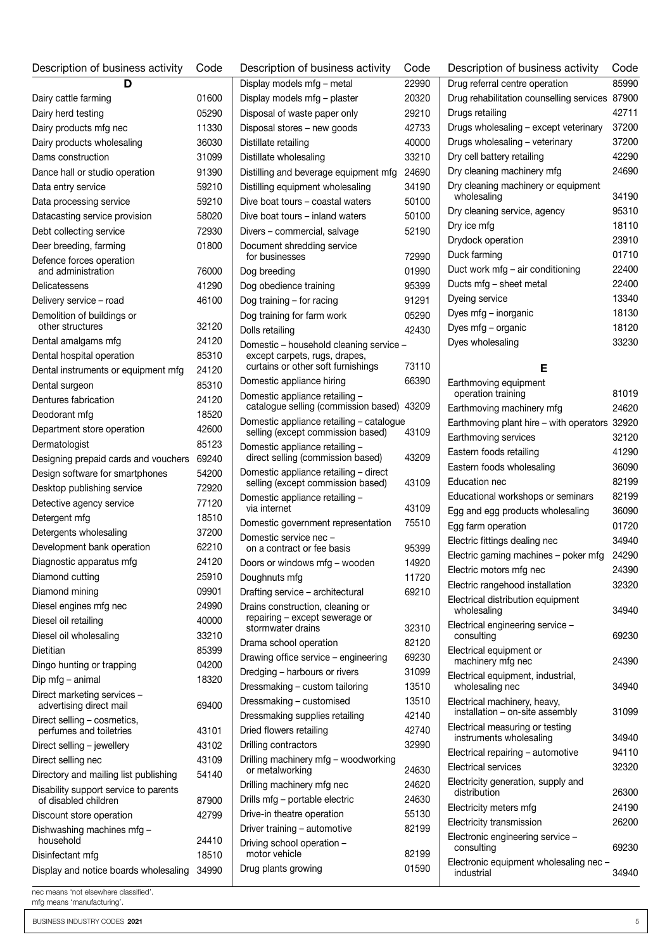| Description of business activity                       | Code  | Description of business activity                                           | Code           | Description of business activity                   | Code  |
|--------------------------------------------------------|-------|----------------------------------------------------------------------------|----------------|----------------------------------------------------|-------|
| D                                                      |       | Display models mfg - metal                                                 | 22990          | Drug referral centre operation                     | 85990 |
| Dairy cattle farming                                   | 01600 | Display models mfg - plaster                                               | 20320          | Drug rehabilitation counselling services 87900     |       |
| Dairy herd testing                                     | 05290 | Disposal of waste paper only                                               | 29210          | Drugs retailing                                    | 42711 |
| Dairy products mfg nec                                 | 11330 | Disposal stores - new goods                                                | 42733          | Drugs wholesaling - except veterinary              | 37200 |
| Dairy products wholesaling                             | 36030 | Distillate retailing                                                       | 40000          | Drugs wholesaling - veterinary                     | 37200 |
| Dams construction                                      | 31099 | Distillate wholesaling                                                     | 33210          | Dry cell battery retailing                         | 42290 |
| Dance hall or studio operation                         | 91390 | Distilling and beverage equipment mfg                                      | 24690          | Dry cleaning machinery mfg                         | 24690 |
| Data entry service                                     | 59210 | Distilling equipment wholesaling                                           | 34190          | Dry cleaning machinery or equipment                |       |
| Data processing service                                | 59210 | Dive boat tours - coastal waters                                           | 50100          | wholesaling                                        | 34190 |
| Datacasting service provision                          | 58020 | Dive boat tours – inland waters                                            | 50100          | Dry cleaning service, agency                       | 95310 |
| Debt collecting service                                | 72930 | Divers - commercial, salvage                                               | 52190          | Dry ice mfg                                        | 18110 |
| Deer breeding, farming                                 | 01800 | Document shredding service                                                 |                | Drydock operation                                  | 23910 |
| Defence forces operation                               |       | for businesses                                                             | 72990          | Duck farming                                       | 01710 |
| and administration                                     | 76000 | Dog breeding                                                               | 01990          | Duct work mfg - air conditioning                   | 22400 |
| Delicatessens                                          | 41290 | Dog obedience training                                                     | 95399          | Ducts mfg - sheet metal                            | 22400 |
| Delivery service - road                                | 46100 | Dog training - for racing                                                  | 91291          | Dyeing service                                     | 13340 |
| Demolition of buildings or                             |       | Dog training for farm work                                                 | 05290          | Dyes mfg – inorganic                               | 18130 |
| other structures                                       | 32120 | Dolls retailing                                                            | 42430          | Dyes mfg – organic                                 | 18120 |
| Dental amalgams mfg                                    | 24120 | Domestic - household cleaning service -                                    |                | Dyes wholesaling                                   | 33230 |
| Dental hospital operation                              | 85310 | except carpets, rugs, drapes,<br>curtains or other soft furnishings        | 73110          | Е                                                  |       |
| Dental instruments or equipment mfg                    | 24120 | Domestic appliance hiring                                                  | 66390          | Earthmoving equipment                              |       |
| Dental surgeon                                         | 85310 | Domestic appliance retailing -                                             |                | operation training                                 | 81019 |
| Dentures fabrication                                   | 24120 | catalogue selling (commission based) 43209                                 |                | Earthmoving machinery mfg                          | 24620 |
| Deodorant mfg                                          | 18520 | Domestic appliance retailing - catalogue                                   |                | Earthmoving plant hire - with operators 32920      |       |
| Department store operation                             | 42600 | selling (except commission based)                                          | 43109          | Earthmoving services                               | 32120 |
| Dermatologist                                          | 85123 | Domestic appliance retailing -                                             |                | Eastern foods retailing                            | 41290 |
| Designing prepaid cards and vouchers                   | 69240 | direct selling (commission based)                                          | 43209          | Eastern foods wholesaling                          | 36090 |
| Design software for smartphones                        | 54200 | Domestic appliance retailing - direct<br>selling (except commission based) | 43109          | Education nec                                      | 82199 |
| Desktop publishing service                             | 72920 | Domestic appliance retailing -                                             |                | Educational workshops or seminars                  | 82199 |
| Detective agency service                               | 77120 | via internet                                                               | 43109          | Egg and egg products wholesaling                   | 36090 |
| Detergent mfg                                          | 18510 | Domestic government representation                                         | 75510          | Egg farm operation                                 | 01720 |
| Detergents wholesaling                                 | 37200 | Domestic service nec -                                                     |                | Electric fittings dealing nec                      | 34940 |
| Development bank operation                             | 62210 | on a contract or fee basis                                                 | 95399          | Electric gaming machines - poker mfg               | 24290 |
| Diagnostic apparatus mfg                               | 24120 | Doors or windows mfg - wooden                                              | 14920          | Electric motors mfg nec                            | 24390 |
| Diamond cutting                                        | 25910 | Doughnuts mfg                                                              | 11720          | Electric rangehood installation                    | 32320 |
| Diamond mining                                         | 09901 | Drafting service - architectural                                           | 69210          | Electrical distribution equipment                  |       |
| Diesel engines mfg nec                                 | 24990 | Drains construction, cleaning or<br>repairing - except sewerage or         |                | wholesaling                                        | 34940 |
| Diesel oil retailing                                   | 40000 | stormwater drains                                                          | 32310          | Electrical engineering service -                   |       |
| Diesel oil wholesaling                                 | 33210 | Drama school operation                                                     | 82120          | consulting                                         | 69230 |
| Dietitian                                              | 85399 | Drawing office service - engineering                                       | 69230          | Electrical equipment or<br>machinery mfg nec       | 24390 |
| Dingo hunting or trapping                              | 04200 | Dredging - harbours or rivers                                              | 31099          | Electrical equipment, industrial,                  |       |
| Dip mfg - animal                                       | 18320 | Dressmaking - custom tailoring                                             | 13510          | wholesaling nec                                    | 34940 |
| Direct marketing services -<br>advertising direct mail | 69400 | Dressmaking - customised                                                   | 13510          | Electrical machinery, heavy,                       |       |
| Direct selling - cosmetics,                            |       | Dressmaking supplies retailing                                             | 42140          | installation - on-site assembly                    | 31099 |
| perfumes and toiletries                                | 43101 | Dried flowers retailing                                                    | 42740          | Electrical measuring or testing                    |       |
| Direct selling - jewellery                             | 43102 | Drilling contractors                                                       | 32990          | instruments wholesaling                            | 34940 |
| Direct selling nec                                     | 43109 | Drilling machinery mfg - woodworking                                       |                | Electrical repairing - automotive                  | 94110 |
| Directory and mailing list publishing                  | 54140 | or metalworking                                                            | 24630          | <b>Electrical services</b>                         | 32320 |
| Disability support service to parents                  |       | Drilling machinery mfg nec                                                 | 24620          | Electricity generation, supply and<br>distribution | 26300 |
| of disabled children                                   | 87900 | Drills mfg - portable electric                                             | 24630          | Electricity meters mfg                             | 24190 |
| Discount store operation                               | 42799 | Drive-in theatre operation                                                 | 55130          | Electricity transmission                           | 26200 |
| Dishwashing machines mfg -                             |       | Driver training - automotive                                               | 82199          | Electronic engineering service -                   |       |
| household                                              | 24410 | Driving school operation -<br>motor vehicle                                |                | consulting                                         | 69230 |
| Disinfectant mfg                                       | 18510 |                                                                            | 82199<br>01590 | Electronic equipment wholesaling nec -             |       |
| Display and notice boards wholesaling                  | 34990 | Drug plants growing                                                        |                | industrial                                         | 34940 |
|                                                        |       |                                                                            |                |                                                    |       |

| Earthmoving equipment                                           |       |
|-----------------------------------------------------------------|-------|
| operation training                                              | 81019 |
| Earthmoving machinery mfg                                       | 24620 |
| Earthmoving plant hire - with operators                         | 32920 |
| Earthmoving services                                            | 32120 |
| Eastern foods retailing                                         | 41290 |
| Eastern foods wholesaling                                       | 36090 |
| Education nec                                                   | 82199 |
| Educational workshops or seminars                               | 82199 |
| Egg and egg products wholesaling                                | 36090 |
| Egg farm operation                                              | 01720 |
| Electric fittings dealing nec                                   | 34940 |
| Electric gaming machines - poker mfg                            | 24290 |
| Electric motors mfg nec                                         | 24390 |
| Electric rangehood installation                                 | 32320 |
| Electrical distribution equipment<br>wholesaling                | 34940 |
| Electrical engineering service -<br>consulting                  | 69230 |
| Electrical equipment or<br>machinery mfg nec                    | 24390 |
| Electrical equipment, industrial,<br>wholesaling nec            | 34940 |
| Electrical machinery, heavy,<br>installation - on-site assembly | 31099 |
| Electrical measuring or testing                                 | 34940 |
| instruments wholesaling<br>Electrical repairing - automotive    | 94110 |
| <b>Flectrical services</b>                                      | 32320 |
|                                                                 |       |
| Electricity generation, supply and<br>distribution              | 26300 |
| Electricity meters mfg                                          | 24190 |
| Electricity transmission                                        | 26200 |
| Electronic engineering service -<br>consulting                  | 69230 |
| Electronic equipment wholesaling nec -                          |       |
| industrial                                                      | 34940 |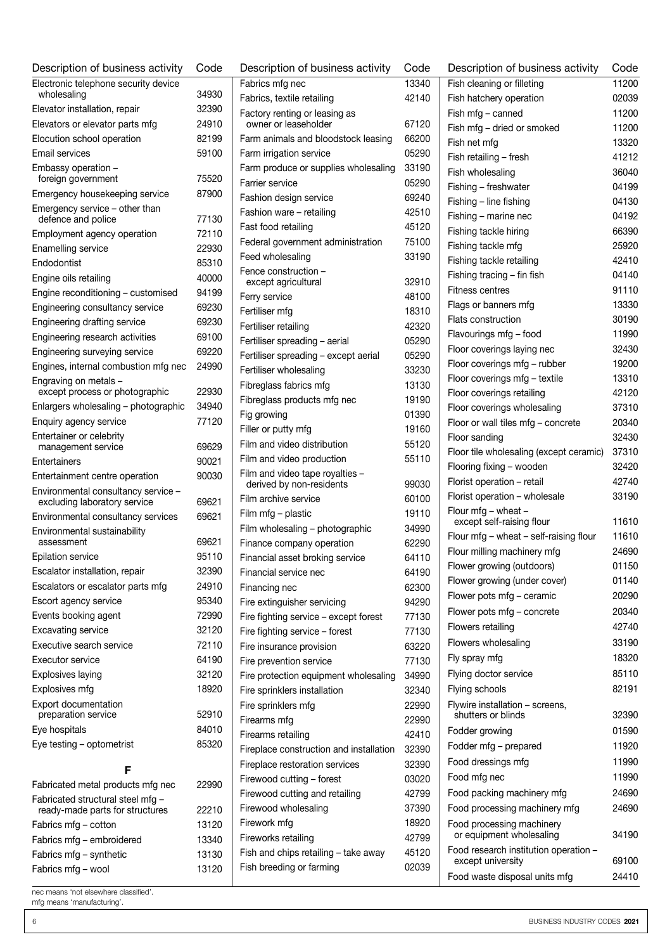| Description of business activity                                    | Code  | Description of business activity                        | Code           |
|---------------------------------------------------------------------|-------|---------------------------------------------------------|----------------|
| Electronic telephone security device                                |       | Fabrics mfg nec                                         | 13340          |
| wholesaling                                                         | 34930 | Fabrics, textile retailing                              | 42140          |
| Elevator installation, repair                                       | 32390 | Factory renting or leasing as                           |                |
| Elevators or elevator parts mfg                                     | 24910 | owner or leaseholder                                    | 67120          |
| Elocution school operation                                          | 82199 | Farm animals and bloodstock leasing                     | 66200          |
| Email services                                                      | 59100 | Farm irrigation service                                 | 05290          |
| Embassy operation -<br>foreign government                           | 75520 | Farm produce or supplies wholesaling<br>Farrier service | 33190<br>05290 |
| Emergency housekeeping service                                      | 87900 |                                                         | 69240          |
| Emergency service - other than                                      |       | Fashion design service                                  |                |
| defence and police                                                  | 77130 | Fashion ware - retailing<br>Fast food retailing         | 42510<br>45120 |
| Employment agency operation                                         | 72110 |                                                         | 75100          |
| Enamelling service                                                  | 22930 | Federal government administration                       | 33190          |
| Endodontist                                                         | 85310 | Feed wholesaling                                        |                |
| Engine oils retailing                                               | 40000 | Fence construction -<br>except agricultural             | 32910          |
| Engine reconditioning - customised                                  | 94199 | Ferry service                                           | 48100          |
| Engineering consultancy service                                     | 69230 | Fertiliser mfg                                          | 18310          |
| Engineering drafting service                                        | 69230 | Fertiliser retailing                                    | 42320          |
| Engineering research activities                                     | 69100 | Fertiliser spreading - aerial                           | 05290          |
| Engineering surveying service                                       | 69220 | Fertiliser spreading - except aerial                    | 05290          |
| Engines, internal combustion mfg nec                                | 24990 | Fertiliser wholesaling                                  | 33230          |
| Engraving on metals -                                               |       | Fibreglass fabrics mfg                                  | 13130          |
| except process or photographic                                      | 22930 | Fibreglass products mfg nec                             | 19190          |
| Enlargers wholesaling - photographic                                | 34940 | Fig growing                                             | 01390          |
| Enquiry agency service                                              | 77120 | Filler or putty mfg                                     | 19160          |
| Entertainer or celebrity                                            |       | Film and video distribution                             | 55120          |
| management service                                                  | 69629 | Film and video production                               | 55110          |
| Entertainers                                                        | 90021 | Film and video tape royalties -                         |                |
| Entertainment centre operation                                      | 90030 | derived by non-residents                                | 99030          |
| Environmental consultancy service -<br>excluding laboratory service | 69621 | Film archive service                                    | 60100          |
| Environmental consultancy services                                  | 69621 | Film mfg - plastic                                      | 19110          |
| Environmental sustainability                                        |       | Film wholesaling - photographic                         | 34990          |
| assessment                                                          | 69621 | Finance company operation                               | 62290          |
| Epilation service                                                   | 95110 | Financial asset broking service                         | 64110          |
| Escalator installation, repair                                      | 32390 | Financial service nec                                   | 64190          |
| Escalators or escalator parts mfg                                   | 24910 | Financing nec                                           | 62300          |
| Escort agency service                                               | 95340 | Fire extinguisher servicing                             | 94290          |
| Events booking agent                                                | 72990 | Fire fighting service - except forest                   | 77130          |
| <b>Excavating service</b>                                           | 32120 | Fire fighting service - forest                          | 77130          |
| Executive search service                                            | 72110 | Fire insurance provision                                | 63220          |
| Executor service                                                    | 64190 | Fire prevention service                                 | 77130          |
| Explosives laying                                                   | 32120 | Fire protection equipment wholesaling                   | 34990          |
| Explosives mfg                                                      | 18920 | Fire sprinklers installation                            | 32340          |
| Export documentation<br>preparation service                         | 52910 | Fire sprinklers mfg                                     | 22990          |
| Eye hospitals                                                       | 84010 | Firearms mfg                                            | 22990          |
| Eye testing - optometrist                                           | 85320 | Firearms retailing                                      | 42410          |
|                                                                     |       | Fireplace construction and installation                 | 32390          |
| F                                                                   |       | Fireplace restoration services                          | 32390          |
| Fabricated metal products mfg nec                                   | 22990 | Firewood cutting - forest                               | 03020          |
| Fabricated structural steel mfg -                                   |       | Firewood cutting and retailing                          | 42799          |
| ready-made parts for structures                                     | 22210 | Firewood wholesaling                                    | 37390          |
| Fabrics mfg - cotton                                                | 13120 | Firework mfg                                            | 18920          |
| Fabrics mfg - embroidered                                           | 13340 | Fireworks retailing                                     | 42799          |
| Fabrics mfg - synthetic                                             | 13130 | Fish and chips retailing - take away                    | 45120          |
| Fabrics mfg – wool                                                  | 13120 | Fish breeding or farming                                | 02039          |

| Fabrics, textile retailing                            | 42140 |
|-------------------------------------------------------|-------|
| Factory renting or leasing as<br>owner or leaseholder | 67120 |
| Farm animals and bloodstock leasing                   | 66200 |
| Farm irrigation service                               | 05290 |
| Farm produce or supplies wholesaling                  | 33190 |
| Farrier service                                       | 05290 |
| Fashion design service                                | 69240 |
| Fashion ware - retailing                              | 42510 |
| Fast food retailing                                   | 45120 |
| Federal government administration                     | 75100 |
| Feed wholesaling                                      | 33190 |
| Fence construction -<br>except agricultural           | 32910 |
| Ferry service                                         | 48100 |
| Fertiliser mfg                                        | 18310 |
| Fertiliser retailing                                  | 42320 |
| Fertiliser spreading - aerial                         | 05290 |
| Fertiliser spreading - except aerial                  | 05290 |
| Fertiliser wholesaling                                | 33230 |
| Fibreglass fabrics mfg                                | 13130 |
| Fibreglass products mfg nec                           | 19190 |
| Fig growing                                           | 01390 |
| Filler or putty mfg                                   | 19160 |
| Film and video distribution                           | 55120 |
| Film and video production                             | 55110 |
| Film and video tape royalties -                       |       |
| derived by non-residents                              | 99030 |
| Film archive service                                  | 60100 |
| Film mfg – plastic                                    | 19110 |
| Film wholesaling - photographic                       | 34990 |
| Finance company operation                             | 62290 |
| Financial asset broking service                       | 64110 |
| Financial service nec                                 | 64190 |
| Financing nec                                         | 62300 |
| Fire extinguisher servicing                           | 94290 |
| Fire fighting service - except forest                 | 77130 |
| Fire fighting service - forest                        | 77130 |
| Fire insurance provision                              | 63220 |
| Fire prevention service                               | 77130 |
| Fire protection equipment wholesaling                 | 34990 |
| Fire sprinklers installation                          | 32340 |
| Fire sprinklers mfg                                   | 22990 |
| Firearms mfg                                          | 22990 |
| Firearms retailing                                    | 42410 |
| Fireplace construction and installation               | 32390 |
| Fireplace restoration services                        | 32390 |
| Firewood cutting - forest                             | 03020 |
| Firewood cutting and retailing                        | 42799 |
| Firewood wholesaling                                  | 37390 |
| Firework mfg                                          | 18920 |
| Fireworks retailing                                   | 42799 |
| Fish and chips retailing - take away                  | 45120 |
| Fish breeding or farming                              | 02039 |
|                                                       |       |

| Description of business activity                           | Code  |
|------------------------------------------------------------|-------|
| Fish cleaning or filleting                                 | 11200 |
| Fish hatchery operation                                    | 02039 |
| Fish mfg - canned                                          | 11200 |
| Fish mfg - dried or smoked                                 | 11200 |
| Fish net mfg                                               | 13320 |
| Fish retailing - fresh                                     | 41212 |
| Fish wholesaling                                           | 36040 |
| Fishing - freshwater                                       | 04199 |
| Fishing - line fishing                                     | 04130 |
| Fishing - marine nec                                       | 04192 |
| Fishing tackle hiring                                      | 66390 |
| Fishing tackle mfg                                         | 25920 |
| Fishing tackle retailing                                   | 42410 |
| Fishing tracing - fin fish                                 | 04140 |
| <b>Fitness centres</b>                                     | 91110 |
| Flags or banners mfg                                       | 13330 |
| <b>Flats construction</b>                                  | 30190 |
| Flavourings mfg - food                                     | 11990 |
| Floor coverings laying nec                                 | 32430 |
| Floor coverings mfg - rubber                               | 19200 |
| Floor coverings mfg - textile                              | 13310 |
| Floor coverings retailing                                  | 42120 |
| Floor coverings wholesaling                                | 37310 |
| Floor or wall tiles mfg - concrete                         | 20340 |
| Floor sanding                                              | 32430 |
| Floor tile wholesaling (except ceramic)                    | 37310 |
| Flooring fixing - wooden                                   | 32420 |
| Florist operation - retail                                 | 42740 |
| Florist operation - wholesale                              | 33190 |
| Flour $mfg - wheat -$                                      |       |
| except self-raising flour                                  | 11610 |
| Flour mfg - wheat - self-raising flour                     | 11610 |
| Flour milling machinery mfg                                | 24690 |
| Flower growing (outdoors)                                  | 01150 |
| Flower growing (under cover)                               | 01140 |
| Flower pots mfg - ceramic                                  | 20290 |
| Flower pots mfg - concrete                                 | 20340 |
| Flowers retailing                                          | 42740 |
| Flowers wholesaling                                        | 33190 |
| Fly spray mfg                                              | 18320 |
| Flying doctor service                                      | 85110 |
| Flying schools                                             | 82191 |
| Flywire installation - screens,<br>shutters or blinds      | 32390 |
| Fodder growing                                             | 01590 |
| Fodder mfg - prepared                                      | 11920 |
|                                                            |       |
| Food dressings mfg                                         | 11990 |
| Food mfg nec                                               | 11990 |
| Food packing machinery mfg                                 | 24690 |
| Food processing machinery mfg                              | 24690 |
| Food processing machinery<br>or equipment wholesaling      | 34190 |
| Food research institution operation -<br>except university | 69100 |
| Food waste disposal units mfg                              | 24410 |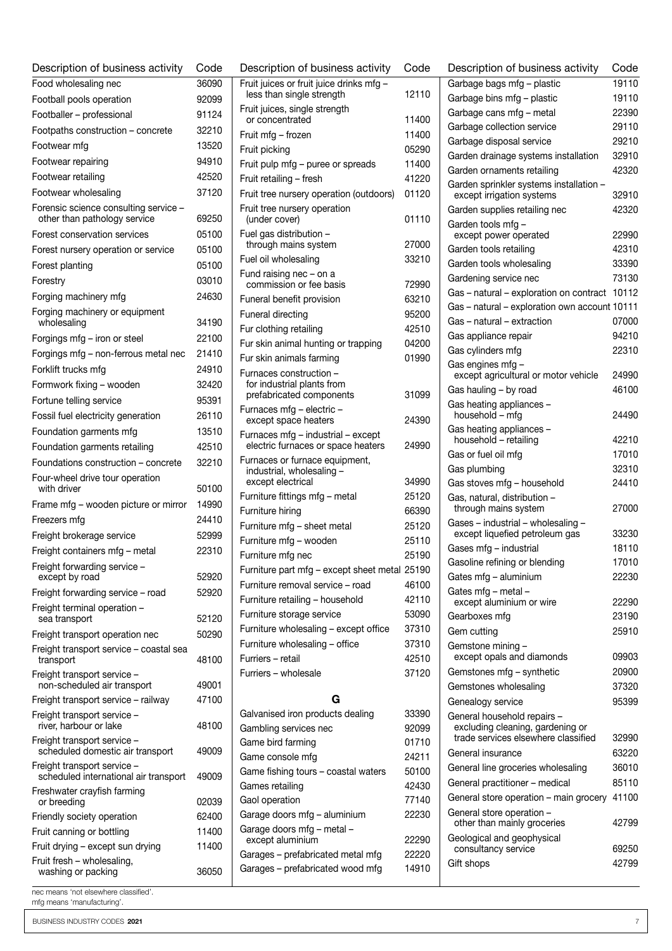| Food wholesaling nec<br>36090<br>Football pools operation<br>92099<br>91124<br>Footballer - professional<br>Footpaths construction - concrete<br>32210<br>13520<br>Footwear mfg<br>94910<br>Footwear repairing<br>Footwear retailing<br>42520<br>Footwear wholesaling<br>37120<br>Forensic science consulting service -<br>other than pathology service<br>69250<br>Forest conservation services<br>05100<br>Forest nursery operation or service<br>05100<br>Forest planting<br>05100<br>03010<br>Forestry<br>Forging machinery mfg<br>24630<br>Forging machinery or equipment<br>wholesaling<br>34190<br>22100<br>Forgings mfg – iron or steel<br>Forgings mfg - non-ferrous metal nec<br>21410<br>Forklift trucks mfg<br>24910<br>Formwork fixing - wooden<br>32420<br>Fortune telling service<br>95391<br>26110<br>Fossil fuel electricity generation<br>Foundation garments mfg<br>13510<br>Foundation garments retailing<br>42510<br>Foundations construction - concrete<br>32210<br>Four-wheel drive tour operation<br>with driver<br>50100<br>Frame mfg - wooden picture or mirror<br>14990<br>Freezers mfg<br>24410<br>Freight brokerage service<br>52999<br>Freight containers mfg - metal<br>22310<br>Freight forwarding service<br>except by road<br>52920<br>Freight forwarding service - road<br>52920<br>Freight terminal operation -<br>sea transport<br>52120<br>50290<br>Freight transport operation nec<br>Freight transport service - coastal sea<br>48100<br>transport<br>Freight transport service -<br>non-scheduled air transport<br>49001<br>Freight transport service - railway<br>47100<br>Freight transport service -<br>river, harbour or lake<br>48100<br>Freight transport service -<br>scheduled domestic air transport<br>49009<br>Freight transport service -<br>scheduled international air transport<br>49009<br>Freshwater crayfish farming<br>or breeding<br>02039<br>Friendly society operation<br>62400<br>Fruit canning or bottling<br>11400<br>Fruit drying - except sun drying<br>11400<br>Fruit fresh - wholesaling,<br>washing or packing<br>36050 | Description of business activity | Code |
|------------------------------------------------------------------------------------------------------------------------------------------------------------------------------------------------------------------------------------------------------------------------------------------------------------------------------------------------------------------------------------------------------------------------------------------------------------------------------------------------------------------------------------------------------------------------------------------------------------------------------------------------------------------------------------------------------------------------------------------------------------------------------------------------------------------------------------------------------------------------------------------------------------------------------------------------------------------------------------------------------------------------------------------------------------------------------------------------------------------------------------------------------------------------------------------------------------------------------------------------------------------------------------------------------------------------------------------------------------------------------------------------------------------------------------------------------------------------------------------------------------------------------------------------------------------------------------------------------------------------------------------------------------------------------------------------------------------------------------------------------------------------------------------------------------------------------------------------------------------------------------------------------------------------------------------------------------------------------------------------------------------------------------------------------------------------------------------------|----------------------------------|------|
|                                                                                                                                                                                                                                                                                                                                                                                                                                                                                                                                                                                                                                                                                                                                                                                                                                                                                                                                                                                                                                                                                                                                                                                                                                                                                                                                                                                                                                                                                                                                                                                                                                                                                                                                                                                                                                                                                                                                                                                                                                                                                                |                                  |      |
|                                                                                                                                                                                                                                                                                                                                                                                                                                                                                                                                                                                                                                                                                                                                                                                                                                                                                                                                                                                                                                                                                                                                                                                                                                                                                                                                                                                                                                                                                                                                                                                                                                                                                                                                                                                                                                                                                                                                                                                                                                                                                                |                                  |      |
|                                                                                                                                                                                                                                                                                                                                                                                                                                                                                                                                                                                                                                                                                                                                                                                                                                                                                                                                                                                                                                                                                                                                                                                                                                                                                                                                                                                                                                                                                                                                                                                                                                                                                                                                                                                                                                                                                                                                                                                                                                                                                                |                                  |      |
|                                                                                                                                                                                                                                                                                                                                                                                                                                                                                                                                                                                                                                                                                                                                                                                                                                                                                                                                                                                                                                                                                                                                                                                                                                                                                                                                                                                                                                                                                                                                                                                                                                                                                                                                                                                                                                                                                                                                                                                                                                                                                                |                                  |      |
|                                                                                                                                                                                                                                                                                                                                                                                                                                                                                                                                                                                                                                                                                                                                                                                                                                                                                                                                                                                                                                                                                                                                                                                                                                                                                                                                                                                                                                                                                                                                                                                                                                                                                                                                                                                                                                                                                                                                                                                                                                                                                                |                                  |      |
|                                                                                                                                                                                                                                                                                                                                                                                                                                                                                                                                                                                                                                                                                                                                                                                                                                                                                                                                                                                                                                                                                                                                                                                                                                                                                                                                                                                                                                                                                                                                                                                                                                                                                                                                                                                                                                                                                                                                                                                                                                                                                                |                                  |      |
|                                                                                                                                                                                                                                                                                                                                                                                                                                                                                                                                                                                                                                                                                                                                                                                                                                                                                                                                                                                                                                                                                                                                                                                                                                                                                                                                                                                                                                                                                                                                                                                                                                                                                                                                                                                                                                                                                                                                                                                                                                                                                                |                                  |      |
|                                                                                                                                                                                                                                                                                                                                                                                                                                                                                                                                                                                                                                                                                                                                                                                                                                                                                                                                                                                                                                                                                                                                                                                                                                                                                                                                                                                                                                                                                                                                                                                                                                                                                                                                                                                                                                                                                                                                                                                                                                                                                                |                                  |      |
|                                                                                                                                                                                                                                                                                                                                                                                                                                                                                                                                                                                                                                                                                                                                                                                                                                                                                                                                                                                                                                                                                                                                                                                                                                                                                                                                                                                                                                                                                                                                                                                                                                                                                                                                                                                                                                                                                                                                                                                                                                                                                                |                                  |      |
|                                                                                                                                                                                                                                                                                                                                                                                                                                                                                                                                                                                                                                                                                                                                                                                                                                                                                                                                                                                                                                                                                                                                                                                                                                                                                                                                                                                                                                                                                                                                                                                                                                                                                                                                                                                                                                                                                                                                                                                                                                                                                                |                                  |      |
|                                                                                                                                                                                                                                                                                                                                                                                                                                                                                                                                                                                                                                                                                                                                                                                                                                                                                                                                                                                                                                                                                                                                                                                                                                                                                                                                                                                                                                                                                                                                                                                                                                                                                                                                                                                                                                                                                                                                                                                                                                                                                                |                                  |      |
|                                                                                                                                                                                                                                                                                                                                                                                                                                                                                                                                                                                                                                                                                                                                                                                                                                                                                                                                                                                                                                                                                                                                                                                                                                                                                                                                                                                                                                                                                                                                                                                                                                                                                                                                                                                                                                                                                                                                                                                                                                                                                                |                                  |      |
|                                                                                                                                                                                                                                                                                                                                                                                                                                                                                                                                                                                                                                                                                                                                                                                                                                                                                                                                                                                                                                                                                                                                                                                                                                                                                                                                                                                                                                                                                                                                                                                                                                                                                                                                                                                                                                                                                                                                                                                                                                                                                                |                                  |      |
|                                                                                                                                                                                                                                                                                                                                                                                                                                                                                                                                                                                                                                                                                                                                                                                                                                                                                                                                                                                                                                                                                                                                                                                                                                                                                                                                                                                                                                                                                                                                                                                                                                                                                                                                                                                                                                                                                                                                                                                                                                                                                                |                                  |      |
|                                                                                                                                                                                                                                                                                                                                                                                                                                                                                                                                                                                                                                                                                                                                                                                                                                                                                                                                                                                                                                                                                                                                                                                                                                                                                                                                                                                                                                                                                                                                                                                                                                                                                                                                                                                                                                                                                                                                                                                                                                                                                                |                                  |      |
|                                                                                                                                                                                                                                                                                                                                                                                                                                                                                                                                                                                                                                                                                                                                                                                                                                                                                                                                                                                                                                                                                                                                                                                                                                                                                                                                                                                                                                                                                                                                                                                                                                                                                                                                                                                                                                                                                                                                                                                                                                                                                                |                                  |      |
|                                                                                                                                                                                                                                                                                                                                                                                                                                                                                                                                                                                                                                                                                                                                                                                                                                                                                                                                                                                                                                                                                                                                                                                                                                                                                                                                                                                                                                                                                                                                                                                                                                                                                                                                                                                                                                                                                                                                                                                                                                                                                                |                                  |      |
|                                                                                                                                                                                                                                                                                                                                                                                                                                                                                                                                                                                                                                                                                                                                                                                                                                                                                                                                                                                                                                                                                                                                                                                                                                                                                                                                                                                                                                                                                                                                                                                                                                                                                                                                                                                                                                                                                                                                                                                                                                                                                                |                                  |      |
|                                                                                                                                                                                                                                                                                                                                                                                                                                                                                                                                                                                                                                                                                                                                                                                                                                                                                                                                                                                                                                                                                                                                                                                                                                                                                                                                                                                                                                                                                                                                                                                                                                                                                                                                                                                                                                                                                                                                                                                                                                                                                                |                                  |      |
|                                                                                                                                                                                                                                                                                                                                                                                                                                                                                                                                                                                                                                                                                                                                                                                                                                                                                                                                                                                                                                                                                                                                                                                                                                                                                                                                                                                                                                                                                                                                                                                                                                                                                                                                                                                                                                                                                                                                                                                                                                                                                                |                                  |      |
|                                                                                                                                                                                                                                                                                                                                                                                                                                                                                                                                                                                                                                                                                                                                                                                                                                                                                                                                                                                                                                                                                                                                                                                                                                                                                                                                                                                                                                                                                                                                                                                                                                                                                                                                                                                                                                                                                                                                                                                                                                                                                                |                                  |      |
|                                                                                                                                                                                                                                                                                                                                                                                                                                                                                                                                                                                                                                                                                                                                                                                                                                                                                                                                                                                                                                                                                                                                                                                                                                                                                                                                                                                                                                                                                                                                                                                                                                                                                                                                                                                                                                                                                                                                                                                                                                                                                                |                                  |      |
|                                                                                                                                                                                                                                                                                                                                                                                                                                                                                                                                                                                                                                                                                                                                                                                                                                                                                                                                                                                                                                                                                                                                                                                                                                                                                                                                                                                                                                                                                                                                                                                                                                                                                                                                                                                                                                                                                                                                                                                                                                                                                                |                                  |      |
|                                                                                                                                                                                                                                                                                                                                                                                                                                                                                                                                                                                                                                                                                                                                                                                                                                                                                                                                                                                                                                                                                                                                                                                                                                                                                                                                                                                                                                                                                                                                                                                                                                                                                                                                                                                                                                                                                                                                                                                                                                                                                                |                                  |      |
|                                                                                                                                                                                                                                                                                                                                                                                                                                                                                                                                                                                                                                                                                                                                                                                                                                                                                                                                                                                                                                                                                                                                                                                                                                                                                                                                                                                                                                                                                                                                                                                                                                                                                                                                                                                                                                                                                                                                                                                                                                                                                                |                                  |      |
|                                                                                                                                                                                                                                                                                                                                                                                                                                                                                                                                                                                                                                                                                                                                                                                                                                                                                                                                                                                                                                                                                                                                                                                                                                                                                                                                                                                                                                                                                                                                                                                                                                                                                                                                                                                                                                                                                                                                                                                                                                                                                                |                                  |      |
|                                                                                                                                                                                                                                                                                                                                                                                                                                                                                                                                                                                                                                                                                                                                                                                                                                                                                                                                                                                                                                                                                                                                                                                                                                                                                                                                                                                                                                                                                                                                                                                                                                                                                                                                                                                                                                                                                                                                                                                                                                                                                                |                                  |      |
|                                                                                                                                                                                                                                                                                                                                                                                                                                                                                                                                                                                                                                                                                                                                                                                                                                                                                                                                                                                                                                                                                                                                                                                                                                                                                                                                                                                                                                                                                                                                                                                                                                                                                                                                                                                                                                                                                                                                                                                                                                                                                                |                                  |      |
|                                                                                                                                                                                                                                                                                                                                                                                                                                                                                                                                                                                                                                                                                                                                                                                                                                                                                                                                                                                                                                                                                                                                                                                                                                                                                                                                                                                                                                                                                                                                                                                                                                                                                                                                                                                                                                                                                                                                                                                                                                                                                                |                                  |      |
|                                                                                                                                                                                                                                                                                                                                                                                                                                                                                                                                                                                                                                                                                                                                                                                                                                                                                                                                                                                                                                                                                                                                                                                                                                                                                                                                                                                                                                                                                                                                                                                                                                                                                                                                                                                                                                                                                                                                                                                                                                                                                                |                                  |      |
|                                                                                                                                                                                                                                                                                                                                                                                                                                                                                                                                                                                                                                                                                                                                                                                                                                                                                                                                                                                                                                                                                                                                                                                                                                                                                                                                                                                                                                                                                                                                                                                                                                                                                                                                                                                                                                                                                                                                                                                                                                                                                                |                                  |      |
|                                                                                                                                                                                                                                                                                                                                                                                                                                                                                                                                                                                                                                                                                                                                                                                                                                                                                                                                                                                                                                                                                                                                                                                                                                                                                                                                                                                                                                                                                                                                                                                                                                                                                                                                                                                                                                                                                                                                                                                                                                                                                                |                                  |      |
|                                                                                                                                                                                                                                                                                                                                                                                                                                                                                                                                                                                                                                                                                                                                                                                                                                                                                                                                                                                                                                                                                                                                                                                                                                                                                                                                                                                                                                                                                                                                                                                                                                                                                                                                                                                                                                                                                                                                                                                                                                                                                                |                                  |      |
|                                                                                                                                                                                                                                                                                                                                                                                                                                                                                                                                                                                                                                                                                                                                                                                                                                                                                                                                                                                                                                                                                                                                                                                                                                                                                                                                                                                                                                                                                                                                                                                                                                                                                                                                                                                                                                                                                                                                                                                                                                                                                                |                                  |      |
|                                                                                                                                                                                                                                                                                                                                                                                                                                                                                                                                                                                                                                                                                                                                                                                                                                                                                                                                                                                                                                                                                                                                                                                                                                                                                                                                                                                                                                                                                                                                                                                                                                                                                                                                                                                                                                                                                                                                                                                                                                                                                                |                                  |      |
|                                                                                                                                                                                                                                                                                                                                                                                                                                                                                                                                                                                                                                                                                                                                                                                                                                                                                                                                                                                                                                                                                                                                                                                                                                                                                                                                                                                                                                                                                                                                                                                                                                                                                                                                                                                                                                                                                                                                                                                                                                                                                                |                                  |      |
|                                                                                                                                                                                                                                                                                                                                                                                                                                                                                                                                                                                                                                                                                                                                                                                                                                                                                                                                                                                                                                                                                                                                                                                                                                                                                                                                                                                                                                                                                                                                                                                                                                                                                                                                                                                                                                                                                                                                                                                                                                                                                                |                                  |      |
|                                                                                                                                                                                                                                                                                                                                                                                                                                                                                                                                                                                                                                                                                                                                                                                                                                                                                                                                                                                                                                                                                                                                                                                                                                                                                                                                                                                                                                                                                                                                                                                                                                                                                                                                                                                                                                                                                                                                                                                                                                                                                                |                                  |      |
|                                                                                                                                                                                                                                                                                                                                                                                                                                                                                                                                                                                                                                                                                                                                                                                                                                                                                                                                                                                                                                                                                                                                                                                                                                                                                                                                                                                                                                                                                                                                                                                                                                                                                                                                                                                                                                                                                                                                                                                                                                                                                                |                                  |      |
|                                                                                                                                                                                                                                                                                                                                                                                                                                                                                                                                                                                                                                                                                                                                                                                                                                                                                                                                                                                                                                                                                                                                                                                                                                                                                                                                                                                                                                                                                                                                                                                                                                                                                                                                                                                                                                                                                                                                                                                                                                                                                                |                                  |      |
|                                                                                                                                                                                                                                                                                                                                                                                                                                                                                                                                                                                                                                                                                                                                                                                                                                                                                                                                                                                                                                                                                                                                                                                                                                                                                                                                                                                                                                                                                                                                                                                                                                                                                                                                                                                                                                                                                                                                                                                                                                                                                                |                                  |      |
|                                                                                                                                                                                                                                                                                                                                                                                                                                                                                                                                                                                                                                                                                                                                                                                                                                                                                                                                                                                                                                                                                                                                                                                                                                                                                                                                                                                                                                                                                                                                                                                                                                                                                                                                                                                                                                                                                                                                                                                                                                                                                                |                                  |      |
|                                                                                                                                                                                                                                                                                                                                                                                                                                                                                                                                                                                                                                                                                                                                                                                                                                                                                                                                                                                                                                                                                                                                                                                                                                                                                                                                                                                                                                                                                                                                                                                                                                                                                                                                                                                                                                                                                                                                                                                                                                                                                                |                                  |      |
|                                                                                                                                                                                                                                                                                                                                                                                                                                                                                                                                                                                                                                                                                                                                                                                                                                                                                                                                                                                                                                                                                                                                                                                                                                                                                                                                                                                                                                                                                                                                                                                                                                                                                                                                                                                                                                                                                                                                                                                                                                                                                                |                                  |      |
|                                                                                                                                                                                                                                                                                                                                                                                                                                                                                                                                                                                                                                                                                                                                                                                                                                                                                                                                                                                                                                                                                                                                                                                                                                                                                                                                                                                                                                                                                                                                                                                                                                                                                                                                                                                                                                                                                                                                                                                                                                                                                                |                                  |      |

| Description of business activity                                         | Code  |
|--------------------------------------------------------------------------|-------|
| Fruit juices or fruit juice drinks mfg -<br>less than single strength    | 12110 |
| Fruit juices, single strength<br>or concentrated                         | 11400 |
| Fruit mfg – frozen                                                       | 11400 |
| Fruit picking                                                            | 05290 |
| Fruit pulp mfg - puree or spreads                                        | 11400 |
| Fruit retailing - fresh                                                  | 41220 |
|                                                                          |       |
| Fruit tree nursery operation (outdoors)                                  | 01120 |
| Fruit tree nursery operation<br>(under cover)                            | 01110 |
| Fuel gas distribution -<br>through mains system                          | 27000 |
| Fuel oil wholesaling                                                     | 33210 |
| Fund raising nec - on a                                                  |       |
| commission or fee basis                                                  | 72990 |
| Funeral benefit provision                                                | 63210 |
| Funeral directing                                                        | 95200 |
| Fur clothing retailing                                                   | 42510 |
| Fur skin animal hunting or trapping                                      | 04200 |
| Fur skin animals farming                                                 | 01990 |
| Furnaces construction -                                                  |       |
| for industrial plants from<br>prefabricated components                   | 31099 |
| Furnaces mfg - electric -<br>except space heaters                        | 24390 |
| Furnaces mfg - industrial - except<br>electric furnaces or space heaters | 24990 |
| Furnaces or furnace equipment,                                           |       |
| industrial, wholesaling -<br>except electrical                           | 34990 |
| Furniture fittings mfg - metal                                           | 25120 |
| Furniture hiring                                                         | 66390 |
| Furniture mfg - sheet metal                                              | 25120 |
| Furniture mfg - wooden                                                   | 25110 |
| Furniture mfg nec                                                        | 25190 |
| Furniture part mfg - except sheet metal 25190                            |       |
| Furniture removal service - road                                         | 46100 |
| Furniture retailing - household                                          | 42110 |
| Furniture storage service                                                | 53090 |
| Furniture wholesaling - except office                                    | 37310 |
| Furniture wholesaling - office                                           | 37310 |
| Furriers – retail                                                        | 42510 |
|                                                                          | 37120 |
| Furriers - wholesale                                                     |       |
| G                                                                        |       |
| Galvanised iron products dealing                                         | 33390 |
| Gambling services nec                                                    | 92099 |
| Game bird farming                                                        | 01710 |
| Game console mfg                                                         | 24211 |
| Game fishing tours - coastal waters                                      | 50100 |
|                                                                          |       |
| Games retailing                                                          | 42430 |
| Gaol operation                                                           | 77140 |
| Garage doors mfg - aluminium                                             | 22230 |
| Garage doors mfg - metal -<br>except aluminium                           | 22290 |
| Garages - prefabricated metal mfg                                        | 22220 |
|                                                                          |       |

Garages – prefabricated wood mfg 14910

| Description of business activity                                        | Code  |
|-------------------------------------------------------------------------|-------|
| Garbage bags mfg - plastic                                              | 19110 |
| Garbage bins mfg - plastic                                              | 19110 |
| Garbage cans mfg - metal                                                | 22390 |
| Garbage collection service                                              | 29110 |
| Garbage disposal service                                                | 29210 |
| Garden drainage systems installation                                    | 32910 |
| Garden ornaments retailing                                              | 42320 |
| Garden sprinkler systems installation -<br>except irrigation systems    | 32910 |
| Garden supplies retailing nec                                           | 42320 |
| Garden tools mfg -<br>except power operated                             | 22990 |
| Garden tools retailing                                                  | 42310 |
| Garden tools wholesaling                                                | 33390 |
| Gardening service nec                                                   | 73130 |
| Gas - natural - exploration on contract                                 | 10112 |
| Gas - natural - exploration own account 10111                           |       |
| Gas - natural - extraction                                              | 07000 |
| Gas appliance repair                                                    | 94210 |
| Gas cylinders mfg                                                       | 22310 |
| Gas engines mfg -                                                       |       |
| except agricultural or motor vehicle                                    | 24990 |
| Gas hauling - by road                                                   | 46100 |
| Gas heating appliances -<br>household - mfg                             | 24490 |
| Gas heating appliances -<br>household - retailing                       | 42210 |
| Gas or fuel oil mfg                                                     | 17010 |
| Gas plumbing                                                            | 32310 |
| Gas stoves mfg - household                                              | 24410 |
| Gas, natural, distribution -                                            |       |
| through mains system<br>Gases - industrial - wholesaling -              | 27000 |
| except liquefied petroleum gas                                          | 33230 |
| Gases mfg - industrial                                                  | 18110 |
| Gasoline refining or blending                                           | 17010 |
| Gates mfg - aluminium                                                   | 22230 |
| Gates mfg - metal -                                                     |       |
| except aluminium or wire                                                | 22290 |
| Gearboxes mfg                                                           | 23190 |
| Gem cutting                                                             | 25910 |
| Gemstone mining -<br>except opals and diamonds                          | 09903 |
| Gemstones mfg - synthetic                                               | 20900 |
| Gemstones wholesaling                                                   | 37320 |
| Genealogy service                                                       | 95399 |
| General household repairs -                                             |       |
| excluding cleaning, gardening or<br>trade services elsewhere classified | 32990 |
| General insurance                                                       | 63220 |
| General line groceries wholesaling                                      | 36010 |
| General practitioner - medical                                          | 85110 |
| General store operation - main grocery                                  | 41100 |
| General store operation -                                               |       |
| other than mainly groceries                                             | 42799 |
| Geological and geophysical<br>consultancy service                       | 69250 |
| Gift shops                                                              | 42799 |

nec means 'not elsewhere classified'.

mfg means 'manufacturing'.

BUSINESS INDUSTRY CODES 2021 7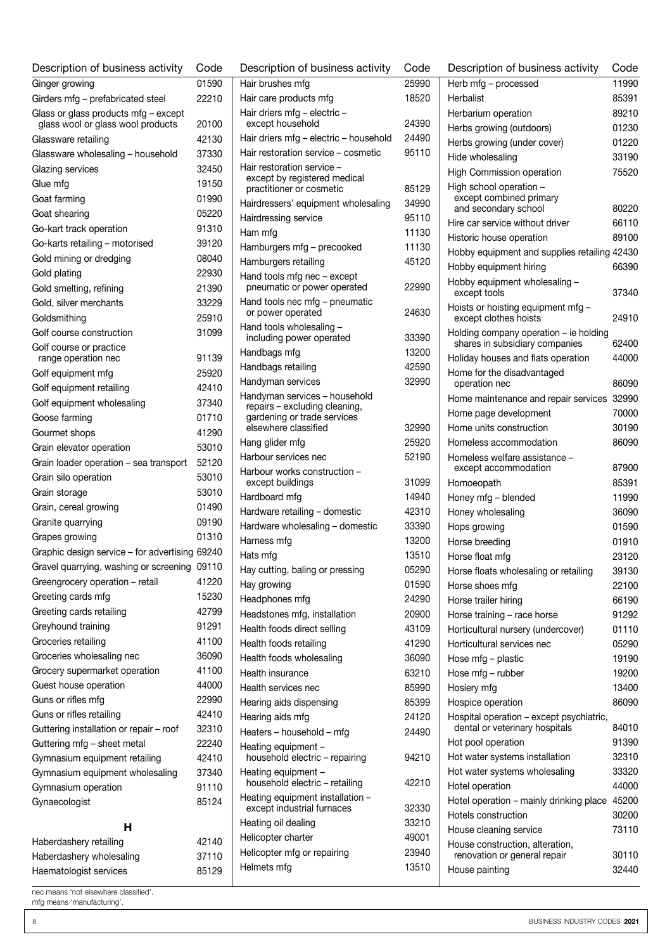| Description of business activity                                          | Code  |
|---------------------------------------------------------------------------|-------|
| Ginger growing                                                            | 01590 |
| Girders mfg - prefabricated steel                                         | 22210 |
| Glass or glass products mfg - except<br>glass wool or glass wool products | 20100 |
|                                                                           | 42130 |
| Glassware retailing                                                       |       |
| Glassware wholesaling - household                                         | 37330 |
| Glazing services                                                          | 32450 |
| Glue mfg                                                                  | 19150 |
| Goat farming                                                              | 01990 |
| Goat shearing                                                             | 05220 |
| Go-kart track operation                                                   | 91310 |
| Go-karts retailing - motorised                                            | 39120 |
| Gold mining or dredging                                                   | 08040 |
| Gold plating                                                              | 22930 |
| Gold smelting, refining                                                   | 21390 |
| Gold, silver merchants                                                    | 33229 |
| Goldsmithing                                                              | 25910 |
| Golf course construction                                                  | 31099 |
| Golf course or practice<br>range operation nec                            | 91139 |
| Golf equipment mfg                                                        | 25920 |
| Golf equipment retailing                                                  | 42410 |
| Golf equipment wholesaling                                                | 37340 |
| Goose farming                                                             | 01710 |
| Gourmet shops                                                             | 41290 |
| Grain elevator operation                                                  | 53010 |
| Grain loader operation - sea transport                                    | 52120 |
| Grain silo operation                                                      | 53010 |
| Grain storage                                                             | 53010 |
| Grain, cereal growing                                                     | 01490 |
| Granite quarrying                                                         | 09190 |
| Grapes growing                                                            | 01310 |
| Graphic design service - for advertising 69240                            |       |
| Gravel quarrying, washing or screening 09110                              |       |
| Greengrocery operation - retail                                           | 41220 |
| Greeting cards mfg                                                        | 15230 |
| Greeting cards retailing                                                  | 42799 |
| Greyhound training                                                        | 91291 |
| Groceries retailing                                                       | 41100 |
| Groceries wholesaling nec                                                 | 36090 |
| Grocery supermarket operation                                             | 41100 |
| Guest house operation                                                     | 44000 |
| Guns or rifles mfg                                                        | 22990 |
| Guns or rifles retailing                                                  | 42410 |
| Guttering installation or repair - roof                                   | 32310 |
| Guttering mfg - sheet metal                                               | 22240 |
| Gymnasium equipment retailing                                             | 42410 |
| Gymnasium equipment wholesaling                                           | 37340 |
| Gymnasium operation                                                       | 91110 |
| Gynaecologist                                                             | 85124 |
|                                                                           |       |
| н                                                                         |       |
| Haberdashery retailing                                                    | 42140 |
| Haberdashery wholesaling                                                  | 37110 |
| Haematologist services                                                    | 85129 |

| Description of business activity                                                              | Code           |
|-----------------------------------------------------------------------------------------------|----------------|
| Hair brushes mfg                                                                              | 25990          |
| Hair care products mfg                                                                        | 18520          |
| Hair driers mfg - electric -<br>except household                                              | 24390          |
| Hair driers mfg - electric - household                                                        | 24490          |
| Hair restoration service - cosmetic                                                           | 95110          |
| Hair restoration service -<br>except by registered medical<br>practitioner or cosmetic        | 85129          |
| Hairdressers' equipment wholesaling                                                           | 34990          |
| Hairdressing service                                                                          | 95110          |
| Ham mfg                                                                                       | 11130          |
| Hamburgers mfg - precooked                                                                    | 11130          |
| Hamburgers retailing                                                                          | 45120          |
| Hand tools mfg nec - except<br>pneumatic or power operated                                    | 22990          |
| Hand tools nec mfg - pneumatic<br>or power operated                                           | 24630          |
| Hand tools wholesaling -<br>including power operated                                          | 33390          |
|                                                                                               | 13200          |
| Handbags mfg                                                                                  | 42590          |
| Handbags retailing                                                                            |                |
| Handyman services                                                                             | 32990          |
| Handyman services - household<br>repairs - excluding cleaning,<br>gardening or trade services |                |
| elsewhere classified                                                                          | 32990          |
| Hang glider mfg                                                                               | 25920          |
| Harbour services nec                                                                          | 52190          |
| Harbour works construction -<br>except buildings                                              | 31099          |
| Hardboard mfg                                                                                 | 14940          |
| Hardware retailing - domestic                                                                 | 42310          |
| Hardware wholesaling - domestic                                                               | 33390          |
| Harness mfg                                                                                   | 13200          |
| Hats mfg                                                                                      | 13510          |
| Hay cutting, baling or pressing                                                               | 05290          |
| Hay growing                                                                                   | 01590          |
| Headphones mfg                                                                                | 24290          |
| Headstones mfg, installation                                                                  | 20900          |
| Health foods direct selling                                                                   | 43109          |
| Health foods retailing                                                                        | 41290          |
| Health foods wholesaling                                                                      | 36090          |
| Health insurance                                                                              | 63210          |
| Health services nec                                                                           | 85990          |
| Hearing aids dispensing                                                                       | 85399          |
| Hearing aids mfg                                                                              | 24120          |
| Heaters – household – mfg                                                                     | 24490          |
| Heating equipment -<br>household electric - repairing                                         | 94210          |
| Heating equipment -<br>household electric - retailing                                         | 42210          |
| Heating equipment installation -                                                              |                |
| except industrial furnaces                                                                    | 32330          |
| Heating oil dealing                                                                           | 33210          |
| Helicopter charter                                                                            | 49001          |
| Helicopter mfg or repairing<br>Helmets mfg                                                    | 23940<br>13510 |

| Description of business activity                            | Code  |
|-------------------------------------------------------------|-------|
| Herb mfg - processed                                        | 11990 |
| Herbalist                                                   | 85391 |
| Herbarium operation                                         | 89210 |
| Herbs growing (outdoors)                                    | 01230 |
| Herbs growing (under cover)                                 | 01220 |
| Hide wholesaling                                            | 33190 |
| <b>High Commission operation</b>                            | 75520 |
| High school operation -<br>except combined primary          |       |
| and secondary school                                        | 80220 |
| Hire car service without driver                             | 66110 |
| Historic house operation                                    | 89100 |
| Hobby equipment and supplies retailing 42430                |       |
| Hobby equipment hiring                                      | 66390 |
| Hobby equipment wholesaling -                               |       |
| except tools                                                | 37340 |
| Hoists or hoisting equipment mfg -<br>except clothes hoists | 24910 |
| Holding company operation - ie holding                      |       |
| shares in subsidiary companies                              | 62400 |
| Holiday houses and flats operation                          | 44000 |
| Home for the disadvantaged                                  |       |
| operation nec                                               | 86090 |
| Home maintenance and repair services                        | 32990 |
| Home page development                                       | 70000 |
| Home units construction                                     | 30190 |
| Homeless accommodation                                      | 86090 |
| Homeless welfare assistance –<br>except accommodation       | 87900 |
| Homoeopath                                                  | 85391 |
| Honey mfg - blended                                         | 11990 |
| Honey wholesaling                                           | 36090 |
| Hops growing                                                | 01590 |
| Horse breeding                                              | 01910 |
| Horse float mfg                                             | 23120 |
| Horse floats wholesaling or retailing                       | 39130 |
| Horse shoes mfa                                             | 22100 |
| Horse trailer hiring                                        | 66190 |
| Horse training - race horse                                 | 91292 |
| Horticultural nursery (undercover)                          | 01110 |
| Horticultural services nec                                  | 05290 |
| Hose mfg - plastic                                          | 19190 |
| Hose mfg - rubber                                           | 19200 |
| Hosiery mfg                                                 | 13400 |
| Hospice operation                                           | 86090 |
| Hospital operation - except psychiatric,                    |       |
| dental or veterinary hospitals                              | 84010 |
| Hot pool operation                                          | 91390 |
| Hot water systems installation                              | 32310 |
| Hot water systems wholesaling                               | 33320 |
| Hotel operation                                             | 44000 |
| Hotel operation - mainly drinking place                     | 45200 |
| Hotels construction                                         | 30200 |
| House cleaning service                                      | 73110 |
| House construction, alteration,                             |       |
| renovation or general repair                                | 30110 |
| House painting                                              | 32440 |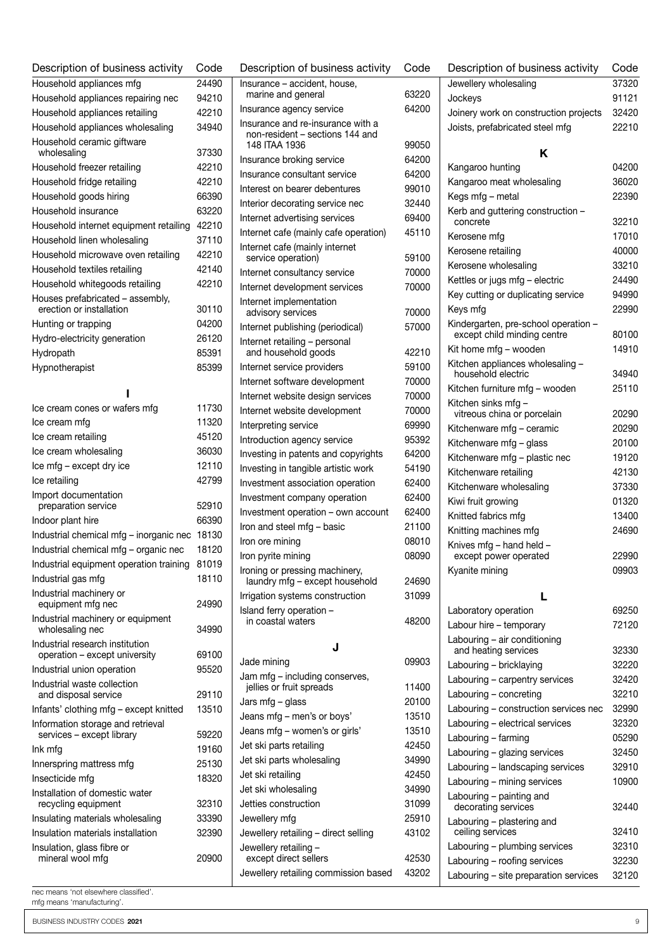| Description of business activity                                      | Code           |
|-----------------------------------------------------------------------|----------------|
| Household appliances mfg                                              | 24490          |
| Household appliances repairing nec                                    | 94210          |
| Household appliances retailing                                        | 42210          |
| Household appliances wholesaling                                      | 34940          |
| Household ceramic giftware                                            |                |
| wholesaling                                                           | 37330          |
| Household freezer retailing                                           | 42210          |
| Household fridge retailing                                            | 42210          |
| Household goods hiring                                                | 66390<br>63220 |
| Household insurance<br>Household internet equipment retailing         | 42210          |
|                                                                       | 37110          |
| Household linen wholesaling<br>Household microwave oven retailing     | 42210          |
| Household textiles retailing                                          | 42140          |
| Household whitegoods retailing                                        | 42210          |
| Houses prefabricated - assembly,                                      |                |
| erection or installation                                              | 30110          |
| Hunting or trapping                                                   | 04200          |
| Hydro-electricity generation                                          | 26120          |
| Hydropath                                                             | 85391          |
| Hypnotherapist                                                        | 85399          |
|                                                                       |                |
|                                                                       |                |
| Ice cream cones or wafers mfg                                         | 11730          |
| Ice cream mfg                                                         | 11320          |
| Ice cream retailing                                                   | 45120<br>36030 |
| Ice cream wholesaling<br>Ice mfg - except dry ice                     | 12110          |
| Ice retailing                                                         | 42799          |
| Import documentation                                                  |                |
| preparation service                                                   | 52910          |
| Indoor plant hire                                                     | 66390          |
| Industrial chemical mfg - inorganic nec                               | 18130          |
| Industrial chemical mfg - organic nec                                 | 18120          |
| Industrial equipment operation training                               | 81019          |
| Industrial gas mfg                                                    | 18110          |
| Industrial machinery or                                               |                |
| equipment mfg nec<br>Industrial machinery or equipment                | 24990          |
| wholesaling nec                                                       | 34990          |
| Industrial research institution                                       |                |
| operation - except university                                         | 69100          |
| Industrial union operation                                            | 95520          |
| Industrial waste collection<br>and disposal service                   | 29110          |
| Infants' clothing mfg - except knitted                                | 13510          |
| Information storage and retrieval                                     |                |
| services - except library                                             | 59220          |
| Ink mfg                                                               | 19160          |
| Innerspring mattress mfg                                              | 25130          |
| Insecticide mfg                                                       | 18320          |
| Installation of domestic water                                        |                |
| recycling equipment                                                   | 32310          |
| Insulating materials wholesaling<br>Insulation materials installation | 33390<br>32390 |
|                                                                       |                |
| Insulation, glass fibre or<br>mineral wool mfg                        | 20900          |
|                                                                       |                |

| nec means 'not elsewhere classified'. |  |
|---------------------------------------|--|
| mfg means 'manufacturing'.            |  |

| Description of business activity                                     | Code  |
|----------------------------------------------------------------------|-------|
| Insurance - accident, house,                                         |       |
| marine and general                                                   | 63220 |
| Insurance agency service                                             | 64200 |
| Insurance and re-insurance with a<br>non-resident - sections 144 and |       |
| 148 ITAA 1936                                                        | 99050 |
| Insurance broking service                                            | 64200 |
| Insurance consultant service                                         | 64200 |
| Interest on bearer debentures                                        | 99010 |
| Interior decorating service nec                                      | 32440 |
| Internet advertising services                                        | 69400 |
| Internet cafe (mainly cafe operation)                                | 45110 |
| Internet cafe (mainly internet                                       |       |
| service operation)                                                   | 59100 |
| Internet consultancy service                                         | 70000 |
| Internet development services                                        | 70000 |
| Internet implementation<br>advisory services                         | 70000 |
| Internet publishing (periodical)                                     | 57000 |
|                                                                      |       |
| Internet retailing - personal<br>and household goods                 | 42210 |
| Internet service providers                                           | 59100 |
| Internet software development                                        | 70000 |
| Internet website design services                                     | 70000 |
| Internet website development                                         | 70000 |
| Interpreting service                                                 | 69990 |
| Introduction agency service                                          | 95392 |
| Investing in patents and copyrights                                  | 64200 |
| Investing in tangible artistic work                                  | 54190 |
| Investment association operation                                     | 62400 |
| Investment company operation                                         | 62400 |
| Investment operation - own account                                   | 62400 |
| Iron and steel mfg - basic                                           | 21100 |
| Iron ore mining                                                      | 08010 |
| Iron pyrite mining                                                   | 08090 |
| Ironing or pressing machinery,                                       |       |
| laundry mfg - except household                                       | 24690 |
| Irrigation systems construction                                      | 31099 |
| Island ferry operation -<br>in coastal waters                        | 48200 |
|                                                                      |       |
| J                                                                    |       |
| Jade mining                                                          | 09903 |
| Jam mfg - including conserves,<br>jellies or fruit spreads           | 11400 |
| Jars mfg - glass                                                     | 20100 |
| Jeans mfg - men's or boys'                                           | 13510 |
| Jeans mfg - women's or girls'                                        | 13510 |
| Jet ski parts retailing                                              | 42450 |
| Jet ski parts wholesaling                                            | 34990 |
|                                                                      | 42450 |
| Jet ski retailing<br>Jet ski wholesaling                             | 34990 |
| Jetties construction                                                 | 31099 |
| Jewellery mfg                                                        | 25910 |
| Jewellery retailing - direct selling                                 | 43102 |
| Jewellery retailing -                                                |       |
| except direct sellers                                                | 42530 |
| Jewellery retailing commission based                                 | 43202 |

| Description of business activity                       | Code  |  |  |  |
|--------------------------------------------------------|-------|--|--|--|
| Jewellery wholesaling                                  | 37320 |  |  |  |
| Jockeys                                                | 91121 |  |  |  |
| Joinery work on construction projects                  | 32420 |  |  |  |
| Joists, prefabricated steel mfg                        | 22210 |  |  |  |
|                                                        |       |  |  |  |
| κ                                                      |       |  |  |  |
| Kangaroo hunting                                       | 04200 |  |  |  |
| Kangaroo meat wholesaling                              | 36020 |  |  |  |
| Kegs mfg - metal                                       | 22390 |  |  |  |
| Kerb and guttering construction -<br>concrete          | 32210 |  |  |  |
| Kerosene mfg                                           | 17010 |  |  |  |
| Kerosene retailing                                     | 40000 |  |  |  |
| Kerosene wholesaling                                   | 33210 |  |  |  |
| Kettles or jugs mfg - electric                         | 24490 |  |  |  |
| Key cutting or duplicating service                     | 94990 |  |  |  |
| Keys mfg                                               | 22990 |  |  |  |
| Kindergarten, pre-school operation -                   |       |  |  |  |
| except child minding centre                            | 80100 |  |  |  |
| Kit home mfg – wooden                                  | 14910 |  |  |  |
| Kitchen appliances wholesaling -<br>household electric | 34940 |  |  |  |
| Kitchen furniture mfg – wooden                         | 25110 |  |  |  |
| Kitchen sinks mfg -                                    |       |  |  |  |
| vitreous china or porcelain                            | 20290 |  |  |  |
| Kitchenware mfg - ceramic                              | 20290 |  |  |  |
| Kitchenware mfg - glass                                | 20100 |  |  |  |
| Kitchenware mfg – plastic nec                          | 19120 |  |  |  |
| Kitchenware retailing                                  | 42130 |  |  |  |
| Kitchenware wholesaling                                | 37330 |  |  |  |
| Kiwi fruit growing                                     | 01320 |  |  |  |
| Knitted fabrics mfg                                    | 13400 |  |  |  |
| Knitting machines mfg                                  | 24690 |  |  |  |
| Knives mfg - hand held -                               |       |  |  |  |
| except power operated                                  | 22990 |  |  |  |
| Kyanite mining                                         | 09903 |  |  |  |
| L                                                      |       |  |  |  |
| Laboratory operation                                   | 69250 |  |  |  |
| Labour hire - temporary                                | 72120 |  |  |  |
| Labouring - air conditioning                           |       |  |  |  |
| and heating services                                   | 32330 |  |  |  |
| Labouring - bricklaying                                | 32220 |  |  |  |
| Labouring - carpentry services                         | 32420 |  |  |  |
| Labouring - concreting                                 | 32210 |  |  |  |
| Labouring - construction services nec                  | 32990 |  |  |  |
| Labouring - electrical services                        | 32320 |  |  |  |
| Labouring - farming                                    | 05290 |  |  |  |
| Labouring - glazing services                           | 32450 |  |  |  |
| Labouring - landscaping services                       | 32910 |  |  |  |
| Labouring - mining services                            | 10900 |  |  |  |
| Labouring - painting and<br>decorating services        | 32440 |  |  |  |
| Labouring - plastering and                             |       |  |  |  |
| ceiling services                                       | 32410 |  |  |  |
| Labouring - plumbing services                          | 32310 |  |  |  |
| Labouring - roofing services                           | 32230 |  |  |  |
| Labouring - site preparation services                  | 32120 |  |  |  |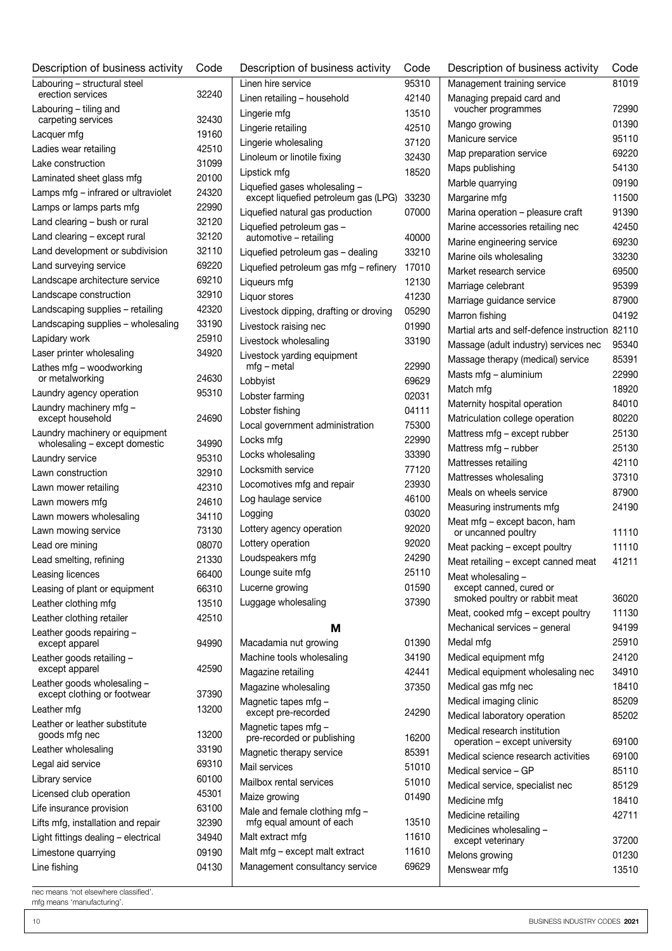| Linen retailing - household<br>Lingerie wholesaling | 95310<br>42140                                                                                                                                                                        |
|-----------------------------------------------------|---------------------------------------------------------------------------------------------------------------------------------------------------------------------------------------|
|                                                     |                                                                                                                                                                                       |
|                                                     |                                                                                                                                                                                       |
|                                                     | 13510                                                                                                                                                                                 |
|                                                     | 42510                                                                                                                                                                                 |
|                                                     | 37120                                                                                                                                                                                 |
| Linoleum or linotile fixing                         | 32430                                                                                                                                                                                 |
|                                                     | 18520                                                                                                                                                                                 |
| Liquefied gases wholesaling -                       |                                                                                                                                                                                       |
| except liquefied petroleum gas (LPG)                | 33230                                                                                                                                                                                 |
| Liquefied natural gas production                    | 07000                                                                                                                                                                                 |
| Liquefied petroleum gas -<br>automotive - retailing | 40000                                                                                                                                                                                 |
| Liquefied petroleum gas - dealing                   | 33210                                                                                                                                                                                 |
| Liquefied petroleum gas mfg - refinery              | 17010                                                                                                                                                                                 |
|                                                     | 12130                                                                                                                                                                                 |
|                                                     | 41230                                                                                                                                                                                 |
|                                                     | 05290                                                                                                                                                                                 |
| Livestock dipping, drafting or droving              |                                                                                                                                                                                       |
| Livestock raising nec                               | 01990                                                                                                                                                                                 |
| Livestock wholesaling                               | 33190                                                                                                                                                                                 |
| Livestock yarding equipment                         | 22990                                                                                                                                                                                 |
|                                                     | 69629                                                                                                                                                                                 |
|                                                     | 02031                                                                                                                                                                                 |
|                                                     | 04111                                                                                                                                                                                 |
| Local government administration                     | 75300                                                                                                                                                                                 |
|                                                     | 22990                                                                                                                                                                                 |
|                                                     | 33390                                                                                                                                                                                 |
|                                                     | 77120                                                                                                                                                                                 |
| Locomotives mfg and repair                          | 23930                                                                                                                                                                                 |
| Log haulage service                                 | 46100                                                                                                                                                                                 |
|                                                     | 03020                                                                                                                                                                                 |
|                                                     | 92020                                                                                                                                                                                 |
| Lottery agency operation                            | 92020                                                                                                                                                                                 |
|                                                     | 24290                                                                                                                                                                                 |
|                                                     |                                                                                                                                                                                       |
|                                                     | 25110                                                                                                                                                                                 |
|                                                     | 01590                                                                                                                                                                                 |
| Luggage wholesaling                                 | 37390                                                                                                                                                                                 |
| м                                                   |                                                                                                                                                                                       |
| Macadamia nut growing                               | 01390                                                                                                                                                                                 |
| Machine tools wholesaling                           | 34190                                                                                                                                                                                 |
|                                                     | 42441                                                                                                                                                                                 |
| Magazine wholesaling                                | 37350                                                                                                                                                                                 |
|                                                     |                                                                                                                                                                                       |
|                                                     | 24290                                                                                                                                                                                 |
| Magnetic tapes mfg -                                | 16200                                                                                                                                                                                 |
| except pre-recorded<br>Magnetic tapes mfg -         | 85391                                                                                                                                                                                 |
| pre-recorded or publishing                          | 51010                                                                                                                                                                                 |
|                                                     | 51010                                                                                                                                                                                 |
|                                                     | 01490                                                                                                                                                                                 |
|                                                     |                                                                                                                                                                                       |
|                                                     | 13510                                                                                                                                                                                 |
|                                                     | 11610                                                                                                                                                                                 |
|                                                     | 11610                                                                                                                                                                                 |
|                                                     | 69629                                                                                                                                                                                 |
|                                                     | Magnetic therapy service<br>Mailbox rental services<br>Male and female clothing mfg -<br>mfg equal amount of each<br>Malt mfg - except malt extract<br>Management consultancy service |

| Description of business activity                             | Code  |
|--------------------------------------------------------------|-------|
| Management training service                                  | 81019 |
| Managing prepaid card and                                    |       |
| voucher programmes                                           | 72990 |
| Mango growing                                                | 01390 |
| Manicure service                                             | 95110 |
| Map preparation service                                      | 69220 |
| Maps publishing                                              | 54130 |
| Marble quarrying                                             | 09190 |
| Margarine mfg                                                | 11500 |
| Marina operation - pleasure craft                            | 91390 |
| Marine accessories retailing nec                             | 42450 |
| Marine engineering service                                   | 69230 |
| Marine oils wholesaling                                      | 33230 |
| Market research service                                      | 69500 |
| Marriage celebrant                                           | 95399 |
| Marriage guidance service                                    | 87900 |
| Marron fishing                                               | 04192 |
| Martial arts and self-defence instruction                    | 82110 |
| Massage (adult industry) services nec                        | 95340 |
| Massage therapy (medical) service                            | 85391 |
| Masts mfg - aluminium                                        | 22990 |
| Match mfg                                                    | 18920 |
| Maternity hospital operation                                 | 84010 |
| Matriculation college operation                              | 80220 |
|                                                              | 25130 |
| Mattress mfg – except rubber                                 |       |
| Mattress mfg - rubber                                        | 25130 |
| Mattresses retailing                                         | 42110 |
| Mattresses wholesaling                                       | 37310 |
| Meals on wheels service                                      | 87900 |
| Measuring instruments mfg                                    | 24190 |
| Meat mfg - except bacon, ham<br>or uncanned poultry          | 11110 |
| Meat packing - except poultry                                | 11110 |
| Meat retailing - except canned meat                          | 41211 |
| Meat wholesaling -<br>except canned, cured or                |       |
| smoked poultry or rabbit meat                                | 36020 |
| Meat, cooked mfg - except poultry                            | 11130 |
| Mechanical services - general                                | 94199 |
| Medal mfq                                                    | 25910 |
| Medical equipment mfg                                        | 24120 |
| Medical equipment wholesaling nec                            | 34910 |
| Medical gas mfg nec                                          | 18410 |
|                                                              | 85209 |
| Medical imaging clinic                                       | 85202 |
| Medical laboratory operation<br>Medical research institution |       |
| operation - except university                                | 69100 |
| Medical science research activities                          | 69100 |
| Medical service - GP                                         | 85110 |
| Medical service, specialist nec                              | 85129 |
| Medicine mfg                                                 | 18410 |
| Medicine retailing                                           | 42711 |
| Medicines wholesaling -                                      |       |
| except veterinary                                            | 37200 |
| Melons growing                                               | 01230 |
| Menswear mfg                                                 | 13510 |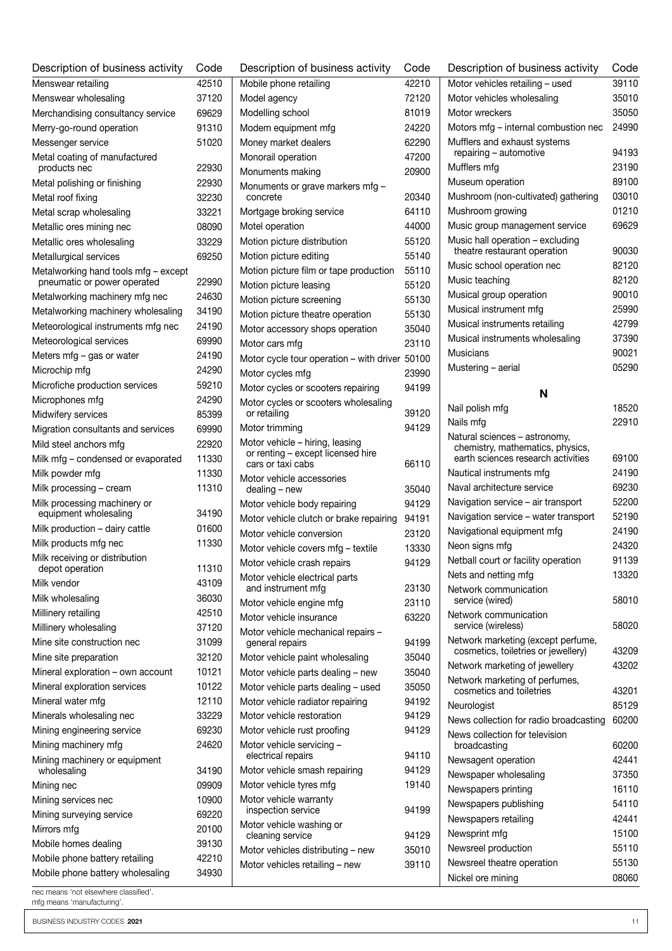| Description of business activity                      | Code  |
|-------------------------------------------------------|-------|
| Menswear retailing                                    | 42510 |
| Menswear wholesaling                                  | 37120 |
| Merchandising consultancy service                     | 69629 |
| Merry-go-round operation                              | 91310 |
| Messenger service                                     | 51020 |
| Metal coating of manufactured<br>products nec         | 22930 |
| Metal polishing or finishing                          | 22930 |
| Metal roof fixing                                     | 32230 |
| Metal scrap wholesaling                               | 33221 |
| Metallic ores mining nec                              | 08090 |
| Metallic ores wholesaling                             | 33229 |
| Metallurgical services                                | 69250 |
| Metalworking hand tools mfg - except                  |       |
| pneumatic or power operated                           | 22990 |
| Metalworking machinery mfg nec                        | 24630 |
| Metalworking machinery wholesaling                    | 34190 |
| Meteorological instruments mfg nec                    | 24190 |
| Meteorological services                               | 69990 |
| Meters mfg - gas or water                             | 24190 |
| Microchip mfg                                         | 24290 |
| Microfiche production services                        | 59210 |
| Microphones mfg                                       | 24290 |
| Midwifery services                                    | 85399 |
| Migration consultants and services                    | 69990 |
| Mild steel anchors mfg                                | 22920 |
| Milk mfg - condensed or evaporated                    | 11330 |
| Milk powder mfg                                       | 11330 |
| Milk processing - cream                               | 11310 |
| Milk processing machinery or<br>equipment wholesaling | 34190 |
| Milk production - dairy cattle                        | 01600 |
| Milk products mfg nec                                 | 11330 |
| Milk receiving or distribution<br>depot operation     | 11310 |
| Milk vendor                                           | 43109 |
| Milk wholesaling                                      | 36030 |
| Millinery retailing                                   | 42510 |
| Millinery wholesaling                                 | 37120 |
| Mine site construction nec                            | 31099 |
| Mine site preparation                                 | 32120 |
| Mineral exploration - own account                     | 10121 |
| Mineral exploration services                          | 10122 |
| Mineral water mfg                                     | 12110 |
| Minerals wholesaling nec                              | 33229 |
| Mining engineering service                            | 69230 |
| Mining machinery mfg                                  | 24620 |
| Mining machinery or equipment<br>wholesaling          | 34190 |
| Mining nec                                            | 09909 |
| Mining services nec                                   | 10900 |
| Mining surveying service                              | 69220 |
| Mirrors mfg                                           | 20100 |
| Mobile homes dealing                                  | 39130 |
| Mobile phone battery retailing                        | 42210 |
| Mobile phone battery wholesaling                      | 34930 |
| nec means 'not elsewhere classified'.                 |       |

Description of business activity Code Mobile phone retailing 42210 Model agency 72120 Modelling school 81019 Modem equipment mfg 24220 Money market dealers 62290 Monorail operation 47200 Monuments making **20900** Monuments or grave markers mfg – concrete 20340 Mortgage broking service 64110 Motel operation and 44000 Motion picture distribution 55120 Motion picture editing and the state 55140 Motion picture film or tape production 55110 Motion picture leasing 55120 Motion picture screening 55130 Motion picture theatre operation 55130 Motor accessory shops operation 35040 Motor cars mfg 23110 Motor cycle tour operation – with driver 50100 Motor cycles mfg 23990 Motor cycles or scooters repairing 94199 Motor cycles or scooters wholesaling or retailing 39120 Motor trimming and the settlement of the 94129 Motor vehicle – hiring, leasing or renting – except licensed hire cars or taxi cabs 66110 Motor vehicle accessories dealing – new 35040 Motor vehicle body repairing 94129 Motor vehicle clutch or brake repairing 94191 Motor vehicle conversion 23120 Motor vehicle covers mfg – textile 13330 Motor vehicle crash repairs 94129 Motor vehicle electrical parts and instrument mfg 23130 Motor vehicle engine mfg 23110 Motor vehicle insurance 63220 Motor vehicle mechanical repairs – general repairs **94199** Motor vehicle paint wholesaling 35040 Motor vehicle parts dealing – new 35040 Motor vehicle parts dealing – used 35050 Motor vehicle radiator repairing 94192 Motor vehicle restoration 94129 Motor vehicle rust proofing 94129 Motor vehicle servicing – electrical repairs 94110 Motor vehicle smash repairing 94129 Motor vehicle tyres mfg 19140 Motor vehicle warranty inspection service 94199 Motor vehicle washing or cleaning service 94129 Motor vehicles distributing – new 35010 Motor vehicles retailing – new 39110

| Description of business activity                                                                        | Code  |
|---------------------------------------------------------------------------------------------------------|-------|
| Motor vehicles retailing - used                                                                         | 39110 |
| Motor vehicles wholesaling                                                                              | 35010 |
| Motor wreckers                                                                                          | 35050 |
| Motors mfg - internal combustion nec                                                                    | 24990 |
| Mufflers and exhaust systems<br>repairing - automotive                                                  | 94193 |
| Mufflers mfg                                                                                            | 23190 |
| Museum operation                                                                                        | 89100 |
| Mushroom (non-cultivated) gathering                                                                     | 03010 |
| Mushroom growing                                                                                        | 01210 |
| Music group management service                                                                          | 69629 |
| Music hall operation - excluding<br>theatre restaurant operation                                        | 90030 |
| Music school operation nec                                                                              | 82120 |
| Music teaching                                                                                          | 82120 |
| Musical group operation                                                                                 | 90010 |
| Musical instrument mfg                                                                                  | 25990 |
| Musical instruments retailing                                                                           | 42799 |
| Musical instruments wholesaling                                                                         | 37390 |
| Musicians                                                                                               | 90021 |
| Mustering - aerial                                                                                      | 05290 |
|                                                                                                         |       |
| N                                                                                                       |       |
| Nail polish mfg                                                                                         | 18520 |
| Nails mfg                                                                                               | 22910 |
| Natural sciences - astronomy,<br>chemistry, mathematics, physics,<br>earth sciences research activities | 69100 |
| Nautical instruments mfg                                                                                | 24190 |
| Naval architecture service                                                                              | 69230 |
| Navigation service - air transport                                                                      | 52200 |
| Navigation service - water transport                                                                    | 52190 |
| Navigational equipment mfg                                                                              | 24190 |
| Neon signs mfg                                                                                          | 24320 |
| Netball court or facility operation                                                                     | 91139 |
| Nets and netting mfg                                                                                    | 13320 |
| Network communication<br>service (wired)                                                                | 58010 |
| Network communication                                                                                   |       |
| service (wireless)<br>Network marketing (except perfume,                                                | 58020 |
| cosmetics, toiletries or jewellery)                                                                     | 43209 |
| Network marketing of jewellery                                                                          | 43202 |
| Network marketing of perfumes,<br>cosmetics and toiletries                                              | 43201 |
| Neurologist                                                                                             | 85129 |
| News collection for radio broadcasting                                                                  | 60200 |
| News collection for television<br>broadcasting                                                          | 60200 |
| Newsagent operation                                                                                     | 42441 |
| Newspaper wholesaling                                                                                   | 37350 |
| Newspapers printing                                                                                     | 16110 |
| Newspapers publishing                                                                                   | 54110 |
| Newspapers retailing                                                                                    | 42441 |
| Newsprint mfg                                                                                           | 15100 |

Newsreel production 55110 Newsreel theatre operation 55130 Nickel ore mining 08060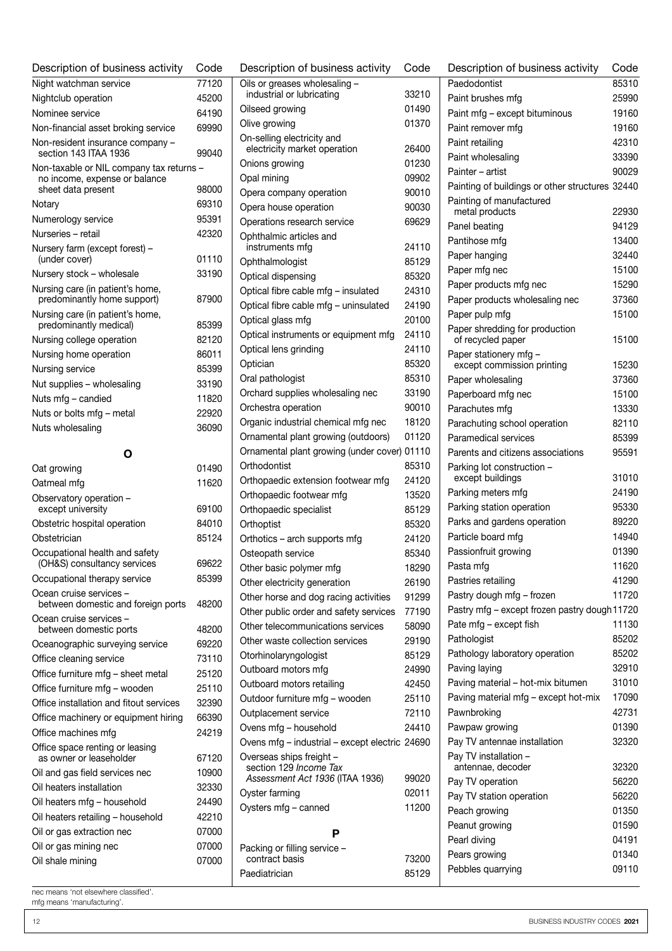| Description of business activity                                | Code           | D                 |
|-----------------------------------------------------------------|----------------|-------------------|
| Night watchman service                                          | 77120          | C                 |
| Nightclub operation                                             | 45200          |                   |
| Nominee service                                                 | 64190          | C                 |
| Non-financial asset broking service                             | 69990          | C                 |
| Non-resident insurance company -<br>section 143 ITAA 1936       | 99040          | C                 |
| Non-taxable or NIL company tax returns -                        |                | C                 |
| no income, expense or balance<br>sheet data present             | 98000          | C<br>C            |
| Notary                                                          | 69310          | C                 |
| Numerology service                                              | 95391          | C                 |
| Nurseries - retail                                              | 42320          | Ċ                 |
| Nursery farm (except forest) -<br>(under cover)                 | 01110          | C                 |
| Nursery stock - wholesale                                       | 33190          | C                 |
| Nursing care (in patient's home,<br>predominantly home support) | 87900          | C<br>C            |
| Nursing care (in patient's home,<br>predominantly medical)      | 85399          | C                 |
| Nursing college operation                                       | 82120          | C<br>C            |
| Nursing home operation                                          | 86011          | C                 |
| Nursing service                                                 | 85399          | C                 |
| Nut supplies - wholesaling                                      | 33190          | C                 |
| Nuts mfg - candied                                              | 11820          | C                 |
| Nuts or bolts mfg - metal                                       | 22920          | C                 |
| Nuts wholesaling                                                | 36090          | C                 |
| O                                                               |                | C                 |
| Oat growing                                                     | 01490          | C                 |
| Oatmeal mfg                                                     | 11620          | C                 |
| Observatory operation -                                         |                | C                 |
| except university                                               | 69100          | C                 |
| Obstetric hospital operation                                    | 84010          | C                 |
| Obstetrician                                                    | 85124          | C                 |
| Occupational health and safety<br>(OH&S) consultancy services   | 69622          | $\mathsf{C}$<br>C |
| Occupational therapy service                                    | 85399          | C                 |
| Ocean cruise services -<br>between domestic and foreign ports   | 48200          | C<br>C            |
| Ocean cruise services -<br>between domestic ports               | 48200          | C                 |
| Oceanographic surveying service                                 | 69220          | C                 |
| Office cleaning service                                         | 73110          | C                 |
| Office furniture mfg - sheet metal                              | 25120          | C                 |
| Office furniture mfg - wooden                                   | 25110          | C                 |
| Office installation and fitout services                         | 32390          | C                 |
| Office machinery or equipment hiring                            | 66390          | C<br>C            |
| Office machines mfg                                             | 24219          | C                 |
| Office space renting or leasing<br>as owner or leaseholder      | 67120          | C                 |
| Oil and gas field services nec                                  | 10900          |                   |
| Oil heaters installation                                        | 32330          | C                 |
| Oil heaters mfg - household                                     | 24490          | C                 |
| Oil heaters retailing - household                               | 42210          |                   |
| Oil or gas extraction nec<br>Oil or gas mining nec              | 07000<br>07000 |                   |
| Oil shale mining                                                | 07000          | Ρ                 |
|                                                                 |                |                   |

| Description of business activity                                           | Code  |  |  |
|----------------------------------------------------------------------------|-------|--|--|
| Oils or greases wholesaling -                                              |       |  |  |
| industrial or lubricating                                                  | 33210 |  |  |
| Oilseed growing                                                            | 01490 |  |  |
| Olive growing                                                              | 01370 |  |  |
| On-selling electricity and                                                 |       |  |  |
| electricity market operation                                               | 26400 |  |  |
| Onions growing                                                             | 01230 |  |  |
| Opal mining                                                                | 09902 |  |  |
| Opera company operation                                                    | 90010 |  |  |
| Opera house operation                                                      | 90030 |  |  |
| Operations research service                                                | 69629 |  |  |
| Ophthalmic articles and<br>instruments mfg                                 | 24110 |  |  |
| Ophthalmologist                                                            | 85129 |  |  |
| Optical dispensing                                                         | 85320 |  |  |
| Optical fibre cable mfg - insulated                                        | 24310 |  |  |
| Optical fibre cable mfg - uninsulated                                      | 24190 |  |  |
| Optical glass mfg                                                          | 20100 |  |  |
| Optical instruments or equipment mfg                                       | 24110 |  |  |
| Optical lens grinding                                                      | 24110 |  |  |
| Optician                                                                   | 85320 |  |  |
| Oral pathologist                                                           | 85310 |  |  |
| Orchard supplies wholesaling nec                                           | 33190 |  |  |
|                                                                            | 90010 |  |  |
| Orchestra operation                                                        | 18120 |  |  |
| Organic industrial chemical mfg nec<br>Ornamental plant growing (outdoors) | 01120 |  |  |
| Ornamental plant growing (under cover) 01110                               |       |  |  |
| Orthodontist                                                               | 85310 |  |  |
|                                                                            | 24120 |  |  |
| Orthopaedic extension footwear mfg<br>Orthopaedic footwear mfg             | 13520 |  |  |
| Orthopaedic specialist                                                     | 85129 |  |  |
| Orthoptist                                                                 | 85320 |  |  |
| Orthotics – arch supports mfg                                              | 24120 |  |  |
| Osteopath service                                                          | 85340 |  |  |
| Other basic polymer mfg                                                    | 18290 |  |  |
| Other electricity generation                                               | 26190 |  |  |
| Other horse and dog racing activities                                      | 91299 |  |  |
| Other public order and safety services                                     | 77190 |  |  |
| Other telecommunications services                                          | 58090 |  |  |
| Other waste collection services                                            | 29190 |  |  |
| Otorhinolaryngologist                                                      | 85129 |  |  |
| Outboard motors mfg                                                        | 24990 |  |  |
| Outboard motors retailing                                                  | 42450 |  |  |
| Outdoor furniture mfg - wooden                                             | 25110 |  |  |
| Outplacement service                                                       | 72110 |  |  |
|                                                                            | 24410 |  |  |
| Ovens mfg - household<br>Ovens mfg - industrial - except electric 24690    |       |  |  |
| Overseas ships freight -                                                   |       |  |  |
| section 129 Income Tax<br>Assessment Act 1936 (ITAA 1936)                  | 99020 |  |  |
| Oyster farming                                                             | 02011 |  |  |
| Oysters mfg - canned                                                       | 11200 |  |  |
| Р                                                                          |       |  |  |
| Packing or filling service -                                               |       |  |  |
| contract basis                                                             | 73200 |  |  |
| Paediatrician                                                              | 85129 |  |  |

| Description of business activity                    | Code  |
|-----------------------------------------------------|-------|
| Paedodontist                                        | 85310 |
| Paint brushes mfg                                   | 25990 |
| Paint mfg - except bituminous                       | 19160 |
| Paint remover mfg                                   | 19160 |
| Paint retailing                                     | 42310 |
| Paint wholesaling                                   | 33390 |
| Painter – artist                                    | 90029 |
| Painting of buildings or other structures 32440     |       |
| Painting of manufactured                            |       |
| metal products                                      | 22930 |
| Panel beating                                       | 94129 |
| Pantihose mfq                                       | 13400 |
| Paper hanging                                       | 32440 |
| Paper mfg nec                                       | 15100 |
| Paper products mfg nec                              | 15290 |
| Paper products wholesaling nec                      | 37360 |
| Paper pulp mfg                                      | 15100 |
| Paper shredding for production<br>of recycled paper | 15100 |
| Paper stationery mfg -                              |       |
| except commission printing                          | 15230 |
| Paper wholesaling                                   | 37360 |
| Paperboard mfg nec                                  | 15100 |
| Parachutes mfg                                      | 13330 |
| Parachuting school operation                        | 82110 |
| Paramedical services                                | 85399 |
| Parents and citizens associations                   | 95591 |
| Parking lot construction -<br>except buildings      | 31010 |
| Parking meters mfg                                  | 24190 |
| Parking station operation                           | 95330 |
| Parks and gardens operation                         | 89220 |
| Particle board mfg                                  | 14940 |
| Passionfruit growing                                | 01390 |
| Pasta mfg                                           | 11620 |
| Pastries retailing                                  | 41290 |
| Pastry dough mfg - frozen                           | 11720 |
| Pastry mfg - except frozen pastry dough 11720       |       |
| Pate mfg - except fish                              | 11130 |
| Pathologist                                         | 85202 |
| Pathology laboratory operation                      | 85202 |
| Paving laying                                       | 32910 |
| Paving material - hot-mix bitumen                   | 31010 |
| Paving material mfg - except hot-mix                | 17090 |
| Pawnbroking                                         | 42731 |
| Pawpaw growing                                      | 01390 |
| Pay TV antennae installation                        | 32320 |
| Pay TV installation -<br>antennae, decoder          | 32320 |
| Pay TV operation                                    | 56220 |
| Pay TV station operation                            | 56220 |
| Peach growing                                       | 01350 |
| Peanut growing                                      | 01590 |
| Pearl diving                                        | 04191 |
| Pears growing                                       | 01340 |
| Pebbles quarrying                                   | 09110 |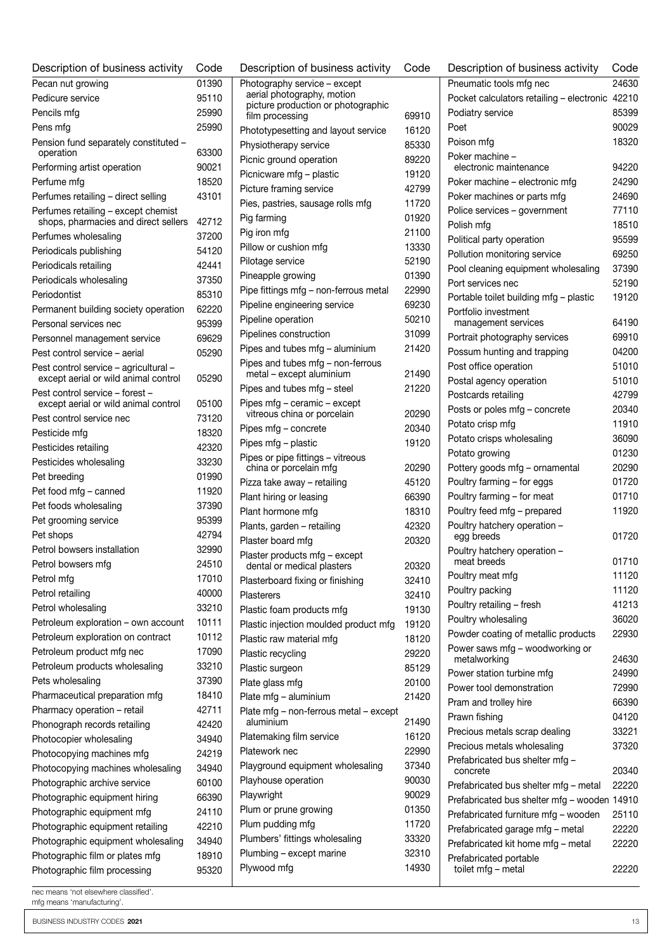| Description of business activity                                              | Code  |
|-------------------------------------------------------------------------------|-------|
| Pecan nut growing                                                             | 01390 |
| Pedicure service                                                              | 95110 |
| Pencils mfg                                                                   | 25990 |
| Pens mfg                                                                      | 25990 |
| Pension fund separately constituted -<br>operation                            | 63300 |
| Performing artist operation                                                   | 90021 |
| Perfume mfa                                                                   | 18520 |
| Perfumes retailing - direct selling                                           | 43101 |
| Perfumes retailing - except chemist<br>shops, pharmacies and direct sellers   | 42712 |
| Perfumes wholesaling                                                          | 37200 |
| Periodicals publishing                                                        | 54120 |
| Periodicals retailing                                                         | 42441 |
| Periodicals wholesaling                                                       | 37350 |
| Periodontist                                                                  | 85310 |
| Permanent building society operation                                          | 62220 |
| Personal services nec                                                         | 95399 |
| Personnel management service                                                  | 69629 |
| Pest control service - aerial                                                 | 05290 |
| Pest control service - agricultural -<br>except aerial or wild animal control | 05290 |
| Pest control service - forest -<br>except aerial or wild animal control       | 05100 |
| Pest control service nec                                                      | 73120 |
| Pesticide mfg                                                                 | 18320 |
| Pesticides retailing                                                          | 42320 |
| Pesticides wholesaling                                                        | 33230 |
| Pet breeding                                                                  | 01990 |
| Pet food mfg - canned                                                         | 11920 |
| Pet foods wholesaling                                                         | 37390 |
| Pet grooming service                                                          | 95399 |
| Pet shops                                                                     | 42794 |
| Petrol bowsers installation                                                   | 32990 |
| Petrol bowsers mfg                                                            | 24510 |
| Petrol mfg                                                                    | 17010 |
| Petrol retailing                                                              | 40000 |
| Petrol wholesaling                                                            | 33210 |
| Petroleum exploration - own account                                           | 10111 |
| Petroleum exploration on contract                                             | 10112 |
| Petroleum product mfg nec                                                     | 17090 |
| Petroleum products wholesaling                                                | 33210 |
| Pets wholesaling                                                              | 37390 |
| Pharmaceutical preparation mfg                                                | 18410 |
| Pharmacy operation - retail                                                   | 42711 |
| Phonograph records retailing                                                  | 42420 |
| Photocopier wholesaling                                                       | 34940 |
| Photocopying machines mfg                                                     | 24219 |
| Photocopying machines wholesaling                                             | 34940 |
| Photographic archive service                                                  | 60100 |
| Photographic equipment hiring                                                 | 66390 |
| Photographic equipment mfg                                                    | 24110 |
| Photographic equipment retailing                                              | 42210 |
| Photographic equipment wholesaling                                            | 34940 |
| Photographic film or plates mfg                                               | 18910 |
| Photographic film processing                                                  | 95320 |

| Description of business activity                                 | Code  |
|------------------------------------------------------------------|-------|
| Photography service - except                                     |       |
| aerial photography, motion<br>picture production or photographic |       |
| film processing                                                  | 69910 |
| Phototypesetting and layout service                              | 16120 |
| Physiotherapy service                                            | 85330 |
| Picnic ground operation                                          | 89220 |
| Picnicware mfg - plastic                                         | 19120 |
| Picture framing service                                          | 42799 |
| Pies, pastries, sausage rolls mfg                                | 11720 |
| Pig farming                                                      | 01920 |
| Pig iron mfg                                                     | 21100 |
| Pillow or cushion mfg                                            | 13330 |
| Pilotage service                                                 | 52190 |
| Pineapple growing                                                | 01390 |
| Pipe fittings mfg - non-ferrous metal                            | 22990 |
| Pipeline engineering service                                     | 69230 |
| Pipeline operation                                               | 50210 |
| Pipelines construction                                           | 31099 |
| Pipes and tubes mfg - aluminium                                  | 21420 |
| Pipes and tubes mfg - non-ferrous                                |       |
| metal - except aluminium                                         | 21490 |
| Pipes and tubes mfg - steel                                      | 21220 |
| Pipes mfg - ceramic - except<br>vitreous china or porcelain      | 20290 |
| Pipes mfg - concrete                                             | 20340 |
| Pipes mfg - plastic                                              | 19120 |
| Pipes or pipe fittings - vitreous                                |       |
| china or porcelain mfg                                           | 20290 |
| Pizza take away – retailing                                      | 45120 |
| Plant hiring or leasing                                          | 66390 |
| Plant hormone mfg                                                | 18310 |
| Plants, garden - retailing                                       | 42320 |
| Plaster board mfg                                                | 20320 |
| Plaster products mfg - except<br>dental or medical plasters      | 20320 |
| Plasterboard fixing or finishing                                 | 32410 |
| Plasterers                                                       | 32410 |
| Plastic foam products mfg                                        | 19130 |
| Plastic injection moulded product mfg                            | 19120 |
| Plastic raw material mfg                                         | 18120 |
| Plastic recycling                                                | 29220 |
| Plastic surgeon                                                  | 85129 |
| Plate glass mfg                                                  | 20100 |
| Plate mfg - aluminium                                            | 21420 |
| Plate mfg - non-ferrous metal - except<br>aluminium              | 21490 |
| Platemaking film service                                         | 16120 |
| Platework nec                                                    | 22990 |
| Playground equipment wholesaling                                 | 37340 |
| Playhouse operation                                              | 90030 |
| Playwright                                                       | 90029 |
| Plum or prune growing                                            | 01350 |
| Plum pudding mfg                                                 | 11720 |
| Plumbers' fittings wholesaling                                   | 33320 |
| Plumbing – except marine                                         | 32310 |
| Plywood mfg                                                      | 14930 |
|                                                                  |       |

| Description of business activity             | Code  |
|----------------------------------------------|-------|
| Pneumatic tools mfg nec                      | 24630 |
| Pocket calculators retailing - electronic    | 42210 |
| Podiatry service                             | 85399 |
| Poet                                         | 90029 |
| Poison mfg                                   | 18320 |
| Poker machine -<br>electronic maintenance    | 94220 |
| Poker machine - electronic mfg               | 24290 |
| Poker machines or parts mfg                  | 24690 |
| Police services - government                 | 77110 |
| Polish mfg                                   | 18510 |
| Political party operation                    | 95599 |
| Pollution monitoring service                 | 69250 |
| Pool cleaning equipment wholesaling          | 37390 |
| Port services nec                            | 52190 |
| Portable toilet building mfg - plastic       | 19120 |
| Portfolio investment                         |       |
| management services                          | 64190 |
| Portrait photography services                | 69910 |
| Possum hunting and trapping                  | 04200 |
| Post office operation                        | 51010 |
| Postal agency operation                      | 51010 |
| Postcards retailing                          | 42799 |
| Posts or poles mfg - concrete                | 20340 |
| Potato crisp mfg                             | 11910 |
| Potato crisps wholesaling                    | 36090 |
| Potato growing                               | 01230 |
| Pottery goods mfg - ornamental               | 20290 |
| Poultry farming - for eggs                   | 01720 |
| Poultry farming - for meat                   | 01710 |
| Poultry feed mfg - prepared                  | 11920 |
| Poultry hatchery operation -<br>egg breeds   | 01720 |
| Poultry hatchery operation -<br>meat breeds  | 01710 |
| Poultry meat mfg                             | 11120 |
| Poultry packing                              | 11120 |
| Poultry retailing - fresh                    | 41213 |
| Poultry wholesaling                          | 36020 |
| Powder coating of metallic products          | 22930 |
| Power saws mfg - woodworking or              |       |
| metalworking                                 | 24630 |
| Power station turbine mfg                    | 24990 |
| Power tool demonstration                     | 72990 |
| Pram and trolley hire                        | 66390 |
| Prawn fishing                                | 04120 |
| Precious metals scrap dealing                | 33221 |
| Precious metals wholesaling                  | 37320 |
| Prefabricated bus shelter mfg -<br>concrete  | 20340 |
| Prefabricated bus shelter mfg - metal        | 22220 |
| Prefabricated bus shelter mfg - wooden       | 14910 |
| Prefabricated furniture mfg - wooden         | 25110 |
| Prefabricated garage mfg - metal             | 22220 |
| Prefabricated kit home mfg - metal           | 22220 |
| Prefabricated portable<br>toilet mfg - metal | 22220 |

mfg means 'manufacturing'.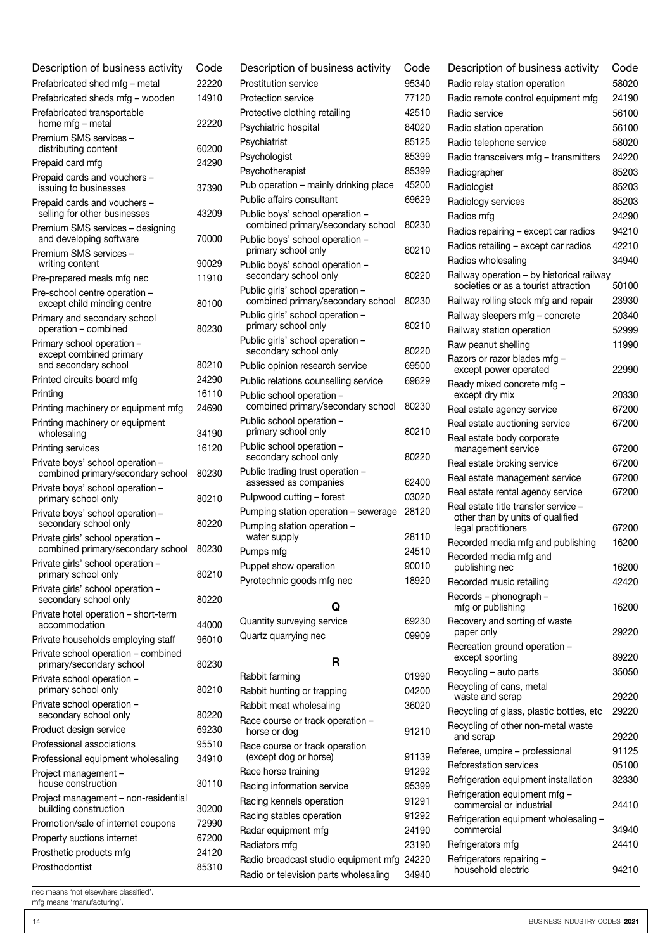| Description of business activity                                | Code  | Description of business activity                          | Code  |
|-----------------------------------------------------------------|-------|-----------------------------------------------------------|-------|
| Prefabricated shed mfg - metal                                  | 22220 | Prostitution service                                      | 95340 |
| Prefabricated sheds mfg - wooden                                | 14910 | Protection service                                        | 77120 |
| Prefabricated transportable                                     |       | Protective clothing retailing                             | 42510 |
| home mfg - metal                                                | 22220 | Psychiatric hospital                                      | 84020 |
| Premium SMS services -<br>distributing content                  | 60200 | Psychiatrist                                              | 85125 |
| Prepaid card mfg                                                | 24290 | Psychologist                                              | 85399 |
| Prepaid cards and vouchers -                                    |       | Psychotherapist                                           | 85399 |
| issuing to businesses                                           | 37390 | Pub operation - mainly drinking place                     | 45200 |
| Prepaid cards and vouchers -                                    |       | Public affairs consultant                                 | 69629 |
| selling for other businesses                                    | 43209 | Public boys' school operation -                           |       |
| Premium SMS services - designing                                |       | combined primary/secondary school                         | 80230 |
| and developing software                                         | 70000 | Public boys' school operation -<br>primary school only    | 80210 |
| Premium SMS services -<br>writing content                       | 90029 | Public boys' school operation -                           |       |
| Pre-prepared meals mfg nec                                      | 11910 | secondary school only                                     | 80220 |
| Pre-school centre operation -                                   |       | Public girls' school operation -                          |       |
| except child minding centre                                     | 80100 | combined primary/secondary school                         | 80230 |
| Primary and secondary school                                    |       | Public girls' school operation -                          |       |
| operation - combined                                            | 80230 | primary school only                                       | 80210 |
| Primary school operation -                                      |       | Public girls' school operation -<br>secondary school only | 80220 |
| except combined primary<br>and secondary school                 | 80210 | Public opinion research service                           | 69500 |
| Printed circuits board mfg                                      | 24290 | Public relations counselling service                      | 69629 |
| Printing                                                        | 16110 | Public school operation -                                 |       |
| Printing machinery or equipment mfg                             | 24690 | combined primary/secondary school                         | 80230 |
| Printing machinery or equipment                                 |       | Public school operation -                                 |       |
| wholesaling                                                     | 34190 | primary school only                                       | 80210 |
| Printing services                                               | 16120 | Public school operation -<br>secondary school only        | 80220 |
| Private boys' school operation -                                |       | Public trading trust operation -                          |       |
| combined primary/secondary school                               | 80230 | assessed as companies                                     | 62400 |
| Private boys' school operation -<br>primary school only         | 80210 | Pulpwood cutting - forest                                 | 03020 |
| Private boys' school operation -                                |       | Pumping station operation - sewerage                      | 28120 |
| secondary school only                                           | 80220 | Pumping station operation -                               |       |
| Private girls' school operation -                               |       | water supply                                              | 28110 |
| combined primary/secondary school                               | 80230 | Pumps mfg                                                 | 24510 |
| Private girls' school operation -<br>primary school only        | 80210 | Puppet show operation                                     | 90010 |
| Private girls' school operation -                               |       | Pyrotechnic goods mfg nec                                 | 18920 |
| secondary school only                                           | 80220 |                                                           |       |
| Private hotel operation - short-term                            |       | O                                                         |       |
| accommodation                                                   | 44000 | Quantity surveying service                                | 69230 |
| Private households employing staff                              | 96010 | Quartz quarrying nec                                      | 09909 |
| Private school operation - combined<br>primary/secondary school | 80230 | R                                                         |       |
| Private school operation -                                      |       | Rabbit farming                                            | 01990 |
| primary school only                                             | 80210 | Rabbit hunting or trapping                                | 04200 |
| Private school operation -                                      |       | Rabbit meat wholesaling                                   | 36020 |
| secondary school only                                           | 80220 | Race course or track operation -                          |       |
| Product design service                                          | 69230 | horse or dog                                              | 91210 |
| Professional associations                                       | 95510 | Race course or track operation                            |       |
| Professional equipment wholesaling                              | 34910 | (except dog or horse)                                     | 91139 |
| Project management -                                            |       | Race horse training                                       | 91292 |
| house construction                                              | 30110 | Racing information service                                | 95399 |
| Project management - non-residential<br>building construction   | 30200 | Racing kennels operation                                  | 91291 |
| Promotion/sale of internet coupons                              | 72990 | Racing stables operation                                  | 91292 |
| Property auctions internet                                      | 67200 | Radar equipment mfg                                       | 24190 |
| Prosthetic products mfg                                         | 24120 | Radiators mfg                                             | 23190 |
| Prosthodontist                                                  | 85310 | Radio broadcast studio equipment mfg                      | 24220 |
|                                                                 |       | Radio or television parts wholesaling                     | 34940 |

| Radiologist                                                              | 85203          |
|--------------------------------------------------------------------------|----------------|
| Radiology services                                                       | 85203          |
| Radios mfg                                                               | 24290          |
| Radios repairing – except car radios                                     | 94210          |
| Radios retailing - except car radios                                     | 42210          |
| Radios wholesaling                                                       | 34940          |
| Railway operation - by historical railway                                |                |
| societies or as a tourist attraction                                     | 50100          |
| Railway rolling stock mfg and repair                                     | 23930          |
| Railway sleepers mfg - concrete                                          | 20340          |
| Railway station operation                                                | 52999          |
| Raw peanut shelling                                                      | 11990          |
| Razors or razor blades mfg -<br>except power operated                    | 22990          |
| Ready mixed concrete mfg -<br>except dry mix                             | 20330          |
| Real estate agency service                                               | 67200          |
| Real estate auctioning service                                           | 67200          |
| Real estate body corporate                                               |                |
| management service                                                       | 67200          |
| Real estate broking service                                              | 67200          |
| Real estate management service                                           | 67200          |
| Real estate rental agency service                                        | 67200          |
| Real estate title transfer service ·<br>other than by units of qualified |                |
| legal practitioners                                                      | 67200          |
| Recorded media mfg and publishing                                        | 16200          |
| Recorded media mfg and<br>publishing nec                                 | 16200          |
| Recorded music retailing                                                 | 42420          |
| Records – phonograph –<br>mfg or publishing                              | 16200          |
| Recovery and sorting of waste                                            |                |
| paper only                                                               | 29220          |
| Recreation ground operation -<br>except sporting                         | 89220          |
| Recycling - auto parts                                                   | 35050          |
| Recycling of cans, metal<br>waste and scrap                              | 29220          |
| Recycling of glass, plastic bottles, etc                                 | 29220          |
| Recycling of other non-metal waste<br>and scrap                          | 29220          |
| Referee, umpire - professional                                           | 91125          |
| Reforestation services                                                   | 05100          |
| Refrigeration equipment installation                                     | 32330          |
| Refrigeration equipment mfg -                                            |                |
| commercial or industrial                                                 | 24410          |
| Refrigeration equipment wholesaling -                                    |                |
| commercial                                                               | 34940<br>24410 |
| Refrigerators mfg                                                        |                |

Description of business activity Code Radio relay station operation 58020 Radio remote control equipment mfg 24190 Radio service 56100 Radio station operation 66100 Radio telephone service 58020 Radio transceivers mfg – transmitters 24220 Radiographer 85203

household electric 94210

Refrigerators repairing –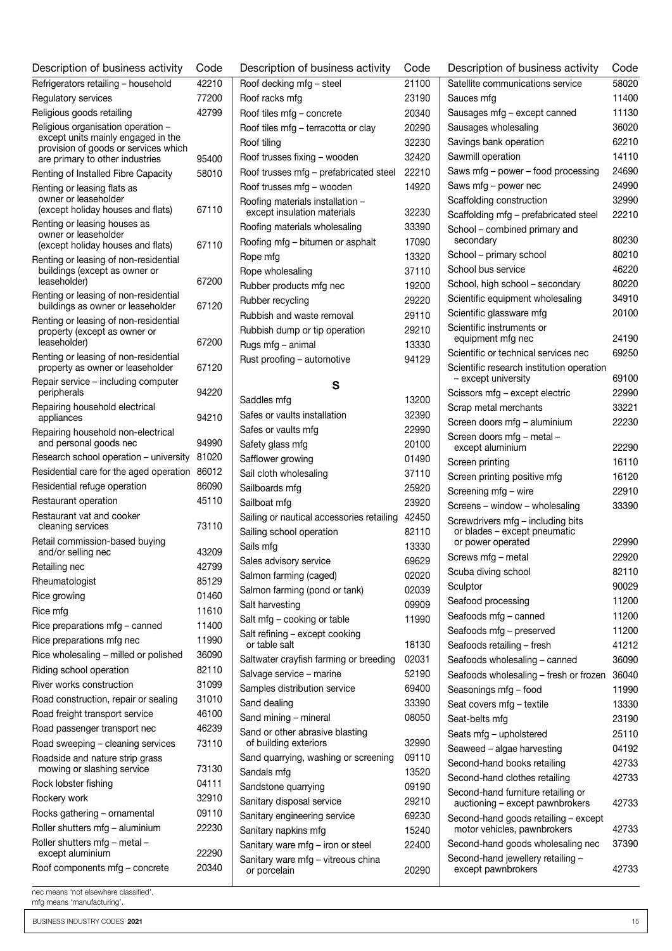| Description of business activity                                           | Code           | Description of business activity                                      | Code           |
|----------------------------------------------------------------------------|----------------|-----------------------------------------------------------------------|----------------|
| Refrigerators retailing - household                                        | 42210          | Roof decking mfg - steel                                              | 21100          |
| Regulatory services                                                        | 77200          | Roof racks mfg                                                        | 23190          |
| Religious goods retailing                                                  | 42799          | Roof tiles mfg - concrete                                             | 20340          |
| Religious organisation operation -                                         |                | Roof tiles mfg - terracotta or clay                                   | 20290          |
| except units mainly engaged in the                                         |                | Roof tiling                                                           | 32230          |
| provision of goods or services which<br>are primary to other industries    | 95400          | Roof trusses fixing - wooden                                          | 32420          |
| Renting of Installed Fibre Capacity                                        | 58010          | Roof trusses mfg - prefabricated steel                                | 22210          |
| Renting or leasing flats as                                                |                | Roof trusses mfg - wooden                                             | 14920          |
| owner or leaseholder<br>(except holiday houses and flats)                  | 67110          | Roofing materials installation -<br>except insulation materials       | 32230          |
| Renting or leasing houses as                                               |                | Roofing materials wholesaling                                         | 33390          |
| owner or leaseholder<br>(except holiday houses and flats)                  | 67110          | Roofing mfg - bitumen or asphalt                                      | 17090          |
| Renting or leasing of non-residential                                      |                | Rope mfg                                                              | 13320          |
| buildings (except as owner or                                              |                | Rope wholesaling                                                      | 37110          |
| leaseholder)                                                               | 67200          | Rubber products mfg nec                                               | 19200          |
| Renting or leasing of non-residential<br>buildings as owner or leaseholder | 67120          | Rubber recycling                                                      | 29220          |
| Renting or leasing of non-residential                                      |                | Rubbish and waste removal                                             | 29110          |
| property (except as owner or                                               |                | Rubbish dump or tip operation                                         | 29210          |
| leaseholder)                                                               | 67200          | Rugs mfg - animal                                                     | 13330          |
| Renting or leasing of non-residential<br>property as owner or leaseholder  | 67120          | Rust proofing - automotive                                            | 94129          |
| Repair service – including computer                                        |                | S                                                                     |                |
| peripherals                                                                | 94220          | Saddles mfg                                                           | 13200          |
| Repairing household electrical<br>appliances                               | 94210          | Safes or vaults installation                                          | 32390          |
| Repairing household non-electrical                                         |                | Safes or vaults mfg                                                   | 22990          |
| and personal goods nec                                                     | 94990          | Safety glass mfg                                                      | 20100          |
| Research school operation - university                                     | 81020          | Safflower growing                                                     | 01490          |
| Residential care for the aged operation 86012                              |                | Sail cloth wholesaling                                                | 37110          |
| Residential refuge operation                                               | 86090          | Sailboards mfg                                                        | 25920          |
| Restaurant operation                                                       | 45110          | Sailboat mfg                                                          | 23920          |
| Restaurant vat and cooker<br>cleaning services                             | 73110          | Sailing or nautical accessories retailing<br>Sailing school operation | 42450<br>82110 |
| Retail commission-based buying                                             |                | Sails mfg                                                             | 13330          |
| and/or selling nec                                                         | 43209          | Sales advisory service                                                | 69629          |
| Retailing nec                                                              | 42799          | Salmon farming (caged)                                                | 02020          |
| Rheumatologist                                                             | 85129          | Salmon farming (pond or tank)                                         | 02039          |
| Rice growing                                                               | 01460          | Salt harvesting                                                       | 09909          |
| Rice mfg                                                                   | 11610          | Salt mfg - cooking or table                                           | 11990          |
| Rice preparations mfg - canned                                             | 11400          | Salt refining - except cooking                                        |                |
| Rice preparations mfg nec                                                  | 11990          | or table salt                                                         | 18130          |
| Rice wholesaling - milled or polished                                      | 36090          | Saltwater crayfish farming or breeding                                | 02031          |
| Riding school operation                                                    | 82110          | Salvage service - marine                                              | 52190          |
| River works construction                                                   | 31099          | Samples distribution service                                          | 69400          |
| Road construction, repair or sealing                                       | 31010          | Sand dealing                                                          | 33390          |
| Road freight transport service                                             | 46100          | Sand mining - mineral                                                 | 08050          |
| Road passenger transport nec                                               | 46239          | Sand or other abrasive blasting                                       |                |
| Road sweeping - cleaning services                                          | 73110          | of building exteriors                                                 | 32990          |
| Roadside and nature strip grass<br>mowing or slashing service              | 73130          | Sand quarrying, washing or screening<br>Sandals mfg                   | 09110<br>13520 |
| Rock lobster fishing                                                       | 04111          | Sandstone quarrying                                                   | 09190          |
| Rockery work                                                               | 32910          | Sanitary disposal service                                             | 29210          |
| Rocks gathering - ornamental                                               | 09110          | Sanitary engineering service                                          | 69230          |
| Roller shutters mfg - aluminium                                            | 22230          | Sanitary napkins mfg                                                  | 15240          |
| Roller shutters mfg - metal -                                              |                | Sanitary ware mfg - iron or steel                                     | 22400          |
| except aluminium<br>Roof components mfg - concrete                         | 22290<br>20340 | Sanitary ware mfg - vitreous china<br>or porcelain                    | 20290          |
|                                                                            |                |                                                                       |                |

mfg means 'manufacturing'.

| Description of business activity                         | Code           |
|----------------------------------------------------------|----------------|
| Roof decking mfg - steel                                 | 21100          |
| Roof racks mfg                                           | 23190          |
| Roof tiles mfg - concrete                                | 20340          |
| Roof tiles mfg - terracotta or clay                      | 20290          |
| Roof tiling                                              | 32230          |
| Roof trusses fixing - wooden                             | 32420          |
| Roof trusses mfg - prefabricated steel                   | 22210          |
| Roof trusses mfg - wooden                                | 14920          |
| Roofing materials installation -                         |                |
| except insulation materials                              | 32230          |
| Roofing materials wholesaling                            | 33390          |
| Roofing mfg - bitumen or asphalt                         | 17090          |
| Rope mfg                                                 | 13320          |
| Rope wholesaling                                         | 37110          |
| Rubber products mfg nec                                  | 19200          |
| Rubber recycling                                         | 29220          |
| Rubbish and waste removal                                | 29110          |
| Rubbish dump or tip operation                            | 29210          |
| Rugs mfg - animal                                        | 13330          |
| Rust proofing - automotive                               | 94129          |
|                                                          |                |
| S                                                        |                |
| Saddles mfg                                              | 13200          |
| Safes or vaults installation                             | 32390          |
| Safes or vaults mfg                                      | 22990          |
| Safety glass mfg                                         | 20100          |
| Safflower growing                                        | 01490          |
| Sail cloth wholesaling                                   | 37110          |
| Sailboards mfg                                           | 25920          |
| Sailboat mfg                                             | 23920          |
| Sailing or nautical accessories retailing                | 42450          |
| Sailing school operation<br>Sails mfg                    | 82110<br>13330 |
|                                                          |                |
| Sales advisory service<br>Salmon farming (caged)         | 69629<br>02020 |
| Salmon farming (pond or tank)                            | 02039          |
|                                                          | 09909          |
| Salt harvesting<br>Salt mfg - cooking or table           | 11990          |
| Salt refining - except cooking                           |                |
| or table salt                                            | 18130          |
| Saltwater crayfish farming or breeding                   | 02031          |
| Salvage service - marine                                 | 52190          |
| Samples distribution service                             | 69400          |
| Sand dealing                                             | 33390          |
| Sand mining - mineral                                    | 08050          |
| Sand or other abrasive blasting<br>of building exteriors | 32990          |
| Sand quarrying, washing or screening                     | 09110          |
| Sandals mfg                                              | 13520          |
| Sandstone quarrying                                      | 09190          |
| Sanitary disposal service                                | 29210          |
| Sanitary engineering service                             | 69230          |
| Sanitary napkins mfg                                     | 15240          |
| Sanitary ware mfg - iron or steel                        | 22400          |
|                                                          |                |

| Description of business activity                                      | Code  |
|-----------------------------------------------------------------------|-------|
| Satellite communications service                                      | 58020 |
| Sauces mfg                                                            | 11400 |
| Sausages mfg - except canned                                          | 11130 |
| Sausages wholesaling                                                  | 36020 |
| Savings bank operation                                                | 62210 |
| Sawmill operation                                                     | 14110 |
| Saws mfg - power - food processing                                    | 24690 |
| Saws mfg - power nec                                                  | 24990 |
| Scaffolding construction                                              | 32990 |
| Scaffolding mfg - prefabricated steel                                 | 22210 |
| School - combined primary and                                         |       |
| secondary                                                             | 80230 |
| School - primary school                                               | 80210 |
| School bus service                                                    | 46220 |
| School, high school - secondary                                       | 80220 |
| Scientific equipment wholesaling                                      | 34910 |
| Scientific glassware mfg                                              | 20100 |
| Scientific instruments or<br>equipment mfg nec                        | 24190 |
| Scientific or technical services nec                                  | 69250 |
| Scientific research institution operation                             |       |
| – except university                                                   | 69100 |
| Scissors mfg - except electric                                        | 22990 |
| Scrap metal merchants                                                 | 33221 |
| Screen doors mfg - aluminium                                          | 22230 |
| Screen doors mfg - metal -<br>except aluminium                        | 22290 |
| Screen printing                                                       | 16110 |
| Screen printing positive mfg                                          | 16120 |
| Screening mfg - wire                                                  | 22910 |
| Screens - window - wholesaling                                        | 33390 |
| Screwdrivers mfg - including bits                                     |       |
| or blades - except pneumatic<br>or power operated                     | 22990 |
|                                                                       | 22920 |
| Screws mfg – metal                                                    | 82110 |
| Scuba diving school                                                   | 90029 |
| Sculptor                                                              | 11200 |
| Seafood processing                                                    |       |
| Seafoods mfg - canned                                                 | 11200 |
| Seafoods mfg - preserved                                              | 11200 |
| Seafoods retailing - fresh                                            | 41212 |
| Seafoods wholesaling - canned                                         | 36090 |
| Seafoods wholesaling - fresh or frozen                                | 36040 |
| Seasonings mfg - food                                                 | 11990 |
| Seat covers mfg - textile                                             | 13330 |
| Seat-belts mfg                                                        | 23190 |
| Seats mfg - upholstered                                               | 25110 |
| Seaweed - algae harvesting                                            | 04192 |
| Second-hand books retailing                                           | 42733 |
| Second-hand clothes retailing                                         | 42733 |
| Second-hand furniture retailing or<br>auctioning - except pawnbrokers | 42733 |
| Second-hand goods retailing - except<br>motor vehicles, pawnbrokers   | 42733 |
| Second-hand goods wholesaling nec                                     | 37390 |
| Second-hand jewellery retailing -                                     |       |
| except pawnbrokers                                                    | 42733 |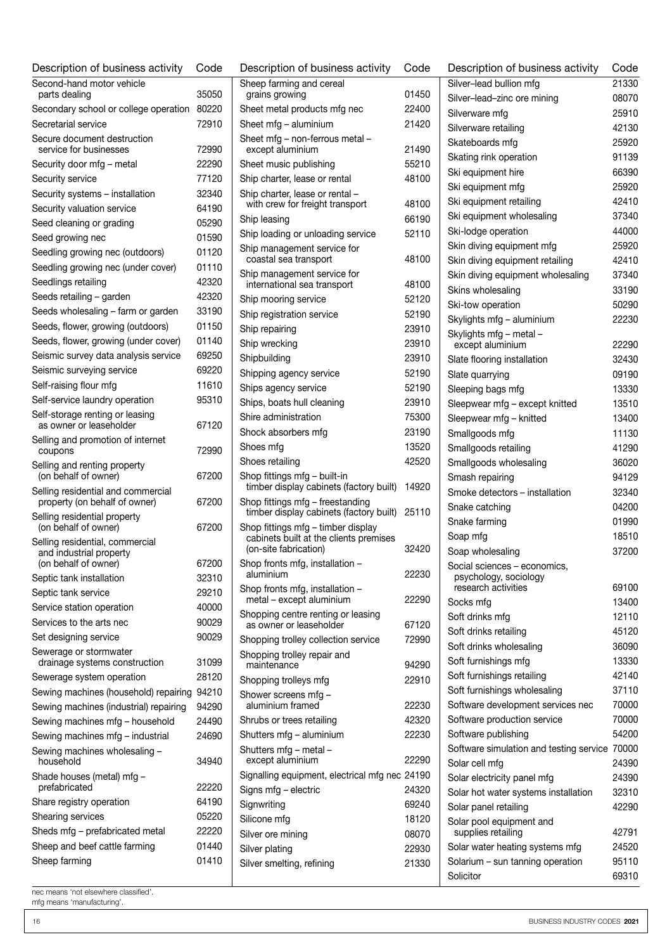| Description of business activity                             | Code  | Description of business activity                                             | Code  | Description of business activity                          | Code           |
|--------------------------------------------------------------|-------|------------------------------------------------------------------------------|-------|-----------------------------------------------------------|----------------|
| Second-hand motor vehicle                                    |       | Sheep farming and cereal                                                     |       | Silver-lead bullion mfg                                   | 21330          |
| parts dealing                                                | 35050 | grains growing                                                               | 01450 | Silver-lead-zinc ore mining                               | 0807C          |
| Secondary school or college operation<br>Secretarial service | 80220 | Sheet metal products mfg nec                                                 | 22400 | Silverware mfg                                            | 25910          |
|                                                              | 72910 | Sheet mfa - aluminium                                                        | 21420 | Silverware retailing                                      | 42130          |
| Secure document destruction<br>service for businesses        | 72990 | Sheet mfg - non-ferrous metal -<br>except aluminium                          | 21490 | Skateboards mfg                                           | 25920          |
| Security door mfg - metal                                    | 22290 | Sheet music publishing                                                       | 55210 | Skating rink operation                                    | 91139          |
| Security service                                             | 77120 | Ship charter, lease or rental                                                | 48100 | Ski equipment hire                                        | 66390          |
| Security systems - installation                              | 32340 | Ship charter, lease or rental -                                              |       | Ski equipment mfg                                         | 25920          |
| Security valuation service                                   | 64190 | with crew for freight transport                                              | 48100 | Ski equipment retailing                                   | 42410          |
| Seed cleaning or grading                                     | 05290 | Ship leasing                                                                 | 66190 | Ski equipment wholesaling                                 | 37340          |
| Seed growing nec                                             | 01590 | Ship loading or unloading service                                            | 52110 | Ski-lodge operation                                       | 4400C          |
| Seedling growing nec (outdoors)                              | 01120 | Ship management service for                                                  |       | Skin diving equipment mfg                                 | 25920          |
| Seedling growing nec (under cover)                           | 01110 | coastal sea transport                                                        | 48100 | Skin diving equipment retailing                           | 42410          |
| Seedlings retailing                                          | 42320 | Ship management service for<br>international sea transport                   | 48100 | Skin diving equipment wholesaling                         | 37340          |
| Seeds retailing - garden                                     | 42320 | Ship mooring service                                                         | 52120 | Skins wholesaling                                         | 33190          |
| Seeds wholesaling - farm or garden                           | 33190 | Ship registration service                                                    | 52190 | Ski-tow operation                                         | 50290          |
| Seeds, flower, growing (outdoors)                            | 01150 | Ship repairing                                                               | 23910 | Skylights mfg - aluminium                                 | 22230          |
| Seeds, flower, growing (under cover)                         | 01140 | Ship wrecking                                                                | 23910 | Skylights mfg - metal -<br>except aluminium               | 22290          |
| Seismic survey data analysis service                         | 69250 | Shipbuilding                                                                 | 23910 | Slate flooring installation                               | 32430          |
| Seismic surveying service                                    | 69220 | Shipping agency service                                                      | 52190 |                                                           | 09190          |
| Self-raising flour mfg                                       | 11610 | Ships agency service                                                         | 52190 | Slate quarrying<br>Sleeping bags mfg                      | 13330          |
| Self-service laundry operation                               | 95310 | Ships, boats hull cleaning                                                   | 23910 | Sleepwear mfg - except knitted                            | 13510          |
| Self-storage renting or leasing                              |       | Shire administration                                                         | 75300 | Sleepwear mfg - knitted                                   | 13400          |
| as owner or leaseholder                                      | 67120 | Shock absorbers mfg                                                          | 23190 | Smallgoods mfg                                            | 11130          |
| Selling and promotion of internet                            |       | Shoes mfg                                                                    | 13520 | Smallgoods retailing                                      | 41290          |
| coupons                                                      | 72990 | Shoes retailing                                                              | 42520 | Smallgoods wholesaling                                    | 36020          |
| Selling and renting property<br>(on behalf of owner)         | 67200 | Shop fittings mfg - built-in                                                 |       | Smash repairing                                           | 94129          |
| Selling residential and commercial                           |       | timber display cabinets (factory built) 14920                                |       | Smoke detectors - installation                            | 32340          |
| property (on behalf of owner)                                | 67200 | Shop fittings mfg - freestanding                                             |       | Snake catching                                            | 04200          |
| Selling residential property                                 |       | timber display cabinets (factory built)                                      | 25110 | Snake farming                                             | 01990          |
| (on behalf of owner)                                         | 67200 | Shop fittings mfg - timber display<br>cabinets built at the clients premises |       | Soap mfg                                                  | 18510          |
| Selling residential, commercial<br>and industrial property   |       | (on-site fabrication)                                                        | 32420 | Soap wholesaling                                          | 37200          |
| (on behalf of owner)                                         | 67200 | Shop fronts mfg, installation -                                              |       | Social sciences - economics,                              |                |
| Septic tank installation                                     | 32310 | aluminium                                                                    | 22230 | psychology, sociology                                     |                |
| Septic tank service                                          | 29210 | Shop fronts mfg, installation -                                              |       | research activities                                       | 69100          |
| Service station operation                                    | 40000 | metal - except aluminium                                                     | 22290 | Socks mfg                                                 | 13400          |
| Services to the arts nec                                     | 90029 | Shopping centre renting or leasing<br>as owner or leaseholder                | 67120 | Soft drinks mfg                                           | 12110          |
| Set designing service                                        | 90029 | Shopping trolley collection service                                          | 72990 | Soft drinks retailing                                     | 45120          |
| Sewerage or stormwater                                       |       | Shopping trolley repair and                                                  |       | Soft drinks wholesaling                                   | 36090          |
| drainage systems construction                                | 31099 | maintenance                                                                  | 94290 | Soft furnishings mfg                                      | 13330          |
| Sewerage system operation                                    | 28120 | Shopping trolleys mfg                                                        | 22910 | Soft furnishings retailing                                | 42140          |
| Sewing machines (household) repairing                        | 94210 | Shower screens mfg -                                                         |       | Soft furnishings wholesaling                              | 37110          |
| Sewing machines (industrial) repairing                       | 94290 | aluminium framed                                                             | 22230 | Software development services nec                         | 7000C          |
| Sewing machines mfg - household                              | 24490 | Shrubs or trees retailing                                                    | 42320 | Software production service                               | 7000C          |
| Sewing machines mfg - industrial                             | 24690 | Shutters mfg - aluminium                                                     | 22230 | Software publishing                                       | 54200          |
| Sewing machines wholesaling -<br>household                   | 34940 | Shutters mfg - metal -<br>except aluminium                                   | 22290 | Software simulation and testing service<br>Solar cell mfg | 70000<br>24390 |
| Shade houses (metal) mfg -                                   |       | Signalling equipment, electrical mfg nec 24190                               |       | Solar electricity panel mfg                               | 24390          |
| prefabricated                                                | 22220 | Signs mfg - electric                                                         | 24320 | Solar hot water systems installation                      | 32310          |
| Share registry operation                                     | 64190 | Signwriting                                                                  | 69240 | Solar panel retailing                                     | 42290          |
| Shearing services                                            | 05220 | Silicone mfg                                                                 | 18120 | Solar pool equipment and                                  |                |
| Sheds mfg - prefabricated metal                              | 22220 | Silver ore mining                                                            | 08070 | supplies retailing                                        | 42791          |
| Sheep and beef cattle farming                                | 01440 | Silver plating                                                               | 22930 | Solar water heating systems mfg                           | 24520          |
| Sheep farming                                                | 01410 | Silver smelting, refining                                                    | 21330 | Solarium - sun tanning operation                          | 95110          |
|                                                              |       |                                                                              |       | Solicitor                                                 | 69310          |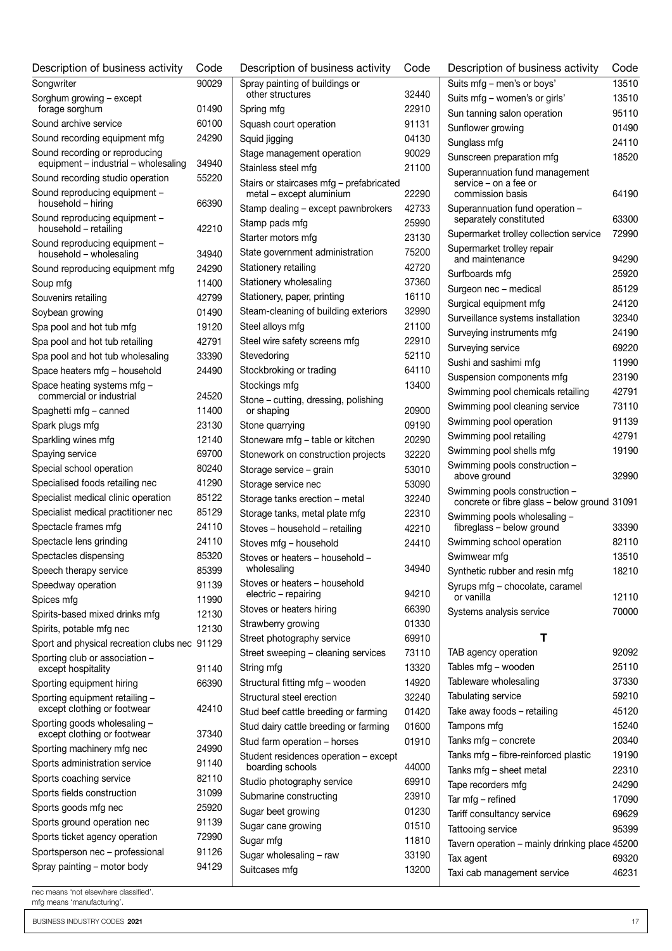| Description of business activity                              | Code           | D               |
|---------------------------------------------------------------|----------------|-----------------|
| Sonawriter                                                    | 90029          | $S_{\parallel}$ |
| Sorghum growing - except<br>forage sorghum                    | 01490          | S               |
| Sound archive service                                         | 60100          | S               |
| Sound recording equipment mfg                                 | 24290          | S               |
| Sound recording or reproducing                                |                | S               |
| equipment - industrial - wholesaling                          | 34940<br>55220 | S               |
| Sound recording studio operation                              |                | S               |
| Sound reproducing equipment -<br>household - hiring           | 66390          | S               |
| Sound reproducing equipment -<br>household - retailing        | 42210          | S               |
| Sound reproducing equipment -<br>household - wholesaling      | 34940          | S<br>S          |
| Sound reproducing equipment mfg                               | 24290          | S               |
| Soup mfg                                                      | 11400          | S               |
| Souvenirs retailing                                           | 42799          | S               |
| Soybean growing                                               | 01490          | S               |
| Spa pool and hot tub mfg                                      | 19120          | S               |
| Spa pool and hot tub retailing                                | 42791          | S               |
| Spa pool and hot tub wholesaling                              | 33390          | S               |
| Space heaters mfg - household                                 | 24490          | S               |
| Space heating systems mfg -                                   |                | S               |
| commercial or industrial                                      | 24520          | S               |
| Spaghetti mfg - canned                                        | 11400          |                 |
| Spark plugs mfg                                               | 23130          | S               |
| Sparkling wines mfg                                           | 12140          | S               |
| Spaying service                                               | 69700          | S               |
| Special school operation                                      | 80240          | S               |
| Specialised foods retailing nec                               | 41290          | S               |
| Specialist medical clinic operation                           | 85122          | S               |
| Specialist medical practitioner nec                           | 85129          | S               |
| Spectacle frames mfg                                          | 24110          | S               |
| Spectacle lens grinding                                       | 24110          | S               |
| Spectacles dispensing                                         | 85320          | S               |
| Speech therapy service                                        | 85399          |                 |
| Speedway operation                                            | 91139          | S               |
| Spices mfg                                                    | 11990          | S               |
| Spirits-based mixed drinks mfg                                | 12130          | S               |
| Spirits, potable mfg nec                                      | 12130          | S               |
| Sport and physical recreation clubs nec                       | 91129          | S               |
| Sporting club or association -<br>except hospitality          | 91140          | S               |
| Sporting equipment hiring                                     | 66390          | S               |
| Sporting equipment retailing -<br>except clothing or footwear | 42410          | S<br>S          |
| Sporting goods wholesaling -<br>except clothing or footwear   | 37340          | S               |
| Sporting machinery mfg nec                                    | 24990          | S               |
| Sports administration service                                 | 91140          | S               |
| Sports coaching service                                       | 82110          |                 |
| Sports fields construction                                    | 31099          | S               |
| Sports goods mfg nec                                          | 25920          | S               |
| Sports ground operation nec                                   | 91139          | S               |
| Sports ticket agency operation                                | 72990          | S               |
| Sportsperson nec - professional                               | 91126          | S               |
| Spray painting - motor body                                   | 94129          | S               |
|                                                               |                | S               |

| Description of business activity                                     | Code  |
|----------------------------------------------------------------------|-------|
| Spray painting of buildings or<br>other structures                   | 32440 |
| Spring mfg                                                           | 22910 |
| Squash court operation                                               | 91131 |
|                                                                      | 04130 |
| Squid jigging                                                        |       |
| Stage management operation                                           | 90029 |
| Stainless steel mfg                                                  | 21100 |
| Stairs or staircases mfg - prefabricated<br>metal - except aluminium | 22290 |
| Stamp dealing - except pawnbrokers                                   | 42733 |
| Stamp pads mfg                                                       | 25990 |
| Starter motors mfg                                                   | 23130 |
| State government administration                                      | 75200 |
| Stationery retailing                                                 | 42720 |
| Stationery wholesaling                                               | 37360 |
| Stationery, paper, printing                                          | 16110 |
| Steam-cleaning of building exteriors                                 | 32990 |
| Steel alloys mfg                                                     | 21100 |
| Steel wire safety screens mfg                                        | 22910 |
| Stevedoring                                                          | 52110 |
| Stockbroking or trading                                              | 64110 |
| Stockings mfg                                                        | 13400 |
| Stone – cutting, dressing, polishing<br>or shaping                   | 20900 |
| Stone quarrying                                                      | 09190 |
| Stoneware mfg - table or kitchen                                     | 20290 |
| Stonework on construction projects                                   | 32220 |
| Storage service - grain                                              | 53010 |
| Storage service nec                                                  | 53090 |
| Storage tanks erection - metal                                       | 32240 |
| Storage tanks, metal plate mfg                                       | 22310 |
| Stoves - household - retailing                                       | 42210 |
| Stoves mfg - household                                               | 24410 |
| Stoves or heaters - household -<br>wholesaling                       | 34940 |
| Stoves or heaters – household                                        |       |
| electric - repairing                                                 | 94210 |
| Stoves or heaters hiring                                             | 66390 |
| Strawberry growing                                                   | 01330 |
| Street photography service                                           | 69910 |
| Street sweeping - cleaning services                                  | 73110 |
| String mfg                                                           | 13320 |
| Structural fitting mfg - wooden                                      | 14920 |
| Structural steel erection                                            | 32240 |
| Stud beef cattle breeding or farming                                 | 01420 |
| Stud dairy cattle breeding or farming                                | 01600 |
| Stud farm operation - horses                                         | 01910 |
| Student residences operation - except<br>boarding schools            | 44000 |
| Studio photography service                                           | 69910 |
| Submarine constructing                                               | 23910 |
| Sugar beet growing                                                   | 01230 |
| Sugar cane growing                                                   | 01510 |
| Sugar mfg                                                            | 11810 |
| Sugar wholesaling - raw                                              | 33190 |
| Suitcases mfg                                                        | 13200 |
|                                                                      |       |

| Description of business activity                                              | Code           |
|-------------------------------------------------------------------------------|----------------|
| Suits mfg - men's or boys'                                                    | 13510          |
| Suits mfg - women's or girls'                                                 | 13510          |
| Sun tanning salon operation                                                   | 95110          |
| Sunflower growing                                                             | 01490          |
| Sunglass mfg                                                                  | 24110          |
| Sunscreen preparation mfg                                                     | 18520          |
| Superannuation fund management                                                |                |
| service – on a fee or                                                         |                |
| commission basis                                                              | 64190          |
| Superannuation fund operation -<br>separately constituted                     | 63300          |
| Supermarket trolley collection service                                        | 72990          |
| Supermarket trolley repair                                                    |                |
| and maintenance                                                               | 94290          |
| Surfboards mfg                                                                | 25920          |
| Surgeon nec - medical                                                         | 85129          |
| Surgical equipment mfg                                                        | 24120          |
| Surveillance systems installation                                             | 32340          |
| Surveying instruments mfg                                                     | 24190          |
| Surveying service                                                             | 69220          |
| Sushi and sashimi mfg                                                         | 11990          |
| Suspension components mfg                                                     | 23190          |
| Swimming pool chemicals retailing                                             | 42791          |
| Swimming pool cleaning service                                                | 73110          |
| Swimming pool operation                                                       | 91139          |
| Swimming pool retailing                                                       | 42791          |
| Swimming pool shells mfg                                                      | 19190          |
| Swimming pools construction -<br>above ground                                 | 32990          |
| Swimming pools construction -<br>concrete or fibre glass - below ground 31091 |                |
| Swimming pools wholesaling -                                                  |                |
| fibreglass - below ground<br>Swimming school operation                        | 33390<br>82110 |
| Swimwear mfg                                                                  | 13510          |
|                                                                               | 18210          |
| Synthetic rubber and resin mfg<br>Syrups mfg - chocolate, caramel             |                |
| or vanilla                                                                    | 12110          |
| Systems analysis service                                                      | 70000          |
|                                                                               |                |
| т                                                                             |                |
| TAB agency operation                                                          | 92092          |
| Tables mfg - wooden                                                           | 25110          |
| Tableware wholesaling                                                         | 37330          |
| <b>Tabulating service</b>                                                     | 59210          |
| Take away foods - retailing                                                   | 45120          |
| Tampons mfg                                                                   | 15240          |
| Tanks mfg – concrete                                                          | 20340          |
| Tanks mfg - fibre-reinforced plastic                                          | 19190          |
| Tanks mfg - sheet metal                                                       | 22310          |
| Tape recorders mfg                                                            | 24290          |
| Tar mfg - refined                                                             | 17090          |
| Tariff consultancy service                                                    | 69629          |
| Tattooing service                                                             | 95399          |
| Tavern operation - mainly drinking place 45200                                |                |
| Tax agent                                                                     | 69320          |
| Taxi cab management service                                                   | 46231          |

mfg means 'manufacturing'.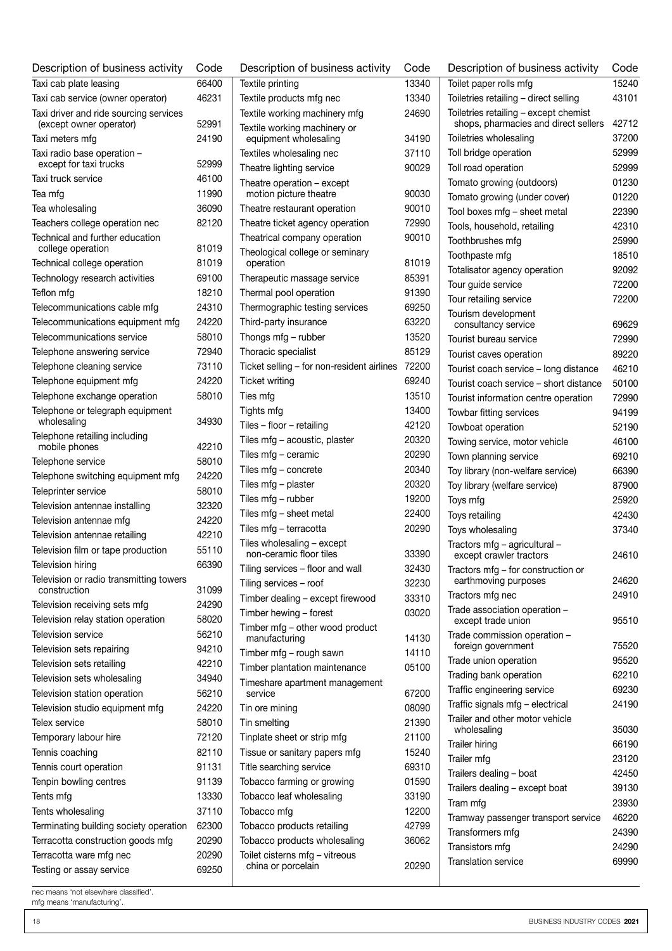| Description of business activity                        | Code  | Description of business activity                     | Code  |
|---------------------------------------------------------|-------|------------------------------------------------------|-------|
| Taxi cab plate leasing                                  | 66400 | Textile printing                                     | 13340 |
| Taxi cab service (owner operator)                       | 46231 | Textile products mfg nec                             | 13340 |
| Taxi driver and ride sourcing services                  |       | Textile working machinery mfg                        | 24690 |
| (except owner operator)                                 | 52991 | Textile working machinery or                         |       |
| Taxi meters mfg                                         | 24190 | equipment wholesaling                                | 34190 |
| Taxi radio base operation -                             | 52999 | Textiles wholesaling nec                             | 37110 |
| except for taxi trucks<br>Taxi truck service            | 46100 | Theatre lighting service                             | 90029 |
|                                                         | 11990 | Theatre operation - except<br>motion picture theatre | 90030 |
| Tea mfg<br>Tea wholesaling                              | 36090 | Theatre restaurant operation                         | 90010 |
| Teachers college operation nec                          | 82120 | Theatre ticket agency operation                      | 72990 |
| Technical and further education                         |       | Theatrical company operation                         | 90010 |
| college operation                                       | 81019 | Theological college or seminary                      |       |
| Technical college operation                             | 81019 | operation                                            | 81019 |
| Technology research activities                          | 69100 | Therapeutic massage service                          | 85391 |
| Teflon mfg                                              | 18210 | Thermal pool operation                               | 91390 |
| Telecommunications cable mfg                            | 24310 | Thermographic testing services                       | 69250 |
| Telecommunications equipment mfg                        | 24220 | Third-party insurance                                | 63220 |
| Telecommunications service                              | 58010 | Thongs mfg - rubber                                  | 13520 |
| Telephone answering service                             | 72940 | Thoracic specialist                                  | 85129 |
| Telephone cleaning service                              | 73110 | Ticket selling - for non-resident airlines           | 72200 |
| Telephone equipment mfg                                 | 24220 | Ticket writina                                       | 69240 |
| Telephone exchange operation                            | 58010 | Ties mfg                                             | 13510 |
| Telephone or telegraph equipment                        |       | Tights mfg                                           | 13400 |
| wholesaling                                             | 34930 | Tiles - floor - retailing                            | 42120 |
| Telephone retailing including                           |       | Tiles mfg - acoustic, plaster                        | 20320 |
| mobile phones                                           | 42210 | Tiles mfg - ceramic                                  | 20290 |
| Telephone service                                       | 58010 | Tiles mfg - concrete                                 | 20340 |
| Telephone switching equipment mfg                       | 24220 | Tiles mfg - plaster                                  | 20320 |
| Teleprinter service                                     | 58010 | Tiles mfg – rubber                                   | 19200 |
| Television antennae installing                          | 32320 | Tiles mfg - sheet metal                              | 22400 |
| Television antennae mfg                                 | 24220 | Tiles mfg - terracotta                               | 20290 |
| Television antennae retailing                           | 42210 | Tiles wholesaling - except                           |       |
| Television film or tape production                      | 55110 | non-ceramic floor tiles                              | 33390 |
| Television hiring                                       | 66390 | Tiling services - floor and wall                     | 32430 |
| Television or radio transmitting towers<br>construction | 31099 | Tiling services - roof                               | 32230 |
| Television receiving sets mfg                           | 24290 | Timber dealing - except firewood                     | 33310 |
| Television relay station operation                      | 58020 | Timber hewing - forest                               | 03020 |
| Television service                                      | 56210 | Timber mfg - other wood product                      |       |
| Television sets repairing                               | 94210 | manufacturing                                        | 14130 |
| Television sets retailing                               | 42210 | Timber mfg - rough sawn                              | 14110 |
| Television sets wholesaling                             | 34940 | Timber plantation maintenance                        | 05100 |
| Television station operation                            | 56210 | Timeshare apartment management<br>service            | 67200 |
| Television studio equipment mfg                         | 24220 | Tin ore mining                                       | 08090 |
| Telex service                                           | 58010 | Tin smelting                                         | 21390 |
| Temporary labour hire                                   | 72120 | Tinplate sheet or strip mfg                          | 21100 |
| Tennis coaching                                         | 82110 | Tissue or sanitary papers mfg                        | 15240 |
| Tennis court operation                                  | 91131 | Title searching service                              | 69310 |
| Tenpin bowling centres                                  | 91139 | Tobacco farming or growing                           | 01590 |
| Tents mfg                                               | 13330 | Tobacco leaf wholesaling                             | 33190 |
| Tents wholesaling                                       | 37110 | Tobacco mfg                                          | 12200 |
| Terminating building society operation                  | 62300 | Tobacco products retailing                           | 42799 |
| Terracotta construction goods mfg                       | 20290 | Tobacco products wholesaling                         | 36062 |
| Terracotta ware mfg nec                                 | 20290 | Toilet cisterns mfg - vitreous                       |       |
| Testing or assay service                                | 69250 | china or porcelain                                   | 20290 |

| f business activity           | Code           | Description of business activity                           | Code           |
|-------------------------------|----------------|------------------------------------------------------------|----------------|
|                               | 13340          | Toilet paper rolls mfg                                     | 15240          |
| mfg nec                       | 13340          | Toiletries retailing - direct selling                      | 43101          |
| nachinery mfg                 | 24690          | Toiletries retailing - except chemist                      |                |
| nachinery or                  |                | shops, pharmacies and direct sellers                       | 42712          |
| olesaling                     | 34190          | Toiletries wholesaling                                     | 37200          |
| ling nec                      | 37110          | Toll bridge operation                                      | 52999          |
| service                       | 90029          | Toll road operation<br>Tomato growing (outdoors)           | 52999<br>01230 |
| n – except<br>theatre         | 90030          | Tomato growing (under cover)                               | 01220          |
| nt operation                  | 90010          | Tool boxes mfg - sheet metal                               | 22390          |
| gency operation               | 72990          | Tools, household, retailing                                | 42310          |
| any operation                 | 90010          | Toothbrushes mfg                                           | 25990          |
| ege or seminary               |                | Toothpaste mfg                                             | 18510          |
|                               | 81019          | Totalisator agency operation                               | 92092          |
| ssage service                 | 85391          | Tour guide service                                         | 72200          |
| eration                       | 91390          | Tour retailing service                                     | 72200          |
| testing services              | 69250          | Tourism development                                        |                |
| rance                         | 63220          | consultancy service                                        | 69629          |
| <b>bber</b>                   | 13520          | Tourist bureau service                                     | 72990          |
| list                          | 85129          | Tourist caves operation                                    | 89220          |
| or non-resident airlines      | 72200          | Tourist coach service - long distance                      | 46210          |
|                               | 69240          | Tourist coach service - short distance                     | 50100          |
|                               | 13510          | Tourist information centre operation                       | 72990          |
|                               | 13400          | Towbar fitting services                                    | 94199          |
| tailing                       | 42120          | Towboat operation                                          | 52190          |
| ıstic, plaster                | 20320          | Towing service, motor vehicle                              | 46100          |
| mic                           | 20290          | Town planning service                                      | 69210          |
| rete:                         | 20340          | Toy library (non-welfare service)                          | 66390          |
| er:                           | 20320          | Toy library (welfare service)                              | 87900          |
| er                            | 19200          | Toys mfg                                                   | 25920          |
| t metal                       | 22400          | Toys retailing                                             | 42430          |
| cotta                         | 20290          | Toys wholesaling                                           | 37340          |
| g – except<br>oor tiles       |                | Tractors mfg - agricultural -                              |                |
| floor and wall                | 33390<br>32430 | except crawler tractors                                    | 24610          |
| roof                          |                | Tractors mfg - for construction or<br>earthmoving purposes | 24620          |
|                               | 32230          | Tractors mfg nec                                           | 24910          |
| - except firewood<br>- forest | 33310<br>03020 | Trade association operation -                              |                |
|                               |                | except trade union                                         | 95510          |
| her wood product              | 14130          | Trade commission operation -                               |                |
| ugh sawn                      | 14110          | foreign government                                         | 75520          |
| n maintenance                 | 05100          | Trade union operation                                      | 95520          |
| ment management               |                | Trading bank operation                                     | 62210          |
|                               | 67200          | Traffic engineering service                                | 69230          |
|                               | 08090          | Traffic signals mfg - electrical                           | 24190          |
|                               | 21390          | Trailer and other motor vehicle<br>wholesaling             | 35030          |
| r strip mfg                   | 21100          | Trailer hiring                                             | 66190          |
| y papers mfg                  | 15240          | Trailer mfg                                                | 23120          |
| ervice                        | 69310          | Trailers dealing - boat                                    | 42450          |
| g or growing                  | 01590          | Trailers dealing - except boat                             | 39130          |
| olesaling                     | 33190          | Tram mfg                                                   | 23930          |
|                               | 12200          | Tramway passenger transport service                        | 46220          |
| ts retailing                  | 42799          | Transformers mfg                                           | 24390          |
| ts wholesaling                | 36062          | Transistors mfg                                            | 24290          |
| fg - vitreous                 |                | Translation service                                        | 69990          |
| lain                          | 20290          |                                                            |                |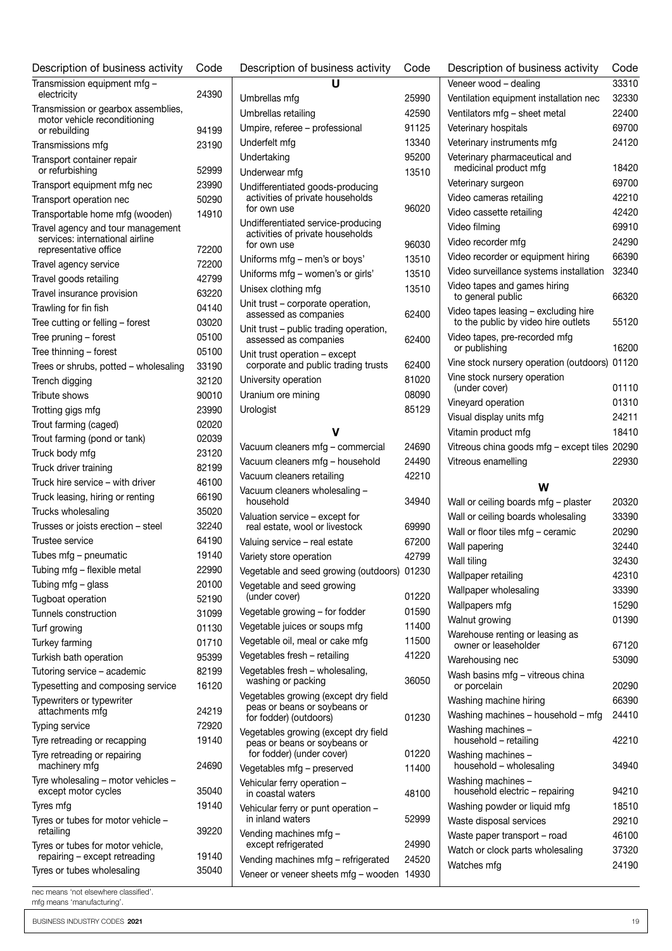| Description of business activity                                                              | Code  |
|-----------------------------------------------------------------------------------------------|-------|
| Transmission equipment mfg<br>electricity                                                     | 24390 |
| Transmission or gearbox assemblies,<br>motor vehicle reconditioning                           |       |
| or rebuilding                                                                                 | 94199 |
| Transmissions mfg                                                                             | 23190 |
| Transport container repair<br>or refurbishing                                                 | 52999 |
| Transport equipment mfg nec                                                                   | 23990 |
| Transport operation nec                                                                       | 50290 |
| Transportable home mfg (wooden)                                                               | 14910 |
| Travel agency and tour management<br>services: international airline<br>representative office | 72200 |
| Travel agency service                                                                         | 72200 |
| Travel goods retailing                                                                        | 42799 |
| Travel insurance provision                                                                    | 63220 |
| Trawling for fin fish                                                                         | 04140 |
| Tree cutting or felling - forest                                                              | 03020 |
| Tree pruning - forest                                                                         | 05100 |
| Tree thinning - forest                                                                        | 05100 |
| Trees or shrubs, potted - wholesaling                                                         | 33190 |
| Trench digging                                                                                | 32120 |
| Tribute shows                                                                                 | 90010 |
| Trotting gigs mfg                                                                             | 23990 |
| Trout farming (caged)                                                                         | 02020 |
| Trout farming (pond or tank)                                                                  | 02039 |
|                                                                                               | 23120 |
| Truck body mfg                                                                                |       |
| Truck driver training                                                                         | 82199 |
| Truck hire service - with driver                                                              | 46100 |
| Truck leasing, hiring or renting                                                              | 66190 |
| Trucks wholesaling                                                                            | 35020 |
| Trusses or joists erection - steel                                                            | 32240 |
| Trustee service                                                                               | 64190 |
| Tubes mfg - pneumatic                                                                         | 19140 |
| Tubing mfg - flexible metal                                                                   | 22990 |
| Tubing mfg - glass                                                                            | 20100 |
| Tugboat operation                                                                             | 52190 |
| Tunnels construction                                                                          | 31099 |
| Turf growing                                                                                  | 01130 |
| Turkey farming                                                                                | 01710 |
| Turkish bath operation                                                                        | 95399 |
| Tutoring service - academic                                                                   | 82199 |
| Typesetting and composing service                                                             | 16120 |
| Typewriters or typewriter<br>attachments mfg                                                  | 24219 |
| Typing service                                                                                | 72920 |
| Tyre retreading or recapping                                                                  | 19140 |
| Tyre retreading or repairing<br>machinery mfg                                                 | 24690 |
| Tyre wholesaling - motor vehicles -                                                           |       |
| except motor cycles                                                                           | 35040 |
| Tyres mfg                                                                                     | 19140 |
| Tyres or tubes for motor vehicle -<br>retailing                                               | 39220 |
| Tyres or tubes for motor vehicle,<br>repairing - except retreading                            | 19140 |
| Tyres or tubes wholesaling                                                                    | 35040 |
|                                                                                               |       |

|  | nec means 'not elsewhere classified'. |  |
|--|---------------------------------------|--|
|  | mfa moono imanufaaturina'             |  |

| Description of business activity                                                      | Code  |
|---------------------------------------------------------------------------------------|-------|
| U                                                                                     |       |
| Umbrellas mfg                                                                         | 25990 |
| Umbrellas retailing                                                                   | 42590 |
| Umpire, referee - professional                                                        | 91125 |
| Underfelt mfg                                                                         | 13340 |
| Undertaking                                                                           | 95200 |
| Underwear mfg                                                                         | 13510 |
| Undifferentiated goods-producing<br>activities of private households<br>for own use   | 96020 |
| Undifferentiated service-producing<br>activities of private households<br>for own use | 96030 |
| Uniforms mfg – men's or boys'                                                         | 13510 |
| Uniforms mfg - women's or girls'                                                      | 13510 |
| Unisex clothing mfg                                                                   | 13510 |
| Unit trust – corporate operation,                                                     |       |
| assessed as companies<br>Unit trust - public trading operation,                       | 62400 |
| assessed as companies<br>Unit trust operation - except                                | 62400 |
| corporate and public trading trusts                                                   | 62400 |
| University operation                                                                  | 81020 |
| Uranium ore mining                                                                    | 08090 |
| Urologist                                                                             | 85129 |
| v                                                                                     |       |
| Vacuum cleaners mfg - commercial                                                      | 24690 |
| Vacuum cleaners mfg - household                                                       | 24490 |
| Vacuum cleaners retailing                                                             | 42210 |
| Vacuum cleaners wholesaling -<br>household                                            | 34940 |
| Valuation service - except for<br>real estate, wool or livestock                      | 69990 |
| Valuing service - real estate                                                         | 67200 |
| Variety store operation                                                               | 42799 |
| Vegetable and seed growing (outdoors) 01230                                           |       |
| Vegetable and seed growing<br>(under cover)                                           | 01220 |
| Vegetable growing - for fodder                                                        | 01590 |
| Vegetable juices or soups mfg                                                         | 11400 |
| Vegetable oil, meal or cake mfg                                                       | 11500 |
| Vegetables fresh - retailing                                                          | 41220 |
| Vegetables fresh - wholesaling,<br>washing or packing                                 | 36050 |
| Vegetables growing (except dry field<br>peas or beans or soybeans or                  |       |
| for fodder) (outdoors)<br>Vegetables growing (except dry field                        | 01230 |
| peas or beans or soybeans or<br>for fodder) (under cover)                             | 01220 |
| Vegetables mfg - preserved                                                            | 11400 |
| Vehicular ferry operation -<br>in coastal waters                                      | 48100 |
| Vehicular ferry or punt operation -<br>in inland waters                               | 52999 |
| Vending machines mfg -<br>except refrigerated                                         | 24990 |
| Vending machines mfg - refrigerated                                                   | 24520 |
| Veneer or veneer sheets mfg - wooden                                                  | 14930 |

| Description of business activity                                            | Code           |
|-----------------------------------------------------------------------------|----------------|
| Veneer wood - dealing                                                       | 33310          |
| Ventilation equipment installation nec                                      | 32330          |
| Ventilators mfg - sheet metal                                               | 22400          |
| Veterinary hospitals                                                        | 69700          |
| Veterinary instruments mfg                                                  | 24120          |
| Veterinary pharmaceutical and<br>medicinal product mfg                      | 18420          |
| Veterinary surgeon                                                          | 69700          |
| Video cameras retailing                                                     | 42210          |
| Video cassette retailing                                                    | 42420          |
| Video filming                                                               | 69910          |
| Video recorder mfg                                                          | 24290          |
| Video recorder or equipment hiring                                          | 66390          |
| Video surveillance systems installation                                     | 32340          |
| Video tapes and games hiring<br>to general public                           | 66320          |
| Video tapes leasing - excluding hire<br>to the public by video hire outlets | 55120          |
| Video tapes, pre-recorded mfg<br>or publishing                              | 16200          |
| Vine stock nursery operation (outdoors)                                     | 01120          |
| Vine stock nursery operation                                                |                |
| (under cover)                                                               | 01110          |
| Vineyard operation                                                          | 01310          |
| Visual display units mfg                                                    | 24211          |
| Vitamin product mfg                                                         | 18410          |
| Vitreous china goods mfg - except tiles 20290                               |                |
|                                                                             |                |
| Vitreous enamelling                                                         | 22930          |
|                                                                             |                |
| Wall or ceiling boards mfg - plaster                                        | 20320          |
| Wall or ceiling boards wholesaling                                          | 33390          |
| Wall or floor tiles mfg - ceramic                                           | 20290          |
| Wall papering                                                               | 32440          |
| Wall tiling                                                                 | 32430          |
| Wallpaper retailing                                                         | 42310          |
| Wallpaper wholesaling                                                       | 33390          |
| Wallpapers mfg                                                              | 15290          |
| Walnut growing                                                              | 01390          |
| Warehouse renting or leasing as                                             |                |
| owner or leaseholder                                                        | 67120          |
| Warehousing nec<br>Wash basins mfg - vitreous china                         | 53090          |
| or porcelain                                                                | 20290          |
| Washing machine hiring                                                      | 66390          |
| Washing machines - household - mfg<br>Washing machines -                    | 24410<br>42210 |
| household - retailing<br>Washing machines -                                 | 34940          |
| household - wholesaling<br>Washing machines -                               |                |
| household electric - repairing                                              | 94210          |
| Washing powder or liquid mfg                                                | 18510          |
| Waste disposal services                                                     | 29210          |
| Waste paper transport – road<br>Watch or clock parts wholesaling            | 46100<br>37320 |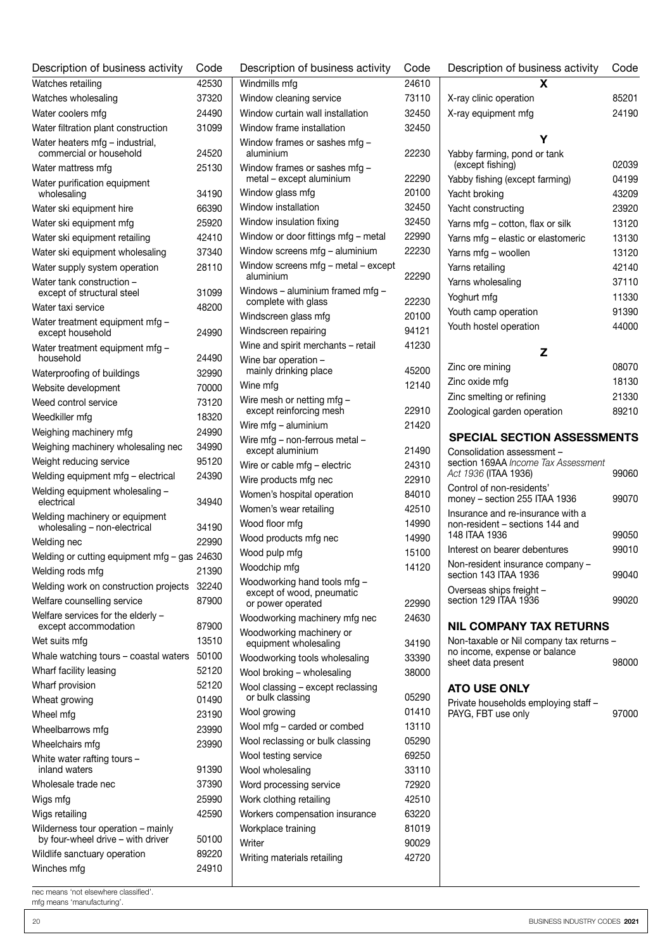| Description of business activity                                        | Code  |  |
|-------------------------------------------------------------------------|-------|--|
| Watches retailing                                                       | 42530 |  |
| Watches wholesaling                                                     | 37320 |  |
| Water coolers mfg                                                       | 24490 |  |
| Water filtration plant construction                                     | 31099 |  |
| Water heaters mfg - industrial,<br>commercial or household              | 24520 |  |
| Water mattress mfg                                                      | 25130 |  |
| Water purification equipment                                            |       |  |
| wholesaling                                                             | 34190 |  |
| Water ski equipment hire                                                | 66390 |  |
| Water ski equipment mfg                                                 | 25920 |  |
| Water ski equipment retailing                                           | 42410 |  |
| Water ski equipment wholesaling                                         | 37340 |  |
| Water supply system operation                                           | 28110 |  |
| Water tank construction -                                               |       |  |
| except of structural steel                                              | 31099 |  |
| Water taxi service                                                      | 48200 |  |
| Water treatment equipment mfg -<br>except household                     | 24990 |  |
| Water treatment equipment mfg -<br>household                            | 24490 |  |
| Waterproofing of buildings                                              | 32990 |  |
| Website development                                                     | 70000 |  |
| Weed control service                                                    | 73120 |  |
|                                                                         | 18320 |  |
| Weedkiller mfg                                                          | 24990 |  |
| Weighing machinery mfg                                                  |       |  |
| Weighing machinery wholesaling nec                                      | 34990 |  |
| Weight reducing service                                                 | 95120 |  |
| Welding equipment mfg - electrical                                      | 24390 |  |
| Welding equipment wholesaling -<br>electrical                           | 34940 |  |
| Welding machinery or equipment<br>wholesaling - non-electrical          | 34190 |  |
| Welding nec                                                             | 22990 |  |
| Welding or cutting equipment mfg - gas 24630                            |       |  |
| Welding rods mfg                                                        | 21390 |  |
| Welding work on construction projects                                   | 32240 |  |
| Welfare counselling service                                             | 87900 |  |
| Welfare services for the elderly -<br>except accommodation              | 87900 |  |
| Wet suits mfg                                                           | 13510 |  |
| Whale watching tours - coastal waters                                   | 50100 |  |
| Wharf facility leasing                                                  | 52120 |  |
| Wharf provision                                                         | 52120 |  |
| Wheat growing                                                           | 01490 |  |
| Wheel mfg                                                               | 23190 |  |
| Wheelbarrows mfg                                                        | 23990 |  |
| Wheelchairs mfg                                                         | 23990 |  |
| White water rafting tours -                                             |       |  |
| inland waters                                                           | 91390 |  |
| Wholesale trade nec                                                     | 37390 |  |
| Wigs mfg                                                                | 25990 |  |
| Wigs retailing                                                          | 42590 |  |
| Wilderness tour operation - mainly<br>by four-wheel drive - with driver | 50100 |  |
| Wildlife sanctuary operation                                            | 89220 |  |
| Winches mfg                                                             | 24910 |  |

| Description of business activity                          | Code           |
|-----------------------------------------------------------|----------------|
| Windmills mfg                                             | 24610          |
| Window cleaning service                                   | 73110          |
| Window curtain wall installation                          | 32450          |
| Window frame installation                                 | 32450          |
| Window frames or sashes mfg -<br>aluminium                | 22230          |
| Window frames or sashes mfg -                             |                |
| metal - except aluminium                                  | 22290          |
| Window glass mfg                                          | 20100          |
| Window installation                                       | 32450          |
| Window insulation fixing                                  | 32450          |
| Window or door fittings mfg - metal                       | 22990          |
| Window screens mfg - aluminium                            | 22230          |
| Window screens mfg - metal - except<br>aluminium          | 22290          |
| Windows - aluminium framed mfg -                          |                |
| complete with glass                                       | 22230          |
| Windscreen glass mfg                                      | 20100          |
| Windscreen repairing                                      | 94121          |
| Wine and spirit merchants - retail                        | 41230          |
| Wine bar operation -                                      |                |
| mainly drinking place                                     | 45200          |
| Wine mfg                                                  | 12140          |
| Wire mesh or netting mfg -                                |                |
| except reinforcing mesh                                   | 22910<br>21420 |
| Wire mfg - aluminium<br>Wire mfg - non-ferrous metal -    |                |
| except aluminium                                          | 21490          |
| Wire or cable mfg - electric                              | 24310          |
| Wire products mfg nec                                     | 22910          |
| Women's hospital operation                                | 84010          |
| Women's wear retailing                                    | 42510          |
| Wood floor mfg                                            | 14990          |
| Wood products mfg nec                                     | 14990          |
| Wood pulp mfg                                             | 15100          |
| Woodchip mfg                                              | 14120          |
| Woodworking hand tools mfg -<br>except of wood, pneumatic |                |
| or power operated                                         | 22990          |
| Woodworking machinery mfg nec                             | 24630          |
| Woodworking machinery or                                  |                |
| equipment wholesaling                                     | 34190          |
| Woodworking tools wholesaling                             | 33390          |
| Wool broking - wholesaling                                | 38000          |
| Wool classing - except reclassing<br>or bulk classing     | 05290          |
| Wool growing                                              | 01410          |
| Wool mfg - carded or combed                               | 13110          |
| Wool reclassing or bulk classing                          | 05290          |
| Wool testing service                                      | 69250          |
| Wool wholesaling                                          | 33110          |
| Word processing service                                   | 72920          |
| Work clothing retailing                                   | 42510          |
| Workers compensation insurance                            | 63220          |
| Workplace training                                        | 81019          |
| Writer                                                    | 90029          |
| Writing materials retailing                               | 42720          |
|                                                           |                |

| Description of business activity                                                          | Code  |
|-------------------------------------------------------------------------------------------|-------|
| x                                                                                         |       |
| X-ray clinic operation                                                                    | 85201 |
| X-ray equipment mfg                                                                       | 24190 |
|                                                                                           |       |
| Y<br>Yabby farming, pond or tank                                                          |       |
| (except fishing)                                                                          | 02039 |
| Yabby fishing (except farming)                                                            | 04199 |
| Yacht broking                                                                             | 43209 |
| Yacht constructing                                                                        | 23920 |
| Yarns mfg – cotton, flax or silk                                                          | 13120 |
| Yarns mfg - elastic or elastomeric                                                        | 13130 |
| Yarns mfg - woollen                                                                       | 13120 |
| Yarns retailing                                                                           | 42140 |
| Yarns wholesaling                                                                         | 37110 |
| Yoghurt mfg                                                                               | 11330 |
| Youth camp operation                                                                      | 91390 |
| Youth hostel operation                                                                    | 44000 |
|                                                                                           |       |
| z                                                                                         |       |
| Zinc ore mining                                                                           | 08070 |
| Zinc oxide mfg                                                                            | 18130 |
| Zinc smelting or refining                                                                 | 21330 |
| Zoological garden operation                                                               | 89210 |
| <b>SPECIAL SECTION ASSESSMENTS</b>                                                        |       |
| Consolidation assessment -<br>section 169AA Income Tax Assessment<br>Act 1936 (ITAA 1936) | 99060 |
| Control of non-residents'<br>money - section 255 ITAA 1936                                | 99070 |
| Insurance and re-insurance with a<br>non-resident - sections 144 and                      |       |
| 148 ITAA 1936                                                                             | 99050 |
| Interest on bearer debentures                                                             | 99010 |
| Non-resident insurance company -<br>section 143 ITAA 1936                                 | 99040 |
| Overseas ships freight -<br>section 129 ITAA 1936                                         | 99020 |
| NIL COMPANY TAX RETURNS                                                                   |       |
| Non-taxable or Nil company tax returns -                                                  |       |
| no income, expense or balance                                                             |       |
| sheet data present                                                                        | 98000 |
| <b>ATO USE ONLY</b>                                                                       |       |
| Private households employing staff -                                                      |       |
| PAYG, FBT use only                                                                        | 97000 |
|                                                                                           |       |
|                                                                                           |       |
|                                                                                           |       |
|                                                                                           |       |
|                                                                                           |       |
|                                                                                           |       |

mfg means 'manufacturing'.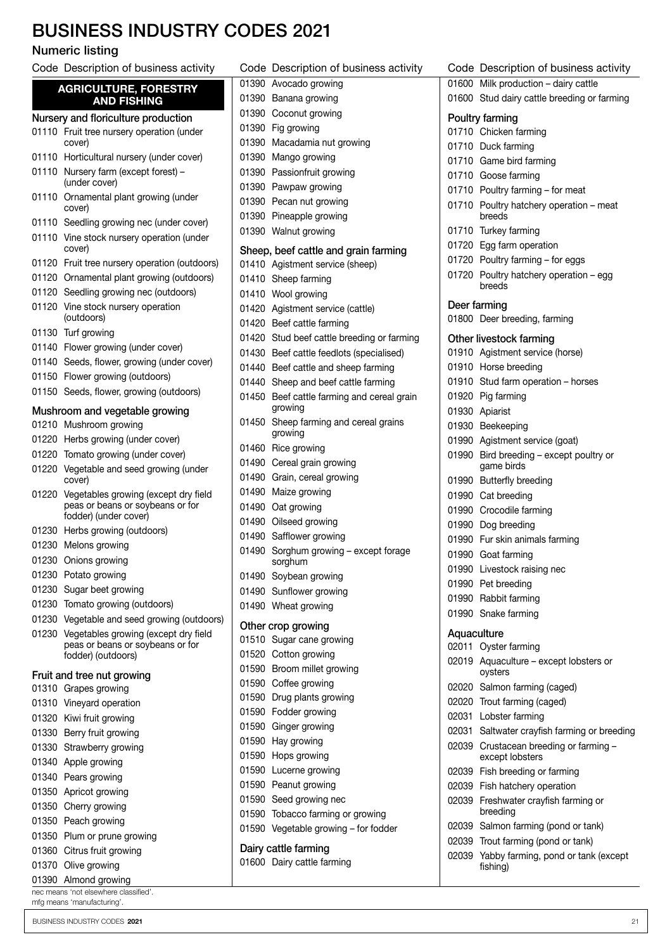### BUSINESS INDUSTRY CODES 2021

#### Numeric listing

Code Description of business activity

|       | <b>AGRICULTURE, FORESTRY</b><br><b>AND FISHING</b>                                                |
|-------|---------------------------------------------------------------------------------------------------|
|       | Nursery and floriculture production                                                               |
| 01110 | Fruit tree nursery operation (under<br>cover)                                                     |
| 01110 | Horticultural nursery (under cover)                                                               |
| 01110 | Nursery farm (except forest) -<br>(under cover)                                                   |
| 01110 | Ornamental plant growing (under<br>cover)                                                         |
| 01110 | Seedling growing nec (under cover)                                                                |
| 01110 | Vine stock nursery operation (under<br>cover)                                                     |
| 01120 | Fruit tree nursery operation (outdoors)                                                           |
| 01120 | Ornamental plant growing (outdoors)                                                               |
| 01120 | Seedling growing nec (outdoors)                                                                   |
| 01120 | Vine stock nursery operation<br>(outdoors)                                                        |
| 01130 | Turf growing                                                                                      |
| 01140 | Flower growing (under cover)                                                                      |
| 01140 | Seeds, flower, growing (under cover)                                                              |
| 01150 | Flower growing (outdoors)                                                                         |
| 01150 | Seeds, flower, growing (outdoors)                                                                 |
|       | Mushroom and vegetable growing                                                                    |
| 01210 | Mushroom growing                                                                                  |
| 01220 | Herbs growing (under cover)                                                                       |
| 01220 | Tomato growing (under cover)                                                                      |
| 01220 | Vegetable and seed growing (under<br>cover)                                                       |
| 01220 | Vegetables growing (except dry field<br>peas or beans or soybeans or for<br>fodder) (under cover) |
| 01230 | Herbs growing (outdoors)                                                                          |
| 01230 | Melons growing                                                                                    |
| 01230 | Onions growing                                                                                    |
| 01230 | Potato growing                                                                                    |
| 01230 | Sugar beet growing                                                                                |
| 01230 | Tomato growing (outdoors)                                                                         |
| 01230 | Vegetable and seed growing (outdoors)                                                             |
| 01230 | Vegetables growing (except dry field                                                              |
|       | peas or beans or soybeans or for<br>fodder) (outdoors)                                            |
|       | Fruit and tree nut growing                                                                        |
| 01310 | Grapes growing                                                                                    |
| 01310 | Vineyard operation                                                                                |
| 01320 | Kiwi fruit growing                                                                                |
| 01330 | Berry fruit growing                                                                               |
| 01330 | Strawberry growing                                                                                |
| 01340 |                                                                                                   |
|       | Apple growing                                                                                     |
| 01340 | Pears growing                                                                                     |
| 01350 | Apricot growing                                                                                   |
| 01350 | Cherry growing                                                                                    |
| 01350 | Peach growing                                                                                     |
| 01350 | Plum or prune growing                                                                             |
| 01360 | Citrus fruit growing                                                                              |
| 01370 | Olive growing                                                                                     |
| 01390 | Almond growing                                                                                    |

| nec means 'not elsewhere classified'. |  |  |
|---------------------------------------|--|--|
| mfg means 'manufacturing'.            |  |  |

| on         |       | 01390 Coconut growing                            |
|------------|-------|--------------------------------------------------|
| ınder      |       | 01390 Fig growing                                |
|            |       | 01390 Macadamia nut growing                      |
| over)      |       | 01390 Mango growing                              |
|            |       | 01390 Passionfruit growing                       |
|            |       | 01390 Pawpaw growing                             |
| าder       |       | 01390 Pecan nut growing                          |
| cover)     |       | 01390 Pineapple growing                          |
| (under     |       | 01390 Walnut growing                             |
|            |       | Sheep, beef cattle and grain farming             |
| butdoors)  |       | 01410 Agistment service (sheep)                  |
| utdoors)   |       | 01410 Sheep farming                              |
| ors)       |       | 01410 Wool growing                               |
|            |       | 01420 Agistment service (cattle)                 |
|            |       | 01420 Beef cattle farming                        |
|            |       | 01420 Stud beef cattle breeding or farming       |
|            |       | 01430 Beef cattle feedlots (specialised)         |
| r cover)   |       | 01440 Beef cattle and sheep farming              |
|            |       | 01440 Sheep and beef cattle farming              |
| ors)       |       | 01450 Beef cattle farming and cereal grain       |
| ıg         |       | growing                                          |
|            |       | 01450 Sheep farming and cereal grains<br>growing |
|            |       | 01460 Rice growing                               |
| ጎ          |       | 01490 Cereal grain growing                       |
| (under     |       | 01490 Grain, cereal growing                      |
| dry field  |       | 01490 Maize growing                              |
| r for      |       | 01490 Oat growing                                |
|            |       | 01490 Oilseed growing                            |
|            |       | 01490 Safflower growing                          |
|            | 01490 | Sorghum growing - except forage<br>sorghum       |
|            |       | 01490 Soybean growing                            |
|            |       | 01490 Sunflower growing                          |
|            |       | 01490 Wheat growing                              |
| (outdoors) |       | Other crop growing                               |
| dry field  |       | 01510 Sugar cane growing                         |
| r for      |       | 01520 Cotton growing                             |
|            |       | 01590 Broom millet growing                       |
|            |       | 01590 Coffee growing                             |
|            |       | 01590 Drug plants growing                        |
|            |       | 01590 Fodder growing                             |
|            |       | 01590 Ginger growing                             |
|            |       | 01590 Hay growing                                |
|            |       | 01590 Hops growing                               |
|            |       | 01590 Lucerne growing                            |
|            |       | 01590 Peanut growing                             |
|            |       | 01590 Seed growing nec                           |
|            |       | 01590 Tobacco farming or growing                 |
|            |       | 01590 Vegetable growing - for fodder             |
|            |       | Dairy cattle farming                             |
|            |       | 01600 Dairy cattle farming                       |

Code Description of business activity

 Avocado growing Banana growing

|             | Code Description of business activity                     |
|-------------|-----------------------------------------------------------|
|             | 01600 Milk production - dairy cattle                      |
|             | 01600 Stud dairy cattle breeding or farming               |
|             | Poultry farming                                           |
|             | 01710 Chicken farming                                     |
|             | 01710 Duck farming                                        |
|             | 01710 Game bird farming                                   |
|             | 01710 Goose farming                                       |
|             | 01710 Poultry farming - for meat                          |
|             | 01710 Poultry hatchery operation - meat<br>breeds         |
|             | 01710 Turkey farming                                      |
|             | 01720 Egg farm operation                                  |
|             | 01720 Poultry farming - for eggs                          |
|             | 01720 Poultry hatchery operation - egg<br>breeds          |
|             | Deer farming                                              |
|             | 01800 Deer breeding, farming                              |
|             | Other livestock farming                                   |
|             | 01910 Agistment service (horse)                           |
|             | 01910 Horse breeding                                      |
|             | 01910 Stud farm operation - horses                        |
|             | 01920 Pig farming                                         |
|             | 01930 Apiarist                                            |
|             | 01930 Beekeeping                                          |
|             | 01990 Agistment service (goat)                            |
|             | 01990 Bird breeding - except poultry or<br>game birds     |
|             | 01990 Butterfly breeding                                  |
|             | 01990 Cat breeding                                        |
|             | 01990 Crocodile farming                                   |
|             | 01990 Dog breeding                                        |
|             | 01990 Fur skin animals farming                            |
|             | 01990 Goat farming                                        |
|             | 01990 Livestock raising nec                               |
|             | 01990 Pet breeding                                        |
|             | 01990 Rabbit farming                                      |
|             | 01990 Snake farming                                       |
| Aquaculture |                                                           |
|             | 02011 Oyster farming                                      |
|             | 02019 Aquaculture - except lobsters or<br>oysters         |
|             | 02020 Salmon farming (caged)                              |
|             | 02020 Trout farming (caged)                               |
|             | 02031 Lobster farming                                     |
|             | 02031 Saltwater crayfish farming or breeding              |
|             | 02039 Crustacean breeding or farming -<br>except lobsters |
|             | 02039 Fish breeding or farming                            |
|             | 02039 Fish hatchery operation                             |
|             | 02039 Freshwater crayfish farming or<br>breeding          |
|             | 02039 Salmon farming (pond or tank)                       |
|             | 02030 Trout farming (pond or tank)                        |

 Trout farming (pond or tank) Yabby farming, pond or tank (except fishing)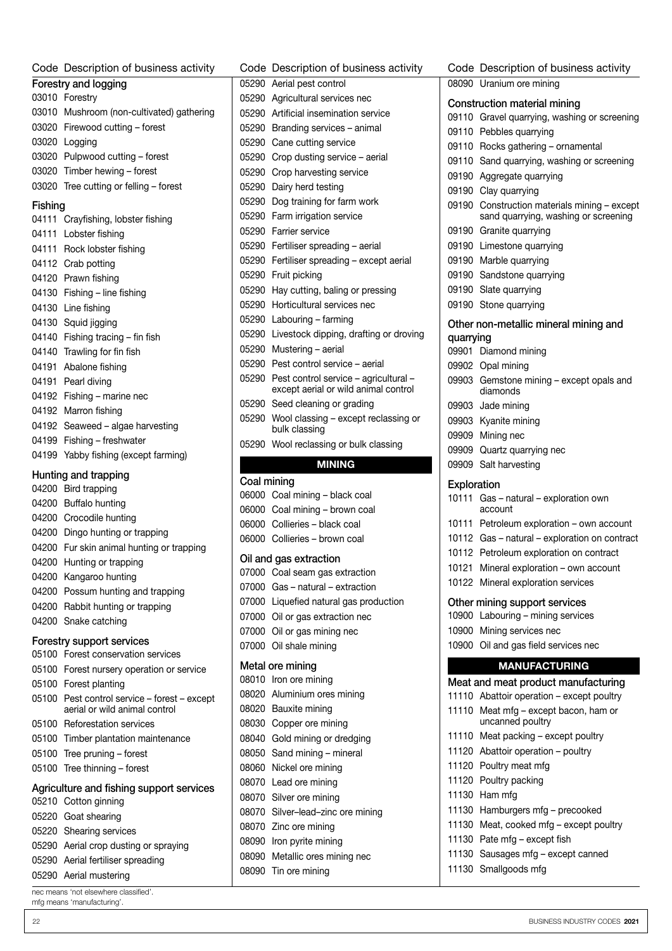#### Code Description of business activity

| Forestry and logging |                                           |  |
|----------------------|-------------------------------------------|--|
|                      | 03010 Forestry                            |  |
|                      | 03010 Mushroom (non-cultivated) gathering |  |
|                      | 03020 Firewood cutting – forest           |  |
|                      | 03020 Logging                             |  |
|                      | 03020 Pulpwood cutting - forest           |  |
|                      | 03020 Timber hewing - forest              |  |
|                      | 03020 Tree cutting or felling – forest    |  |

#### Fishing

| 04111 | Crayfishing, lobster fishing   |
|-------|--------------------------------|
| 04111 | Lobster fishing                |
| 04111 | Rock lobster fishing           |
| 04112 | Crab potting                   |
| 04120 | Prawn fishing                  |
| 04130 | Fishing – line fishing         |
| 04130 | Line fishing                   |
| 04130 | Squid jigging                  |
| 04140 | Fishing tracing – fin fish     |
| 04140 | Trawling for fin fish          |
| 04191 | Abalone fishing                |
| 04191 | Pearl diving                   |
| 04192 | Fishing – marine nec           |
| 04192 | Marron fishing                 |
| 04192 | Seaweed – algae harvesting     |
| 04199 | Fishing – freshwater           |
| 04199 | Yabby fishing (except farming) |
|       |                                |

#### Hunting and trapping

| Hunting and trapping |                                                                               |  |  |
|----------------------|-------------------------------------------------------------------------------|--|--|
|                      | 04200 Bird trapping                                                           |  |  |
|                      | 04200 Buffalo hunting                                                         |  |  |
| 04200                | Crocodile hunting                                                             |  |  |
| 04200                | Dingo hunting or trapping                                                     |  |  |
| 04200                | Fur skin animal hunting or trapping                                           |  |  |
| 04200                | Hunting or trapping                                                           |  |  |
| 04200                | Kangaroo hunting                                                              |  |  |
| 04200                | Possum hunting and trapping                                                   |  |  |
| 04200                | Rabbit hunting or trapping                                                    |  |  |
| 04200                | Snake catching                                                                |  |  |
|                      | Forestry support services                                                     |  |  |
|                      | 05100 Forest conservation services                                            |  |  |
|                      | 05100 Forest nursery operation or service                                     |  |  |
|                      | 05100 Forest planting                                                         |  |  |
|                      | 05100 Pest control service - forest - except<br>aerial or wild animal control |  |  |
|                      | 05100 Reforestation services                                                  |  |  |
|                      | 05100 Timber plantation maintenance                                           |  |  |
| 05100                | Tree pruning – forest                                                         |  |  |
| 05100                | Tree thinning - forest                                                        |  |  |
|                      | Agriculture and fishing support services                                      |  |  |
|                      | 05210 Cotton ginning                                                          |  |  |
|                      | 05220 Goat shearing                                                           |  |  |
|                      | 05220 Shearing services                                                       |  |  |
|                      | 05290 Aerial crop dusting or spraying                                         |  |  |
|                      | 05290 Aerial fertiliser spreading                                             |  |  |
|                      | $\triangle$ FOOO Asulal asustanias                                            |  |  |

| 05290 Aerial mustering |  |   |  |
|------------------------|--|---|--|
|                        |  | . |  |

nec means 'not elsewhere classified'. mfg means 'manufacturing'.

| Code        | Description of business activity                                              |
|-------------|-------------------------------------------------------------------------------|
| 05290       | Aerial pest control                                                           |
| 05290       | Agricultural services nec                                                     |
| 05290       | Artificial insemination service                                               |
| 05290       | Branding services - animal                                                    |
| 05290       | Cane cutting service                                                          |
| 05290       | Crop dusting service - aerial                                                 |
| 05290       | Crop harvesting service                                                       |
| 05290       | Dairy herd testing                                                            |
| 05290       | Dog training for farm work                                                    |
| 05290       | Farm irrigation service                                                       |
| 05290       | Farrier service                                                               |
| 05290       | Fertiliser spreading - aerial                                                 |
| 05290       | Fertiliser spreading - except aerial                                          |
| 05290       | Fruit picking                                                                 |
| 05290       | Hay cutting, baling or pressing                                               |
| 05290       | Horticultural services nec                                                    |
| 05290       | Labouring - farming                                                           |
| 05290       | Livestock dipping, drafting or droving                                        |
| 05290       | Mustering - aerial                                                            |
| 05290       | Pest control service - aerial                                                 |
| 05290       | Pest control service - agricultural -<br>except aerial or wild animal control |
| 05290       | Seed cleaning or grading                                                      |
| 05290       | Wool classing – except reclassing or<br>bulk classing                         |
| 05290       | Wool reclassing or bulk classing                                              |
|             | <b>MINING</b>                                                                 |
| Coal mining |                                                                               |
| 06000       | Coal mining - black coal                                                      |
| 06000       | Coal mining - brown coal                                                      |
| 06000       | Collieries - black coal                                                       |
| 06000       | Collieries - brown coal                                                       |

#### Oil and gas extraction

| 07000 Coal seam gas extraction         |
|----------------------------------------|
| 07000 Gas - natural - extraction       |
| 07000 Liquefied natural gas production |
| 07000 Oil or gas extraction nec        |
| 07000 Oil or gas mining nec            |
| 07000 Oil shale mining                 |
| Metal ore mining                       |
| 08010 Iron ore mining                  |
| 08020 Aluminium ores mining            |
| 08020 Bauxite mining                   |
| 08030 Copper ore mining                |
| 08040 Gold mining or dredging          |
| 08050 Sand mining - mineral            |

08050 Sand mining - mineral

- Nickel ore mining
- Lead ore mining
- Silver ore mining
- Silver–lead–zinc ore mining
- Zinc ore mining
- Iron pyrite mining
- Metallic ores mining nec
- Tin ore mining

| Code        | Description of business activity                                                     |
|-------------|--------------------------------------------------------------------------------------|
|             | 08090 Uranium ore mining                                                             |
|             | Construction material mining                                                         |
|             | 09110 Gravel quarrying, washing or screening                                         |
|             | 09110 Pebbles quarrying                                                              |
|             | 09110 Rocks gathering - ornamental                                                   |
|             | 09110 Sand quarrying, washing or screening                                           |
|             | 09190 Aggregate quarrying                                                            |
|             | 09190 Clay quarrying                                                                 |
|             | 09190 Construction materials mining - except<br>sand quarrying, washing or screening |
|             | 09190 Granite quarrying                                                              |
|             | 09190 Limestone quarrying                                                            |
|             | 09190 Marble quarrying                                                               |
| 09190       | Sandstone quarrying                                                                  |
|             | 09190 Slate quarrying                                                                |
| 09190       | Stone quarrying                                                                      |
|             | Other non-metallic mineral mining and                                                |
| quarrying   |                                                                                      |
|             | 09901 Diamond mining                                                                 |
|             | 09902 Opal mining                                                                    |
|             | 09903 Gemstone mining - except opals and<br>diamonds                                 |
|             | 09903 Jade mining                                                                    |
|             | 09903 Kyanite mining                                                                 |
|             | 09909 Mining nec                                                                     |
|             | 09909 Quartz quarrying nec                                                           |
|             | 09909 Salt harvesting                                                                |
| Exploration |                                                                                      |
| 10111       | Gas - natural - exploration own<br>account                                           |
|             | 10111 Petroleum exploration - own account                                            |
|             | 10112 Gas - natural - exploration on contract                                        |
|             | 10112 Petroleum exploration on contract                                              |
| 10121       | Mineral exploration - own account                                                    |
|             | 10122 Mineral exploration services                                                   |
|             | Other mining support services                                                        |
|             | 10900 Labouring - mining services                                                    |
|             | 10900 Mining services nec                                                            |
|             | 10900 Oil and gas field services nec                                                 |
|             | <b>MANUFACTURING</b>                                                                 |
|             |                                                                                      |
| 11110       | Meat and meat product manufacturing<br>Abattoir operation - except poultry           |
| 11110       | Meat mfg – except bacon, ham or                                                      |
|             | uncanned poultry                                                                     |
|             | 11110 Meat packing - except poultry                                                  |
| 11120       | Abattoir operation - poultry                                                         |
| 11120       | Poultry meat mfg                                                                     |
| 11120       | Poultry packing                                                                      |

- Ham mfg
- Hamburgers mfg precooked
- Meat, cooked mfg except poultry
- Pate mfg except fish
- Sausages mfg except canned
- Smallgoods mfg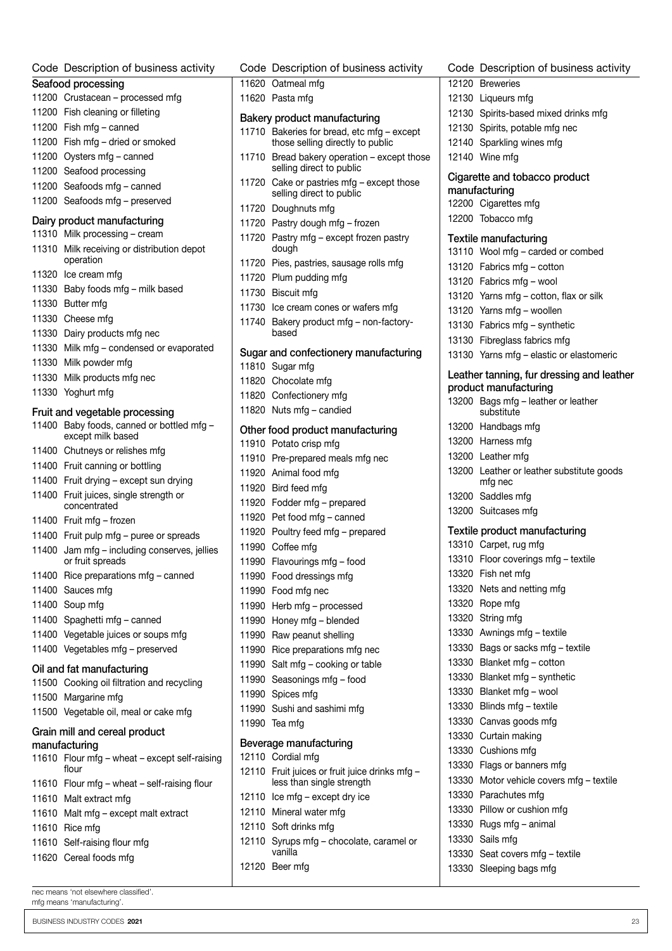| Code Description of business activity                                       | Code Description of business activity                                       |
|-----------------------------------------------------------------------------|-----------------------------------------------------------------------------|
| Seafood processing                                                          | 11620 Oatmeal mfg                                                           |
| 11200 Crustacean - processed mfg                                            | 11620 Pasta mfg                                                             |
| 11200 Fish cleaning or filleting                                            | Bakery product manufacturing                                                |
| 11200 Fish mfg - canned                                                     | 11710 Bakeries for bread, etc mfg - except                                  |
| 11200 Fish mfg - dried or smoked                                            | those selling directly to public                                            |
| 11200 Oysters mfg - canned                                                  | 11710 Bread bakery operation - except thos                                  |
| 11200 Seafood processing                                                    | selling direct to public                                                    |
| 11200 Seafoods mfg - canned                                                 | 11720 Cake or pastries mfg - except those                                   |
| 11200 Seafoods mfg - preserved                                              | selling direct to public<br>11720 Doughnuts mfg                             |
| Dairy product manufacturing                                                 | 11720 Pastry dough mfg - frozen                                             |
| 11310 Milk processing - cream                                               | 11720 Pastry mfg - except frozen pastry                                     |
| 11310 Milk receiving or distribution depot<br>operation                     | dough<br>11720 Pies, pastries, sausage rolls mfg                            |
| 11320 Ice cream mfg                                                         | 11720 Plum pudding mfg                                                      |
| 11330 Baby foods mfg - milk based                                           | 11730 Biscuit mfa                                                           |
| 11330 Butter mfg                                                            | 11730 Ice cream cones or wafers mfg                                         |
| 11330 Cheese mfg                                                            | 11740 Bakery product mfg - non-factory-                                     |
| 11330 Dairy products mfg nec                                                | based                                                                       |
| 11330 Milk mfg - condensed or evaporated                                    |                                                                             |
| 11330 Milk powder mfg                                                       | Sugar and confectionery manufacturing<br>11810 Sugar mfg                    |
| 11330 Milk products mfg nec                                                 | 11820 Chocolate mfg                                                         |
| 11330 Yoghurt mfg                                                           | 11820 Confectionery mfg                                                     |
|                                                                             | 11820 Nuts mfg - candied                                                    |
| Fruit and vegetable processing<br>11400 Baby foods, canned or bottled mfg - |                                                                             |
| except milk based                                                           | Other food product manufacturing                                            |
| 11400 Chutneys or relishes mfg                                              | 11910 Potato crisp mfg                                                      |
| 11400 Fruit canning or bottling                                             | 11910 Pre-prepared meals mfg nec                                            |
| 11400 Fruit drying - except sun drying                                      | 11920 Animal food mfg                                                       |
| 11400 Fruit juices, single strength or                                      | 11920 Bird feed mfg                                                         |
| concentrated                                                                | 11920 Fodder mfg - prepared                                                 |
| 11400 Fruit mfg - frozen                                                    | 11920 Pet food mfg - canned                                                 |
| 11400 Fruit pulp mfg - puree or spreads                                     | 11920 Poultry feed mfg - prepared                                           |
| 11400 Jam mfg - including conserves, jellies                                | 11990 Coffee mfa                                                            |
| or fruit spreads<br>11400 Rice preparations mfg - canned                    | 11990 Flavourings mfg - food<br>11990 Food dressings mfg                    |
| 11400 Sauces mfg                                                            | 11990 Food mfg nec                                                          |
| 11400 Soup mfg                                                              |                                                                             |
| 11400 Spaghetti mfg - canned                                                | 11990 Herb mfg - processed<br>11990 Honey mfg - blended                     |
| 11400 Vegetable juices or soups mfg                                         |                                                                             |
| 11400 Vegetables mfg - preserved                                            | 11990 Raw peanut shelling<br>11990 Rice preparations mfg nec                |
|                                                                             | 11990 Salt mfg - cooking or table                                           |
| Oil and fat manufacturing                                                   | 11990 Seasonings mfg - food                                                 |
| 11500 Cooking oil filtration and recycling                                  | 11990 Spices mfg                                                            |
| 11500 Margarine mfg                                                         | 11990 Sushi and sashimi mfg                                                 |
| 11500 Vegetable oil, meal or cake mfg                                       | 11990 Tea mfg                                                               |
| Grain mill and cereal product                                               |                                                                             |
| manufacturing                                                               | Beverage manufacturing                                                      |
| 11610 Flour mfg - wheat - except self-raising                               | 12110 Cordial mfg                                                           |
| flour                                                                       | 12110 Fruit juices or fruit juice drinks mfg -<br>less than single strength |
| 11610 Flour mfg - wheat - self-raising flour                                | 12110 Ice mfg - except dry ice                                              |
| 11610 Malt extract mfg                                                      | 12110 Mineral water mfg                                                     |
| 11610 Malt mfg - except malt extract                                        | 12110 Soft drinks mfg                                                       |
| 11610 Rice mfg                                                              | 12110 Syrups mfg - chocolate, caramel or                                    |
| 11610 Self-raising flour mfg                                                | vanilla                                                                     |
| 11620 Cereal foods mfg                                                      | 12120 Beer mfg                                                              |
|                                                                             |                                                                             |

|       | Code Description of business activity                |
|-------|------------------------------------------------------|
|       | 12120 Breweries                                      |
|       | 12130 Liqueurs mfg                                   |
|       | 12130 Spirits-based mixed drinks mfg                 |
|       | 12130 Spirits, potable mfg nec                       |
|       | 12140 Sparkling wines mfg                            |
|       | 12140 Wine mfg                                       |
|       | Cigarette and tobacco product                        |
|       | manufacturing                                        |
|       | 12200 Cigarettes mfg                                 |
|       | 12200 Tobacco mfg                                    |
|       | <b>Textile manufacturing</b>                         |
|       | 13110 Wool mfg - carded or combed                    |
|       | 13120 Fabrics mfg - cotton                           |
|       | 13120 Fabrics mfg - wool                             |
|       | 13120 Yarns mfg - cotton, flax or silk               |
|       | 13120 Yarns mfg - woollen                            |
|       | 13130 Fabrics mfg - synthetic                        |
|       | 13130 Fibreglass fabrics mfg                         |
|       | 13130 Yarns mfg - elastic or elastomeric             |
|       | Leather tanning, fur dressing and leather            |
|       | product manufacturing                                |
| 13200 | Bags mfg - leather or leather<br>substitute          |
|       | 13200 Handbags mfg                                   |
|       | 13200 Harness mfg                                    |
|       | 13200 Leather mfg                                    |
|       | 13200 Leather or leather substitute goods<br>mfg nec |
|       | 13200 Saddles mfg                                    |
|       | 13200 Suitcases mfg                                  |
|       | Textile product manufacturing                        |
|       | 13310 Carpet, rug mfg                                |
|       | 13310 Floor coverings mfg - textile                  |
|       | 13320 Fish net mfg                                   |
|       | 13320 Nets and netting mfg                           |
|       | 13320 Rope mfg                                       |
|       | 13320 String mfg                                     |
|       | 13330 Awnings mfg - textile                          |
|       | 13330 Bags or sacks mfg - textile                    |
|       | 13330 Blanket mfg - cotton                           |
|       | 13330 Blanket mfg - synthetic                        |
|       | 13330 Blanket mfg - wool                             |
|       | 13330 Blinds mfg - textile                           |
|       | 13330 Canvas goods mfg                               |
|       | 13330 Curtain making                                 |
|       | 13330 Cushions mfg                                   |
|       | 13330 Flags or banners mfg                           |
|       | 13330 Motor vehicle covers mfg - textile             |
|       | 13330 Parachutes mfg                                 |
|       | 13330 Pillow or cushion mfg                          |
|       | 13330 Rugs mfg - animal                              |
|       | 13330 Sails mfg                                      |
|       | 13330 Seat covers mfg - textile                      |

13330 Sleeping bags mfg

BUSINESS INDUSTRY CODES 2021 23 ACCORD 2021 23 nec means 'not elsewhere classified'. mfg means 'manufacturing'.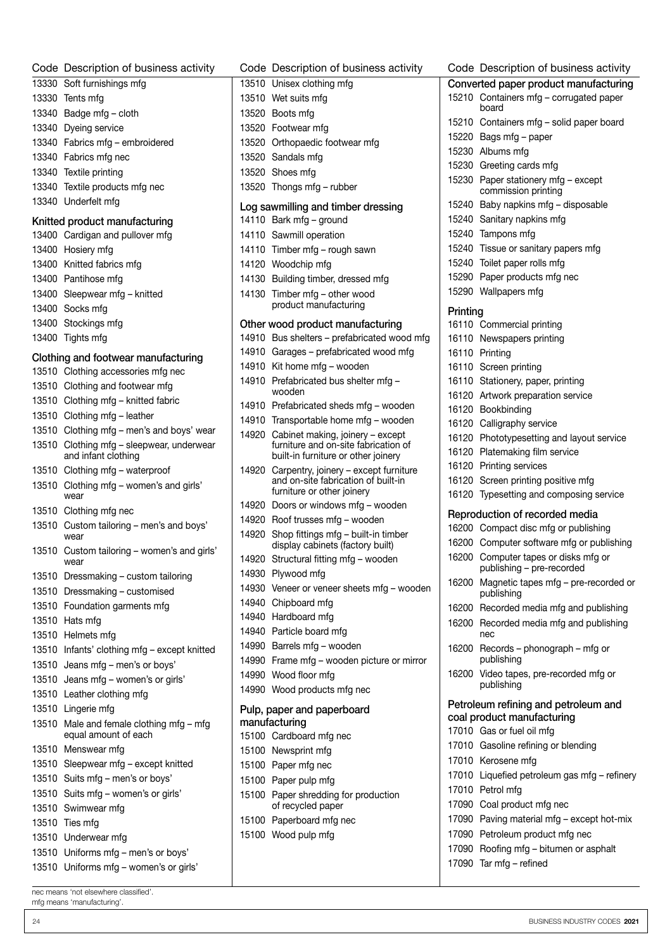| Code Description of business activity                            | Code Description of business activity                                           | Code Description of business activity                                         |
|------------------------------------------------------------------|---------------------------------------------------------------------------------|-------------------------------------------------------------------------------|
| 13330 Soft furnishings mfg                                       | 13510 Unisex clothing mfg                                                       | Converted paper product manufacturing                                         |
| 13330 Tents mfg                                                  | 13510 Wet suits mfg                                                             | 15210 Containers mfg - corrugated paper                                       |
| 13340 Badge mfg - cloth                                          | 13520 Boots mfg                                                                 | board                                                                         |
| 13340 Dyeing service                                             | 13520 Footwear mfg                                                              | 15210 Containers mfg - solid paper board                                      |
| 13340 Fabrics mfg - embroidered                                  | 13520 Orthopaedic footwear mfg                                                  | 15220 Bags mfg - paper                                                        |
| 13340 Fabrics mfg nec                                            | 13520 Sandals mfg                                                               | 15230 Albums mfg                                                              |
| 13340 Textile printing                                           | 13520 Shoes mfg                                                                 | 15230 Greeting cards mfg                                                      |
| 13340 Textile products mfg nec                                   | 13520 Thongs mfg - rubber                                                       | 15230 Paper stationery mfg - except<br>commission printing                    |
| 13340 Underfelt mfg                                              | Log sawmilling and timber dressing                                              | 15240 Baby napkins mfg - disposable                                           |
| Knitted product manufacturing                                    | 14110 Bark mfg - ground                                                         | 15240 Sanitary napkins mfg                                                    |
| 13400 Cardigan and pullover mfg                                  | 14110 Sawmill operation                                                         | 15240 Tampons mfg                                                             |
| 13400 Hosiery mfg                                                | 14110 Timber mfg - rough sawn                                                   | 15240 Tissue or sanitary papers mfg                                           |
| 13400 Knitted fabrics mfg                                        | 14120 Woodchip mfg                                                              | 15240 Toilet paper rolls mfg                                                  |
| 13400 Pantihose mfg                                              | 14130 Building timber, dressed mfg                                              | 15290 Paper products mfg nec                                                  |
| 13400 Sleepwear mfg - knitted                                    | 14130 Timber mfg - other wood                                                   | 15290 Wallpapers mfg                                                          |
| 13400 Socks mfg                                                  | product manufacturing                                                           |                                                                               |
| 13400 Stockings mfg                                              |                                                                                 | Printing                                                                      |
| 13400 Tights mfg                                                 | Other wood product manufacturing<br>14910 Bus shelters - prefabricated wood mfg | 16110 Commercial printing<br>16110 Newspapers printing                        |
|                                                                  | 14910 Garages - prefabricated wood mfg                                          | 16110 Printing                                                                |
| Clothing and footwear manufacturing                              | 14910 Kit home mfg - wooden                                                     | 16110 Screen printing                                                         |
| 13510 Clothing accessories mfg nec                               | 14910 Prefabricated bus shelter mfg -                                           | 16110 Stationery, paper, printing                                             |
| 13510 Clothing and footwear mfg                                  | wooden                                                                          | 16120 Artwork preparation service                                             |
| 13510 Clothing mfg - knitted fabric                              | 14910 Prefabricated sheds mfg - wooden                                          | 16120 Bookbinding                                                             |
| 13510 Clothing mfg - leather                                     | 14910 Transportable home mfg - wooden                                           | 16120 Calligraphy service                                                     |
| 13510 Clothing mfg - men's and boys' wear                        | 14920 Cabinet making, joinery - except                                          | 16120 Phototypesetting and layout service                                     |
| 13510 Clothing mfg - sleepwear, underwear<br>and infant clothing | furniture and on-site fabrication of<br>built-in furniture or other joinery     | 16120 Platemaking film service                                                |
| 13510 Clothing mfg - waterproof                                  | 14920 Carpentry, joinery - except furniture                                     | 16120 Printing services                                                       |
| 13510 Clothing mfg - women's and girls'<br>wear                  | and on-site fabrication of built-in<br>furniture or other joinery               | 16120 Screen printing positive mfg<br>16120 Typesetting and composing service |
| 13510 Clothing mfg nec                                           | 14920 Doors or windows mfg - wooden                                             | Reproduction of recorded media                                                |
| 13510 Custom tailoring - men's and boys'                         | 14920 Roof trusses mfg - wooden                                                 | 16200 Compact disc mfg or publishing                                          |
| wear                                                             | 14920 Shop fittings mfg - built-in timber<br>display cabinets (factory built)   | 16200 Computer software mfg or publishing                                     |
| 13510 Custom tailoring - women's and girls'<br>wear              | 14920 Structural fitting mfg - wooden                                           | 16200 Computer tapes or disks mfg or                                          |
| 13510 Dressmaking - custom tailoring                             | 14930 Plywood mfg                                                               | publishing – pre-recorded<br>16200 Magnetic tapes mfg - pre-recorded or       |
| 13510 Dressmaking - customised                                   | 14930 Veneer or veneer sheets mfg - wooden                                      | publishing                                                                    |
| 13510 Foundation garments mfg                                    | 14940 Chipboard mfg                                                             | 16200 Recorded media mfg and publishing                                       |
| 13510 Hats mfg                                                   | 14940 Hardboard mfg                                                             | 16200 Recorded media mfg and publishing                                       |
| 13510 Helmets mfg                                                | 14940 Particle board mfg                                                        | nec                                                                           |
| 13510 Infants' clothing mfg - except knitted                     | 14990 Barrels mfg - wooden                                                      | 16200 Records - phonograph - mfg or                                           |
| 13510 Jeans mfg - men's or boys'                                 | 14990 Frame mfg - wooden picture or mirror                                      | publishing                                                                    |
| 13510 Jeans mfg - women's or girls'                              | 14990 Wood floor mfg                                                            | 16200 Video tapes, pre-recorded mfg or<br>publishing                          |
| 13510 Leather clothing mfg                                       | 14990 Wood products mfg nec                                                     |                                                                               |
| 13510 Lingerie mfg                                               | Pulp, paper and paperboard                                                      | Petroleum refining and petroleum and                                          |
| 13510 Male and female clothing mfg - mfg<br>equal amount of each | manufacturing<br>15100 Cardboard mfg nec                                        | coal product manufacturing<br>17010 Gas or fuel oil mfg                       |
| 13510 Menswear mfg                                               | 15100 Newsprint mfg                                                             | 17010 Gasoline refining or blending                                           |
| 13510 Sleepwear mfg - except knitted                             | 15100 Paper mfg nec                                                             | 17010 Kerosene mfg                                                            |
| 13510 Suits mfg - men's or boys'                                 | 15100 Paper pulp mfg                                                            | 17010 Liquefied petroleum gas mfg - refinery                                  |
| 13510 Suits mfg - women's or girls'                              | 15100 Paper shredding for production                                            | 17010 Petrol mfg                                                              |
| 13510 Swimwear mfg                                               | of recycled paper                                                               | 17090 Coal product mfg nec                                                    |
| 13510 Ties mfg                                                   | 15100 Paperboard mfg nec                                                        | 17090 Paving material mfg - except hot-mix                                    |
| 13510 Underwear mfg                                              | 15100 Wood pulp mfg                                                             | 17090 Petroleum product mfg nec                                               |
| 13510 Uniforms mfg - men's or boys'                              |                                                                                 | 17090 Roofing mfg - bitumen or asphalt                                        |
| 13510 Uniforms mfg - women's or girls'                           |                                                                                 | 17090 Tar mfg - refined                                                       |
|                                                                  |                                                                                 |                                                                               |
|                                                                  |                                                                                 |                                                                               |

BUSINESS INDUSTRY CODES 2021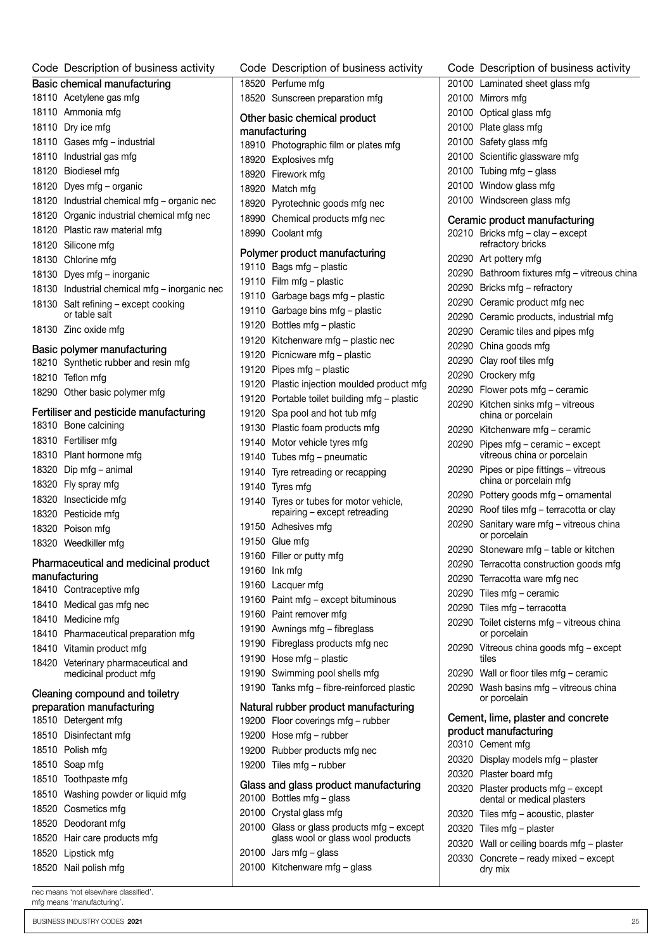| Code Description of business activity                          |  | Code Description of business activity                                    | Code Description of business activity                             |
|----------------------------------------------------------------|--|--------------------------------------------------------------------------|-------------------------------------------------------------------|
| Basic chemical manufacturing                                   |  | 18520 Perfume mfg                                                        | 20100 Laminated sheet glass mfg                                   |
| 18110 Acetylene gas mfg                                        |  | 18520 Sunscreen preparation mfg                                          | 20100 Mirrors mfg                                                 |
| 18110 Ammonia mfg                                              |  | Other basic chemical product                                             | 20100 Optical glass mfg                                           |
| 18110 Dry ice mfg                                              |  | manufacturing                                                            | 20100 Plate glass mfg                                             |
| 18110 Gases mfg - industrial                                   |  | 18910 Photographic film or plates mfg                                    | 20100 Safety glass mfg                                            |
| 18110 Industrial gas mfg                                       |  | 18920 Explosives mfg                                                     | 20100 Scientific glassware mfg                                    |
| 18120 Biodiesel mfg                                            |  | 18920 Firework mfg                                                       | 20100 Tubing mfg $-$ glass                                        |
| 18120 Dyes mfg – organic                                       |  | 18920 Match mfg                                                          | 20100 Window glass mfg                                            |
| 18120 Industrial chemical mfg - organic nec                    |  | 18920 Pyrotechnic goods mfg nec                                          | 20100 Windscreen glass mfg                                        |
| 18120 Organic industrial chemical mfg nec                      |  | 18990 Chemical products mfg nec                                          | Ceramic product manufacturing                                     |
| 18120 Plastic raw material mfg                                 |  | 18990 Coolant mfg                                                        | 20210 Bricks mfg - clay - except                                  |
| 18120 Silicone mfg                                             |  |                                                                          | refractory bricks                                                 |
| 18130 Chlorine mfg                                             |  | Polymer product manufacturing<br>19110 Bags mfg - plastic                | 20290 Art pottery mfg                                             |
| 18130 Dyes mfg - inorganic                                     |  | 19110 Film mfg - plastic                                                 | 20290 Bathroom fixtures mfg - vitreous china                      |
| 18130 Industrial chemical mfg - inorganic nec                  |  | 19110 Garbage bags mfg - plastic                                         | 20290 Bricks mfg - refractory                                     |
| 18130 Salt refining - except cooking                           |  |                                                                          | 20290 Ceramic product mfg nec                                     |
| or table salt                                                  |  | 19110 Garbage bins mfg - plastic                                         | 20290 Ceramic products, industrial mfg                            |
| 18130 Zinc oxide mfg                                           |  | 19120 Bottles mfg - plastic                                              | 20290 Ceramic tiles and pipes mfg                                 |
| Basic polymer manufacturing                                    |  | 19120 Kitchenware mfg - plastic nec                                      | 20290 China goods mfg                                             |
| 18210 Synthetic rubber and resin mfg                           |  | 19120 Picnicware mfg - plastic                                           | 20290 Clay roof tiles mfg                                         |
| 18210 Teflon mfg                                               |  | 19120 Pipes mfg - plastic                                                | 20290 Crockery mfg                                                |
| 18290 Other basic polymer mfg                                  |  | 19120 Plastic injection moulded product mfg                              | 20290 Flower pots mfg - ceramic                                   |
|                                                                |  | 19120 Portable toilet building mfg - plastic                             | 20290 Kitchen sinks mfg - vitreous                                |
| Fertiliser and pesticide manufacturing<br>18310 Bone calcining |  | 19120 Spa pool and hot tub mfg                                           | china or porcelain                                                |
| 18310 Fertiliser mfg                                           |  | 19130 Plastic foam products mfg                                          | 20290 Kitchenware mfg - ceramic                                   |
|                                                                |  | 19140 Motor vehicle tyres mfg                                            | 20290 Pipes mfg - ceramic - except                                |
| 18310 Plant hormone mfg                                        |  | 19140 Tubes mfg - pneumatic                                              | vitreous china or porcelain                                       |
| 18320 Dip mfg - animal                                         |  | 19140 Tyre retreading or recapping                                       | 20290 Pipes or pipe fittings - vitreous<br>china or porcelain mfg |
| 18320 Fly spray mfg                                            |  | 19140 Tyres mfg                                                          | 20290 Pottery goods mfg - ornamental                              |
| 18320 Insecticide mfg<br>18320 Pesticide mfg                   |  | 19140 Tyres or tubes for motor vehicle,<br>repairing - except retreading | 20290 Roof tiles mfg - terracotta or clay                         |
|                                                                |  | 19150 Adhesives mfg                                                      | 20290 Sanitary ware mfg - vitreous china                          |
| 18320 Poison mfg                                               |  | 19150 Glue mfg                                                           | or porcelain                                                      |
| 18320 Weedkiller mfg                                           |  | 19160 Filler or putty mfg                                                | 20290 Stoneware mfg - table or kitchen                            |
| Pharmaceutical and medicinal product                           |  | 19160 Ink mfg                                                            | 20290 Terracotta construction goods mfg                           |
| manufacturing                                                  |  | 19160 Lacquer mfg                                                        | 20290 Terracotta ware mfg nec                                     |
| 18410 Contraceptive mfg                                        |  | 19160 Paint mfg - except bituminous                                      | 20290 Tiles mfg - ceramic                                         |
| 18410 Medical gas mfg nec                                      |  | 19160 Paint remover mfg                                                  | 20290 Tiles mfg - terracotta                                      |
| 18410 Medicine mfg                                             |  | 19190 Awnings mfg - fibreglass                                           | 20290 Toilet cisterns mfg - vitreous china                        |
| 18410 Pharmaceutical preparation mfg                           |  | 19190 Fibreglass products mfg nec                                        | or porcelain                                                      |
| 18410 Vitamin product mfg                                      |  | 19190 Hose mfg - plastic                                                 | 20290 Vitreous china goods mfg - except<br>tiles                  |
| 18420 Veterinary pharmaceutical and<br>medicinal product mfg   |  | 19190 Swimming pool shells mfg                                           | 20290 Wall or floor tiles mfg - ceramic                           |
|                                                                |  | 19190 Tanks mfg - fibre-reinforced plastic                               | 20290 Wash basins mfg - vitreous china                            |
| Cleaning compound and toiletry                                 |  |                                                                          | or porcelain                                                      |
| preparation manufacturing                                      |  | Natural rubber product manufacturing                                     | Cement, lime, plaster and concrete                                |
| 18510 Detergent mfg                                            |  | 19200 Floor coverings mfg - rubber                                       | product manufacturing                                             |
| 18510 Disinfectant mfg                                         |  | 19200 Hose mfg - rubber                                                  | 20310 Cement mfg                                                  |
| 18510 Polish mfg                                               |  | 19200 Rubber products mfg nec                                            | 20320 Display models mfg - plaster                                |
| 18510 Soap mfg                                                 |  | 19200 Tiles mfg - rubber                                                 | 20320 Plaster board mfg                                           |
| 18510 Toothpaste mfg                                           |  | Glass and glass product manufacturing                                    | 20320 Plaster products mfg - except                               |
| 18510 Washing powder or liquid mfg                             |  | 20100 Bottles mfg - glass                                                | dental or medical plasters                                        |
| 18520 Cosmetics mfg                                            |  | 20100 Crystal glass mfg                                                  | 20320 Tiles mfg - acoustic, plaster                               |
|                                                                |  | 20100 Glass or glass products mfg - except                               | 20320 Tiles mfg - plaster                                         |
| 18520 Deodorant mfg                                            |  |                                                                          |                                                                   |
| 18520 Hair care products mfg                                   |  | glass wool or glass wool products                                        | 20320 Wall or ceiling boards mfg - plaster                        |
| 18520 Lipstick mfg<br>18520 Nail polish mfg                    |  | 20100 Jars mfg - glass<br>20100 Kitchenware mfg - glass                  | 20330 Concrete - ready mixed - except<br>dry mix                  |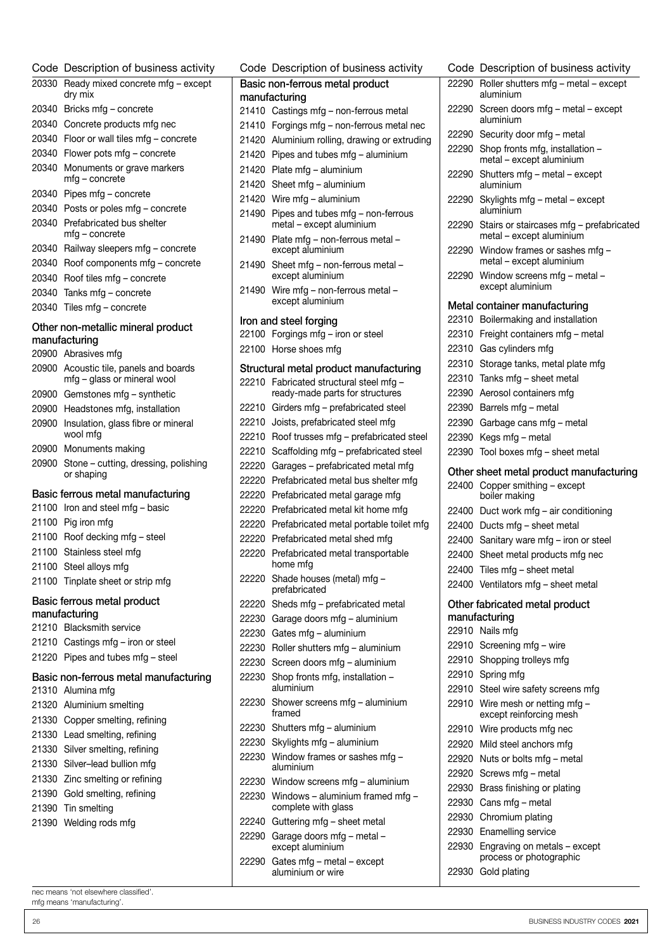|       | Code Description of business activity                           |
|-------|-----------------------------------------------------------------|
| 20330 | Ready mixed concrete mfg - except<br>dry mix                    |
| 20340 | Bricks mfg - concrete                                           |
| 20340 | Concrete products mfg nec                                       |
| 20340 | Floor or wall tiles mfg - concrete                              |
| 20340 | Flower pots mfg - concrete                                      |
| 20340 | Monuments or grave markers<br>mfg - concrete                    |
| 20340 | Pipes mfg - concrete                                            |
| 20340 | Posts or poles mfg - concrete                                   |
| 20340 | Prefabricated bus shelter<br>mfg – concrete                     |
| 20340 | Railway sleepers mfg - concrete                                 |
| 20340 | Roof components mfg - concrete                                  |
| 20340 | Roof tiles mfg - concrete                                       |
| 20340 | Tanks mfg - concrete                                            |
| 20340 | Tiles mfg - concrete                                            |
|       | Other non-metallic mineral product                              |
|       | manufacturing                                                   |
|       | 20900 Abrasives mfg                                             |
| 20900 | Acoustic tile, panels and boards<br>mfg - glass or mineral wool |
| 20900 | Gemstones mfg - synthetic                                       |
|       | 20900 Headstones mfg, installation                              |
| 20900 | Insulation, glass fibre or mineral                              |
|       | wool mfg                                                        |
| 20900 | Monuments making                                                |
| 20900 | Stone – cutting, dressing, polishing<br>or shaping              |
|       | Basic ferrous metal manufacturing                               |
| 21100 | Iron and steel mfg - basic                                      |
| 21100 | Pig iron mfg                                                    |
| 21100 | Roof decking mfg - steel                                        |
| 21100 | Stainless steel mfg                                             |
|       | 21100 Steel alloys mfg                                          |
|       | 21100 Tinplate sheet or strip mfg                               |
|       | Basic ferrous metal product                                     |
|       | manufacturing                                                   |
|       | 21210 Blacksmith service                                        |
|       | 21210 Castings mfg - iron or steel                              |
|       | 21220 Pipes and tubes mfg - steel                               |
|       | Basic non-ferrous metal manufacturing                           |
|       | 21310 Alumina mfg                                               |
|       | 21320 Aluminium smelting                                        |
|       | 21330 Copper smelting, refining                                 |
|       | 21330 Lead smelting, refining                                   |
|       | 21330 Silver smelting, refining                                 |
|       | 21330 Silver-lead bullion mfg                                   |
|       |                                                                 |
|       | 21330 Zinc smelting or refining                                 |
|       | 21390 Gold smelting, refining                                   |
| 21390 | Tin smelting                                                    |
|       | 21390 Welding rods mfg                                          |
|       |                                                                 |
|       |                                                                 |

Code Description of business activity Basic non-ferrous metal product manufacturing Castings mfg – non-ferrous metal Forgings mfg – non-ferrous metal nec Aluminium rolling, drawing or extruding Pipes and tubes mfg – aluminium Plate mfg – aluminium Sheet mfg – aluminium Wire mfg – aluminium Pipes and tubes mfg – non-ferrous metal – except aluminium Plate mfg – non-ferrous metal – except aluminium Sheet mfg – non-ferrous metal – except aluminium Wire mfg – non-ferrous metal – except aluminium Iron and steel forging Forgings mfg – iron or steel Horse shoes mfg Structural metal product manufacturing Fabricated structural steel mfg – ready-made parts for structures Girders mfg – prefabricated steel Joists, prefabricated steel mfg Roof trusses mfg – prefabricated steel Scaffolding mfg – prefabricated steel Garages – prefabricated metal mfg Prefabricated metal bus shelter mfg Prefabricated metal garage mfg Prefabricated metal kit home mfg Prefabricated metal portable toilet mfg Prefabricated metal shed mfg Prefabricated metal transportable home mfg Shade houses (metal) mfg – prefabricated Sheds mfg – prefabricated metal Garage doors mfg – aluminium Gates mfg – aluminium Roller shutters mfg – aluminium Screen doors mfg – aluminium Shop fronts mfg, installation – aluminium Shower screens mfg – aluminium framed Shutters mfg – aluminium Skylights mfg – aluminium Window frames or sashes mfg – aluminium Window screens mfg – aluminium Windows – aluminium framed mfg – complete with glass Guttering mfg – sheet metal Garage doors mfg – metal – except aluminium Gates mfg – metal – except

aluminium or wire

#### Roller shutters mfg – metal – except aluminium Screen doors mfg – metal – except aluminium Security door mfg – metal Shop fronts mfg, installation – metal – except aluminium Shutters mfg – metal – except aluminium Skylights mfg – metal – except aluminium Stairs or staircases mfg – prefabricated metal – except aluminium Window frames or sashes mfg – metal – except aluminium Window screens mfg – metal – except aluminium Metal container manufacturing Boilermaking and installation Freight containers mfg – metal Gas cylinders mfg Storage tanks, metal plate mfg Tanks mfg – sheet metal Aerosol containers mfg Barrels mfg – metal Garbage cans mfg – metal Kegs mfg – metal Tool boxes mfg – sheet metal Other sheet metal product manufacturing Copper smithing – except boiler making Duct work mfg – air conditioning Ducts mfg – sheet metal Sanitary ware mfg – iron or steel Sheet metal products mfg nec Tiles mfg – sheet metal Ventilators mfg – sheet metal Other fabricated metal product manufacturing Nails mfg Screening mfg – wire Shopping trolleys mfg Spring mfg Steel wire safety screens mfg Wire mesh or netting mfg – except reinforcing mesh Wire products mfg nec Mild steel anchors mfg Nuts or bolts mfg – metal Screws mfg – metal Brass finishing or plating Cans mfg – metal Chromium plating Enamelling service Engraving on metals – except

Code Description of business activity

nec means 'not elsewhere classified'. mfg means 'manufacturing'.

process or photographic

Gold plating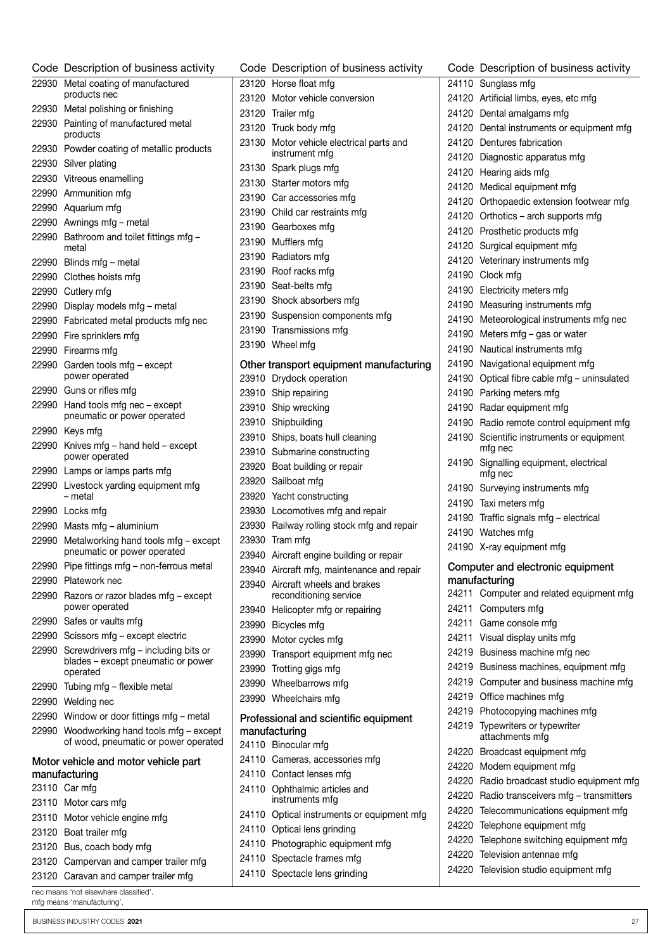|       | Code Description of business activity                                       | Cс       |
|-------|-----------------------------------------------------------------------------|----------|
| 22930 | Metal coating of manufactured                                               | 23       |
|       | products nec                                                                | 23       |
| 22930 | Metal polishing or finishing                                                | 23       |
| 22930 | Painting of manufactured metal<br>products                                  | 23       |
| 22930 | Powder coating of metallic products                                         | 23       |
| 22930 | Silver plating                                                              |          |
| 22930 | Vitreous enamelling                                                         | 23       |
|       | 22990 Ammunition mfg                                                        | 23<br>23 |
|       | 22990 Aquarium mfg                                                          | 23       |
|       | 22990 Awnings mfg - metal                                                   | 23       |
| 22990 | Bathroom and toilet fittings mfg -<br>metal                                 | 23       |
| 22990 | Blinds mfg - metal                                                          | 23       |
|       | 22990 Clothes hoists mfg                                                    | 23       |
|       | 22990 Cutlery mfg                                                           | 23       |
|       | 22990 Display models mfg - metal                                            | 23       |
|       | 22990 Fabricated metal products mfg nec                                     | 23       |
| 22990 | Fire sprinklers mfg                                                         | 23       |
| 22990 | Firearms mfg                                                                | 23       |
| 22990 | Garden tools mfg - except<br>power operated                                 | Ot<br>23 |
|       | 22990 Guns or rifles mfg                                                    | 23       |
| 22990 | Hand tools mfg nec - except                                                 | 23       |
|       | pneumatic or power operated                                                 | 23       |
|       | 22990 Keys mfg                                                              | 23       |
| 22990 | Knives mfg - hand held - except<br>power operated                           | 23       |
|       | 22990 Lamps or lamps parts mfg                                              | 23       |
| 22990 | Livestock yarding equipment mfg<br>– metal                                  | 23<br>23 |
|       | 22990 Locks mfg                                                             | 23       |
|       | 22990 Masts mfg - aluminium                                                 | 23       |
| 22990 | Metalworking hand tools mfg - except<br>pneumatic or power operated         | 23<br>23 |
|       | 22990 Pipe fittings mfg - non-ferrous metal                                 | 23       |
| 22990 | Platework nec                                                               | 23       |
| 22990 | Razors or razor blades mfg - except<br>power operated                       | 23       |
| 22990 | Safes or vaults mfg                                                         | 23       |
| 22990 | Scissors mfg - except electric                                              | 23       |
| 22990 | Screwdrivers mfg - including bits or                                        | 23       |
|       | blades - except pneumatic or power<br>operated                              | 23       |
| 22990 | Tubing mfg – flexible metal                                                 | 23       |
| 22990 | Welding nec                                                                 | 23       |
| 22990 | Window or door fittings mfg - metal                                         | Pr       |
| 22990 | Woodworking hand tools mfg - except<br>of wood, pneumatic or power operated | ma<br>24 |
|       | Motor vehicle and motor vehicle part                                        | 24       |
|       | manufacturing                                                               | 24       |
|       | 23110 Car mfg                                                               | 24       |
|       | 23110 Motor cars mfg                                                        |          |
| 23110 | Motor vehicle engine mfg                                                    | 24       |
|       | 23120 Boat trailer mfg                                                      | 24       |
|       | 23120 Bus, coach body mfg                                                   | 24       |
| 23120 | Campervan and camper trailer mfg                                            | 24       |
| 23120 | Caravan and camper trailer mfg                                              | 24       |
|       | nec means 'not elsewhere classified'.                                       |          |

| у    | Code Description of business activity                      |
|------|------------------------------------------------------------|
|      | 23120 Horse float mfg                                      |
|      | 23120 Motor vehicle conversion                             |
|      | 23120 Trailer mfg                                          |
|      | 23120 Truck body mfg                                       |
| 5    | 23130 Motor vehicle electrical parts and<br>instrument mfg |
|      | 23130 Spark plugs mfg                                      |
|      | 23130 Starter motors mfg                                   |
|      | 23190 Car accessories mfg                                  |
|      | 23190 Child car restraints mfg                             |
|      | 23190 Gearboxes mfg                                        |
|      | 23190 Mufflers mfg                                         |
|      | 23190 Radiators mfg                                        |
|      | 23190 Roof racks mfg                                       |
|      | 23190 Seat-belts mfg                                       |
|      | 23190 Shock absorbers mfg                                  |
|      | 23190 Suspension components mfg                            |
|      | 23190 Transmissions mfg                                    |
|      | 23190 Wheel mfg                                            |
|      | Other transport equipment manufacturing                    |
|      | 23910 Drydock operation                                    |
|      | 23910 Ship repairing<br>23910 Ship wrecking                |
|      | 23910 Shipbuilding                                         |
|      | 23910 Ships, boats hull cleaning                           |
|      | 23910 Submarine constructing                               |
|      | 23920 Boat building or repair                              |
|      | 23920 Sailboat mfg                                         |
|      | 23920 Yacht constructing                                   |
|      | 23930 Locomotives mfg and repair                           |
|      | 23930 Railway rolling stock mfg and repair                 |
| эрt  | 23930 Tram mfg                                             |
|      | 23940 Aircraft engine building or repair                   |
| ıl   | 23940 Aircraft mfg, maintenance and repair                 |
| t    | 23940 Aircraft wheels and brakes<br>reconditioning service |
|      | 23940 Helicopter mfg or repairing                          |
|      | 23990 Bicycles mfg                                         |
|      | 23990 Motor cycles mfg                                     |
|      | 23990 Transport equipment mfg nec                          |
| ۱r   | 23990 Trotting gigs mfg                                    |
|      | 23990 Wheelbarrows mfg                                     |
|      | 23990 Wheelchairs mfg                                      |
|      | Professional and scientific equipment                      |
| ept  | manufacturing                                              |
| ιted | 24110 Binocular mfg                                        |
|      | 24110 Cameras, accessories mfg                             |
|      | 24110 Contact lenses mfg                                   |
|      | 24110 Ophthalmic articles and<br>instruments mfg           |
|      | 24110 Optical instruments or equipment mfg                 |
|      | 24110 Optical lens grinding                                |
|      | 24110 Photographic equipment mfg                           |
|      | 24110 Spectacle frames mfg                                 |

110 Spectacle lens grinding

|       | Code Description of business activity               |
|-------|-----------------------------------------------------|
| 24110 | Sunglass mfg                                        |
| 24120 | Artificial limbs, eyes, etc mfg                     |
| 24120 | Dental amalgams mfg                                 |
|       | 24120 Dental instruments or equipment mfg           |
|       | 24120 Dentures fabrication                          |
|       | 24120 Diagnostic apparatus mfg                      |
| 24120 | Hearing aids mfg                                    |
| 24120 | Medical equipment mfg                               |
|       | 24120 Orthopaedic extension footwear mfg            |
|       | 24120 Orthotics - arch supports mfg                 |
|       | 24120 Prosthetic products mfg                       |
| 24120 | Surgical equipment mfg                              |
| 24120 | Veterinary instruments mfg                          |
|       | 24190 Clock mfg                                     |
| 24190 | Electricity meters mfg                              |
|       | 24190 Measuring instruments mfg                     |
| 24190 | Meteorological instruments mfg nec                  |
| 24190 | Meters mfg - gas or water                           |
| 24190 | Nautical instruments mfg                            |
|       | 24190 Navigational equipment mfg                    |
|       | 24190 Optical fibre cable mfg - uninsulated         |
|       | 24190 Parking meters mfg                            |
| 24190 | Radar equipment mfg                                 |
| 24190 | Radio remote control equipment mfg                  |
| 24190 | Scientific instruments or equipment<br>mfg nec      |
| 24190 | Signalling equipment, electrical<br>mfg nec         |
| 24190 | Surveying instruments mfg                           |
| 24190 | Taxi meters mfg                                     |
| 24190 | Traffic signals mfg - electrical                    |
| 24190 | Watches mfg                                         |
|       | 24190 X-ray equipment mfg                           |
|       | Computer and electronic equipment                   |
| 24211 | manufacturing<br>Computer and related equipment mfg |
| 24211 | Computers mfg                                       |
| 24211 | Game console mfg                                    |
| 24211 | Visual display units mfg                            |
| 24219 | Business machine mfg nec                            |
| 24219 | Business machines, equipment mfg                    |
| 24219 | Computer and business machine mfg                   |
| 24219 | Office machines mfg                                 |
| 24219 | Photocopying machines mfg                           |
| 24219 | Typewriters or typewriter<br>attachments mfg        |
| 24220 | Broadcast equipment mfg                             |
| 24220 | Modem equipment mfg                                 |
| 24220 | Radio broadcast studio equipment mfg                |
| 24220 | Radio transceivers mfg - transmitters               |
| 24220 | Telecommunications equipment mfg                    |
| 24220 | Telephone equipment mfg                             |
| 24220 | Telephone switching equipment mfg                   |
| 24220 | Television antennae mfg                             |
| 24220 | Television studio equipment mfg                     |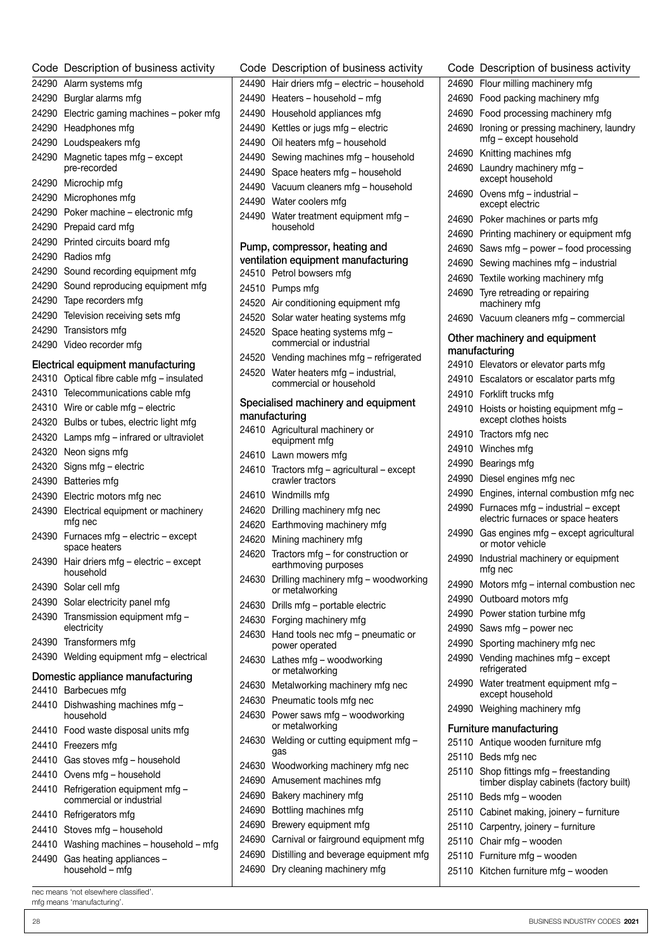| Code Description of business activity                   | Code Description of business activity                            |
|---------------------------------------------------------|------------------------------------------------------------------|
| 24290 Alarm systems mfg                                 | 24490 Hair driers mfg - electric - household                     |
| 24290 Burglar alarms mfg                                | 24490 Heaters - household - mfg                                  |
| 24290 Electric gaming machines - poker mfg              | 24490 Household appliances mfg                                   |
| 24290 Headphones mfg                                    | 24490 Kettles or jugs mfg - electric                             |
| 24290 Loudspeakers mfg                                  | 24490 Oil heaters mfg - household                                |
| 24290 Magnetic tapes mfg - except                       | 24490 Sewing machines mfg - household                            |
| pre-recorded                                            | 24490 Space heaters mfg - household                              |
| 24290 Microchip mfg                                     | 24490 Vacuum cleaners mfg - household                            |
| 24290 Microphones mfg                                   | 24490 Water coolers mfg                                          |
| 24290 Poker machine - electronic mfg                    | 24490 Water treatment equipment mfg -                            |
| 24290 Prepaid card mfg                                  | household                                                        |
| 24290 Printed circuits board mfg                        | Pump, compressor, heating and                                    |
| 24290 Radios mfg                                        | ventilation equipment manufacturing                              |
| 24290 Sound recording equipment mfg                     | 24510 Petrol bowsers mfg                                         |
| 24290 Sound reproducing equipment mfg                   | 24510 Pumps mfg                                                  |
| 24290 Tape recorders mfg                                | 24520 Air conditioning equipment mfg                             |
| 24290 Television receiving sets mfg                     | 24520 Solar water heating systems mfg                            |
| 24290 Transistors mfg                                   | 24520 Space heating systems mfg -                                |
| 24290 Video recorder mfg                                | commercial or industrial                                         |
| Electrical equipment manufacturing                      | 24520 Vending machines mfg - refrigerated                        |
| 24310 Optical fibre cable mfg - insulated               | 24520 Water heaters mfg - industrial,<br>commercial or household |
| 24310 Telecommunications cable mfg                      |                                                                  |
| 24310 Wire or cable mfg - electric                      | Specialised machinery and equipment                              |
| 24320 Bulbs or tubes, electric light mfg                | manufacturing<br>24610 Agricultural machinery or                 |
| 24320 Lamps mfg - infrared or ultraviolet               | equipment mfg                                                    |
| 24320 Neon signs mfg                                    | 24610 Lawn mowers mfg                                            |
| 24320 Signs mfg - electric                              | 24610 Tractors mfg - agricultural - except                       |
| 24390 Batteries mfg                                     | crawler tractors                                                 |
| 24390 Electric motors mfg nec                           | 24610 Windmills mfg                                              |
| 24390 Electrical equipment or machinery                 | 24620 Drilling machinery mfg nec                                 |
| mfg nec                                                 | 24620 Earthmoving machinery mfg                                  |
| 24390 Furnaces mfg - electric - except<br>space heaters | 24620 Mining machinery mfg                                       |
| 24390 Hair driers mfg - electric - except               | 24620 Tractors mfg - for construction or<br>earthmoving purposes |
| household                                               | 24630 Drilling machinery mfg - woodworking                       |
| 24390 Solar cell mfg                                    | or metalworking                                                  |
| 24390 Solar electricity panel mfg                       | 24630 Drills mfg - portable electric                             |
| 24390 Transmission equipment mfg -                      | 24630 Forging machinery mfg                                      |
| electricity<br>24390 Transformers mfg                   | 24630 Hand tools nec mfg - pneumatic or                          |
| 24390 Welding equipment mfg - electrical                | power operated                                                   |
|                                                         | 24630 Lathes mfg - woodworking<br>or metalworking                |
| Domestic appliance manufacturing                        | 24630 Metalworking machinery mfg nec                             |
| 24410 Barbecues mfg                                     | 24630 Pneumatic tools mfg nec                                    |
| 24410 Dishwashing machines mfg -<br>household           | 24630 Power saws mfg - woodworking                               |
| 24410 Food waste disposal units mfg                     | or metalworking                                                  |
| 24410 Freezers mfg                                      | 24630 Welding or cutting equipment mfg -                         |
| 24410 Gas stoves mfg - household                        | gas                                                              |
| 24410 Ovens mfg - household                             | 24630 Woodworking machinery mfg nec                              |
| 24410 Refrigeration equipment mfg -                     | 24690 Amusement machines mfg                                     |
| commercial or industrial                                | 24690 Bakery machinery mfg<br>24690 Bottling machines mfg        |
| 24410 Refrigerators mfg                                 | 24690 Brewery equipment mfg                                      |
| 24410 Stoves mfg - household                            | 24690 Carnival or fairground equipment mfg                       |
| 24410 Washing machines - household - mfg                | 24690 Distilling and beverage equipment mfg                      |
| 24490 Gas heating appliances -                          | 24690 Dry cleaning machinery mfg                                 |
| household - mfg                                         |                                                                  |

|       | Code Description of business activity                                       |
|-------|-----------------------------------------------------------------------------|
| 24690 | Flour milling machinery mfg                                                 |
| 24690 | Food packing machinery mfg                                                  |
| 24690 | Food processing machinery mfg                                               |
| 24690 | Ironing or pressing machinery, laundry<br>mfg - except household            |
| 24690 | Knitting machines mfg                                                       |
| 24690 | Laundry machinery mfg -<br>except household                                 |
| 24690 | Ovens mfg - industrial -<br>except electric                                 |
| 24690 | Poker machines or parts mfg                                                 |
| 24690 | Printing machinery or equipment mfg                                         |
| 24690 | Saws mfg - power - food processing                                          |
| 24690 | Sewing machines mfg - industrial                                            |
| 24690 | Textile working machinery mfg                                               |
| 24690 | Tyre retreading or repairing<br>machinery mfq                               |
| 24690 | Vacuum cleaners mfg - commercial                                            |
|       | Other machinery and equipment<br>manufacturing                              |
| 24910 | Elevators or elevator parts mfg                                             |
| 24910 | Escalators or escalator parts mfg                                           |
| 24910 | Forklift trucks mfg                                                         |
| 24910 | Hoists or hoisting equipment mfg -<br>except clothes hoists                 |
| 24910 | Tractors mfg nec                                                            |
| 24910 | Winches mfg                                                                 |
| 24990 | Bearings mfg                                                                |
| 24990 | Diesel engines mfg nec                                                      |
| 24990 | Engines, internal combustion mfg nec                                        |
| 24990 | Furnaces mfg - industrial - except<br>electric furnaces or space heaters    |
| 24990 | Gas engines mfg - except agricultural<br>or motor vehicle                   |
| 24990 | Industrial machinery or equipment<br>mfg nec                                |
| 24990 | Motors mfg - internal combustion nec                                        |
| 24990 | Outboard motors mfg                                                         |
| 24990 | Power station turbine mfg                                                   |
| 24990 | Saws mfg - power nec                                                        |
| 24990 | Sporting machinery mfg nec                                                  |
| 24990 | Vending machines mfg - except<br>refrigerated                               |
| 24990 | Water treatment equipment mfg -<br>except household                         |
| 24990 | Weighing machinery mfg                                                      |
|       | <b>Furniture manufacturing</b>                                              |
| 25110 | Antique wooden furniture mfg                                                |
| 25110 | Beds mfg nec                                                                |
| 25110 | Shop fittings mfg - freestanding<br>timber display cabinets (factory built) |
| 25110 | Beds mfg - wooden                                                           |
| 25110 | Cabinet making, joinery - furniture                                         |
| 25110 | Carpentry, joinery - furniture                                              |
| 25110 | Chair mfg - wooden                                                          |
| 25110 | Furniture mfg - wooden                                                      |
| 25110 | Kitchen furniture mfg - wooden                                              |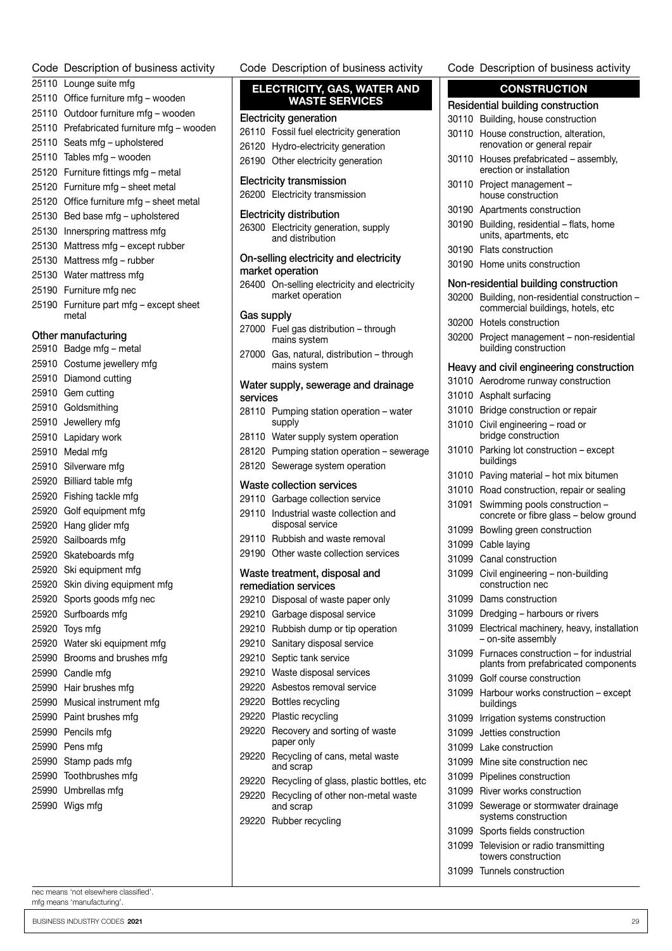| Code  | Description of business activity           |
|-------|--------------------------------------------|
|       | 25110 Lounge suite mfg                     |
|       | 25110 Office furniture mfg - wooden        |
|       | 25110 Outdoor furniture mfg - wooden       |
|       | 25110 Prefabricated furniture mfg - wooden |
| 25110 | Seats mfg - upholstered                    |
| 25110 | Tables mfg - wooden                        |
| 25120 | Furniture fittings mfg – metal             |
| 25120 | Furniture mfg - sheet metal                |
| 25120 | Office furniture mfg - sheet metal         |
|       | 25130 Bed base mfg - upholstered           |
| 25130 | Innerspring mattress mfg                   |
| 25130 | Mattress mfg – except rubber               |
| 25130 | Mattress mfg - rubber                      |
| 25130 | Water mattress mfg                         |
|       | 25190 Furniture mfg nec                    |
|       | 25190 Furniture part mfg - except sheet    |
|       | metal                                      |
|       | Other manufacturing                        |
|       | 25910 Badge mfg - metal                    |
|       | 25910 Costume jewellery mfg                |
|       | 25910 Diamond cutting                      |
|       | 25910 Gem cutting                          |
|       | 25910 Goldsmithing                         |
|       | 25910 Jewellery mfg                        |
|       | 25910 Lapidary work                        |
|       | 25910 Medal mfg                            |
| 25910 | Silverware mfg                             |
|       | 25920 Billiard table mfg                   |
|       | 25920 Fishing tackle mfg                   |
| 25920 | Golf equipment mfg                         |
|       | 25920 Hang glider mfg                      |
|       | 25920 Sailboards mfg                       |
| 25920 | Skateboards mfg                            |
| 25920 | Ski equipment mfg                          |
| 25920 | Skin diving equipment mfg                  |
| 25920 | Sports goods mfg nec                       |
| 25920 | Surfboards mfg                             |
| 25920 | Toys mfg                                   |
| 25920 | Water ski equipment mfg                    |
|       | 25990 Brooms and brushes mfg               |
|       | 25990 Candle mfg                           |
| 25990 | Hair brushes mfg                           |
| 25990 | Musical instrument mfg                     |
|       | 25990 Paint brushes mfg                    |
|       | 25990 Pencils mfg                          |
|       | 25990 Pens mfg                             |
| 25990 | Stamp pads mfg                             |
| 25990 | Toothbrushes mfg                           |
| 25990 | Umbrellas mfg                              |
| 25990 | Wigs mfg                                   |

Code Description of business activity ELECTRICITY, GAS, WATER AND

#### WASTE SERVICES Electricity generation

 Fossil fuel electricity generation Hydro-electricity generation

|            | 26190 Other electricity generation                                                          |
|------------|---------------------------------------------------------------------------------------------|
|            | <b>Electricity transmission</b><br>26200 Electricity transmission                           |
|            | <b>Electricity distribution</b><br>26300 Electricity generation, supply<br>and distribution |
|            | On-selling electricity and electricity                                                      |
|            | market operation                                                                            |
|            | 26400 On-selling electricity and electricity<br>market operation                            |
| Gas supply |                                                                                             |
| 27000      | Fuel gas distribution - through<br>mains system                                             |
| 27000      | Gas, natural, distribution - through<br>mains system                                        |
|            | Water supply, sewerage and drainage                                                         |
| services   |                                                                                             |
| 28110      | Pumping station operation - water<br>supply                                                 |
| 28110      | Water supply system operation                                                               |
|            | 28120 Pumping station operation - sewerage                                                  |
|            | 28120 Sewerage system operation                                                             |
|            | <b>Waste collection services</b>                                                            |
|            | 29110 Garbage collection service                                                            |
| 29110      | Industrial waste collection and<br>disposal service                                         |
|            | 29110 Rubbish and waste removal                                                             |
|            | 29190 Other waste collection services                                                       |
|            | Waste treatment, disposal and<br>remediation services                                       |
| 29210      | Disposal of waste paper only                                                                |
|            | 29210 Garbage disposal service                                                              |
|            | 29210 Rubbish dump or tip operation                                                         |
| 29210      | Sanitary disposal service                                                                   |
| 29210      | Septic tank service                                                                         |
| 29210      | Waste disposal services                                                                     |
| 29220      | Asbestos removal service                                                                    |
| 29220      | Bottles recycling                                                                           |
| 29220      | Plastic recycling                                                                           |
| 29220      | Recovery and sorting of waste<br>paper only                                                 |
| 29220      | Recycling of cans, metal waste<br>and scrap                                                 |
| 29220      | Recycling of glass, plastic bottles, etc                                                    |
| 29220      | Recycling of other non-metal waste<br>and scrap                                             |
| 29220      | Rubber recycling                                                                            |

#### Code Description of business activity

| <b>CONSTRUCTION</b> |                                                                                |  |
|---------------------|--------------------------------------------------------------------------------|--|
|                     | Residential building construction                                              |  |
| 30110               | Building, house construction                                                   |  |
| 30110               | House construction, alteration,<br>renovation or general repair                |  |
| 30110               | Houses prefabricated - assembly,<br>erection or installation                   |  |
| 30110               | Project management -<br>house construction                                     |  |
| 30190               | Apartments construction                                                        |  |
| 30190               | Building, residential - flats, home<br>units, apartments, etc                  |  |
| 30190               | Flats construction                                                             |  |
| 30190               | Home units construction                                                        |  |
|                     | Non-residential building construction                                          |  |
| 30200               | Building, non-residential construction -                                       |  |
|                     | commercial buildings, hotels, etc<br>Hotels construction                       |  |
| 30200               |                                                                                |  |
| 30200               | Project management - non-residential<br>building construction                  |  |
|                     | Heavy and civil engineering construction                                       |  |
| 31010               | Aerodrome runway construction                                                  |  |
| 31010               | Asphalt surfacing                                                              |  |
| 31010               | Bridge construction or repair                                                  |  |
| 31010               | Civil engineering - road or<br>bridge construction                             |  |
| 31010               | Parking lot construction - except<br>buildings                                 |  |
| 31010               | Paving material - hot mix bitumen                                              |  |
| 31010               | Road construction, repair or sealing                                           |  |
| 31091               | Swimming pools construction -<br>concrete or fibre glass - below ground        |  |
| 31099               | Bowling green construction                                                     |  |
| 31099               | Cable laying                                                                   |  |
| 31099               | Canal construction                                                             |  |
| 31099               | Civil engineering - non-building<br>construction nec                           |  |
| 31099               | Dams construction                                                              |  |
| 31099               | Dredging - harbours or rivers                                                  |  |
| 31099               | Electrical machinery, heavy, installation<br>- on-site assembly                |  |
| 31099               | Furnaces construction - for industrial<br>plants from prefabricated components |  |
| 31099               | Golf course construction                                                       |  |
| 31099               | Harbour works construction - except<br>buildings                               |  |
| 31099               | Irrigation systems construction                                                |  |
| 31099               | Jetties construction                                                           |  |
| 31099               | Lake construction                                                              |  |
| 31099               | Mine site construction nec                                                     |  |
| 31099               | Pipelines construction                                                         |  |
| 31099               | River works construction                                                       |  |
| 31099               | Sewerage or stormwater drainage<br>systems construction                        |  |
| 31099               | Sports fields construction                                                     |  |
| 31099               | Television or radio transmitting<br>towers construction                        |  |

Tunnels construction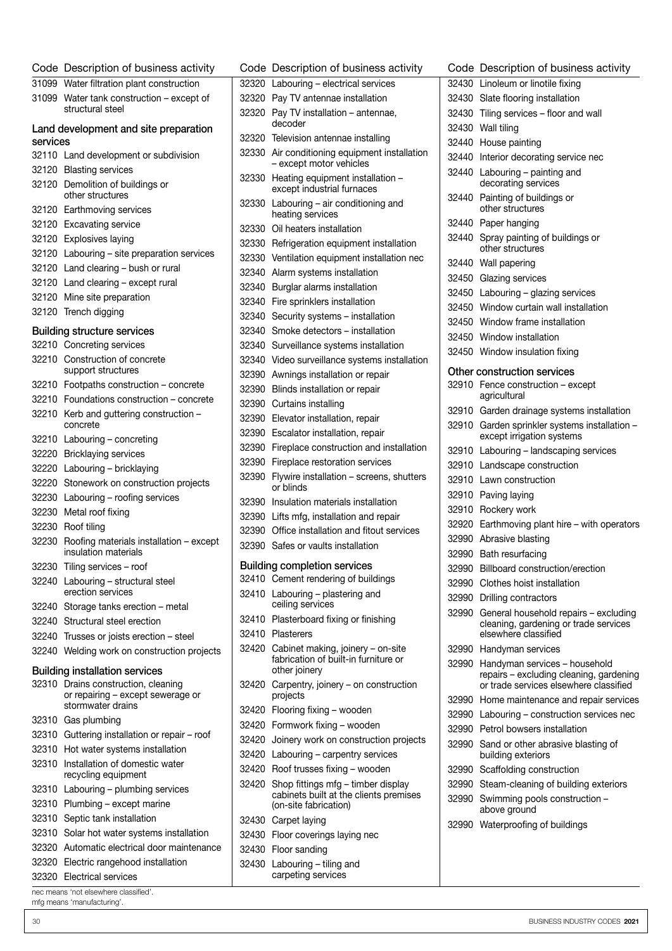| Code     | Description of business activity                                |
|----------|-----------------------------------------------------------------|
| 31099    | Water filtration plant construction                             |
| 31099    | Water tank construction – except of<br>structural steel         |
| services | Land development and site preparation                           |
| 32110    | Land development or subdivision                                 |
| 32120    | <b>Blasting services</b>                                        |
| 32120    | Demolition of buildings or<br>other structures                  |
| 32120    | Earthmoving services                                            |
| 32120    | <b>Excavating service</b>                                       |
| 32120    | Explosives laying                                               |
| 32120    | Labouring - site preparation services                           |
| 32120    | Land clearing - bush or rural                                   |
| 32120    | Land clearing - except rural                                    |
| 32120    | Mine site preparation                                           |
| 32120    | Trench digging                                                  |
|          | <b>Building structure services</b>                              |
| 32210    | Concreting services                                             |
| 32210    | Construction of concrete                                        |
|          | support structures                                              |
| 32210    | Footpaths construction - concrete                               |
| 32210    | Foundations construction - concrete                             |
| 32210    | Kerb and guttering construction -<br>concrete                   |
| 32210    | Labouring - concreting                                          |
| 32220    | <b>Bricklaying services</b>                                     |
| 32220    | Labouring - bricklaying                                         |
| 32220    | Stonework on construction projects                              |
| 32230    | Labouring - roofing services                                    |
| 32230    | Metal roof fixing                                               |
| 32230    | Roof tiling                                                     |
| 32230    | Roofing materials installation - except<br>insulation materials |
| 32230    | Tiling services - roof                                          |
| 32240    | Labouring - structural steel<br>erection services               |
| 32240    | Storage tanks erection - metal                                  |
| 32240    | Structural steel erection                                       |
| 32240    | Trusses or joists erection - steel                              |
| 32240    | Welding work on construction projects                           |
|          | <b>Building installation services</b>                           |
| 32310    | Drains construction, cleaning                                   |
|          | or repairing - except sewerage or<br>stormwater drains          |
| 32310    | Gas plumbing                                                    |
| 32310    | Guttering installation or repair - roof                         |
| 32310    | Hot water systems installation                                  |
| 32310    | Installation of domestic water                                  |
|          | recycling equipment                                             |
| 32310    | Labouring - plumbing services                                   |
| 32310    | Plumbing - except marine                                        |
| 32310    | Septic tank installation                                        |
| 32310    | Solar hot water systems installation                            |
| 32320    | Automatic electrical door maintenance                           |
| 32320    | Electric rangehood installation                                 |
| 32320    | <b>Electrical services</b>                                      |

|       | Code Description of business activity                                                      | Cod          |
|-------|--------------------------------------------------------------------------------------------|--------------|
| 32320 | Labouring - electrical services                                                            | 3243         |
| 32320 | Pay TV antennae installation                                                               | 3243         |
| 32320 | Pay TV installation - antennae,                                                            | 3243         |
|       | decoder                                                                                    | 3243         |
|       | 32320 Television antennae installing                                                       | 3244         |
| 32330 | Air conditioning equipment installation                                                    | 3244         |
| 32330 | - except motor vehicles<br>Heating equipment installation -<br>except industrial furnaces  | 3244         |
| 32330 | Labouring - air conditioning and<br>heating services                                       | 3244         |
| 32330 | Oil heaters installation                                                                   | 3244         |
|       | 32330 Refrigeration equipment installation                                                 | 3244         |
| 32330 | Ventilation equipment installation nec                                                     | 3244         |
| 32340 | Alarm systems installation                                                                 | 3245         |
| 32340 | Burglar alarms installation                                                                | 3245         |
| 32340 | Fire sprinklers installation                                                               | 3245         |
| 32340 | Security systems - installation                                                            | 3245         |
| 32340 | Smoke detectors - installation                                                             | 3245         |
| 32340 | Surveillance systems installation                                                          | 3245         |
| 32340 | Video surveillance systems installation                                                    |              |
| 32390 | Awnings installation or repair                                                             | Othe         |
| 32390 | Blinds installation or repair                                                              | 3291         |
|       | 32390 Curtains installing                                                                  |              |
| 32390 | Elevator installation, repair                                                              | 3291         |
| 32390 | Escalator installation, repair                                                             | 3291         |
| 32390 | Fireplace construction and installation                                                    | 3291         |
| 32390 | Fireplace restoration services                                                             | 3291         |
| 32390 | Flywire installation - screens, shutters                                                   | 3291         |
|       | or blinds                                                                                  | 3291         |
| 32390 | Insulation materials installation                                                          | 3291         |
|       | 32390 Lifts mfg, installation and repair                                                   | 3292         |
|       | 32390 Office installation and fitout services                                              | 3299         |
|       | 32390 Safes or vaults installation                                                         | 3299         |
|       | <b>Building completion services</b>                                                        | 3299         |
|       | 32410 Cement rendering of buildings                                                        | 3299         |
| 32410 | Labouring - plastering and<br>ceiling services                                             | 3299         |
| 32410 | Plasterboard fixing or finishing                                                           | 3299         |
| 32410 | Plasterers                                                                                 |              |
| 32420 | Cabinet making, joinery - on-site<br>fabrication of built-in furniture or<br>other joinery | 3299<br>3299 |
| 32420 | Carpentry, joinery – on construction<br>projects                                           | 3299         |
| 32420 | Flooring fixing - wooden                                                                   | 3299         |
| 32420 | Formwork fixing - wooden                                                                   | 3299         |
| 32420 | Joinery work on construction projects                                                      | 3299         |
| 32420 | Labouring - carpentry services                                                             |              |
| 32420 | Roof trusses fixing - wooden                                                               | 3299         |
| 32420 | Shop fittings mfg - timber display                                                         | 3299         |
|       | cabinets built at the clients premises<br>(on-site fabrication)                            | 3299         |
| 32430 | Carpet laying                                                                              | 3299         |
| 32430 | Floor coverings laying nec                                                                 |              |
|       | 32430 Floor sanding                                                                        |              |
|       | 32430 Labouring – tiling and                                                               |              |

carpeting services

e Description of business activity 0 Linoleum or linotile fixing 0 Slate flooring installation 0 Tiling services – floor and wall 0 Wall tiling 0 House painting 0 Interior decorating service nec 0 Labouring – painting and decorating services 0 Painting of buildings or other structures 0 Paper hanging 0 Spray painting of buildings or other structures 0 Wall papering 0 Glazing services 0 Labouring – glazing services 0 Window curtain wall installation 0 Window frame installation 0 Window installation 0 Window insulation fixing **r** construction services 0 Fence construction – except agricultural 0 Garden drainage systems installation 0 Garden sprinkler systems installation – except irrigation systems 0 Labouring – landscaping services 0 Landscape construction 0 Lawn construction 0 Paving laying 0 Rockery work 0 Earthmoving plant hire – with operators 0 Abrasive blasting 0 Bath resurfacing 0 Billboard construction/erection 0 Clothes hoist installation 0 Drilling contractors 0 General household repairs – excluding cleaning, gardening or trade services elsewhere classified 0 Handyman services 0 Handyman services – household repairs – excluding cleaning, gardening or trade services elsewhere classified 0 Home maintenance and repair services 0 Labouring – construction services nec 0 Petrol bowsers installation 0 Sand or other abrasive blasting of building exteriors 0 Scaffolding construction 0 Steam-cleaning of building exteriors 0 Swimming pools construction – above ground 0 Waterproofing of buildings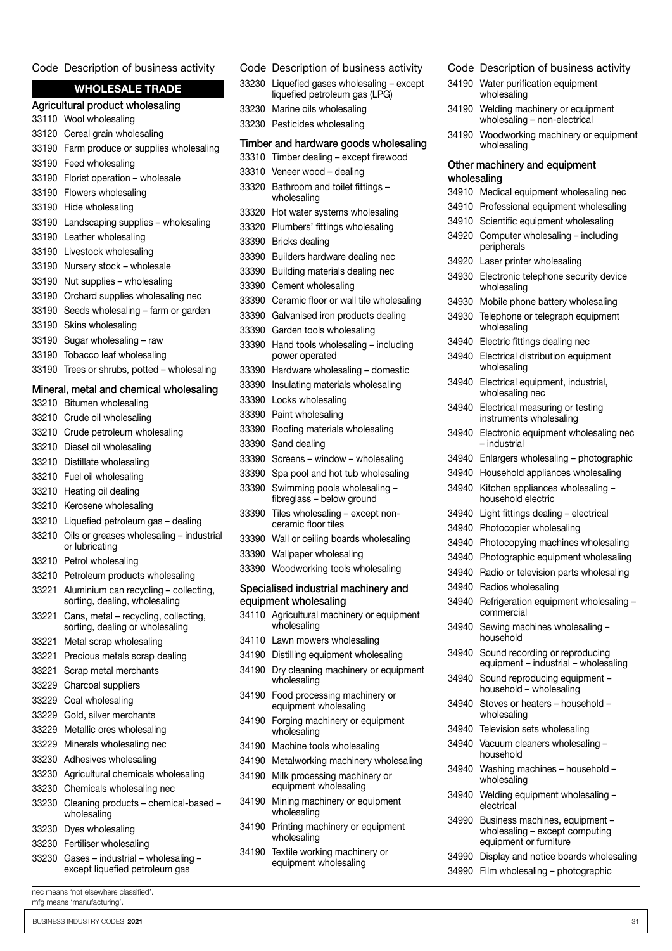#### Code Description of business activity

| <b>WHOLESALE TRADE</b>           |                                                                               |       | 33230 Liquefied gases wholesaling - except<br>liquefied petroleum gas (LPG) |
|----------------------------------|-------------------------------------------------------------------------------|-------|-----------------------------------------------------------------------------|
| Agricultural product wholesaling |                                                                               |       | 33230 Marine oils wholesaling                                               |
|                                  | 33110 Wool wholesaling                                                        |       | 33230 Pesticides wholesaling                                                |
|                                  | 33120 Cereal grain wholesaling                                                |       |                                                                             |
|                                  | 33190 Farm produce or supplies wholesaling                                    |       | Timber and hardware goods wholesaling                                       |
|                                  | 33190 Feed wholesaling                                                        |       | 33310 Timber dealing - except firewood                                      |
|                                  | 33190 Florist operation - wholesale                                           |       | 33310 Veneer wood - dealing                                                 |
|                                  | 33190 Flowers wholesaling                                                     |       | 33320 Bathroom and toilet fittings -                                        |
|                                  | 33190 Hide wholesaling                                                        |       | wholesaling                                                                 |
|                                  | 33190 Landscaping supplies - wholesaling                                      |       | 33320 Hot water systems wholesaling<br>33320 Plumbers' fittings wholesaling |
|                                  | 33190 Leather wholesaling                                                     |       |                                                                             |
|                                  | 33190 Livestock wholesaling                                                   |       | 33390 Bricks dealing                                                        |
|                                  | 33190 Nursery stock - wholesale                                               |       | 33390 Builders hardware dealing nec                                         |
|                                  | 33190 Nut supplies - wholesaling                                              |       | 33390 Building materials dealing nec                                        |
|                                  | 33190 Orchard supplies wholesaling nec                                        |       | 33390 Cement wholesaling                                                    |
|                                  | 33190 Seeds wholesaling - farm or garden                                      |       | 33390 Ceramic floor or wall tile wholesaling                                |
|                                  | 33190 Skins wholesaling                                                       |       | 33390 Galvanised iron products dealing                                      |
|                                  | 33190 Sugar wholesaling - raw                                                 |       | 33390 Garden tools wholesaling                                              |
|                                  | 33190 Tobacco leaf wholesaling                                                |       | 33390 Hand tools wholesaling - including<br>power operated                  |
|                                  | 33190 Trees or shrubs, potted - wholesaling                                   |       | 33390 Hardware wholesaling - domestic                                       |
|                                  |                                                                               |       | 33390 Insulating materials wholesaling                                      |
|                                  | Mineral, metal and chemical wholesaling                                       |       | 33390 Locks wholesaling                                                     |
|                                  | 33210 Bitumen wholesaling                                                     |       | 33390 Paint wholesaling                                                     |
|                                  | 33210 Crude oil wholesaling                                                   |       | 33390 Roofing materials wholesaling                                         |
|                                  | 33210 Crude petroleum wholesaling                                             |       | 33390 Sand dealing                                                          |
|                                  | 33210 Diesel oil wholesaling                                                  |       | 33390 Screens - window - wholesaling                                        |
|                                  | 33210 Distillate wholesaling                                                  |       | 33390 Spa pool and hot tub wholesaling                                      |
|                                  | 33210 Fuel oil wholesaling                                                    | 33390 | Swimming pools wholesaling -                                                |
|                                  | 33210 Heating oil dealing                                                     |       | fibreglass - below ground                                                   |
|                                  | 33210 Kerosene wholesaling                                                    |       | 33390 Tiles wholesaling - except non-                                       |
|                                  | 33210 Liquefied petroleum gas - dealing                                       |       | ceramic floor tiles                                                         |
|                                  | 33210 Oils or greases wholesaling - industrial<br>or lubricating              |       | 33390 Wall or ceiling boards wholesaling                                    |
|                                  | 33210 Petrol wholesaling                                                      |       | 33390 Wallpaper wholesaling                                                 |
|                                  | 33210 Petroleum products wholesaling                                          |       | 33390 Woodworking tools wholesaling                                         |
|                                  | 33221 Aluminium can recycling - collecting,<br>sorting, dealing, wholesaling  |       | Specialised industrial machinery and<br>equipment wholesaling               |
|                                  | 33221 Cans, metal - recycling, collecting,<br>sorting, dealing or wholesaling |       | 34110 Agricultural machinery or equipment<br>wholesaling                    |
|                                  | 33221 Metal scrap wholesaling                                                 |       | 34110 Lawn mowers wholesaling                                               |
|                                  | 33221 Precious metals scrap dealing                                           |       | 34190 Distilling equipment wholesaling                                      |
|                                  | 33221 Scrap metal merchants                                                   |       | 34190 Dry cleaning machinery or equipment                                   |
|                                  | 33229 Charcoal suppliers                                                      |       | wholesaling                                                                 |
|                                  | 33229 Coal wholesaling                                                        |       | 34190 Food processing machinery or<br>equipment wholesaling                 |
|                                  | 33229 Gold, silver merchants                                                  |       | 34190 Forging machinery or equipment                                        |
|                                  | 33229 Metallic ores wholesaling                                               |       | wholesaling                                                                 |
|                                  | 33229 Minerals wholesaling nec                                                |       | 34190 Machine tools wholesaling                                             |
|                                  | 33230 Adhesives wholesaling                                                   |       | 34190 Metalworking machinery wholesaling                                    |
|                                  | 33230 Agricultural chemicals wholesaling                                      |       | 34190 Milk processing machinery or                                          |
|                                  | 33230 Chemicals wholesaling nec                                               |       | equipment wholesaling                                                       |
|                                  | 33230 Cleaning products - chemical-based -<br>wholesaling                     |       | 34190 Mining machinery or equipment<br>wholesaling                          |
|                                  | 33230 Dyes wholesaling                                                        | 34190 | Printing machinery or equipment                                             |
|                                  | 33230 Fertiliser wholesaling                                                  |       | wholesaling<br>34190 Textile working machinery or                           |
|                                  | 33230 Gases - industrial - wholesaling -<br>except liquefied petroleum gas    |       | equipment wholesaling                                                       |

efied petroleum gas (LPG) ine oils wholesaling ticides wholesaling d hardware goods wholesaling ber dealing – except firewood eer wood – dealing aroom and toilet fittings – lesaling water systems wholesaling mbers' fittings wholesaling ks dealing ders hardware dealing nec ding materials dealing nec nent wholesaling amic floor or wall tile wholesaling anised iron products dealing den tools wholesaling d tools wholesaling – including er operated dware wholesaling – domestic lating materials wholesaling ks wholesaling at wholesaling fing materials wholesaling d dealing ens – window – wholesaling pool and hot tub wholesaling 33390 Swimming pools wholesaling – fibreglass – below ground wholesaling – except nonamic floor tiles or ceiling boards wholesaling Ipaper wholesaling dworking tools wholesaling d industrial machinery and wholesaling cultural machinery or equipment lesaling n mowers wholesaling illing equipment wholesaling cleaning machinery or equipment lesaling d processing machinery or pment wholesaling ging machinery or equipment lesaling chine tools wholesaling alworking machinery wholesaling processing machinery or ipment wholesaling ng machinery or equipment lesaling ting machinery or equipment lesaling ile working machinery or ipment wholesaling

Code Description of business activity

|                | Code Description of business activity                                                      |
|----------------|--------------------------------------------------------------------------------------------|
| 34190          | Water purification equipment<br>wholesaling                                                |
| 34190          | Welding machinery or equipment<br>wholesaling - non-electrical                             |
| 34190          | Woodworking machinery or equipment<br>wholesaling                                          |
| wholesaling    | Other machinery and equipment                                                              |
| 34910          | Medical equipment wholesaling nec                                                          |
| 34910          | Professional equipment wholesaling                                                         |
| 34910          | Scientific equipment wholesaling                                                           |
| 34920          | Computer wholesaling - including<br>peripherals                                            |
| 34920          | Laser printer wholesaling                                                                  |
| 34930          | Electronic telephone security device<br>wholesaling                                        |
| 34930          | Mobile phone battery wholesaling                                                           |
| 34930          | Telephone or telegraph equipment<br>wholesaling                                            |
| 34940          | Electric fittings dealing nec                                                              |
| 34940          | Electrical distribution equipment<br>wholesaling                                           |
| 34940          | Electrical equipment, industrial,<br>wholesaling nec                                       |
| 34940          | Electrical measuring or testing<br>instruments wholesaling                                 |
| 34940          | Electronic equipment wholesaling nec<br>– industrial                                       |
| 34940          | Enlargers wholesaling - photographic                                                       |
| 34940          | Household appliances wholesaling                                                           |
| 34940          | Kitchen appliances wholesaling -<br>household electric                                     |
| 34940          | Light fittings dealing - electrical                                                        |
| 34940          | Photocopier wholesaling                                                                    |
| 34940<br>34940 | Photocopying machines wholesaling                                                          |
|                | Photographic equipment wholesaling<br>34940 Radio or television parts wholesaling          |
| 34940          | Radios wholesaling                                                                         |
| 34940          | Refrigeration equipment wholesaling -                                                      |
|                | commercial                                                                                 |
| 34940          | Sewing machines wholesaling -<br>household                                                 |
| 34940          | Sound recording or reproducing<br>equipment - industrial - wholesaling                     |
| 34940          | Sound reproducing equipment -<br>household - wholesaling                                   |
| 34940          | Stoves or heaters - household -<br>wholesaling                                             |
| 34940          | Television sets wholesaling                                                                |
| 34940          | Vacuum cleaners wholesaling -<br>household                                                 |
| 34940          | Washing machines - household -<br>wholesaling                                              |
| 34940          | Welding equipment wholesaling -<br>electrical                                              |
| 34990          | Business machines, equipment -<br>wholesaling - except computing<br>equipment or furniture |
| 34990          | Display and notice boards wholesaling                                                      |
|                | 34990 Film wholesaling - photographic                                                      |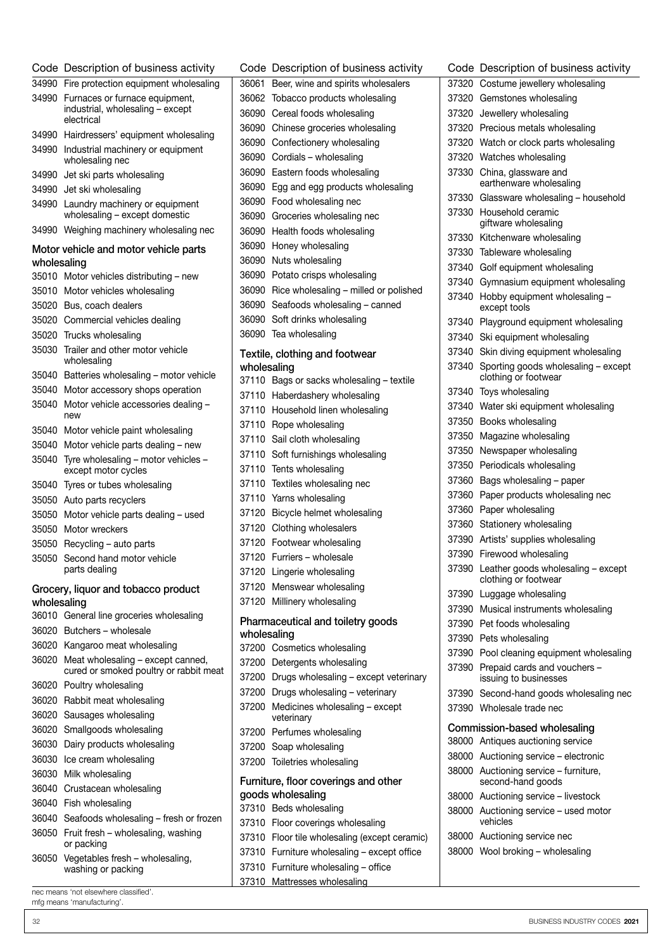|             | Code Description of business activity                            |             | Code Description of business activity         |
|-------------|------------------------------------------------------------------|-------------|-----------------------------------------------|
|             | 34990 Fire protection equipment wholesaling                      |             | 36061 Beer, wine and spirits wholesalers      |
|             | 34990 Furnaces or furnace equipment,                             |             | 36062 Tobacco products wholesaling            |
|             | industrial, wholesaling - except<br>electrical                   |             | 36090 Cereal foods wholesaling                |
|             | 34990 Hairdressers' equipment wholesaling                        |             | 36090 Chinese groceries wholesaling           |
|             | 34990 Industrial machinery or equipment                          |             | 36090 Confectionery wholesaling               |
|             | wholesaling nec                                                  |             | 36090 Cordials - wholesaling                  |
|             | 34990 Jet ski parts wholesaling                                  |             | 36090 Eastern foods wholesaling               |
|             | 34990 Jet ski wholesaling                                        |             | 36090 Egg and egg products wholesaling        |
|             | 34990 Laundry machinery or equipment                             |             | 36090 Food wholesaling nec                    |
|             | wholesaling - except domestic                                    |             | 36090 Groceries wholesaling nec               |
|             | 34990 Weighing machinery wholesaling nec                         |             | 36090 Health foods wholesaling                |
|             | Motor vehicle and motor vehicle parts                            |             | 36090 Honey wholesaling                       |
| wholesaling |                                                                  |             | 36090 Nuts wholesaling                        |
|             | 35010 Motor vehicles distributing - new                          |             | 36090 Potato crisps wholesaling               |
|             | 35010 Motor vehicles wholesaling                                 |             | 36090 Rice wholesaling - milled or polished   |
|             | 35020 Bus, coach dealers                                         |             | 36090 Seafoods wholesaling - canned           |
|             | 35020 Commercial vehicles dealing                                |             | 36090 Soft drinks wholesaling                 |
|             | 35020 Trucks wholesaling                                         |             | 36090 Tea wholesaling                         |
|             | 35030 Trailer and other motor vehicle<br>wholesaling             | wholesaling | Textile, clothing and footwear                |
|             | 35040 Batteries wholesaling - motor vehicle                      |             | 37110 Bags or sacks wholesaling - textile     |
|             | 35040 Motor accessory shops operation                            |             | 37110 Haberdashery wholesaling                |
|             | 35040 Motor vehicle accessories dealing -                        |             | 37110 Household linen wholesaling             |
|             | new                                                              |             | 37110 Rope wholesaling                        |
|             | 35040 Motor vehicle paint wholesaling                            |             | 37110 Sail cloth wholesaling                  |
|             | 35040 Motor vehicle parts dealing - new                          |             | 37110 Soft furnishings wholesaling            |
|             | 35040 Tyre wholesaling - motor vehicles -<br>except motor cycles |             | 37110 Tents wholesaling                       |
|             | 35040 Tyres or tubes wholesaling                                 |             | 37110 Textiles wholesaling nec                |
|             | 35050 Auto parts recyclers                                       |             | 37110 Yarns wholesaling                       |
|             | 35050 Motor vehicle parts dealing - used                         |             | 37120 Bicycle helmet wholesaling              |
|             | 35050 Motor wreckers                                             |             | 37120 Clothing wholesalers                    |
|             | 35050 Recycling - auto parts                                     |             | 37120 Footwear wholesaling                    |
|             | 35050 Second hand motor vehicle                                  |             | 37120 Furriers - wholesale                    |
|             | parts dealing                                                    |             | 37120 Lingerie wholesaling                    |
|             | Grocery, liquor and tobacco product                              |             | 37120 Menswear wholesaling                    |
| wholesaling |                                                                  |             | 37120 Millinery wholesaling                   |
|             | 36010 General line groceries wholesaling                         |             | Pharmaceutical and toiletry goods             |
|             | 36020 Butchers - wholesale                                       | wholesaling |                                               |
|             | 36020 Kangaroo meat wholesaling                                  |             | 37200 Cosmetics wholesaling                   |
|             | 36020 Meat wholesaling - except canned,                          |             | 37200 Detergents wholesaling                  |
|             | cured or smoked poultry or rabbit meat                           |             | 37200 Drugs wholesaling - except veterinary   |
|             | 36020 Poultry wholesaling                                        |             | 37200 Drugs wholesaling - veterinary          |
|             | 36020 Rabbit meat wholesaling                                    |             | 37200 Medicines wholesaling - except          |
|             | 36020 Sausages wholesaling                                       |             | veterinary                                    |
|             | 36020 Smallgoods wholesaling                                     |             | 37200 Perfumes wholesaling                    |
|             | 36030 Dairy products wholesaling                                 |             | 37200 Soap wholesaling                        |
|             | 36030 Ice cream wholesaling                                      |             | 37200 Toiletries wholesaling                  |
|             | 36030 Milk wholesaling                                           |             | Furniture, floor coverings and other          |
|             | 36040 Crustacean wholesaling                                     |             | goods wholesaling                             |
|             | 36040 Fish wholesaling                                           |             | 37310 Beds wholesaling                        |
|             | 36040 Seafoods wholesaling - fresh or frozen                     |             | 37310 Floor coverings wholesaling             |
|             | 36050 Fruit fresh - wholesaling, washing<br>or packing           |             | 37310 Floor tile wholesaling (except ceramic) |
|             | 36050 Vegetables fresh - wholesaling,                            |             | 37310 Furniture wholesaling - except office   |
|             | washing or packing                                               |             | 37310 Furniture wholesaling - office          |
|             |                                                                  |             | 37310 Mattresses wholesaling                  |
|             | nec means 'not elsewhere classified'.                            |             |                                               |

nec means 'not elsewhere classified'. mfg means 'manufacturing'.

| 37320 | Watch or clock parts wholesaling                            |
|-------|-------------------------------------------------------------|
| 37320 | Watches wholesaling                                         |
| 37330 | China, glassware and<br>earthenware wholesaling             |
| 37330 | Glassware wholesaling - household                           |
| 37330 | Household ceramic<br>giftware wholesaling                   |
| 37330 | Kitchenware wholesaling                                     |
| 37330 | Tableware wholesaling                                       |
| 37340 | Golf equipment wholesaling                                  |
| 37340 | Gymnasium equipment wholesaling                             |
| 37340 | Hobby equipment wholesaling -<br>except tools               |
| 37340 | Playground equipment wholesaling                            |
| 37340 | Ski equipment wholesaling                                   |
| 37340 | Skin diving equipment wholesaling                           |
| 37340 | Sporting goods wholesaling - except<br>clothing or footwear |
| 37340 | Toys wholesaling                                            |
| 37340 | Water ski equipment wholesaling                             |
| 37350 | Books wholesaling                                           |
| 37350 | Magazine wholesaling                                        |
| 37350 | Newspaper wholesaling                                       |
| 37350 | Periodicals wholesaling                                     |
| 37360 | Bags wholesaling - paper                                    |
| 37360 | Paper products wholesaling nec                              |
| 37360 | Paper wholesaling                                           |
| 37360 | Stationery wholesaling                                      |
| 37390 | Artists' supplies wholesaling                               |
| 37390 | Firewood wholesaling                                        |
| 37390 | Leather goods wholesaling - except<br>clothing or footwear  |
| 37390 | Luggage wholesaling                                         |
| 37390 | Musical instruments wholesaling                             |
| 37390 | Pet foods wholesaling                                       |
| 37390 | Pets wholesaling                                            |
| 37390 | Pool cleaning equipment wholesaling                         |
| 37390 | Prepaid cards and vouchers -<br>issuing to businesses       |
| 37390 | Second-hand goods wholesaling nec                           |
| 37390 | Wholesale trade nec                                         |
|       | Commission-based wholesaling                                |
| 38000 | Antiques auctioning service                                 |
| 38000 | Auctioning service - electronic                             |
|       | 38000 Auctioning service - furniture,<br>second-hand goods  |
|       | 38000 Auctioning service - livestock                        |
|       | 38000 Auctioning service - used motor<br>vehicles           |
|       |                                                             |

Code Description of business activity Costume jewellery wholesaling Gemstones wholesaling Jewellery wholesaling Precious metals wholesaling

- Auctioning service nec
- Wool broking wholesaling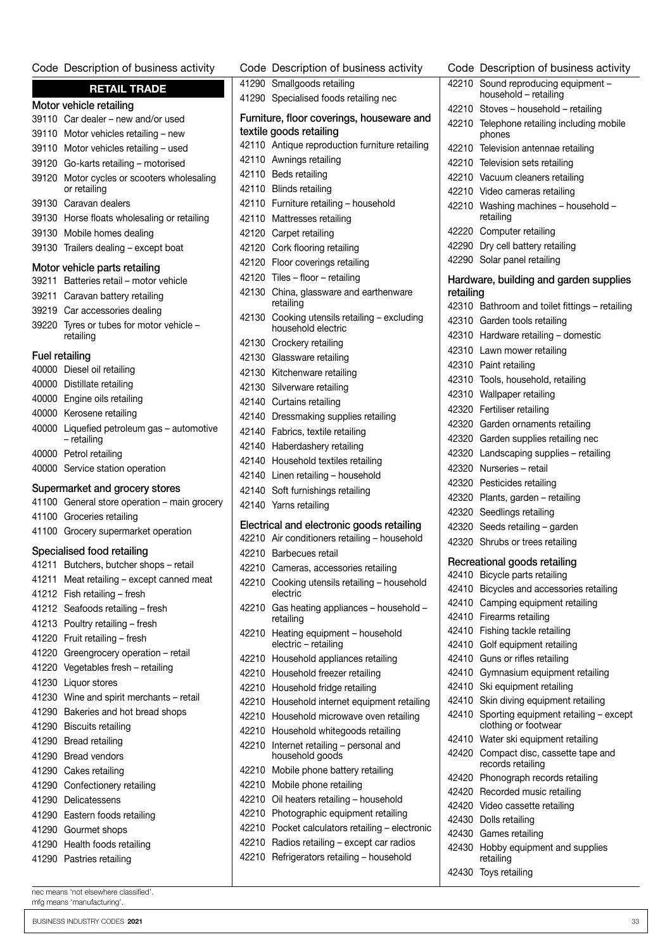#### Code Description of business activity

|                       | <b>RETAIL TRADE</b>                                  |
|-----------------------|------------------------------------------------------|
|                       | Motor vehicle retailing                              |
|                       | 39110 Car dealer – new and/or used                   |
|                       | 39110 Motor vehicles retailing - new                 |
|                       | 39110 Motor vehicles retailing - used                |
|                       | 39120 Go-karts retailing - motorised                 |
| 39120                 | Motor cycles or scooters wholesaling<br>or retailing |
| 39130                 | Caravan dealers                                      |
| 39130                 | Horse floats wholesaling or retailing                |
| 39130                 | Mobile homes dealing                                 |
| 39130                 | Trailers dealing - except boat                       |
|                       | Motor vehicle parts retailing                        |
| 39211                 | Batteries retail - motor vehicle                     |
| 39211                 | Caravan battery retailing                            |
| 39219                 | Car accessories dealing                              |
| 39220                 | Tyres or tubes for motor vehicle -<br>retailing      |
| <b>Fuel retailing</b> |                                                      |
|                       | 40000 Diesel oil retailing                           |
|                       | 40000 Distillate retailing                           |
|                       | 40000 Engine oils retailing                          |
|                       | 40000 Kerosene retailing                             |
|                       | 40000 Liquefied petroleum gas - automotive           |
|                       | - retailing<br>40000 Petrol retailing                |
|                       | 40000 Service station operation                      |
|                       | Supermarket and grocery stores                       |
|                       | 41100 General store operation - main grocery         |
|                       | 41100 Groceries retailing                            |
|                       | 41100 Grocery supermarket operation                  |
|                       | Specialised food retailing                           |
| 41211                 | Butchers, butcher shops - retail                     |
|                       | 41211 Meat retailing - except canned meat            |
|                       | 41212 Fish retailing - fresh                         |
|                       | 41212 Seafoods retailing - fresh                     |
|                       | 41213 Poultry retailing - fresh                      |
|                       | 41220 Fruit retailing - fresh                        |
|                       | 41220 Greengrocery operation - retail                |
|                       | 41220 Vegetables fresh - retailing                   |
|                       | 41230 Liquor stores                                  |
|                       | 41230 Wine and spirit merchants - retail             |
|                       | 41290 Bakeries and hot bread shops                   |
|                       | 41290 Biscuits retailing                             |
|                       |                                                      |
|                       | 41290 Bread retailing                                |
|                       | 41290 Bread vendors                                  |
|                       | 41290 Cakes retailing                                |
|                       | 41290 Confectionery retailing                        |
|                       | 41290 Delicatessens                                  |
|                       | 41290 Eastern foods retailing                        |
|                       | 41290 Gourmet shops                                  |
|                       | 41290 Health foods retailing                         |
|                       | 41290 Pastries retailing                             |

nec means 'not elsewhere classified'. mfg means 'manufacturing'.

|       | Code Description of business activity                 | C٥         |
|-------|-------------------------------------------------------|------------|
|       | 41290 Smallgoods retailing                            | 422        |
|       | 41290 Specialised foods retailing nec                 | 422        |
|       | Furniture, floor coverings, houseware and             | 422        |
|       | textile goods retailing                               |            |
|       | 42110 Antique reproduction furniture retailing        | 422        |
|       | 42110 Awnings retailing                               | 422        |
|       | 42110 Beds retailing                                  | 422        |
|       | 42110 Blinds retailing                                | 422        |
|       | 42110 Furniture retailing - household                 | 422        |
|       | 42110 Mattresses retailing                            |            |
|       | 42120 Carpet retailing                                | 422        |
|       | 42120 Cork flooring retailing                         | 422        |
|       | 42120 Floor coverings retailing                       | 422        |
|       | 42120 Tiles - floor - retailing                       | Har        |
| 42130 | China, glassware and earthenware                      | reta       |
|       | retailing                                             | 423        |
| 42130 | Cooking utensils retailing - excluding                | 423        |
|       | household electric                                    | 423        |
|       | 42130 Crockery retailing                              | 423        |
|       | 42130 Glassware retailing                             | 423        |
|       | 42130 Kitchenware retailing                           | 423        |
|       | 42130 Silverware retailing                            | 423        |
|       | 42140 Curtains retailing                              | 423        |
|       | 42140 Dressmaking supplies retailing                  | 423        |
|       | 42140 Fabrics, textile retailing                      | 423        |
|       | 42140 Haberdashery retailing                          | 423        |
|       | 42140 Household textiles retailing                    | 423        |
|       | 42140 Linen retailing - household                     | 423        |
|       | 42140 Soft furnishings retailing                      | 423        |
|       | 42140 Yarns retailing                                 | 423        |
|       | Electrical and electronic goods retailing             | 423        |
|       | 42210 Air conditioners retailing - household          | 423        |
|       | 42210 Barbecues retail                                |            |
|       | 42210 Cameras, accessories retailing                  | Red        |
| 42210 | Cooking utensils retailing - household                | 424        |
|       | electric                                              | 424        |
| 42210 | Gas heating appliances - household -                  | 424        |
|       | retailing                                             | 424        |
| 42210 | Heating equipment - household<br>electric - retailing | 424        |
| 42210 | Household appliances retailing                        | 424<br>424 |
| 42210 | Household freezer retailing                           | 424        |
| 42210 | Household fridge retailing                            | 424        |
| 42210 | Household internet equipment retailing                | 424        |
| 42210 | Household microwave oven retailing                    | 424        |
| 42210 | Household whitegoods retailing                        |            |
| 42210 | Internet retailing - personal and                     | 424        |
|       | household goods                                       | 424        |
| 42210 | Mobile phone battery retailing                        |            |
| 42210 | Mobile phone retailing                                | 424<br>424 |
| 42210 | Oil heaters retailing - household                     | 424        |
| 42210 | Photographic equipment retailing                      | 424        |
| 42210 | Pocket calculators retailing - electronic             | 424        |
| 42210 | Radios retailing - except car radios                  | 424        |
| 42210 | Refrigerators retailing - household                   |            |
|       |                                                       | 424        |

|                | Code Description of business activity                         |
|----------------|---------------------------------------------------------------|
| 42210          | Sound reproducing equipment -<br>household - retailing        |
| 42210          | Stoves - household - retailing                                |
| 42210          | Telephone retailing including mobile<br>phones                |
| 42210          | Television antennae retailing                                 |
| 42210          | Television sets retailing                                     |
| 42210          | Vacuum cleaners retailing                                     |
| 42210          | Video cameras retailing                                       |
| 42210          | Washing machines - household -<br>retailing                   |
| 42220          | Computer retailing                                            |
| 42290          | Dry cell battery retailing                                    |
| 42290          | Solar panel retailing                                         |
| retailing      | Hardware, building and garden supplies                        |
| 42310          | Bathroom and toilet fittings - retailing                      |
| 42310          | Garden tools retailing                                        |
|                | 42310 Hardware retailing - domestic                           |
|                | 42310 Lawn mower retailing                                    |
| 42310          | Paint retailing                                               |
| 42310          | Tools, household, retailing                                   |
| 42310          | Wallpaper retailing                                           |
| 42320          | Fertiliser retailing                                          |
| 42320          | Garden ornaments retailing                                    |
| 42320          | Garden supplies retailing nec                                 |
| 42320          | Landscaping supplies - retailing                              |
| 42320          | Nurseries - retail                                            |
| 42320          | Pesticides retailing                                          |
| 42320          | Plants, garden - retailing                                    |
| 42320          | Seedlings retailing                                           |
| 42320          | Seeds retailing - garden                                      |
| 42320          | Shrubs or trees retailing                                     |
|                |                                                               |
|                | Recreational goods retailing                                  |
| 42410<br>42410 | Bicycle parts retailing<br>Bicycles and accessories retailing |
| 42410          | Camping equipment retailing                                   |
| 42410          | Firearms retailing                                            |
| 42410          | Fishing tackle retailing                                      |
| 42410          | Golf equipment retailing                                      |
| 42410          | Guns or rifles retailing                                      |
| 42410          | Gymnasium equipment retailing                                 |
| 42410          | Ski equipment retailing                                       |
| 42410          | Skin diving equipment retailing                               |
| 42410          | Sporting equipment retailing - except<br>clothing or footwear |
| 42410          | Water ski equipment retailing                                 |
| 42420          | Compact disc, cassette tape and<br>records retailing          |
| 42420          | Phonograph records retailing                                  |
| 42420          | Recorded music retailing                                      |
| 42420          | Video cassette retailing                                      |
| 42430          | Dolls retailing                                               |
| 42430<br>42430 | Games retailing                                               |
|                | Hobby equipment and supplies<br>retailing                     |
| 42430          | Toys retailing                                                |

BUSINESS INDUSTRY CODES 2021 33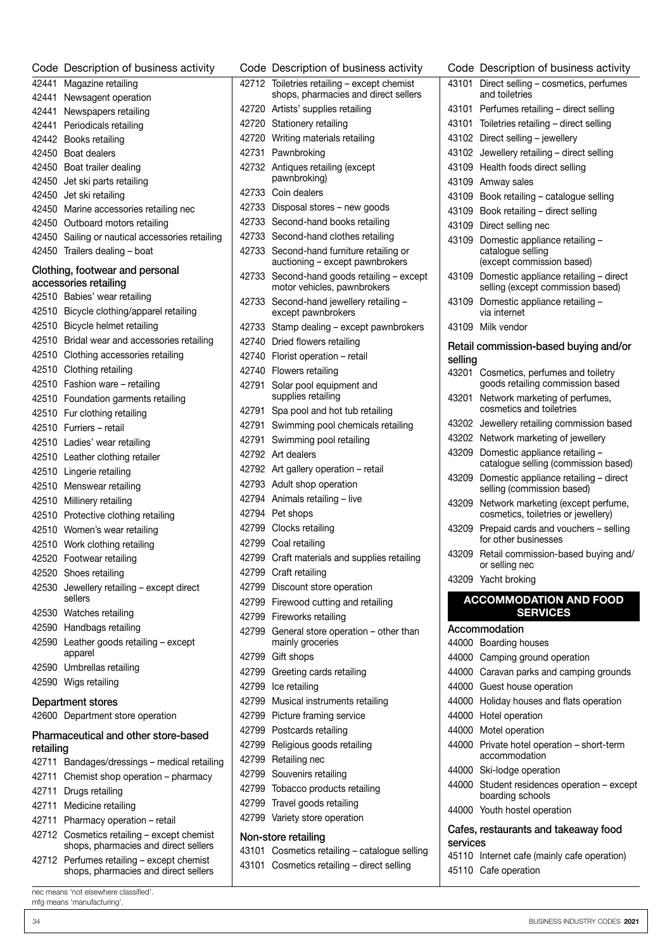|           | Code Description of business activity                                              |
|-----------|------------------------------------------------------------------------------------|
|           | 42441 Magazine retailing                                                           |
| 42441     | Newsagent operation                                                                |
|           | 42441 Newspapers retailing                                                         |
|           | 42441 Periodicals retailing                                                        |
|           | 42442 Books retailing                                                              |
|           | 42450 Boat dealers                                                                 |
|           | 42450 Boat trailer dealing                                                         |
|           | 42450 Jet ski parts retailing                                                      |
|           | 42450 Jet ski retailing                                                            |
|           | 42450 Marine accessories retailing nec                                             |
|           | 42450 Outboard motors retailing                                                    |
|           | 42450 Sailing or nautical accessories retailing                                    |
|           | 42450 Trailers dealing - boat                                                      |
|           | Clothing, footwear and personal                                                    |
|           | accessories retailing                                                              |
|           | 42510 Babies' wear retailing                                                       |
|           | 42510 Bicycle clothing/apparel retailing                                           |
|           | 42510 Bicycle helmet retailing                                                     |
|           | 42510 Bridal wear and accessories retailing                                        |
|           | 42510 Clothing accessories retailing                                               |
|           | 42510 Clothing retailing                                                           |
|           | 42510 Fashion ware - retailing                                                     |
|           | 42510 Foundation garments retailing                                                |
|           | 42510 Fur clothing retailing                                                       |
|           | 42510 Furriers - retail                                                            |
|           | 42510 Ladies' wear retailing                                                       |
|           | 42510 Leather clothing retailer                                                    |
|           | 42510 Lingerie retailing                                                           |
|           | 42510 Menswear retailing                                                           |
|           | 42510 Millinery retailing                                                          |
|           | 42510 Protective clothing retailing                                                |
|           | 42510 Women's wear retailing                                                       |
|           | 42510 Work clothing retailing                                                      |
|           | 42520 Footwear retailing                                                           |
|           | 42520 Shoes retailing                                                              |
|           | 42530 Jewellery retailing - except direct<br>sellers                               |
|           | 42530 Watches retailing                                                            |
|           | 42590 Handbags retailing                                                           |
|           | 42590 Leather goods retailing - except<br>apparel                                  |
|           | 42590 Umbrellas retailing                                                          |
|           | 42590 Wigs retailing                                                               |
|           | <b>Department stores</b>                                                           |
|           | 42600 Department store operation                                                   |
|           | Pharmaceutical and other store-based                                               |
| retailing |                                                                                    |
| 42711     | Bandages/dressings - medical retailing                                             |
| 42711     | Chemist shop operation - pharmacy                                                  |
| 42711     | Drugs retailing                                                                    |
| 42711     | Medicine retailing                                                                 |
| 42711     | Pharmacy operation - retail                                                        |
|           | 42712 Cosmetics retailing - except chemist<br>shops, pharmacies and direct sellers |
|           | 42712 Perfumes retailing - except chemist<br>shops, pharmacies and direct sellers  |

| ×<br>I | $ -$ |  |
|--------|------|--|
|        |      |  |

|       | Code Description of business activity                                         |
|-------|-------------------------------------------------------------------------------|
| 42712 | Toiletries retailing - except chemist<br>shops, pharmacies and direct sellers |
| 42720 | Artists' supplies retailing                                                   |
| 42720 | Stationery retailing                                                          |
| 42720 | Writing materials retailing                                                   |
| 42731 | Pawnbroking                                                                   |
| 42732 | Antiques retailing (except<br>pawnbroking)                                    |
| 42733 | Coin dealers                                                                  |
| 42733 | Disposal stores - new goods                                                   |
| 42733 | Second-hand books retailing                                                   |
| 42733 | Second-hand clothes retailing                                                 |
| 42733 | Second-hand furniture retailing or<br>auctioning - except pawnbrokers         |
| 42733 | Second-hand goods retailing - except<br>motor vehicles, pawnbrokers           |
| 42733 | Second-hand jewellery retailing -<br>except pawnbrokers                       |
| 42733 | Stamp dealing - except pawnbrokers                                            |
| 42740 | Dried flowers retailing                                                       |
| 42740 | Florist operation - retail                                                    |
| 42740 | Flowers retailing                                                             |
| 42791 | Solar pool equipment and<br>supplies retailing                                |
| 42791 | Spa pool and hot tub retailing                                                |
| 42791 | Swimming pool chemicals retailing                                             |
| 42791 | Swimming pool retailing                                                       |
| 42792 | Art dealers                                                                   |
| 42792 | Art gallery operation - retail                                                |
| 42793 | Adult shop operation                                                          |
| 42794 | Animals retailing - live                                                      |
| 42794 | Pet shops                                                                     |
| 42799 | Clocks retailing                                                              |
| 42799 | Coal retailing                                                                |
| 42799 | Craft materials and supplies retailing                                        |
| 42799 | Craft retailing                                                               |
|       | 42799 Discount store operation                                                |
|       | 42799 Firewood cutting and retailing                                          |
|       | 42799 Fireworks retailing                                                     |
|       | 42799 General store operation - other than<br>mainly groceries                |
| 42799 | Gift shops                                                                    |
|       | 42799 Greeting cards retailing                                                |
|       | 42799 Ice retailing                                                           |
|       | 42799 Musical instruments retailing                                           |
|       | 42799 Picture framing service                                                 |
|       | 42799 Postcards retailing                                                     |
|       | 42799 Religious goods retailing                                               |
|       | 42799 Retailing nec                                                           |
|       | 42799 Souvenirs retailing                                                     |
|       | 42799 Tobacco products retailing                                              |
| 42799 | Travel goods retailing                                                        |
|       | 42799 Variety store operation                                                 |
|       | Non-store retailing                                                           |
|       | 43101 Cosmetics retailing - catalogue selling                                 |
|       | 43101 Cosmetics retailing - direct selling                                    |

| Code     | Description of business activity                                                 |
|----------|----------------------------------------------------------------------------------|
| 43101    | Direct selling - cosmetics, perfumes                                             |
|          | and toiletries                                                                   |
| 43101    | Perfumes retailing - direct selling                                              |
| 43101    | Toiletries retailing - direct selling                                            |
| 43102    | Direct selling - jewellery                                                       |
| 43102    | Jewellery retailing - direct selling                                             |
| 43109    | Health foods direct selling                                                      |
| 43109    | Amway sales                                                                      |
| 43109    | Book retailing - catalogue selling                                               |
| 43109    | Book retailing - direct selling                                                  |
| 43109    | Direct selling nec                                                               |
| 43109    | Domestic appliance retailing -<br>catalogue selling<br>(except commission based) |
| 43109    | Domestic appliance retailing - direct<br>selling (except commission based)       |
| 43109    | Domestic appliance retailing -<br>via internet                                   |
| 43109    | Milk vendor                                                                      |
|          | Retail commission-based buying and/or                                            |
| selling  |                                                                                  |
| 43201    | Cosmetics, perfumes and toiletry<br>goods retailing commission based             |
| 43201    | Network marketing of perfumes,<br>cosmetics and toiletries                       |
| 43202    | Jewellery retailing commission based                                             |
| 43202    | Network marketing of jewellery                                                   |
| 43209    | Domestic appliance retailing -<br>catalogue selling (commission based)           |
| 43209    | Domestic appliance retailing - direct<br>selling (commission based)              |
| 43209    | Network marketing (except perfume,<br>cosmetics, toiletries or jewellery)        |
| 43209    | Prepaid cards and vouchers - selling<br>for other businesses                     |
| 43209    | Retail commission-based buying and/<br>or selling nec                            |
|          | 43209 Yacht broking                                                              |
|          | <b>ACCOMMODATION AND FOOD</b>                                                    |
|          | <b>SERVICES</b>                                                                  |
|          | Accommodation                                                                    |
| 44000    | Boarding houses                                                                  |
| 44000    | Camping ground operation                                                         |
| 44000    | Caravan parks and camping grounds                                                |
| 44000    | Guest house operation                                                            |
| 44000    | Holiday houses and flats operation                                               |
|          | 44000 Hotel operation                                                            |
|          | 44000 Motel operation                                                            |
| 44000    | Private hotel operation - short-term<br>accommodation                            |
| 44000    | Ski-lodge operation                                                              |
| 44000    | Student residences operation - except<br>boarding schools                        |
|          | 44000 Youth hostel operation                                                     |
| services | Cafes, restaurants and takeaway food                                             |
|          | 45110 Internet cafe (mainly cafe operation)                                      |
|          | 45110 Cafe operation                                                             |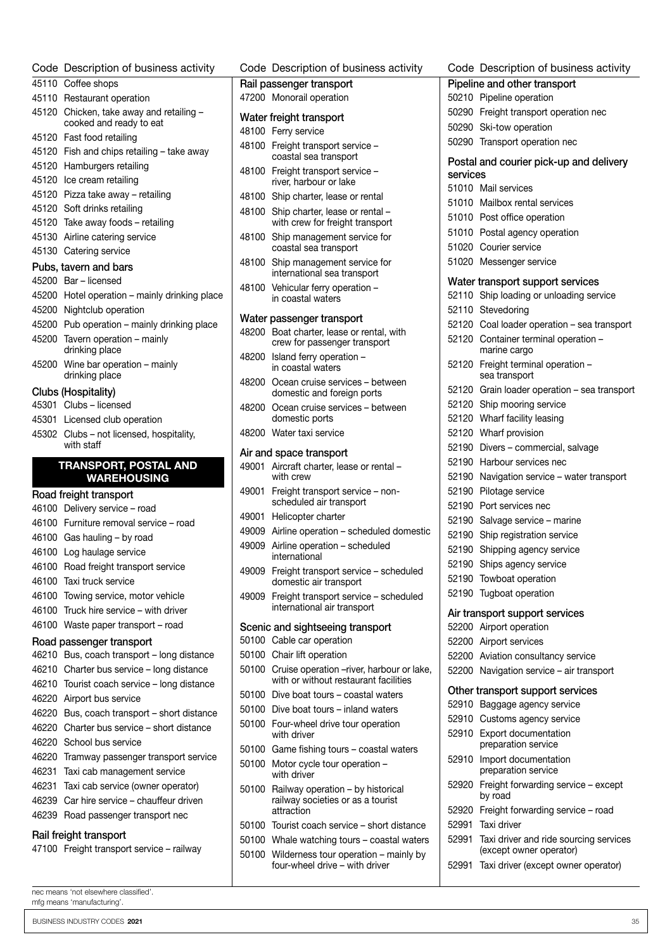|       | Code Description of business activity                                        |
|-------|------------------------------------------------------------------------------|
|       | 45110 Coffee shops                                                           |
|       | 45110 Restaurant operation                                                   |
|       | 45120 Chicken, take away and retailing -<br>cooked and ready to eat          |
|       | 45120 Fast food retailing                                                    |
|       | 45120 Fish and chips retailing - take away                                   |
|       | 45120 Hamburgers retailing                                                   |
| 45120 | Ice cream retailing                                                          |
|       | 45120 Pizza take away - retailing                                            |
|       | 45120 Soft drinks retailing                                                  |
|       | 45120 Take away foods - retailing                                            |
|       | 45130 Airline catering service                                               |
|       | 45130 Catering service                                                       |
|       | Pubs, tavern and bars                                                        |
|       | 45200 Bar - licensed                                                         |
|       | 45200 Hotel operation - mainly drinking place                                |
|       | 45200 Nightclub operation                                                    |
|       | 45200 Pub operation – mainly drinking place                                  |
| 45200 | Tavern operation - mainly<br>drinking place                                  |
|       | 45200 Wine bar operation - mainly<br>drinking place                          |
|       | Clubs (Hospitality)                                                          |
|       | 45301 Clubs - licensed                                                       |
|       | 45301 Licensed club operation                                                |
|       | 45302 Clubs - not licensed, hospitality,<br>with staff                       |
|       | <b>TRANSPORT, POSTAL AND</b><br><b>WAREHOUSING</b>                           |
|       | Road freight transport                                                       |
|       | 46100 Delivery service - road                                                |
|       | 46100 Furniture removal service - road                                       |
|       | 46100 Gas hauling - by road                                                  |
|       | 46100 Log haulage service                                                    |
| 46100 | Road freight transport service                                               |
|       | 46100 Taxi truck service                                                     |
|       | 46100 Towing service, motor vehicle                                          |
| 46100 | Truck hire service - with driver                                             |
| 46100 | Waste paper transport – road                                                 |
|       |                                                                              |
| 46210 | Road passenger transport<br>Bus, coach transport – long distance             |
| 46210 |                                                                              |
| 46210 | Charter bus service – long distance<br>Tourist coach service – long distance |
|       |                                                                              |
| 46220 | Airport bus service                                                          |
|       | 46220 Bus, coach transport – short distance                                  |
|       | 46220 Charter bus service - short distance                                   |
| 46220 | School bus service                                                           |
| 46220 | Tramway passenger transport service                                          |
| 46231 | Taxi cab management service                                                  |
| 46231 | Taxi cab service (owner operator)                                            |
| 46239 | Car hire service - chauffeur driven                                          |
| 46239 | Road passenger transport nec                                                 |
|       | Rail freight transport<br>47100 Freight transport service - railway          |
|       | nec means 'not elsewhere classified'.<br>mfg means 'manufacturing'.          |

|       | Code Description of business activity                                               | Code           |
|-------|-------------------------------------------------------------------------------------|----------------|
|       | Rail passenger transport                                                            | Pipelin        |
|       | 47200 Monorail operation                                                            | 50210          |
|       |                                                                                     | 50290          |
|       | Water freight transport                                                             | 50290          |
|       | 48100 Ferry service                                                                 | 50290          |
| 48100 | Freight transport service -                                                         |                |
|       | coastal sea transport                                                               | Postal         |
| 48100 | Freight transport service -<br>river, harbour or lake                               | service        |
| 48100 |                                                                                     | 51010          |
|       | Ship charter, lease or rental                                                       | 51010          |
| 48100 | Ship charter, lease or rental -<br>with crew for freight transport                  | 51010<br>51010 |
| 48100 | Ship management service for<br>coastal sea transport                                | 51020          |
| 48100 | Ship management service for<br>international sea transport                          | 51020          |
| 48100 | Vehicular ferry operation -                                                         | Water          |
|       | in coastal waters                                                                   | 52110          |
|       |                                                                                     | 52110          |
| 48200 | Water passenger transport<br>Boat charter, lease or rental, with                    | 52120          |
|       | crew for passenger transport                                                        | 52120          |
| 48200 | Island ferry operation -<br>in coastal waters                                       | 52120          |
| 48200 | Ocean cruise services - between<br>domestic and foreign ports                       | 52120          |
| 48200 | Ocean cruise services - between                                                     | 52120          |
|       | domestic ports                                                                      | 52120          |
|       | 48200 Water taxi service                                                            | 52120          |
|       |                                                                                     | 52190          |
|       | Air and space transport                                                             | 52190          |
| 49001 | Aircraft charter, lease or rental -<br>with crew                                    | 52190          |
| 49001 | Freight transport service - non-                                                    | 52190          |
|       | scheduled air transport                                                             | 52190          |
| 49001 | Helicopter charter                                                                  | 52190          |
| 49009 | Airline operation - scheduled domestic                                              |                |
| 49009 | Airline operation - scheduled                                                       | 52190          |
|       | international                                                                       | 52190<br>52190 |
| 49009 | Freight transport service - scheduled<br>domestic air transport                     | 52190          |
| 49009 | Freight transport service - scheduled                                               | 52190          |
|       | international air transport                                                         |                |
|       |                                                                                     | Air trar       |
|       | Scenic and sightseeing transport                                                    | 52200          |
|       | 50100 Cable car operation                                                           | 52200          |
| 50100 | Chair lift operation                                                                | 52200          |
| 50100 | Cruise operation - river, harbour or lake,<br>with or without restaurant facilities | 52200          |
| 50100 | Dive boat tours - coastal waters                                                    | Other t        |
| 50100 | Dive boat tours – inland waters                                                     | 52910          |
| 50100 | Four-wheel drive tour operation                                                     | 52910          |
|       | with driver                                                                         | 52910          |
| 50100 | Game fishing tours - coastal waters                                                 |                |
| 50100 | Motor cycle tour operation -<br>with driver                                         | 52910          |
| 50100 | Railway operation - by historical<br>railway societies or as a tourist              | 52920          |
|       | attraction                                                                          | 52920          |
| 50100 | Tourist coach service – short distance                                              | 52991          |
| 50100 | Whale watching tours - coastal waters                                               | 52991          |
| 50100 | Wilderness tour operation - mainly by<br>four-wheel drive - with driver             | 52991          |

|          | Code Description of business activity                             |
|----------|-------------------------------------------------------------------|
|          | Pipeline and other transport                                      |
| 50210    | Pipeline operation                                                |
|          | 50290 Freight transport operation nec                             |
|          | 50290 Ski-tow operation                                           |
|          | 50290 Transport operation nec                                     |
|          | Postal and courier pick-up and delivery                           |
| services |                                                                   |
|          | 51010 Mail services                                               |
| 51010    | Mailbox rental services                                           |
| 51010    | Post office operation                                             |
| 51010    | Postal agency operation                                           |
| 51020    | Courier service                                                   |
| 51020    | Messenger service                                                 |
|          | Water transport support services                                  |
| 52110    | Ship loading or unloading service                                 |
| 52110    | Stevedoring                                                       |
|          | 52120 Coal loader operation - sea transport                       |
|          | 52120 Container terminal operation -<br>marine cargo              |
| 52120    | Freight terminal operation -<br>sea transport                     |
| 52120    | Grain loader operation - sea transport                            |
| 52120    | Ship mooring service                                              |
| 52120    | Wharf facility leasing                                            |
| 52120    | Wharf provision                                                   |
| 52190    | Divers - commercial, salvage                                      |
| 52190    | Harbour services nec                                              |
| 52190    | Navigation service - water transport                              |
| 52190    | Pilotage service                                                  |
| 52190    | Port services nec                                                 |
| 52190    | Salvage service - marine                                          |
| 52190    | Ship registration service                                         |
| 52190    | Shipping agency service                                           |
|          | 52190 Ships agency service                                        |
|          | 52190 Towboat operation                                           |
| 52190    | Tugboat operation                                                 |
|          | Air transport support services                                    |
| 52200    | Airport operation                                                 |
|          | 52200 Airport services                                            |
|          | 52200 Aviation consultancy service                                |
|          | 52200 Navigation service - air transport                          |
|          | Other transport support services                                  |
| 52910    | Baggage agency service                                            |
| 52910    | Customs agency service                                            |
| 52910    | Export documentation<br>preparation service                       |
| 52910    | Import documentation<br>preparation service                       |
| 52920    | Freight forwarding service - except<br>by road                    |
|          | 52920 Freight forwarding service - road                           |
| 52991    | Taxi driver                                                       |
| 52991    | Taxi driver and ride sourcing services<br>(except owner operator) |
| 52991    | Taxi driver (except owner operator)                               |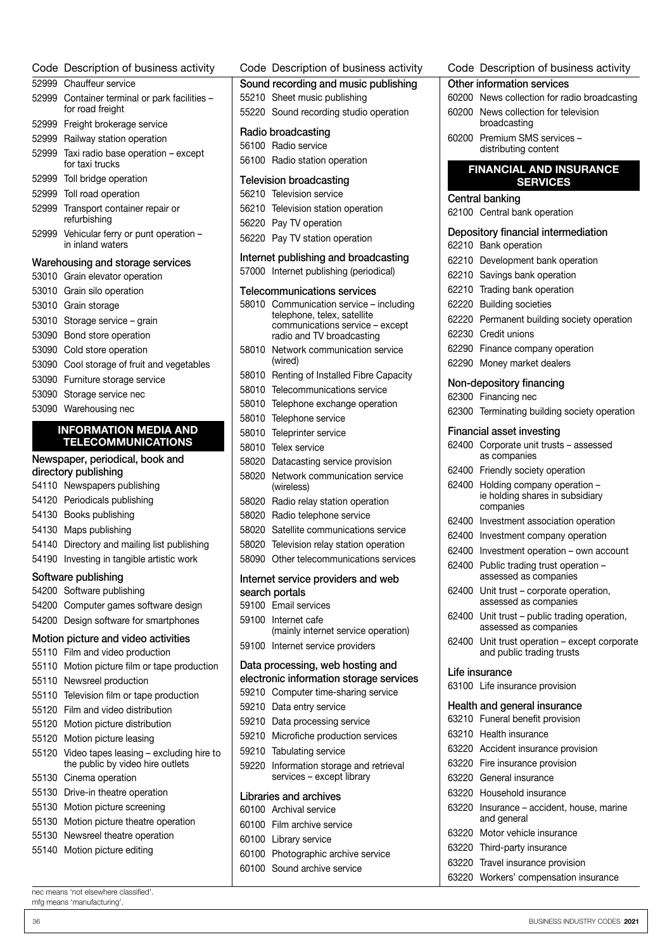|       | 52999 Chauffeur service                                                | Sound recor                   |                    |
|-------|------------------------------------------------------------------------|-------------------------------|--------------------|
|       | 52999 Container terminal or park facilities -                          | 55210 Sheet                   |                    |
|       | for road freight                                                       | 55220 Sound                   |                    |
|       | 52999 Freight brokerage service                                        | Radio broad                   |                    |
|       | 52999 Railway station operation                                        | 56100 Radio                   |                    |
|       | 52999 Taxi radio base operation - except<br>for taxi trucks            | 56100 Radio                   |                    |
|       | 52999 Toll bridge operation                                            | <b>Television br</b>          |                    |
|       | 52999 Toll road operation                                              | 56210 Televis                 |                    |
|       | 52999 Transport container repair or<br>refurbishing                    | 56210 Televis<br>56220 Pay T\ |                    |
| 52999 | Vehicular ferry or punt operation -<br>in inland waters                | 56220 Pay T\                  |                    |
|       | Warehousing and storage services                                       | Internet publ                 |                    |
|       | 53010 Grain elevator operation                                         | 57000 Interne                 |                    |
|       | 53010 Grain silo operation                                             | Telecommun                    |                    |
|       | 53010 Grain storage                                                    | 58010 Comm                    |                    |
|       | 53010 Storage service - grain                                          |                               | teleph<br>comm     |
|       | 53090 Bond store operation                                             |                               | radio a            |
|       | 53090 Cold store operation                                             | 58010                         | Netwo              |
|       | 53090 Cool storage of fruit and vegetables                             |                               | (wired)            |
|       | 53090 Furniture storage service                                        | 58010 Rentin                  |                    |
|       | 53090 Storage service nec                                              | 58010 Teleco                  |                    |
|       | 53090 Warehousing nec                                                  | 58010 Teleph                  |                    |
|       | <b>INFORMATION MEDIA AND</b>                                           | 58010 Teleph                  |                    |
|       | <b>TELECOMMUNICATIONS</b>                                              | 58010 Telepri                 |                    |
|       | Newspaper, periodical, book and                                        | 58010                         | Telex s            |
|       | directory publishing                                                   | 58020                         | Dataca             |
|       | 54110 Newspapers publishing                                            | 58020                         | Netwo<br>(wirele   |
|       | 54120 Periodicals publishing                                           | 58020 Radio                   |                    |
|       | 54130 Books publishing                                                 | 58020                         | Radio              |
|       | 54130 Maps publishing                                                  | 58020                         | Satellit           |
|       | 54140 Directory and mailing list publishing                            | 58020                         | Televis            |
|       | 54190 Investing in tangible artistic work                              | 58090 Other                   |                    |
|       | Software publishing                                                    | Internet servi                |                    |
|       | 54200 Software publishing                                              | search porta                  |                    |
|       | 54200 Computer games software design                                   | 59100                         | Email s            |
|       | 54200 Design software for smartphones                                  | 59100                         | Interne            |
|       | Motion picture and video activities<br>55110 Film and video production | 59100                         | (mainly<br>Interne |
|       | 55110 Motion picture film or tape production                           | Data process                  |                    |
|       | 55110 Newsreel production                                              | electronic inf                |                    |
|       | 55110 Television film or tape production                               | 59210 Compi                   |                    |
|       | 55120 Film and video distribution                                      | 59210                         | Data e             |
|       | 55120 Motion picture distribution                                      | 59210                         | Data p             |
|       | 55120 Motion picture leasing                                           | 59210                         | Microf             |
|       | 55120 Video tapes leasing - excluding hire to                          | 59210                         | Tabula             |
|       | the public by video hire outlets                                       | 59220                         | Inform             |
|       | 55130 Cinema operation                                                 |                               | service            |
|       |                                                                        |                               |                    |
|       | 55130 Drive-in theatre operation                                       | Libraries and                 |                    |
|       | 55130 Motion picture screening                                         | 60100 Archiva                 |                    |
|       | 55130 Motion picture theatre operation                                 | 60100                         | Film ar            |
|       | 55130 Newsreel theatre operation                                       | 60100 Library                 |                    |
|       | 55140 Motion picture editing                                           | 60100 Photo                   |                    |

Code Description of business activity

|       | Code Description of business activity                          |
|-------|----------------------------------------------------------------|
|       | Sound recording and music publishing                           |
|       | 55210 Sheet music publishing                                   |
|       | 55220 Sound recording studio operation                         |
|       | Radio broadcasting                                             |
|       | 56100 Radio service                                            |
|       | 56100 Radio station operation                                  |
|       | <b>Television broadcasting</b>                                 |
|       | 56210 Television service                                       |
|       | 56210 Television station operation                             |
|       | 56220 Pay TV operation                                         |
| 56220 | Pay TV station operation                                       |
|       | Internet publishing and broadcasting                           |
| 57000 | Internet publishing (periodical)                               |
|       | <b>Telecommunications services</b>                             |
| 58010 | Communication service - including                              |
|       | telephone, telex, satellite<br>communications service - except |
|       | radio and TV broadcasting                                      |
| 58010 | Network communication service<br>(wired)                       |
| 58010 | Renting of Installed Fibre Capacity                            |
| 58010 | Telecommunications service                                     |
| 58010 | Telephone exchange operation                                   |
| 58010 | Telephone service                                              |
| 58010 | Teleprinter service                                            |
| 58010 | Telex service                                                  |
| 58020 | Datacasting service provision                                  |
| 58020 | Network communication service<br>(wireless)                    |
| 58020 | Radio relay station operation                                  |
| 58020 | Radio telephone service                                        |
| 58020 | Satellite communications service                               |
| 58020 | Television relay station operation                             |
| 58090 | Other telecommunications services                              |
|       | Internet service providers and web                             |
|       | search portals<br>59100 Email services                         |
|       | 59100 Internet cafe                                            |
|       | (mainly internet service operation)                            |
| 59100 | Internet service providers                                     |
|       | Data processing, web hosting and                               |
|       | electronic information storage services                        |
| 59210 | Computer time-sharing service                                  |
| 59210 | Data entry service                                             |
|       | 59210 Data processing service                                  |
|       | 59210 Microfiche production services                           |
| 59220 | 59210 Tabulating service                                       |
|       | Information storage and retrieval<br>services - except library |
|       | Libraries and archives                                         |
|       | 60100 Archival service                                         |
|       | 60100 Film archive service                                     |
| 60100 | Library service                                                |
| 60100 | Photographic archive service                                   |
|       | 60100 Sound archive service                                    |

#### Code Description of business activity

- News collection for radio broadcasting
- News collection for television broadcasting
- Premium SMS services distributing content

#### FINANCIAL AND INSURANCE SERVICES

#### Central banking

Central bank operation

#### Depository financial intermediation

|       | Depository financial intermediation                                  |
|-------|----------------------------------------------------------------------|
| 62210 | Bank operation                                                       |
| 62210 | Development bank operation                                           |
|       | 62210 Savings bank operation                                         |
| 62210 | Trading bank operation                                               |
| 62220 | <b>Building societies</b>                                            |
| 62220 | Permanent building society operation                                 |
|       | 62230 Credit unions                                                  |
| 62290 | Finance company operation                                            |
| 62290 | Money market dealers                                                 |
|       | Non-depository financing                                             |
|       | 62300 Financing nec                                                  |
|       | 62300 Terminating building society operation                         |
|       | <b>Financial asset investing</b>                                     |
|       | 62400 Corporate unit trusts - assessed<br>as companies               |
| 62400 | Friendly society operation                                           |
| 62400 | Holding company operation -                                          |
|       | ie holding shares in subsidiary<br>companies                         |
| 62400 | Investment association operation                                     |
| 62400 | Investment company operation                                         |
|       | 62400 Investment operation - own account                             |
| 62400 | Public trading trust operation -<br>assessed as companies            |
| 62400 | Unit trust – corporate operation,<br>assessed as companies           |
| 62400 | Unit trust - public trading operation,<br>assessed as companies      |
| 62400 | Unit trust operation - except corporate<br>and public trading trusts |
|       | Life insurance                                                       |
|       | 63100 Life insurance provision                                       |
|       | Health and general insurance                                         |
|       | 63210 Funeral benefit provision                                      |
|       | 63210 Health insurance                                               |
|       | 63220 Accident insurance provision                                   |
|       | 63220 Fire insurance provision                                       |
|       | 63220 General insurance                                              |
|       | 63220 Household insurance                                            |
| 63220 | Insurance - accident, house, marine<br>and general                   |
| 63220 | Motor vehicle insurance                                              |
| 63220 | Third-party insurance                                                |
| 63220 | Travel insurance provision                                           |
| 63220 | Workers' compensation insurance                                      |
|       |                                                                      |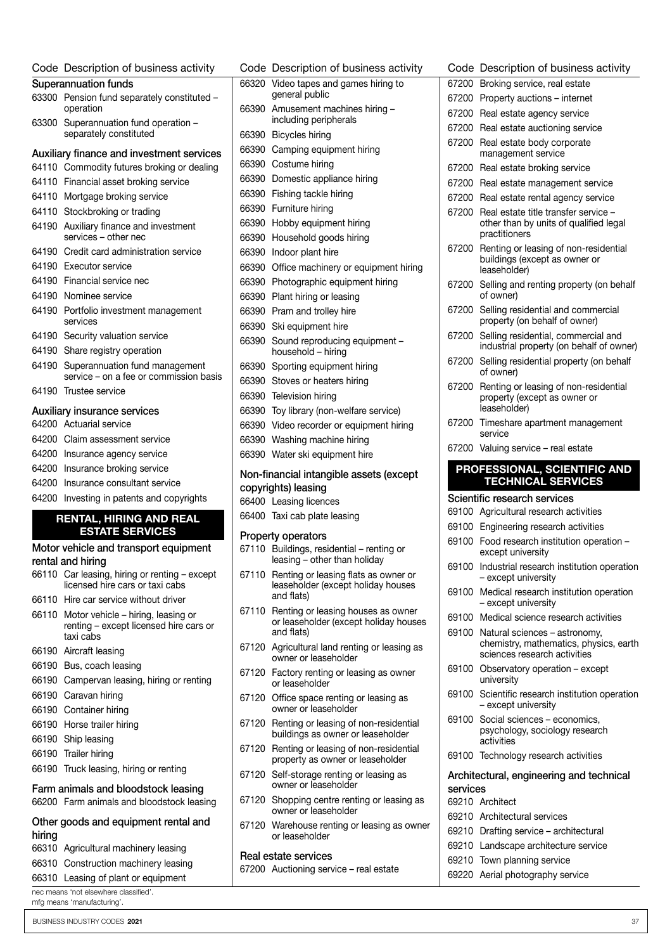| Code Description of business activity                                              | C٥       |
|------------------------------------------------------------------------------------|----------|
| <b>Superannuation funds</b>                                                        | 66       |
| 63300<br>Pension fund separately constituted -<br>operation                        | 66       |
| 63300<br>Superannuation fund operation -                                           |          |
| separately constituted                                                             | 66       |
| Auxiliary finance and investment services                                          | 66       |
| Commodity futures broking or dealing<br>64110                                      | 66       |
| 64110 Financial asset broking service                                              | 66       |
| 64110<br>Mortgage broking service                                                  | 66       |
| 64110<br>Stockbroking or trading                                                   | 66       |
| 64190<br>Auxiliary finance and investment<br>services - other nec                  | 66<br>66 |
| 64190<br>Credit card administration service                                        | 66       |
| 64190<br>Executor service                                                          | 66       |
| 64190<br>Financial service nec                                                     | 66       |
| 64190<br>Nominee service                                                           | 66       |
| 64190<br>Portfolio investment management<br>services                               | 66<br>66 |
| Security valuation service<br>64190                                                | 66       |
| 64190<br>Share registry operation                                                  |          |
| 64190<br>Superannuation fund management                                            | 66       |
| service - on a fee or commission basis                                             | 66       |
| 64190<br>Trustee service                                                           | 66       |
| Auxiliary insurance services                                                       | 66       |
| 64200 Actuarial service                                                            | 66       |
| 64200 Claim assessment service                                                     | 66       |
| 64200<br>Insurance agency service                                                  | 66       |
| 64200<br>Insurance broking service                                                 | No       |
| 64200<br>Insurance consultant service                                              | co       |
| 64200<br>Investing in patents and copyrights                                       | 66       |
| <b>RENTAL, HIRING AND REAL</b>                                                     | 66       |
| <b>ESTATE SERVICES</b>                                                             | Pr       |
| Motor vehicle and transport equipment<br>rental and hiring                         | 67       |
| 66110 Car leasing, hiring or renting - except<br>licensed hire cars or taxi cabs   | 67       |
| 66110<br>Hire car service without driver                                           |          |
| 66110 Motor vehicle – hiring, leasing or<br>renting - except licensed hire cars or | 67       |
| taxi cabs<br>66190 Aircraft leasing                                                | 67       |
| 66190 Bus, coach leasing                                                           | 67       |
| 66190 Campervan leasing, hiring or renting                                         |          |
| 66190 Caravan hiring                                                               | 67       |
| 66190 Container hiring                                                             |          |
| 66190 Horse trailer hiring                                                         | 67       |
| 66190 Ship leasing                                                                 |          |
| 66190 Trailer hiring                                                               | 67       |
| 66190 Truck leasing, hiring or renting                                             | 67       |
| Farm animals and bloodstock leasing<br>66200 Farm animals and bloodstock leasing   | 67       |
| Other goods and equipment rental and                                               | 67       |

 Agricultural machinery leasing Construction machinery leasing Leasing of plant or equipment

hiring

|       | Code Description of business activity                                                    | (          |
|-------|------------------------------------------------------------------------------------------|------------|
| 66320 | Video tapes and games hiring to                                                          | Е          |
|       | general public                                                                           | Е          |
| 66390 | Amusement machines hiring -<br>including peripherals                                     | 6          |
| 66390 | Bicycles hiring                                                                          | Е          |
| 66390 | Camping equipment hiring                                                                 | Е          |
| 66390 | Costume hiring                                                                           |            |
|       | 66390 Domestic appliance hiring                                                          | Е          |
| 66390 | Fishing tackle hiring                                                                    | 6          |
| 66390 | Furniture hiring                                                                         | 6          |
| 66390 | Hobby equipment hiring                                                                   | Е          |
| 66390 | Household goods hiring                                                                   |            |
| 66390 | Indoor plant hire                                                                        | Е          |
| 66390 | Office machinery or equipment hiring                                                     |            |
| 66390 | Photographic equipment hiring                                                            |            |
| 66390 | Plant hiring or leasing                                                                  | Е          |
| 66390 | Pram and trolley hire                                                                    | 6          |
| 66390 | Ski equipment hire                                                                       |            |
| 66390 | Sound reproducing equipment -<br>household - hiring                                      | 6          |
|       | 66390 Sporting equipment hiring                                                          | 6          |
|       | 66390 Stoves or heaters hiring                                                           |            |
|       | 66390 Television hiring                                                                  | 6          |
| 66390 | Toy library (non-welfare service)                                                        |            |
| 66390 | Video recorder or equipment hiring                                                       | Е          |
| 66390 | Washing machine hiring                                                                   |            |
| 66390 | Water ski equipment hire                                                                 | Е          |
|       | Non-financial intangible assets (except                                                  |            |
|       | copyrights) leasing                                                                      |            |
|       | 66400 Leasing licences                                                                   |            |
|       | 66400 Taxi cab plate leasing                                                             | Е          |
|       | <b>Property operators</b>                                                                | Е          |
|       | 67110 Buildings, residential - renting or<br>leasing - other than holiday                | Е          |
| 67110 | Renting or leasing flats as owner or<br>leaseholder (except holiday houses<br>and flats) | Е<br>Е     |
| 67110 | Renting or leasing houses as owner<br>or leaseholder (except holiday houses              | Е          |
| 67120 | and flats)<br>Agricultural land renting or leasing as                                    | 6          |
| 67120 | owner or leaseholder<br>Factory renting or leasing as owner<br>or leaseholder            | Е          |
| 67120 | Office space renting or leasing as<br>owner or leaseholder                               | Е          |
| 67120 | Renting or leasing of non-residential<br>buildings as owner or leaseholder               | 6          |
| 67120 | Renting or leasing of non-residential<br>property as owner or leaseholder                | Є          |
| 67120 | Self-storage renting or leasing as<br>owner or leaseholder                               | l<br>s     |
| 67120 | Shopping centre renting or leasing as<br>owner or leaseholder                            | 6          |
|       | 67120 Warehouse renting or leasing as owner<br>or leaseholder                            | Е<br>6     |
|       |                                                                                          | $\epsilon$ |

- Factory renting or leasing as owner
- Office space renting or leasing as
- Renting or leasing of non-residential
- Renting or leasing of non-residential
- Self-storage renting or leasing as
- Shopping centre renting or leasing as
- Warehouse renting or leasing as owner

#### Real estate services

Auctioning service – real estate

|          | Code Description of business activity                                                                         |
|----------|---------------------------------------------------------------------------------------------------------------|
| 67200    | Broking service, real estate                                                                                  |
| 67200    | Property auctions - internet                                                                                  |
| 67200    | Real estate agency service                                                                                    |
| 67200    | Real estate auctioning service                                                                                |
| 67200    | Real estate body corporate<br>management service                                                              |
| 67200    | Real estate broking service                                                                                   |
| 67200    | Real estate management service                                                                                |
| 67200    | Real estate rental agency service                                                                             |
| 67200    | Real estate title transfer service -<br>other than by units of qualified legal<br>practitioners               |
| 67200    | Renting or leasing of non-residential<br>buildings (except as owner or<br>leaseholder)                        |
| 67200    | Selling and renting property (on behalf<br>of owner)                                                          |
| 67200    | Selling residential and commercial<br>property (on behalf of owner)                                           |
| 67200    | Selling residential, commercial and<br>industrial property (on behalf of owner)                               |
| 67200    | Selling residential property (on behalf<br>of owner)                                                          |
| 67200    | Renting or leasing of non-residential<br>property (except as owner or<br>leaseholder)                         |
|          | 67200 Timeshare apartment management<br>service                                                               |
|          | 67200 Valuing service - real estate                                                                           |
|          | PROFESSIONAL, SCIENTIFIC AND                                                                                  |
|          |                                                                                                               |
|          | <b>TECHNICAL SERVICES</b>                                                                                     |
|          | Scientific research services                                                                                  |
| 69100    | Agricultural research activities                                                                              |
| 69100    | Engineering research activities                                                                               |
| 69100    | Food research institution operation -<br>except university                                                    |
| 69100    | Industrial research institution operation<br>- except university                                              |
|          | 69100 Medical research institution operation<br>- except university                                           |
|          | 69100 Medical science research activities                                                                     |
|          | 69100 Natural sciences - astronomy,<br>chemistry, mathematics, physics, earth<br>sciences research activities |
|          | 69100 Observatory operation - except<br>university                                                            |
| 69100    | Scientific research institution operation<br>- except university                                              |
| 69100    | Social sciences - economics,<br>psychology, sociology research<br>activities                                  |
|          | 69100 Technology research activities                                                                          |
|          | Architectural, engineering and technical                                                                      |
| services |                                                                                                               |
|          | 69210 Architect                                                                                               |
|          | 69210 Architectural services                                                                                  |
|          | 69210 Drafting service - architectural                                                                        |
|          | 69210 Landscape architecture service                                                                          |

Aerial photography service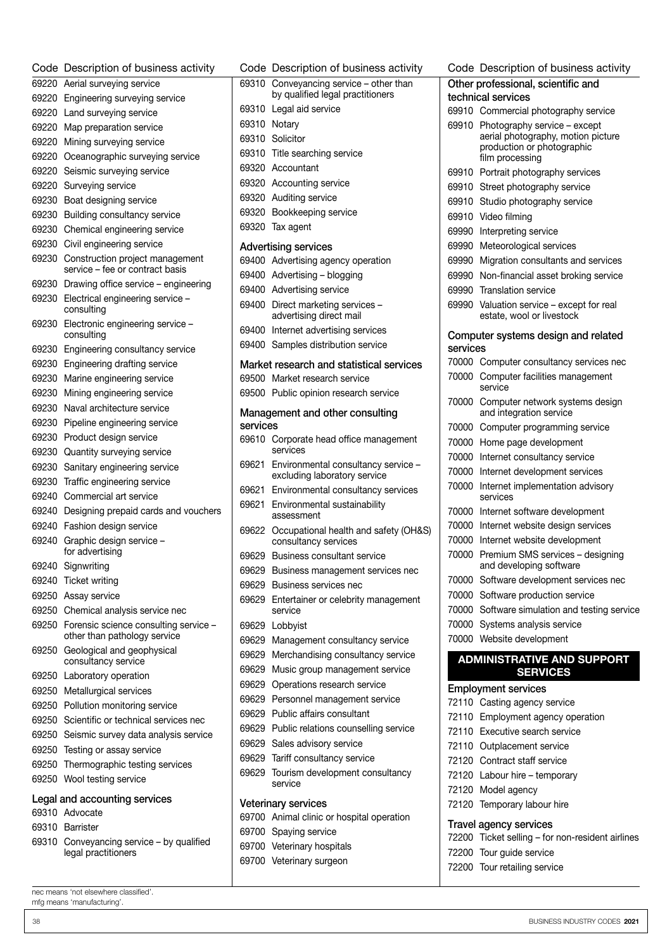| Code  | Description of business activity                                      |  |  |  |  |
|-------|-----------------------------------------------------------------------|--|--|--|--|
| 69220 | Aerial surveying service                                              |  |  |  |  |
| 69220 | Engineering surveying service                                         |  |  |  |  |
| 69220 | Land surveying service                                                |  |  |  |  |
| 69220 | Map preparation service                                               |  |  |  |  |
| 69220 | Mining surveying service                                              |  |  |  |  |
| 69220 | Oceanographic surveying service                                       |  |  |  |  |
| 69220 | Seismic surveying service                                             |  |  |  |  |
| 69220 | Surveying service                                                     |  |  |  |  |
| 69230 | Boat designing service                                                |  |  |  |  |
| 69230 | Building consultancy service                                          |  |  |  |  |
| 69230 | Chemical engineering service                                          |  |  |  |  |
| 69230 | Civil engineering service                                             |  |  |  |  |
| 69230 | Construction project management<br>service - fee or contract basis    |  |  |  |  |
| 69230 | Drawing office service – engineering                                  |  |  |  |  |
| 69230 | Electrical engineering service -<br>consulting                        |  |  |  |  |
| 69230 | Electronic engineering service -<br>consulting                        |  |  |  |  |
| 69230 | Engineering consultancy service                                       |  |  |  |  |
| 69230 | Engineering drafting service                                          |  |  |  |  |
| 69230 | Marine engineering service                                            |  |  |  |  |
| 69230 | Mining engineering service                                            |  |  |  |  |
| 69230 | Naval architecture service                                            |  |  |  |  |
| 69230 | Pipeline engineering service                                          |  |  |  |  |
| 69230 | Product design service                                                |  |  |  |  |
| 69230 | Quantity surveying service                                            |  |  |  |  |
| 69230 | Sanitary engineering service                                          |  |  |  |  |
| 69230 | Traffic engineering service                                           |  |  |  |  |
| 69240 | Commercial art service                                                |  |  |  |  |
| 69240 | Designing prepaid cards and vouchers                                  |  |  |  |  |
| 69240 | Fashion design service                                                |  |  |  |  |
| 69240 | Graphic design service -<br>for advertising                           |  |  |  |  |
| 69240 | Signwriting                                                           |  |  |  |  |
| 69240 | Ticket writing                                                        |  |  |  |  |
| 69250 | Assay service                                                         |  |  |  |  |
| 69250 | Chemical analysis service nec                                         |  |  |  |  |
| 69250 | Forensic science consulting service -<br>other than pathology service |  |  |  |  |
| 69250 | Geological and geophysical<br>consultancy service                     |  |  |  |  |
| 69250 | Laboratory operation                                                  |  |  |  |  |
| 69250 | Metallurgical services                                                |  |  |  |  |
| 69250 | Pollution monitoring service                                          |  |  |  |  |
| 69250 | Scientific or technical services nec                                  |  |  |  |  |
| 69250 | Seismic survey data analysis service                                  |  |  |  |  |
| 69250 | Testing or assay service                                              |  |  |  |  |
| 69250 | Thermographic testing services                                        |  |  |  |  |
| 69250 | Wool testing service<br>Legal and accounting services                 |  |  |  |  |
|       | 69310 Advocate                                                        |  |  |  |  |
| 69310 | <b>Barrister</b>                                                      |  |  |  |  |
| 69310 | Conveyancing service - by qualified                                   |  |  |  |  |
|       | legal practitioners                                                   |  |  |  |  |

|                          | Code Description of business activity                                 |  |  |  |  |  |
|--------------------------|-----------------------------------------------------------------------|--|--|--|--|--|
| 69310                    | Conveyancing service - other than<br>by qualified legal practitioners |  |  |  |  |  |
| 69310                    | Legal aid service                                                     |  |  |  |  |  |
| 69310                    | Notary                                                                |  |  |  |  |  |
|                          | 69310 Solicitor                                                       |  |  |  |  |  |
| 69310                    | Title searching service                                               |  |  |  |  |  |
| 69320                    | Accountant                                                            |  |  |  |  |  |
|                          | 69320 Accounting service                                              |  |  |  |  |  |
| 69320                    | Auditing service                                                      |  |  |  |  |  |
| 69320                    | Bookkeeping service                                                   |  |  |  |  |  |
| 69320                    | Tax agent                                                             |  |  |  |  |  |
|                          | <b>Advertising services</b>                                           |  |  |  |  |  |
| 69400                    | Advertising agency operation                                          |  |  |  |  |  |
|                          | 69400 Advertising - blogging                                          |  |  |  |  |  |
|                          | 69400 Advertising service                                             |  |  |  |  |  |
| 69400                    | Direct marketing services -<br>advertising direct mail                |  |  |  |  |  |
| 69400                    | Internet advertising services                                         |  |  |  |  |  |
|                          | 69400 Samples distribution service                                    |  |  |  |  |  |
|                          | Market research and statistical services                              |  |  |  |  |  |
| 69500                    | Market research service                                               |  |  |  |  |  |
| 69500                    | Public opinion research service                                       |  |  |  |  |  |
|                          |                                                                       |  |  |  |  |  |
| services                 | Management and other consulting                                       |  |  |  |  |  |
|                          | 69610 Corporate head office management<br>services                    |  |  |  |  |  |
| 69621                    | Environmental consultancy service -<br>excluding laboratory service   |  |  |  |  |  |
| 69621                    | Environmental consultancy services                                    |  |  |  |  |  |
| 69621                    | Environmental sustainability<br>assessment                            |  |  |  |  |  |
| 69622                    | Occupational health and safety (OH&S)<br>consultancy services         |  |  |  |  |  |
| 69629                    | <b>Business consultant service</b>                                    |  |  |  |  |  |
| 69629                    | Business management services nec                                      |  |  |  |  |  |
|                          | 69629 Business services nec                                           |  |  |  |  |  |
| 69629                    | Entertainer or celebrity management<br>service                        |  |  |  |  |  |
| 69629                    | Lobbyist                                                              |  |  |  |  |  |
| 69629                    | Management consultancy service                                        |  |  |  |  |  |
| 69629                    | Merchandising consultancy service                                     |  |  |  |  |  |
| 69629                    | Music group management service                                        |  |  |  |  |  |
| 69629                    | Operations research service                                           |  |  |  |  |  |
|                          | 69629 Personnel management service                                    |  |  |  |  |  |
| 69629                    | Public affairs consultant                                             |  |  |  |  |  |
| 69629                    | Public relations counselling service                                  |  |  |  |  |  |
| 69629                    | Sales advisory service                                                |  |  |  |  |  |
| 69629                    | Tariff consultancy service                                            |  |  |  |  |  |
| 69629                    | Tourism development consultancy<br>service                            |  |  |  |  |  |
|                          | <b>Veterinary services</b>                                            |  |  |  |  |  |
| 69700                    | Animal clinic or hospital operation                                   |  |  |  |  |  |
| 69700<br>Spaying service |                                                                       |  |  |  |  |  |
| 69700                    | Veterinary hospitals                                                  |  |  |  |  |  |
| 69700                    | Veterinary surgeon                                                    |  |  |  |  |  |

|                                    | Code Description of business activity                            |  |  |  |  |
|------------------------------------|------------------------------------------------------------------|--|--|--|--|
| Other professional, scientific and |                                                                  |  |  |  |  |
|                                    | technical services                                               |  |  |  |  |
|                                    | 69910 Commercial photography service                             |  |  |  |  |
| 69910                              | Photography service – except                                     |  |  |  |  |
|                                    | aerial photography, motion picture<br>production or photographic |  |  |  |  |
|                                    | film processing                                                  |  |  |  |  |
| 69910                              | Portrait photography services                                    |  |  |  |  |
| 69910                              | Street photography service                                       |  |  |  |  |
| 69910                              | Studio photography service                                       |  |  |  |  |
| 69910                              | Video filming                                                    |  |  |  |  |
| 69990                              | Interpreting service                                             |  |  |  |  |
| 69990                              | Meteorological services                                          |  |  |  |  |
| 69990                              | Migration consultants and services                               |  |  |  |  |
| 69990                              | Non-financial asset broking service                              |  |  |  |  |
| 69990                              | <b>Translation service</b>                                       |  |  |  |  |
| 69990                              | Valuation service - except for real                              |  |  |  |  |
|                                    | estate, wool or livestock                                        |  |  |  |  |
|                                    | Computer systems design and related                              |  |  |  |  |
| services                           |                                                                  |  |  |  |  |
| 70000                              | Computer consultancy services nec                                |  |  |  |  |
| 70000                              | Computer facilities management                                   |  |  |  |  |
|                                    | service                                                          |  |  |  |  |
| 70000                              | Computer network systems design<br>and integration service       |  |  |  |  |
| 70000                              | Computer programming service                                     |  |  |  |  |
| 70000                              | Home page development                                            |  |  |  |  |
| 70000                              | Internet consultancy service                                     |  |  |  |  |
| 70000                              | Internet development services                                    |  |  |  |  |
| 70000                              | Internet implementation advisory                                 |  |  |  |  |
|                                    | services                                                         |  |  |  |  |
| 70000                              | Internet software development                                    |  |  |  |  |
| 70000                              | Internet website design services                                 |  |  |  |  |
| 70000                              | Internet website development                                     |  |  |  |  |
| 70000                              | Premium SMS services - designing<br>and developing software      |  |  |  |  |
| 70000                              | Software development services nec                                |  |  |  |  |
| 70000                              | Software production service                                      |  |  |  |  |
|                                    | 70000 Software simulation and testing service                    |  |  |  |  |
| 70000                              | Systems analysis service                                         |  |  |  |  |
| 70000                              | Website development                                              |  |  |  |  |
|                                    | <b>ADMINISTRATIVE AND SUPPORT</b>                                |  |  |  |  |
|                                    | <b>SERVICES</b>                                                  |  |  |  |  |
|                                    | <b>Employment services</b>                                       |  |  |  |  |
| 72110                              | Casting agency service                                           |  |  |  |  |
| 72110                              | Employment agency operation                                      |  |  |  |  |
|                                    | 72110 Executive search service                                   |  |  |  |  |
|                                    | 72110 Outplacement service                                       |  |  |  |  |
|                                    | 72120 Contract staff service                                     |  |  |  |  |
|                                    | 72120 Labour hire - temporary                                    |  |  |  |  |
|                                    | 72120 Model agency                                               |  |  |  |  |
| 72120                              | Temporary labour hire                                            |  |  |  |  |
|                                    | <b>Travel agency services</b>                                    |  |  |  |  |

| 72200 Ticket selling - for non-resident airlines |
|--------------------------------------------------|
| 72200 Tour quide service                         |

Tour retailing service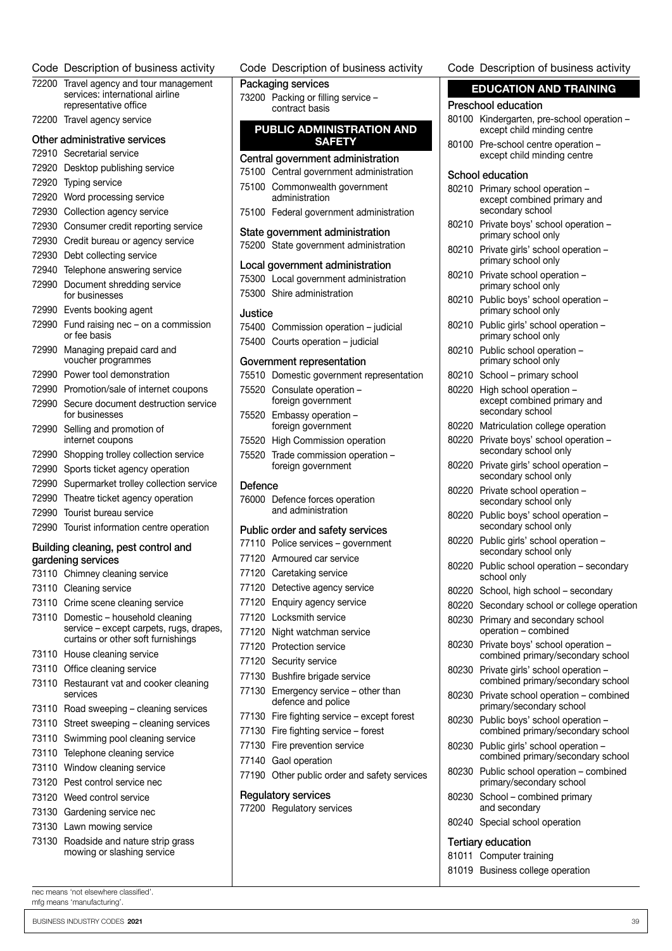| Code Description of business activity                                         |         | Code Description of business activity                | Code Description of business activity                                       |
|-------------------------------------------------------------------------------|---------|------------------------------------------------------|-----------------------------------------------------------------------------|
| 72200 Travel agency and tour management                                       |         | Packaging services                                   | <b>EDUCATION AND TRAINING</b>                                               |
| services: international airline<br>representative office                      |         | 73200 Packing or filling service -<br>contract basis | <b>Preschool education</b>                                                  |
| 72200 Travel agency service                                                   |         | PUBLIC ADMINISTRATION AND                            | 80100 Kindergarten, pre-school operation -<br>except child minding centre   |
| Other administrative services                                                 |         | <b>SAFETY</b>                                        | 80100 Pre-school centre operation -                                         |
| 72910 Secretarial service                                                     |         | Central government administration                    | except child minding centre                                                 |
| 72920 Desktop publishing service                                              |         | 75100 Central government administration              | School education                                                            |
| 72920 Typing service                                                          |         | 75100 Commonwealth government                        | 80210 Primary school operation -                                            |
| 72920 Word processing service                                                 |         | administration                                       | except combined primary and                                                 |
| 72930 Collection agency service                                               |         | 75100 Federal government administration              | secondary school                                                            |
| 72930 Consumer credit reporting service                                       |         | State government administration                      | 80210 Private boys' school operation -<br>primary school only               |
| 72930 Credit bureau or agency service                                         |         | 75200 State government administration                | 80210 Private girls' school operation -                                     |
| 72930 Debt collecting service                                                 |         | Local government administration                      | primary school only                                                         |
| 72940 Telephone answering service                                             |         | 75300 Local government administration                | 80210 Private school operation -                                            |
| 72990 Document shredding service<br>for businesses                            |         | 75300 Shire administration                           | primary school only                                                         |
| 72990 Events booking agent                                                    |         |                                                      | 80210 Public boys' school operation -                                       |
| 72990 Fund raising nec - on a commission                                      | Justice |                                                      | primary school only                                                         |
| or fee basis                                                                  |         | 75400 Commission operation - judicial                | 80210 Public girls' school operation -<br>primary school only               |
| 72990 Managing prepaid card and                                               |         | 75400 Courts operation - judicial                    | 80210 Public school operation -                                             |
| voucher programmes                                                            |         | Government representation                            | primary school only                                                         |
| 72990 Power tool demonstration                                                |         | 75510 Domestic government representation             | 80210 School - primary school                                               |
| 72990 Promotion/sale of internet coupons                                      |         | 75520 Consulate operation -                          | 80220 High school operation -                                               |
| 72990 Secure document destruction service<br>for businesses                   |         | foreign government<br>75520 Embassy operation -      | except combined primary and<br>secondary school                             |
| 72990 Selling and promotion of                                                |         | foreign government                                   | 80220 Matriculation college operation                                       |
| internet coupons                                                              |         | 75520 High Commission operation                      | 80220 Private boys' school operation -                                      |
| 72990 Shopping trolley collection service                                     |         | 75520 Trade commission operation -                   | secondary school only                                                       |
| 72990 Sports ticket agency operation                                          |         | foreign government                                   | 80220 Private girls' school operation -<br>secondary school only            |
| 72990 Supermarket trolley collection service                                  | Defence |                                                      | 80220 Private school operation -                                            |
| 72990 Theatre ticket agency operation                                         |         | 76000 Defence forces operation                       | secondary school only                                                       |
| 72990 Tourist bureau service                                                  |         | and administration                                   | 80220 Public boys' school operation -                                       |
| 72990 Tourist information centre operation                                    |         | Public order and safety services                     | secondary school only                                                       |
| Building cleaning, pest control and                                           |         | 77110 Police services - government                   | 80220 Public girls' school operation -<br>secondary school only             |
| gardening services                                                            |         | 77120 Armoured car service                           | 80220 Public school operation - secondary                                   |
| 73110 Chimney cleaning service                                                |         | 77120 Caretaking service                             | school only                                                                 |
| 73110 Cleaning service                                                        |         | 77120 Detective agency service                       | 80220 School, high school - secondary                                       |
| 73110 Crime scene cleaning service                                            |         | 77120 Enquiry agency service                         | 80220 Secondary school or college operation                                 |
| 73110 Domestic - household cleaning                                           |         | 77120 Locksmith service                              | 80230 Primary and secondary school                                          |
| service - except carpets, rugs, drapes,<br>curtains or other soft furnishings |         | 77120 Night watchman service                         | operation - combined                                                        |
| 73110 House cleaning service                                                  |         | 77120 Protection service                             | 80230 Private boys' school operation -<br>combined primary/secondary school |
| 73110 Office cleaning service                                                 |         | 77120 Security service                               | 80230 Private girls' school operation -                                     |
| 73110 Restaurant vat and cooker cleaning                                      |         | 77130 Bushfire brigade service                       | combined primary/secondary school                                           |
| services                                                                      |         | 77130 Emergency service - other than                 | 80230 Private school operation - combined                                   |
| 73110 Road sweeping - cleaning services                                       |         | defence and police                                   | primary/secondary school                                                    |
| 73110 Street sweeping - cleaning services                                     |         | 77130 Fire fighting service - except forest          | 80230 Public boys' school operation -                                       |
| 73110 Swimming pool cleaning service                                          |         | 77130 Fire fighting service - forest                 | combined primary/secondary school                                           |
| 73110 Telephone cleaning service                                              |         | 77130 Fire prevention service                        | 80230 Public girls' school operation -<br>combined primary/secondary school |
| 73110 Window cleaning service                                                 |         | 77140 Gaol operation                                 | 80230 Public school operation - combined                                    |
| 73120 Pest control service nec                                                |         | 77190 Other public order and safety services         | primary/secondary school                                                    |
| 73120 Weed control service                                                    |         | <b>Regulatory services</b>                           | 80230 School - combined primary                                             |
| 73130 Gardening service nec                                                   |         | 77200 Regulatory services                            | and secondary                                                               |
| 73130 Lawn mowing service                                                     |         |                                                      | 80240 Special school operation                                              |
| 73130 Roadside and nature strip grass                                         |         |                                                      | Tertiary education                                                          |
| mowing or slashing service                                                    |         |                                                      | 81011 Computer training                                                     |
|                                                                               |         |                                                      | 81019 Business college operation                                            |
|                                                                               |         |                                                      |                                                                             |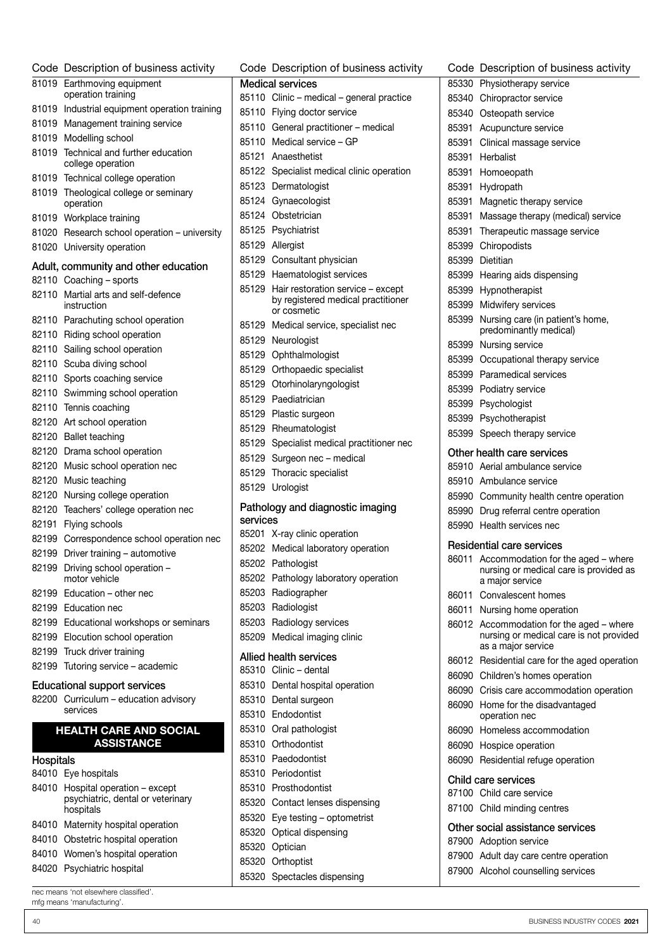| Code      | Description of business activity                     |  |  |  |  |  |
|-----------|------------------------------------------------------|--|--|--|--|--|
| 81019     | Earthmoving equipment                                |  |  |  |  |  |
|           | operation training                                   |  |  |  |  |  |
| 81019     | Industrial equipment operation training              |  |  |  |  |  |
| 81019     | Management training service                          |  |  |  |  |  |
| 81019     | Modelling school                                     |  |  |  |  |  |
| 81019     | Technical and further education<br>college operation |  |  |  |  |  |
| 81019     | Technical college operation                          |  |  |  |  |  |
| 81019     | Theological college or seminary                      |  |  |  |  |  |
|           | operation                                            |  |  |  |  |  |
| 81019     | Workplace training                                   |  |  |  |  |  |
| 81020     | Research school operation - university               |  |  |  |  |  |
| 81020     | University operation                                 |  |  |  |  |  |
|           | Adult, community and other education                 |  |  |  |  |  |
| 82110     | Coaching - sports                                    |  |  |  |  |  |
| 82110     | Martial arts and self-defence<br>instruction         |  |  |  |  |  |
| 82110     | Parachuting school operation                         |  |  |  |  |  |
| 82110     | Riding school operation                              |  |  |  |  |  |
| 82110     | Sailing school operation                             |  |  |  |  |  |
| 82110     | Scuba diving school                                  |  |  |  |  |  |
| 82110     | Sports coaching service                              |  |  |  |  |  |
| 82110     | Swimming school operation                            |  |  |  |  |  |
| 82110     | Tennis coaching                                      |  |  |  |  |  |
| 82120     | Art school operation                                 |  |  |  |  |  |
| 82120     | <b>Ballet teaching</b>                               |  |  |  |  |  |
| 82120     | Drama school operation                               |  |  |  |  |  |
| 82120     | Music school operation nec                           |  |  |  |  |  |
| 82120     | Music teaching                                       |  |  |  |  |  |
| 82120     | Nursing college operation                            |  |  |  |  |  |
| 82120     | Teachers' college operation nec                      |  |  |  |  |  |
| 82191     | Flying schools                                       |  |  |  |  |  |
| 82199     | Correspondence school operation nec                  |  |  |  |  |  |
| 82199     | Driver training - automotive                         |  |  |  |  |  |
| 82199     | Driving school operation -<br>motor vehicle          |  |  |  |  |  |
| 82199     | Education – other nec                                |  |  |  |  |  |
| 82199     | Education nec                                        |  |  |  |  |  |
|           | 82199 Educational workshops or seminars              |  |  |  |  |  |
|           | 82199 Elocution school operation                     |  |  |  |  |  |
| 82199     | Truck driver training                                |  |  |  |  |  |
| 82199     | Tutoring service - academic                          |  |  |  |  |  |
|           | <b>Educational support services</b>                  |  |  |  |  |  |
|           | 82200 Curriculum - education advisory<br>services    |  |  |  |  |  |
|           | <b>HEALTH CARE AND SOCIAL</b>                        |  |  |  |  |  |
|           | <b>ASSISTANCE</b>                                    |  |  |  |  |  |
| Hospitals |                                                      |  |  |  |  |  |
|           | 84010 Eye hospitals                                  |  |  |  |  |  |
| 84010     | Hospital operation - except                          |  |  |  |  |  |
|           | psychiatric, dental or veterinary<br>hospitals       |  |  |  |  |  |
| 84010     | Maternity hospital operation                         |  |  |  |  |  |
| 84010     | Obstetric hospital operation                         |  |  |  |  |  |
|           | 84010 Women's hospital operation                     |  |  |  |  |  |
|           | 84020 Psychiatric hospital                           |  |  |  |  |  |

Medical services Clinic – medical – general practice Flying doctor service General practitioner – medical Medical service – GP Anaesthetist Specialist medical clinic operation Dermatologist Gynaecologist Obstetrician Psychiatrist Allergist Consultant physician Haematologist services Hair restoration service – except by registered medical practitioner or cosmetic Medical service, specialist nec Neurologist Ophthalmologist Orthopaedic specialist Otorhinolaryngologist Paediatrician Plastic surgeon Rheumatologist Specialist medical practitioner nec Surgeon nec – medical Thoracic specialist Urologist Pathology and diagnostic imaging services X-ray clinic operation Medical laboratory operation Pathologist Pathology laboratory operation Radiographer Radiologist Radiology services Medical imaging clinic Allied health services Clinic – dental Dental hospital operation Dental surgeon Endodontist Oral pathologist Orthodontist Paedodontist Periodontist Prosthodontist Contact lenses dispensing Eye testing – optometrist Optical dispensing Optician Orthoptist

Spectacles dispensing

Code Description of business activity

Code Description of business activity Physiotherapy service Chiropractor service Osteopath service Acupuncture service Clinical massage service Herbalist Homoeopath Hydropath Magnetic therapy service Massage therapy (medical) service Therapeutic massage service Chiropodists Dietitian Hearing aids dispensing Hypnotherapist Midwifery services Nursing care (in patient's home, predominantly medical) Nursing service Occupational therapy service Paramedical services Podiatry service Psychologist Psychotherapist Speech therapy service Other health care services Aerial ambulance service Ambulance service Community health centre operation Drug referral centre operation Health services nec Residential care services Accommodation for the aged – where nursing or medical care is provided as a major service Convalescent homes Nursing home operation Accommodation for the aged – where nursing or medical care is not provided as a major service Residential care for the aged operation Children's homes operation Crisis care accommodation operation Home for the disadvantaged operation nec Homeless accommodation Hospice operation Residential refuge operation Child care services Child care service Child minding centres Other social assistance services

#### Adoption service

- Adult day care centre operation
- Alcohol counselling services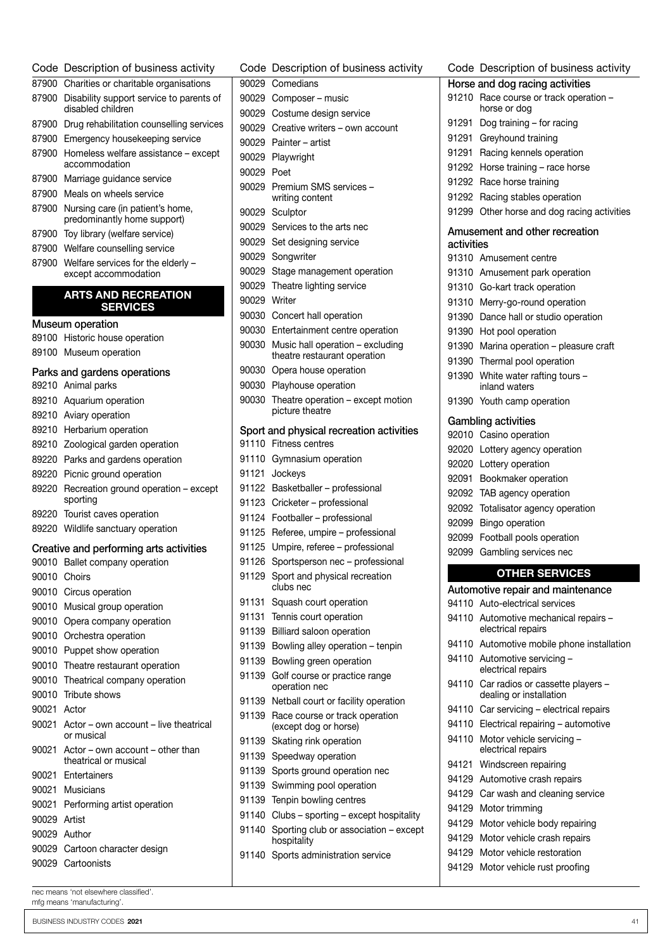Code Description of business activity Charities or charitable organisations Disability support service to parents of disabled children Drug rehabilitation counselling services Emergency housekeeping service Homeless welfare assistance – except accommodation Marriage guidance service Meals on wheels service Nursing care (in patient's home, predominantly home support) Toy library (welfare service) Welfare counselling service Welfare services for the elderly – except accommodation ARTS AND RECREATION **SERVICES** Museum operation Historic house operation Museum operation

#### Parks and gardens operations

| Parks and gardens operations |                                                           |  |  |  |
|------------------------------|-----------------------------------------------------------|--|--|--|
| 89210                        | Animal parks                                              |  |  |  |
| 89210                        | Aquarium operation                                        |  |  |  |
| 89210                        | Aviary operation                                          |  |  |  |
| 89210                        | Herbarium operation                                       |  |  |  |
| 89210                        | Zoological garden operation                               |  |  |  |
| 89220                        | Parks and gardens operation                               |  |  |  |
| 89220                        | Picnic ground operation                                   |  |  |  |
| 89220                        | Recreation ground operation - except<br>sporting          |  |  |  |
| 89220                        | Tourist caves operation                                   |  |  |  |
| 89220                        | Wildlife sanctuary operation                              |  |  |  |
|                              | Creative and performing arts activities                   |  |  |  |
| 90010                        | Ballet company operation                                  |  |  |  |
| 90010                        | Choirs                                                    |  |  |  |
| 90010                        | Circus operation                                          |  |  |  |
| 90010                        | Musical group operation                                   |  |  |  |
| 90010                        | Opera company operation                                   |  |  |  |
| 90010                        | Orchestra operation                                       |  |  |  |
| 90010                        | Puppet show operation                                     |  |  |  |
| 90010                        | Theatre restaurant operation                              |  |  |  |
| 90010                        | Theatrical company operation                              |  |  |  |
| 90010                        | Tribute shows                                             |  |  |  |
| 90021                        | Actor                                                     |  |  |  |
| 90021                        | Actor - own account - live theatrical<br>or musical       |  |  |  |
| 90021                        | Actor – own account – other than<br>theatrical or musical |  |  |  |
| 90021                        | Entertainers                                              |  |  |  |
| 90021                        | Musicians                                                 |  |  |  |
| 90021                        | Performing artist operation                               |  |  |  |
| 90029                        | Artist                                                    |  |  |  |
| 90029                        | Author                                                    |  |  |  |
|                              | 90029 Cartoon character design                            |  |  |  |
| 90029                        | Cartoonists                                               |  |  |  |

Code Description of business activity Comedians Composer – music Costume design service Creative writers – own account Painter – artist Playwright Poet Premium SMS services – writing content Sculptor Services to the arts nec Set designing service Songwriter Stage management operation Theatre lighting service Writer Concert hall operation Entertainment centre operation Music hall operation – excluding theatre restaurant operation Opera house operation Playhouse operation Theatre operation – except motion picture theatre Sport and physical recreation activities Fitness centres Gymnasium operation Jockeys Basketballer – professional Cricketer – professional Footballer – professional Referee, umpire – professional Umpire, referee – professional Sportsperson nec – professional Sport and physical recreation clubs nec Squash court operation Tennis court operation Billiard saloon operation Bowling alley operation – tenpin Bowling green operation Golf course or practice range operation nec Netball court or facility operation Race course or track operation (except dog or horse) Skating rink operation Speedway operation 91139 Sports ground operation nec Swimming pool operation Tenpin bowling centres Clubs – sporting – except hospitality Sporting club or association – except hospitality Sports administration service

Code Description of business activity Horse and dog racing activities Race course or track operation – horse or dog Dog training – for racing 91291 Greyhound training Racing kennels operation Horse training – race horse Race horse training Racing stables operation Other horse and dog racing activities Amusement and other recreation activities Amusement centre Amusement park operation Go-kart track operation Merry-go-round operation Dance hall or studio operation Hot pool operation Marina operation – pleasure craft Thermal pool operation White water rafting tours – inland waters Youth camp operation Gambling activities Casino operation Lottery agency operation Lottery operation Bookmaker operation TAB agency operation Totalisator agency operation Bingo operation Football pools operation Gambling services nec OTHER SERVICES Automotive repair and maintenance Auto-electrical services Automotive mechanical repairs – electrical repairs 94110 Automotive mobile phone installation Automotive servicing – electrical repairs Car radios or cassette players – dealing or installation Car servicing – electrical repairs Electrical repairing – automotive Motor vehicle servicing – electrical repairs Windscreen repairing Automotive crash repairs Car wash and cleaning service Motor trimming Motor vehicle body repairing Motor vehicle crash repairs Motor vehicle restoration Motor vehicle rust proofing

nec means 'not elsewhere classified'. mfg means 'manufacturing'.

BUSINESS INDUSTRY CODES 2021 41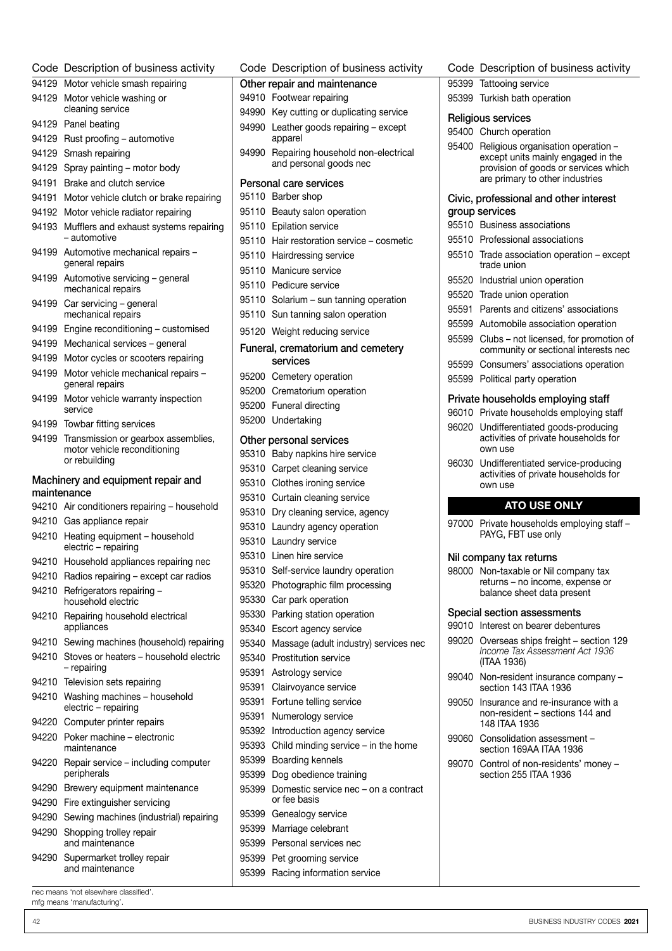|       | Code Description of business activity                                     |       | Code Description of busines                          |
|-------|---------------------------------------------------------------------------|-------|------------------------------------------------------|
|       | 94129 Motor vehicle smash repairing                                       |       | Other repair and maintenance                         |
|       | 94129 Motor vehicle washing or<br>cleaning service                        |       | 94910 Footwear repairing                             |
|       | 94129 Panel beating                                                       |       | 94990 Key cutting or duplicating :                   |
|       | 94129 Rust proofing - automotive                                          |       | 94990 Leather goods repairing $ \epsilon$<br>apparel |
|       | 94129 Smash repairing                                                     |       | 94990 Repairing household non-e                      |
|       | 94129 Spray painting - motor body                                         |       | and personal goods nec                               |
|       | 94191 Brake and clutch service                                            |       | Personal care services                               |
|       | 94191 Motor vehicle clutch or brake repairing                             |       | 95110 Barber shop                                    |
|       | 94192 Motor vehicle radiator repairing                                    |       | 95110 Beauty salon operation                         |
|       | 94193 Mufflers and exhaust systems repairing                              |       | 95110 Epilation service                              |
|       | – automotive                                                              |       | 95110 Hair restoration service – c                   |
|       | 94199 Automotive mechanical repairs -                                     |       | 95110 Hairdressing service                           |
|       | general repairs                                                           |       | 95110 Manicure service                               |
|       | 94199 Automotive servicing - general                                      |       | 95110 Pedicure service                               |
|       | mechanical repairs                                                        |       | 95110 Solarium - sun tanning ope                     |
|       | 94199 Car servicing - general<br>mechanical repairs                       |       | 95110 Sun tanning salon operation                    |
|       | 94199 Engine reconditioning - customised                                  |       | 95120 Weight reducing service                        |
|       | 94199 Mechanical services - general                                       |       |                                                      |
|       | 94199 Motor cycles or scooters repairing                                  |       | Funeral, crematorium and cem<br>services             |
|       | 94199 Motor vehicle mechanical repairs -                                  |       |                                                      |
|       | general repairs                                                           |       | 95200 Cemetery operation                             |
|       | 94199 Motor vehicle warranty inspection                                   |       | 95200 Crematorium operation                          |
|       | service                                                                   |       | 95200 Funeral directing                              |
|       | 94199 Towbar fitting services                                             |       | 95200 Undertaking                                    |
|       | 94199 Transmission or gearbox assemblies,<br>motor vehicle reconditioning |       | Other personal services                              |
|       | or rebuilding                                                             |       | 95310 Baby napkins hire service                      |
|       |                                                                           |       | 95310 Carpet cleaning service                        |
|       | Machinery and equipment repair and<br>maintenance                         |       | 95310 Clothes ironing service                        |
|       | 94210 Air conditioners repairing - household                              |       | 95310 Curtain cleaning service                       |
|       | 94210 Gas appliance repair                                                |       | 95310 Dry cleaning service, agene                    |
|       | 94210 Heating equipment - household                                       |       | 95310 Laundry agency operation                       |
|       | electric - repairing                                                      |       | 95310 Laundry service<br>95310 Linen hire service    |
|       | 94210 Household appliances repairing nec                                  |       | 95310 Self-service laundry operat                    |
|       | 94210 Radios repairing - except car radios                                |       | 95320 Photographic film processi                     |
|       | 94210 Refrigerators repairing -                                           |       | 95330 Car park operation                             |
|       | household electric                                                        |       | 95330 Parking station operation                      |
|       | 94210 Repairing household electrical<br>appliances                        |       | 95340 Escort agency service                          |
|       | 94210 Sewing machines (household) repairing                               |       | 95340 Massage (adult industry) so                    |
|       | 94210 Stoves or heaters - household electric                              |       | 95340 Prostitution service                           |
|       | - repairing                                                               |       | 95391 Astrology service                              |
|       | 94210 Television sets repairing                                           | 95391 | Clairvoyance service                                 |
|       | 94210 Washing machines - household                                        | 95391 | Fortune telling service                              |
|       | electric - repairing                                                      | 95391 | Numerology service                                   |
|       | 94220 Computer printer repairs                                            |       | 95392 Introduction agency servic                     |
|       | 94220 Poker machine – electronic<br>maintenance                           |       | 95393 Child minding service - in 1                   |
|       | 94220 Repair service - including computer                                 |       | 95399 Boarding kennels                               |
|       | peripherals                                                               |       | 95399 Dog obedience training                         |
|       | 94290 Brewery equipment maintenance                                       | 95399 | Domestic service nec - on                            |
|       | 94290 Fire extinguisher servicing                                         |       | or fee basis                                         |
|       | 94290 Sewing machines (industrial) repairing                              |       | 95399 Genealogy service                              |
|       | 94290 Shopping trolley repair                                             |       | 95399 Marriage celebrant                             |
|       | and maintenance                                                           |       | 95399 Personal services nec                          |
| 94290 | Supermarket trolley repair                                                |       | 95399 Pet grooming service                           |
|       | and maintenance                                                           |       | 95399 Racing information service                     |

| Code                              | Description of business activity                                             |  |
|-----------------------------------|------------------------------------------------------------------------------|--|
|                                   | Other repair and maintenance<br>94910 Footwear repairing                     |  |
|                                   |                                                                              |  |
| 94990                             | 94990 Key cutting or duplicating service<br>Leather goods repairing - except |  |
|                                   | apparel                                                                      |  |
| 94990                             | Repairing household non-electrical<br>and personal goods nec                 |  |
| Personal care services            |                                                                              |  |
| 95110                             | Barber shop                                                                  |  |
| 95110                             | Beauty salon operation                                                       |  |
|                                   | 95110 Epilation service                                                      |  |
|                                   | 95110 Hair restoration service - cosmetic                                    |  |
|                                   | 95110 Hairdressing service                                                   |  |
|                                   | 95110 Manicure service                                                       |  |
|                                   | 95110 Pedicure service                                                       |  |
|                                   | 95110 Solarium - sun tanning operation                                       |  |
|                                   | 95110 Sun tanning salon operation                                            |  |
|                                   | 95120 Weight reducing service                                                |  |
| Funeral, crematorium and cemetery |                                                                              |  |
|                                   | services                                                                     |  |
|                                   | 95200 Cemetery operation                                                     |  |
|                                   | 95200 Crematorium operation                                                  |  |
|                                   | 95200 Funeral directing                                                      |  |
|                                   | 95200 Undertaking                                                            |  |
| Other personal services           |                                                                              |  |
| 95310                             | Baby napkins hire service                                                    |  |
| 95310                             | Carpet cleaning service                                                      |  |
| 95310                             | Clothes ironing service                                                      |  |
| 95310                             | Curtain cleaning service                                                     |  |
| 95310                             | Dry cleaning service, agency                                                 |  |
| 95310                             | Laundry agency operation                                                     |  |
| 95310                             | Laundry service                                                              |  |
| 95310                             | Linen hire service                                                           |  |
| 95310                             | Self-service laundry operation                                               |  |
| 95320                             | Photographic film processing                                                 |  |
| 95330                             | Car park operation                                                           |  |
| 95330                             | Parking station operation                                                    |  |
| 95340                             | Escort agency service                                                        |  |
| 95340                             | Massage (adult industry) services nec                                        |  |
| 95340                             | <b>Prostitution service</b>                                                  |  |
| 95391                             | Astrology service                                                            |  |
| 95391                             | Clairvoyance service                                                         |  |
| 95391                             | Fortune telling service                                                      |  |
| 95391                             | Numerology service                                                           |  |
| 95392                             | Introduction agency service                                                  |  |
| 95393                             | Child minding service – in the home                                          |  |
| 95399                             | Boarding kennels                                                             |  |
| 95399                             | Dog obedience training                                                       |  |
| 95399                             | Domestic service nec - on a contract<br>or fee basis                         |  |
| 95399                             | Genealogy service                                                            |  |
| 95399                             | Marriage celebrant                                                           |  |

#### Code Description of business activity

Turkish bath operation

#### Religious services

#### Church operation

 Religious organisation operation – except units mainly engaged in the provision of goods or services which are primary to other industries

#### Civic, professional and other interest group services

- Business associations
- Professional associations
- Trade association operation except trade union
- Industrial union operation
- Trade union operation
- Parents and citizens' associations
- Automobile association operation
- Clubs not licensed, for promotion of community or sectional interests nec
- Consumers' associations operation
- Political party operation

#### Private households employing staff

| 96010 Private households employing staff                                                  |
|-------------------------------------------------------------------------------------------|
| 96020 Undifferentiated goods-producing<br>activities of private households for<br>own use |
| 06030 Lindifferentiated censice producing                                                 |

 Undifferentiated service-producing activities of private households for own use

### ATO USE ONLY

97000 Private households employing staff -PAYG, FBT use only

#### Nil company tax returns

 Non-taxable or Nil company tax returns – no income, expense or balance sheet data present

#### Special section assessments

Interest on bearer debentures

- Overseas ships freight section 129 *Income Tax Assessment Act 1936* (ITAA 1936)
- Non-resident insurance company section 143 ITAA 1936
- Insurance and re-insurance with a non‑resident – sections 144 and 148 ITAA 1936
- Consolidation assessment section 169AA ITAA 1936
- Control of non-residents' money section 255 ITAA 1936